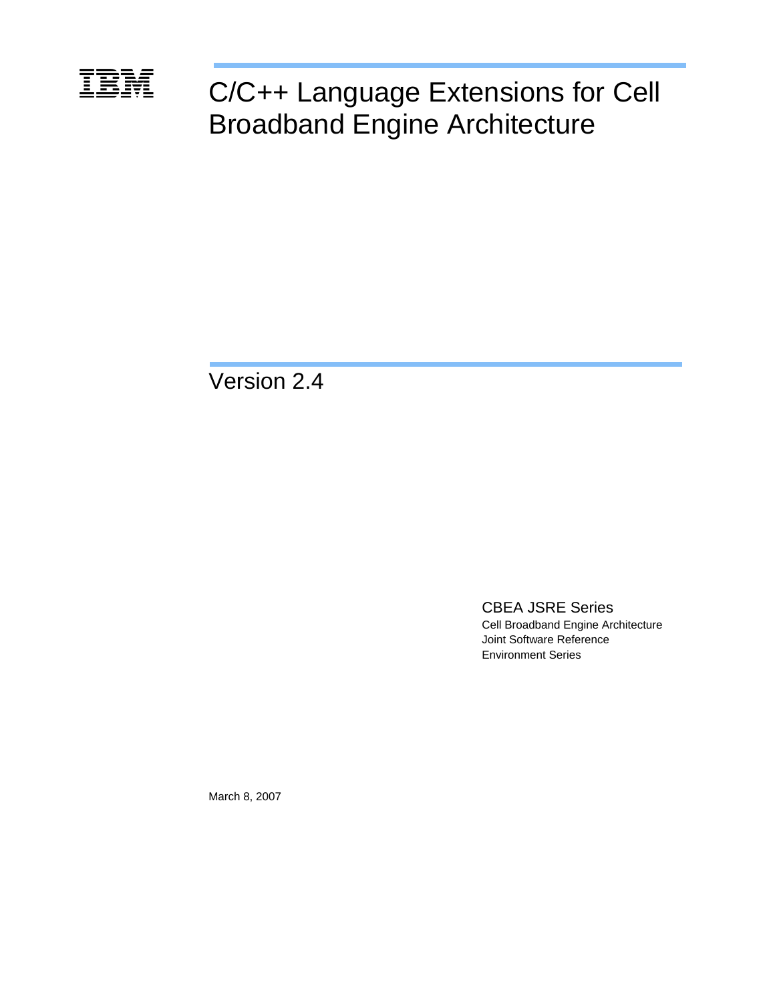

## C/C++ Language Extensions for Cell Broadband Engine Architecture

Version 2.4

CBEA JSRE Series Cell Broadband Engine Architecture Joint Software Reference Environment Series

March 8, 2007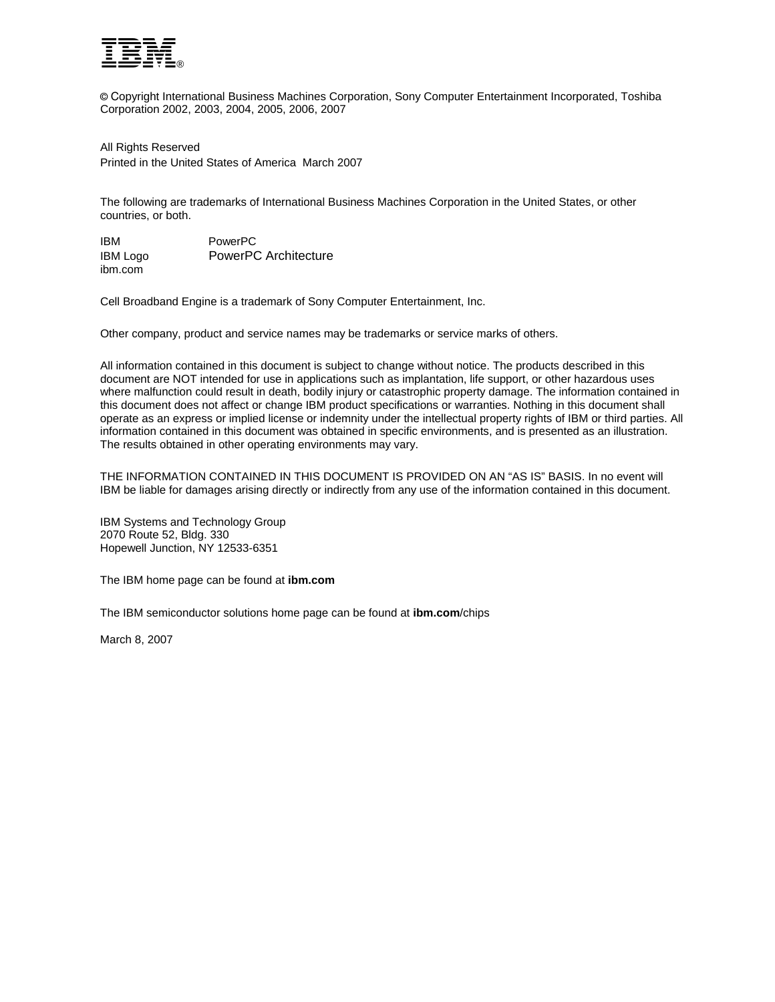

© Copyright International Business Machines Corporation, Sony Computer Entertainment Incorporated, Toshiba Corporation 2002, 2003, 2004, 2005, 2006, 2007

All Rights Reserved Printed in the United States of America March 2007

The following are trademarks of International Business Machines Corporation in the United States, or other countries, or both.

IBM PowerPC IBM Logo PowerPC Architecture ibm.com

Cell Broadband Engine is a trademark of Sony Computer Entertainment, Inc.

Other company, product and service names may be trademarks or service marks of others.

All information contained in this document is subject to change without notice. The products described in this document are NOT intended for use in applications such as implantation, life support, or other hazardous uses where malfunction could result in death, bodily injury or catastrophic property damage. The information contained in this document does not affect or change IBM product specifications or warranties. Nothing in this document shall operate as an express or implied license or indemnity under the intellectual property rights of IBM or third parties. All information contained in this document was obtained in specific environments, and is presented as an illustration. The results obtained in other operating environments may vary.

THE INFORMATION CONTAINED IN THIS DOCUMENT IS PROVIDED ON AN "AS IS" BASIS. In no event will IBM be liable for damages arising directly or indirectly from any use of the information contained in this document.

IBM Systems and Technology Group 2070 Route 52, Bldg. 330 Hopewell Junction, NY 12533-6351

The IBM home page can be found at **ibm.com**

The IBM semiconductor solutions home page can be found at **ibm.com**/chips

March 8, 2007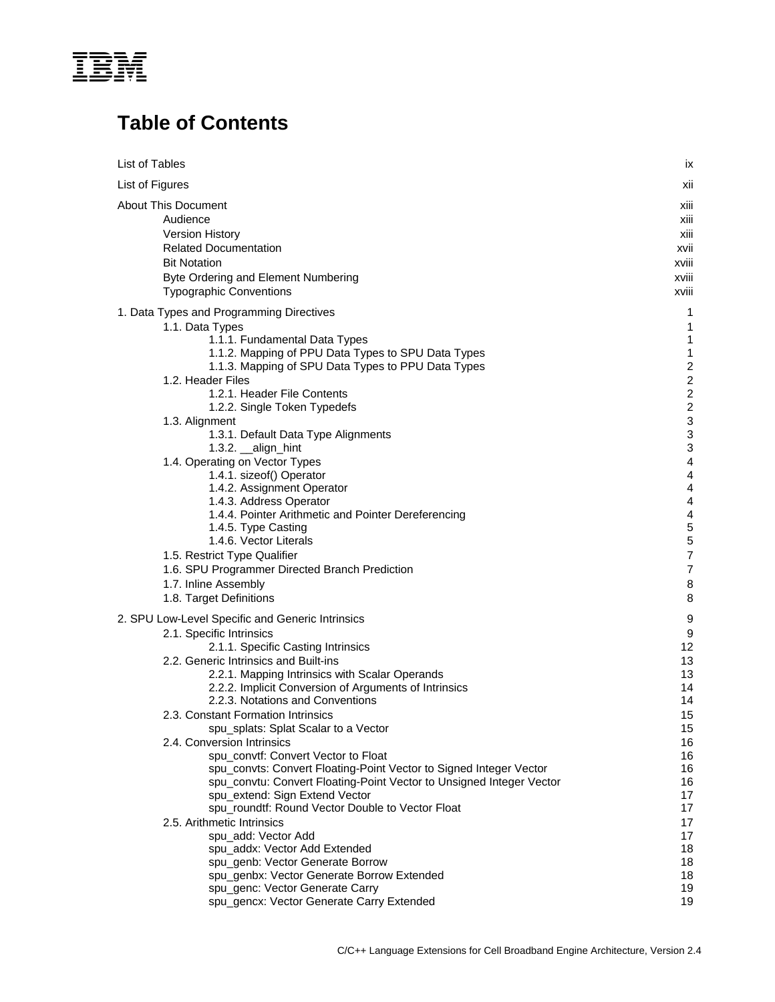

## **Table of Contents**

| List of Tables                                                                                                                                                                                                                                                                                                                                                                                                                                                                                                                                                                                                                                                                                                                                                                                                                                                                                                                                            | İX                                                                                                                                                                                                                                                                                                |
|-----------------------------------------------------------------------------------------------------------------------------------------------------------------------------------------------------------------------------------------------------------------------------------------------------------------------------------------------------------------------------------------------------------------------------------------------------------------------------------------------------------------------------------------------------------------------------------------------------------------------------------------------------------------------------------------------------------------------------------------------------------------------------------------------------------------------------------------------------------------------------------------------------------------------------------------------------------|---------------------------------------------------------------------------------------------------------------------------------------------------------------------------------------------------------------------------------------------------------------------------------------------------|
| List of Figures                                                                                                                                                                                                                                                                                                                                                                                                                                                                                                                                                                                                                                                                                                                                                                                                                                                                                                                                           | xii                                                                                                                                                                                                                                                                                               |
| <b>About This Document</b><br>Audience<br><b>Version History</b><br><b>Related Documentation</b><br><b>Bit Notation</b><br>Byte Ordering and Element Numbering<br><b>Typographic Conventions</b>                                                                                                                                                                                                                                                                                                                                                                                                                                                                                                                                                                                                                                                                                                                                                          | xiii<br>xiii<br>xiii<br>xvii<br>xviii<br>xviii<br>xviii                                                                                                                                                                                                                                           |
| 1. Data Types and Programming Directives<br>1.1. Data Types<br>1.1.1. Fundamental Data Types<br>1.1.2. Mapping of PPU Data Types to SPU Data Types<br>1.1.3. Mapping of SPU Data Types to PPU Data Types<br>1.2. Header Files<br>1.2.1. Header File Contents<br>1.2.2. Single Token Typedefs<br>1.3. Alignment<br>1.3.1. Default Data Type Alignments<br>1.3.2. __ align_hint<br>1.4. Operating on Vector Types<br>1.4.1. sizeof() Operator<br>1.4.2. Assignment Operator<br>1.4.3. Address Operator<br>1.4.4. Pointer Arithmetic and Pointer Dereferencing<br>1.4.5. Type Casting<br>1.4.6. Vector Literals<br>1.5. Restrict Type Qualifier<br>1.6. SPU Programmer Directed Branch Prediction<br>1.7. Inline Assembly<br>1.8. Target Definitions                                                                                                                                                                                                         | 1<br>1<br>$\mathbf 1$<br>$\mathbf{1}$<br>$\boldsymbol{2}$<br>$\frac{2}{2}$<br>$\overline{c}$<br>$\ensuremath{\mathsf{3}}$<br>3<br>$\ensuremath{\mathsf{3}}$<br>$\overline{\mathbf{4}}$<br>$\overline{4}$<br>4<br>$\overline{4}$<br>4<br>5<br>5<br>$\overline{7}$<br>$\overline{7}$<br>$\bf8$<br>8 |
| 2. SPU Low-Level Specific and Generic Intrinsics<br>2.1. Specific Intrinsics<br>2.1.1. Specific Casting Intrinsics<br>2.2. Generic Intrinsics and Built-ins<br>2.2.1. Mapping Intrinsics with Scalar Operands<br>2.2.2. Implicit Conversion of Arguments of Intrinsics<br>2.2.3. Notations and Conventions<br>2.3. Constant Formation Intrinsics<br>spu_splats: Splat Scalar to a Vector<br>2.4. Conversion Intrinsics<br>spu_convtf: Convert Vector to Float<br>spu_convts: Convert Floating-Point Vector to Signed Integer Vector<br>spu_convtu: Convert Floating-Point Vector to Unsigned Integer Vector<br>spu_extend: Sign Extend Vector<br>spu_roundtf: Round Vector Double to Vector Float<br>2.5. Arithmetic Intrinsics<br>spu_add: Vector Add<br>spu_addx: Vector Add Extended<br>spu_genb: Vector Generate Borrow<br>spu_genbx: Vector Generate Borrow Extended<br>spu_genc: Vector Generate Carry<br>spu_gencx: Vector Generate Carry Extended | 9<br>9<br>12<br>13<br>13<br>14<br>14<br>15<br>15<br>16<br>16<br>16<br>16<br>17<br>17<br>17<br>17<br>18<br>18<br>18<br>19<br>19                                                                                                                                                                    |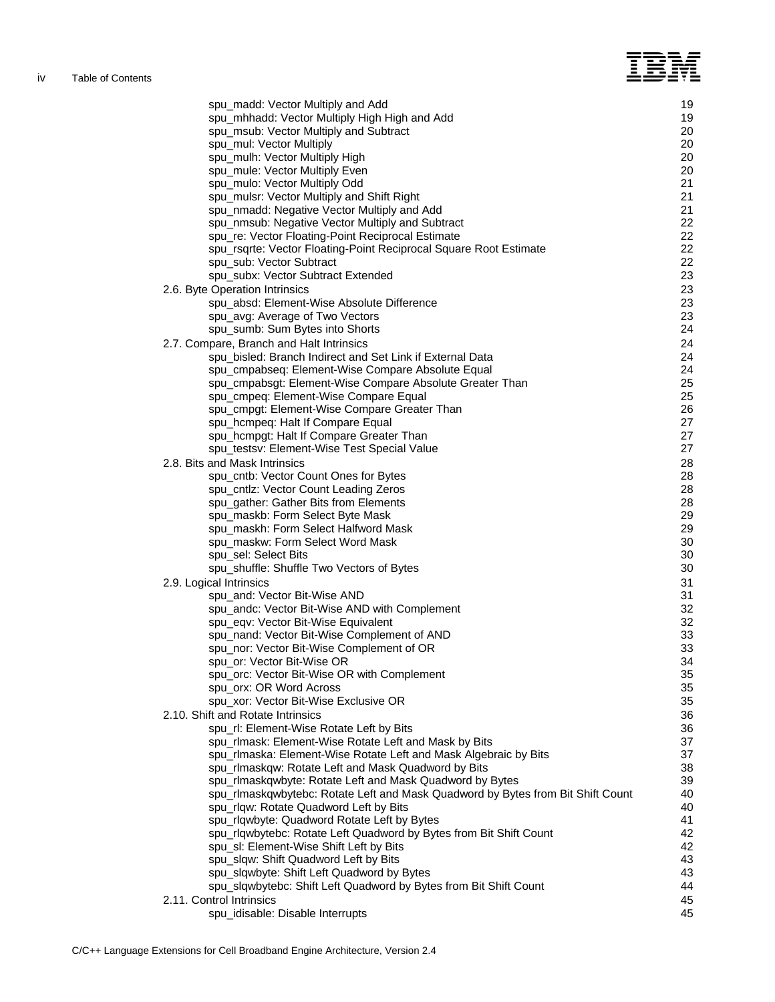|     | ____                   |
|-----|------------------------|
|     | ____                   |
| - - | - - -                  |
|     | - <del>- - - - -</del> |
|     | - - - --<br>-----      |
|     | _______                |
|     | ___                    |
|     |                        |

| spu_madd: Vector Multiply and Add                                                                               | 19       |
|-----------------------------------------------------------------------------------------------------------------|----------|
| spu_mhhadd: Vector Multiply High High and Add                                                                   | 19       |
| spu_msub: Vector Multiply and Subtract                                                                          | 20       |
| spu_mul: Vector Multiply                                                                                        | 20       |
| spu_mulh: Vector Multiply High                                                                                  | 20       |
| spu_mule: Vector Multiply Even                                                                                  | 20       |
| spu_mulo: Vector Multiply Odd                                                                                   | 21       |
| spu_mulsr: Vector Multiply and Shift Right                                                                      | 21       |
| spu_nmadd: Negative Vector Multiply and Add                                                                     | 21       |
| spu_nmsub: Negative Vector Multiply and Subtract                                                                | 22       |
| spu_re: Vector Floating-Point Reciprocal Estimate                                                               | 22       |
| spu_rsqrte: Vector Floating-Point Reciprocal Square Root Estimate                                               | 22       |
| spu_sub: Vector Subtract                                                                                        | 22       |
| spu_subx: Vector Subtract Extended                                                                              | 23       |
| 2.6. Byte Operation Intrinsics                                                                                  | 23       |
| spu absd: Element-Wise Absolute Difference                                                                      | 23       |
| spu_avg: Average of Two Vectors                                                                                 | 23       |
| spu_sumb: Sum Bytes into Shorts                                                                                 | 24       |
| 2.7. Compare, Branch and Halt Intrinsics                                                                        | 24       |
| spu_bisled: Branch Indirect and Set Link if External Data                                                       | 24       |
| spu_cmpabseq: Element-Wise Compare Absolute Equal                                                               | 24       |
| spu_cmpabsgt: Element-Wise Compare Absolute Greater Than                                                        | 25       |
| spu_cmpeq: Element-Wise Compare Equal                                                                           | 25       |
| spu_cmpgt: Element-Wise Compare Greater Than                                                                    | 26       |
| spu_hcmpeq: Halt If Compare Equal                                                                               | 27       |
| spu_hcmpgt: Halt If Compare Greater Than                                                                        | 27       |
| spu_testsv: Element-Wise Test Special Value                                                                     | 27       |
| 2.8. Bits and Mask Intrinsics                                                                                   | 28       |
| spu_cntb: Vector Count Ones for Bytes                                                                           | 28       |
| spu_cntlz: Vector Count Leading Zeros                                                                           | 28       |
| spu_gather: Gather Bits from Elements                                                                           | 28       |
| spu_maskb: Form Select Byte Mask                                                                                | 29       |
| spu_maskh: Form Select Halfword Mask                                                                            | 29       |
| spu_maskw: Form Select Word Mask                                                                                | 30       |
| spu_sel: Select Bits                                                                                            | 30       |
| spu_shuffle: Shuffle Two Vectors of Bytes                                                                       | 30       |
| 2.9. Logical Intrinsics                                                                                         | 31       |
| spu_and: Vector Bit-Wise AND                                                                                    | 31       |
| spu_andc: Vector Bit-Wise AND with Complement                                                                   | 32       |
| spu_eqv: Vector Bit-Wise Equivalent                                                                             | 32       |
| spu_nand: Vector Bit-Wise Complement of AND                                                                     | 33       |
| spu_nor: Vector Bit-Wise Complement of OR                                                                       | 33       |
| spu_or: Vector Bit-Wise OR                                                                                      | 34       |
| spu_orc: Vector Bit-Wise OR with Complement                                                                     | 35       |
| spu_orx: OR Word Across                                                                                         | 35       |
| spu_xor: Vector Bit-Wise Exclusive OR                                                                           | 35       |
| 2.10. Shift and Rotate Intrinsics                                                                               | 36       |
| spu_rl: Element-Wise Rotate Left by Bits                                                                        | 36       |
| spu_rlmask: Element-Wise Rotate Left and Mask by Bits                                                           | 37       |
| spu_rlmaska: Element-Wise Rotate Left and Mask Algebraic by Bits                                                | 37       |
| spu_rlmaskqw: Rotate Left and Mask Quadword by Bits<br>spu_rlmaskqwbyte: Rotate Left and Mask Quadword by Bytes | 38<br>39 |
| spu_rlmaskqwbytebc: Rotate Left and Mask Quadword by Bytes from Bit Shift Count                                 | 40       |
| spu_rlqw: Rotate Quadword Left by Bits                                                                          | 40       |
| spu_rlqwbyte: Quadword Rotate Left by Bytes                                                                     | 41       |
| spu_rlqwbytebc: Rotate Left Quadword by Bytes from Bit Shift Count                                              | 42       |
| spu_sl: Element-Wise Shift Left by Bits                                                                         | 42       |
| spu_slqw: Shift Quadword Left by Bits                                                                           | 43       |
| spu_slqwbyte: Shift Left Quadword by Bytes                                                                      | 43       |
| spu_slqwbytebc: Shift Left Quadword by Bytes from Bit Shift Count                                               | 44       |
| 2.11. Control Intrinsics                                                                                        | 45       |
| spu_idisable: Disable Interrupts                                                                                | 45       |
|                                                                                                                 |          |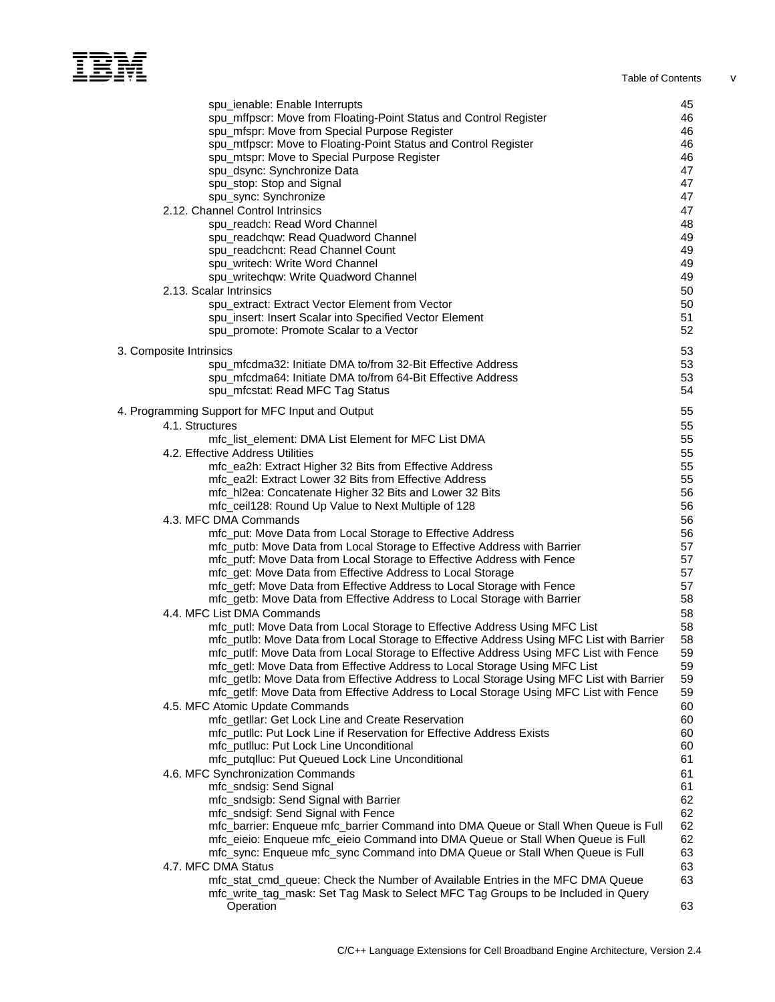

| spu_ienable: Enable Interrupts                                                                                                                                         | 45       |
|------------------------------------------------------------------------------------------------------------------------------------------------------------------------|----------|
| spu_mffpscr: Move from Floating-Point Status and Control Register                                                                                                      | 46       |
| spu_mfspr: Move from Special Purpose Register                                                                                                                          | 46       |
| spu_mtfpscr: Move to Floating-Point Status and Control Register                                                                                                        | 46       |
| spu_mtspr: Move to Special Purpose Register                                                                                                                            | 46<br>47 |
| spu_dsync: Synchronize Data<br>spu_stop: Stop and Signal                                                                                                               | 47       |
| spu_sync: Synchronize                                                                                                                                                  | 47       |
| 2.12. Channel Control Intrinsics                                                                                                                                       | 47       |
| spu_readch: Read Word Channel                                                                                                                                          | 48       |
| spu_readchqw: Read Quadword Channel                                                                                                                                    | 49       |
| spu_readchcnt: Read Channel Count                                                                                                                                      | 49       |
| spu_writech: Write Word Channel                                                                                                                                        | 49       |
| spu_writechqw: Write Quadword Channel                                                                                                                                  | 49       |
| 2.13. Scalar Intrinsics                                                                                                                                                | 50       |
| spu_extract: Extract Vector Element from Vector                                                                                                                        | 50       |
| spu_insert: Insert Scalar into Specified Vector Element                                                                                                                | 51       |
| spu_promote: Promote Scalar to a Vector                                                                                                                                | 52       |
| 3. Composite Intrinsics                                                                                                                                                | 53       |
| spu_mfcdma32: Initiate DMA to/from 32-Bit Effective Address                                                                                                            | 53       |
| spu_mfcdma64: Initiate DMA to/from 64-Bit Effective Address                                                                                                            | 53       |
| spu_mfcstat: Read MFC Tag Status                                                                                                                                       | 54       |
|                                                                                                                                                                        |          |
| 4. Programming Support for MFC Input and Output<br>4.1. Structures                                                                                                     | 55<br>55 |
| mfc_list_element: DMA List Element for MFC List DMA                                                                                                                    | 55       |
| 4.2. Effective Address Utilities                                                                                                                                       | 55       |
| mfc_ea2h: Extract Higher 32 Bits from Effective Address                                                                                                                | 55       |
| mfc_ea2I: Extract Lower 32 Bits from Effective Address                                                                                                                 | 55       |
| mfc_hl2ea: Concatenate Higher 32 Bits and Lower 32 Bits                                                                                                                | 56       |
| mfc_ceil128: Round Up Value to Next Multiple of 128                                                                                                                    | 56       |
| 4.3. MFC DMA Commands                                                                                                                                                  | 56       |
| mfc_put: Move Data from Local Storage to Effective Address                                                                                                             | 56       |
| mfc_putb: Move Data from Local Storage to Effective Address with Barrier                                                                                               | 57       |
| mfc_putf: Move Data from Local Storage to Effective Address with Fence                                                                                                 | 57       |
| mfc_get: Move Data from Effective Address to Local Storage                                                                                                             | 57       |
| mfc_getf: Move Data from Effective Address to Local Storage with Fence                                                                                                 | 57       |
| mfc_getb: Move Data from Effective Address to Local Storage with Barrier                                                                                               | 58       |
| 4.4. MFC List DMA Commands                                                                                                                                             | 58       |
| mfc_putl: Move Data from Local Storage to Effective Address Using MFC List<br>mfc_putlb: Move Data from Local Storage to Effective Address Using MFC List with Barrier | 58<br>58 |
| mfc_putlf: Move Data from Local Storage to Effective Address Using MFC List with Fence                                                                                 | 59       |
| mfc_getl: Move Data from Effective Address to Local Storage Using MFC List                                                                                             | 59       |
| mfc_getlb: Move Data from Effective Address to Local Storage Using MFC List with Barrier                                                                               | 59       |
| mfc_getlf: Move Data from Effective Address to Local Storage Using MFC List with Fence                                                                                 | 59       |
| 4.5. MFC Atomic Update Commands                                                                                                                                        | 60       |
| mfc_getllar: Get Lock Line and Create Reservation                                                                                                                      | 60       |
| mfc_putllc: Put Lock Line if Reservation for Effective Address Exists                                                                                                  | 60       |
| mfc_putlluc: Put Lock Line Unconditional                                                                                                                               | 60       |
| mfc_putqlluc: Put Queued Lock Line Unconditional                                                                                                                       | 61       |
| 4.6. MFC Synchronization Commands                                                                                                                                      | 61       |
| mfc_sndsig: Send Signal                                                                                                                                                | 61       |
| mfc_sndsigb: Send Signal with Barrier                                                                                                                                  | 62       |
| mfc_sndsigf: Send Signal with Fence                                                                                                                                    | 62<br>62 |
| mfc_barrier: Enqueue mfc_barrier Command into DMA Queue or Stall When Queue is Full<br>mfc_eieio: Enqueue mfc_eieio Command into DMA Queue or Stall When Queue is Full | 62       |
| mfc_sync: Enqueue mfc_sync Command into DMA Queue or Stall When Queue is Full                                                                                          | 63       |
| 4.7. MFC DMA Status                                                                                                                                                    | 63       |
| mfc_stat_cmd_queue: Check the Number of Available Entries in the MFC DMA Queue                                                                                         | 63       |
| mfc_write_tag_mask: Set Tag Mask to Select MFC Tag Groups to be Included in Query                                                                                      |          |
| Operation                                                                                                                                                              | 63       |
|                                                                                                                                                                        |          |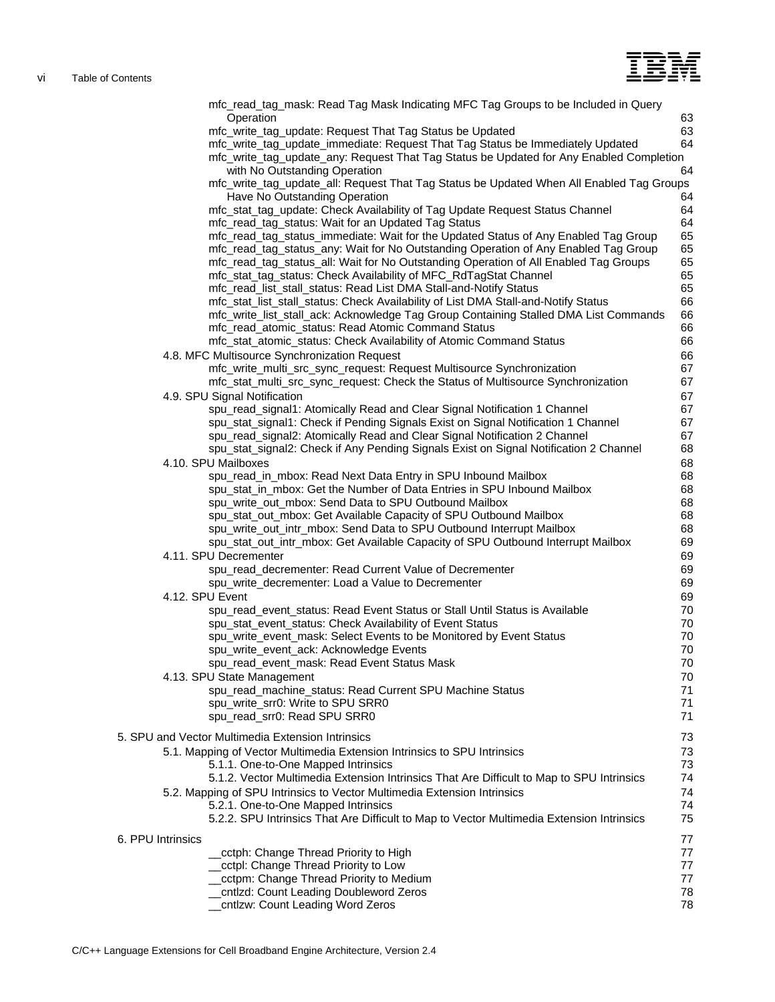vi Table of Contents - The Contents - The Contents - The Contents - The Contents - The Contents - The Contents<br>- The Contents - The Contents - The Contents - The Contents - The Contents - The Contents - The Contents - The<br>



| mfc_read_tag_mask: Read Tag Mask Indicating MFC Tag Groups to be Included in Query                                                                             |          |
|----------------------------------------------------------------------------------------------------------------------------------------------------------------|----------|
| Operation<br>mfc_write_tag_update: Request That Tag Status be Updated                                                                                          | 63<br>63 |
| mfc_write_tag_update_immediate: Request That Tag Status be Immediately Updated                                                                                 | 64       |
| mfc_write_tag_update_any: Request That Tag Status be Updated for Any Enabled Completion                                                                        |          |
| with No Outstanding Operation                                                                                                                                  | 64       |
| mfc_write_tag_update_all: Request That Tag Status be Updated When All Enabled Tag Groups                                                                       |          |
| Have No Outstanding Operation<br>mfc_stat_tag_update: Check Availability of Tag Update Request Status Channel                                                  | 64<br>64 |
| mfc_read_tag_status: Wait for an Updated Tag Status                                                                                                            | 64       |
| mfc_read_tag_status_immediate: Wait for the Updated Status of Any Enabled Tag Group                                                                            | 65       |
| mfc_read_tag_status_any: Wait for No Outstanding Operation of Any Enabled Tag Group                                                                            | 65       |
| mfc_read_tag_status_all: Wait for No Outstanding Operation of All Enabled Tag Groups<br>mfc_stat_tag_status: Check Availability of MFC_RdTagStat Channel       | 65<br>65 |
| mfc_read_list_stall_status: Read List DMA Stall-and-Notify Status                                                                                              | 65       |
| mfc_stat_list_stall_status: Check Availability of List DMA Stall-and-Notify Status                                                                             | 66       |
| mfc_write_list_stall_ack: Acknowledge Tag Group Containing Stalled DMA List Commands                                                                           | 66       |
| mfc_read_atomic_status: Read Atomic Command Status                                                                                                             | 66       |
| mfc_stat_atomic_status: Check Availability of Atomic Command Status<br>4.8. MFC Multisource Synchronization Request                                            | 66<br>66 |
| mfc_write_multi_src_sync_request: Request Multisource Synchronization                                                                                          | 67       |
| mfc_stat_multi_src_sync_request: Check the Status of Multisource Synchronization                                                                               | 67       |
| 4.9. SPU Signal Notification                                                                                                                                   | 67       |
| spu_read_signal1: Atomically Read and Clear Signal Notification 1 Channel                                                                                      | 67       |
| spu_stat_signal1: Check if Pending Signals Exist on Signal Notification 1 Channel<br>spu_read_signal2: Atomically Read and Clear Signal Notification 2 Channel | 67<br>67 |
| spu_stat_signal2: Check if Any Pending Signals Exist on Signal Notification 2 Channel                                                                          | 68       |
| 4.10. SPU Mailboxes                                                                                                                                            | 68       |
| spu_read_in_mbox: Read Next Data Entry in SPU Inbound Mailbox                                                                                                  | 68       |
| spu_stat_in_mbox: Get the Number of Data Entries in SPU Inbound Mailbox                                                                                        | 68       |
| spu_write_out_mbox: Send Data to SPU Outbound Mailbox<br>spu_stat_out_mbox: Get Available Capacity of SPU Outbound Mailbox                                     | 68<br>68 |
| spu_write_out_intr_mbox: Send Data to SPU Outbound Interrupt Mailbox                                                                                           | 68       |
| spu_stat_out_intr_mbox: Get Available Capacity of SPU Outbound Interrupt Mailbox                                                                               | 69       |
| 4.11. SPU Decrementer                                                                                                                                          | 69       |
| spu_read_decrementer: Read Current Value of Decrementer<br>spu_write_decrementer: Load a Value to Decrementer                                                  | 69<br>69 |
| 4.12. SPU Event                                                                                                                                                | 69       |
| spu_read_event_status: Read Event Status or Stall Until Status is Available                                                                                    | 70       |
| spu_stat_event_status: Check Availability of Event Status                                                                                                      | 70       |
| spu_write_event_mask: Select Events to be Monitored by Event Status                                                                                            | 70       |
| spu_write_event_ack: Acknowledge Events<br>spu_read_event_mask: Read Event Status Mask                                                                         | 70<br>70 |
| 4.13. SPU State Management                                                                                                                                     | 70       |
| spu_read_machine_status: Read Current SPU Machine Status                                                                                                       | 71       |
| spu_write_srr0: Write to SPU SRR0                                                                                                                              | 71       |
| spu_read_srr0: Read SPU SRR0                                                                                                                                   | 71       |
| 5. SPU and Vector Multimedia Extension Intrinsics                                                                                                              | 73       |
| 5.1. Mapping of Vector Multimedia Extension Intrinsics to SPU Intrinsics                                                                                       | 73       |
| 5.1.1. One-to-One Mapped Intrinsics<br>5.1.2. Vector Multimedia Extension Intrinsics That Are Difficult to Map to SPU Intrinsics                               | 73<br>74 |
| 5.2. Mapping of SPU Intrinsics to Vector Multimedia Extension Intrinsics                                                                                       | 74       |
| 5.2.1. One-to-One Mapped Intrinsics                                                                                                                            | 74       |
| 5.2.2. SPU Intrinsics That Are Difficult to Map to Vector Multimedia Extension Intrinsics                                                                      | 75       |
| 6. PPU Intrinsics                                                                                                                                              | 77       |
| cctph: Change Thread Priority to High                                                                                                                          | 77       |
| _cctpl: Change Thread Priority to Low                                                                                                                          | 77       |
| cctpm: Change Thread Priority to Medium<br>cntlzd: Count Leading Doubleword Zeros                                                                              | 77<br>78 |
| cntlzw: Count Leading Word Zeros                                                                                                                               | 78       |
|                                                                                                                                                                |          |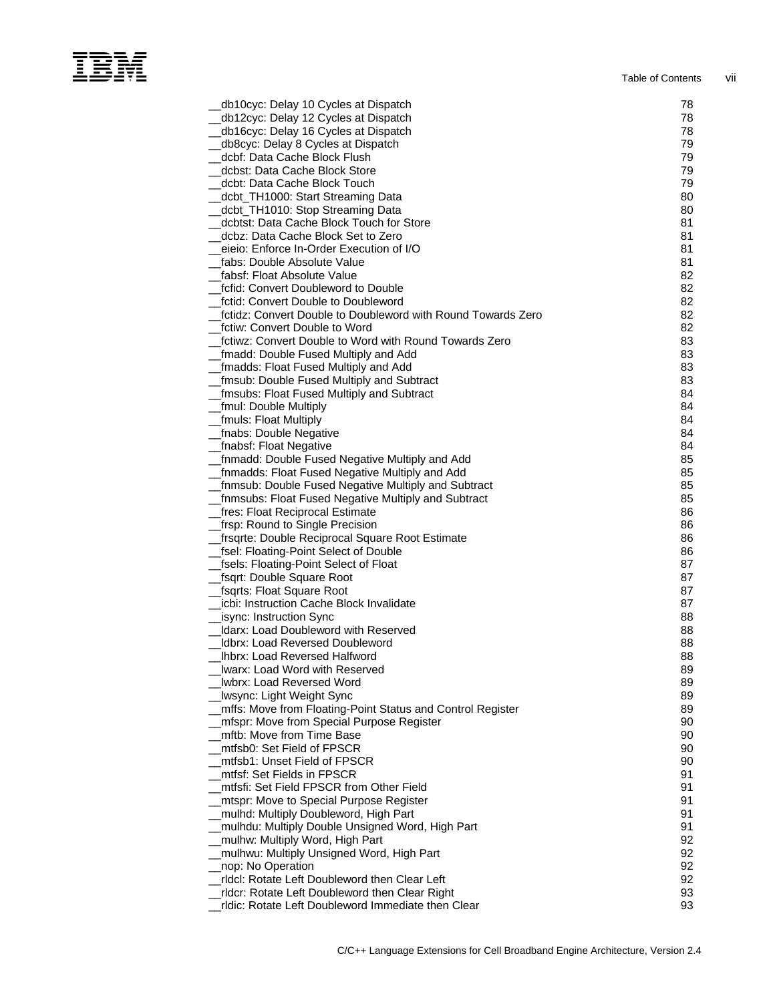## - $\mathbf{E}$   $\mathbf{F}$

| db10cyc: Delay 10 Cycles at Dispatch                         | 78 |
|--------------------------------------------------------------|----|
| db12cyc: Delay 12 Cycles at Dispatch                         | 78 |
| db16cyc: Delay 16 Cycles at Dispatch                         | 78 |
|                                                              |    |
| db8cyc: Delay 8 Cycles at Dispatch                           | 79 |
| dcbf: Data Cache Block Flush                                 | 79 |
| dcbst: Data Cache Block Store                                | 79 |
| dcbt: Data Cache Block Touch                                 | 79 |
| dcbt_TH1000: Start Streaming Data                            | 80 |
| dcbt_TH1010: Stop Streaming Data                             | 80 |
| dcbtst: Data Cache Block Touch for Store                     | 81 |
| dcbz: Data Cache Block Set to Zero                           | 81 |
| eieio: Enforce In-Order Execution of I/O                     | 81 |
| fabs: Double Absolute Value                                  | 81 |
|                                                              |    |
| fabsf: Float Absolute Value                                  | 82 |
| fcfid: Convert Doubleword to Double                          | 82 |
| fctid: Convert Double to Doubleword                          | 82 |
| fctidz: Convert Double to Doubleword with Round Towards Zero | 82 |
| fctiw: Convert Double to Word                                | 82 |
| fctiwz: Convert Double to Word with Round Towards Zero       | 83 |
| fmadd: Double Fused Multiply and Add                         | 83 |
| fmadds: Float Fused Multiply and Add                         | 83 |
| fmsub: Double Fused Multiply and Subtract                    | 83 |
| fmsubs: Float Fused Multiply and Subtract                    | 84 |
| fmul: Double Multiply                                        | 84 |
|                                                              | 84 |
| fmuls: Float Multiply                                        |    |
| fnabs: Double Negative                                       | 84 |
| fnabsf: Float Negative                                       | 84 |
| fnmadd: Double Fused Negative Multiply and Add               | 85 |
| fnmadds: Float Fused Negative Multiply and Add               | 85 |
| fnmsub: Double Fused Negative Multiply and Subtract          | 85 |
| fnmsubs: Float Fused Negative Multiply and Subtract          | 85 |
| fres: Float Reciprocal Estimate                              | 86 |
| frsp: Round to Single Precision                              | 86 |
| frsqrte: Double Reciprocal Square Root Estimate              | 86 |
| fsel: Floating-Point Select of Double                        | 86 |
| fsels: Floating-Point Select of Float                        | 87 |
| fsqrt: Double Square Root                                    | 87 |
|                                                              | 87 |
| fsqrts: Float Square Root                                    | 87 |
| icbi: Instruction Cache Block Invalidate                     |    |
| isync: Instruction Sync                                      | 88 |
| Idarx: Load Doubleword with Reserved                         | 88 |
| Idbrx: Load Reversed Doubleword                              | 88 |
| Ihbrx: Load Reversed Halfword                                | 88 |
| Iwarx: Load Word with Reserved                               | 89 |
| Iwbrx: Load Reversed Word                                    | 89 |
| Iwsync: Light Weight Sync                                    | 89 |
| mffs: Move from Floating-Point Status and Control Register   | 89 |
| mfspr: Move from Special Purpose Register                    | 90 |
| mftb: Move from Time Base                                    | 90 |
| mtfsb0: Set Field of FPSCR                                   | 90 |
| mtfsb1: Unset Field of FPSCR                                 | 90 |
|                                                              |    |
| mtfsf: Set Fields in FPSCR                                   | 91 |
| mtfsfi: Set Field FPSCR from Other Field                     | 91 |
| mtspr: Move to Special Purpose Register                      | 91 |
| mulhd: Multiply Doubleword, High Part                        | 91 |
| mulhdu: Multiply Double Unsigned Word, High Part             | 91 |
| mulhw: Multiply Word, High Part                              | 92 |
| mulhwu: Multiply Unsigned Word, High Part                    | 92 |
| nop: No Operation                                            | 92 |
| rldcl: Rotate Left Doubleword then Clear Left                | 92 |
| rldcr: Rotate Left Doubleword then Clear Right               | 93 |
| rldic: Rotate Left Doubleword Immediate then Clear           | 93 |
|                                                              |    |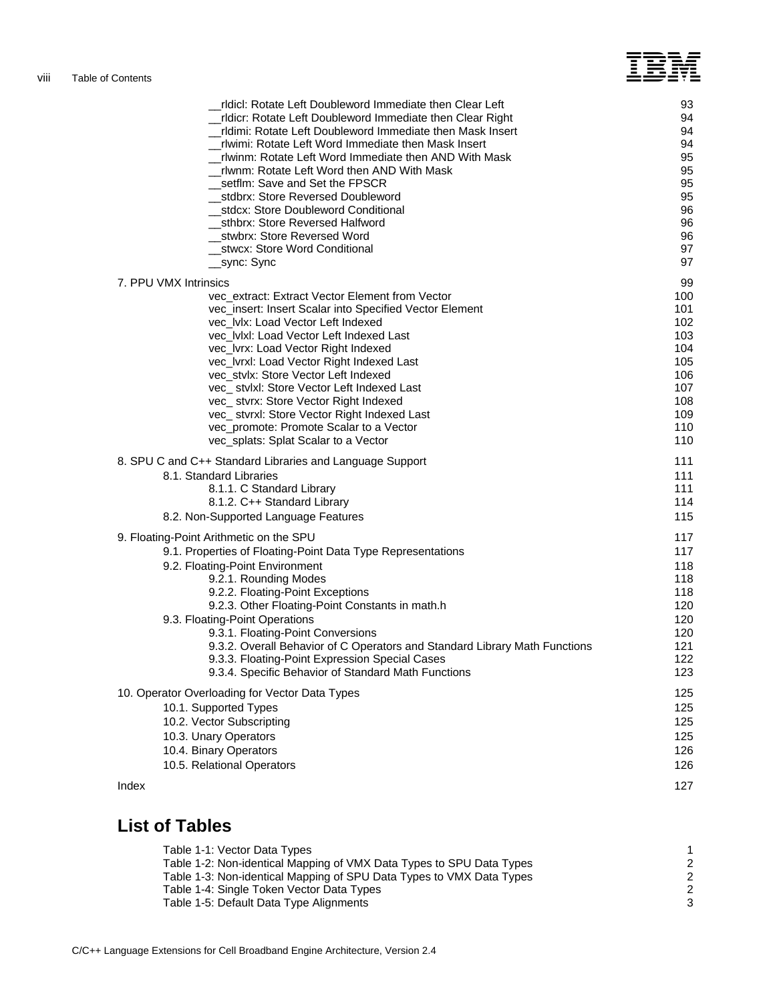| viii | <b>Table of Contents</b>                                                                                                                                                                                                                                                                                                                                                                                                                                                                                                                                                            |                                                                                        |
|------|-------------------------------------------------------------------------------------------------------------------------------------------------------------------------------------------------------------------------------------------------------------------------------------------------------------------------------------------------------------------------------------------------------------------------------------------------------------------------------------------------------------------------------------------------------------------------------------|----------------------------------------------------------------------------------------|
|      | ridici: Rotate Left Doubleword Immediate then Clear Left<br>rldicr: Rotate Left Doubleword Immediate then Clear Right<br>rldimi: Rotate Left Doubleword Immediate then Mask Insert<br>rlwimi: Rotate Left Word Immediate then Mask Insert<br>rlwinm: Rotate Left Word Immediate then AND With Mask<br>rlwnm: Rotate Left Word then AND With Mask<br>setflm: Save and Set the FPSCR<br>stdbrx: Store Reversed Doubleword<br>stdcx: Store Doubleword Conditional<br>_sthbrx: Store Reversed Halfword<br>stwbrx: Store Reversed Word<br>_stwcx: Store Word Conditional<br>__sync: Sync | 93<br>94<br>94<br>94<br>95<br>95<br>95<br>95<br>96<br>96<br>96<br>97<br>97             |
|      | 7. PPU VMX Intrinsics<br>vec extract: Extract Vector Element from Vector<br>vec_insert: Insert Scalar into Specified Vector Element<br>vec_lvlx: Load Vector Left Indexed<br>vec_lvlxl: Load Vector Left Indexed Last<br>vec_lvrx: Load Vector Right Indexed<br>vec_lvrxl: Load Vector Right Indexed Last<br>vec_stvlx: Store Vector Left Indexed<br>vec_stvlxl: Store Vector Left Indexed Last<br>vec_ stvrx: Store Vector Right Indexed<br>vec_ stvrxl: Store Vector Right Indexed Last<br>vec_promote: Promote Scalar to a Vector<br>vec_splats: Splat Scalar to a Vector        | 99<br>100<br>101<br>102<br>103<br>104<br>105<br>106<br>107<br>108<br>109<br>110<br>110 |
|      | 8. SPU C and C++ Standard Libraries and Language Support<br>8.1. Standard Libraries<br>8.1.1. C Standard Library<br>8.1.2. C++ Standard Library<br>8.2. Non-Supported Language Features                                                                                                                                                                                                                                                                                                                                                                                             | 111<br>111<br>111<br>114<br>115                                                        |
|      | 9. Floating-Point Arithmetic on the SPU<br>9.1. Properties of Floating-Point Data Type Representations<br>9.2. Floating-Point Environment<br>9.2.1. Rounding Modes<br>9.2.2. Floating-Point Exceptions<br>9.2.3. Other Floating-Point Constants in math.h<br>9.3. Floating-Point Operations<br>9.3.1. Floating-Point Conversions<br>9.3.2. Overall Behavior of C Operators and Standard Library Math Functions<br>9.3.3. Floating-Point Expression Special Cases<br>9.3.4. Specific Behavior of Standard Math Functions                                                             | 117<br>117<br>118<br>118<br>118<br>120<br>120<br>120<br>121<br>122<br>123              |
|      | 10. Operator Overloading for Vector Data Types<br>10.1. Supported Types<br>10.2. Vector Subscripting<br>10.3. Unary Operators<br>10.4. Binary Operators<br>10.5. Relational Operators                                                                                                                                                                                                                                                                                                                                                                                               | 125<br>125<br>125<br>125<br>126<br>126                                                 |
|      | Index                                                                                                                                                                                                                                                                                                                                                                                                                                                                                                                                                                               | 127                                                                                    |

## **List of Tables**

| Table 1-1: Vector Data Types                                         |    |
|----------------------------------------------------------------------|----|
| Table 1-2: Non-identical Mapping of VMX Data Types to SPU Data Types | 2  |
| Table 1-3: Non-identical Mapping of SPU Data Types to VMX Data Types | 2  |
| Table 1-4: Single Token Vector Data Types                            | 2  |
| Table 1-5: Default Data Type Alignments                              | -3 |
|                                                                      |    |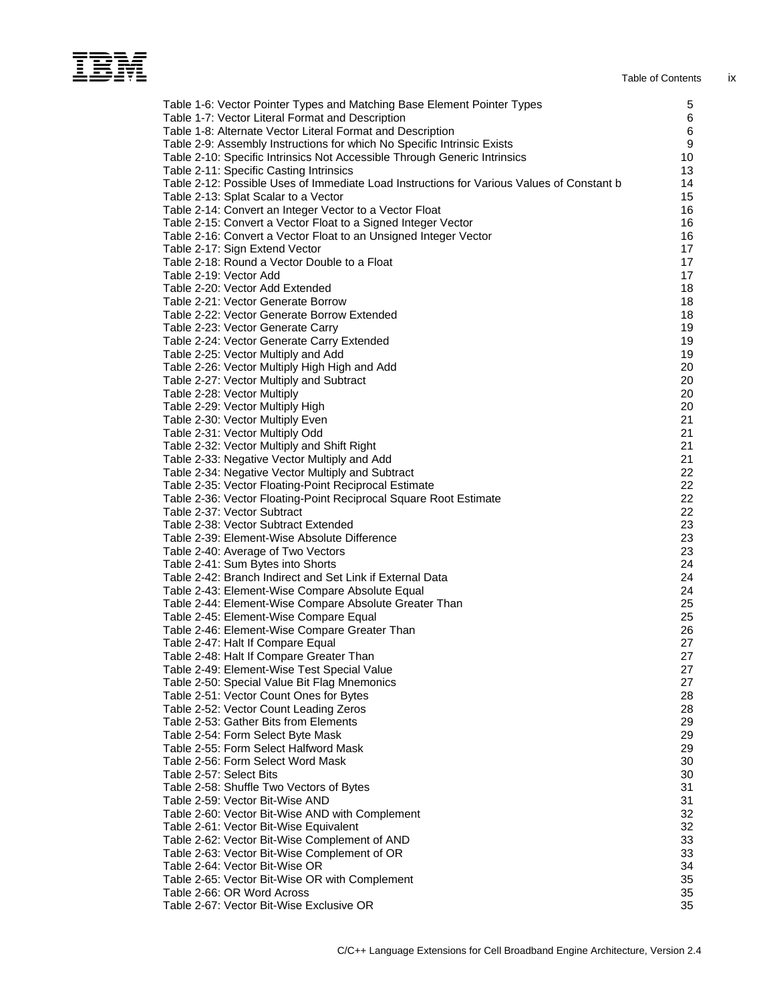

| Table 1-6: Vector Pointer Types and Matching Base Element Pointer Types                   | 5               |
|-------------------------------------------------------------------------------------------|-----------------|
| Table 1-7: Vector Literal Format and Description                                          | $6\phantom{1}6$ |
| Table 1-8: Alternate Vector Literal Format and Description                                | 6               |
| Table 2-9: Assembly Instructions for which No Specific Intrinsic Exists                   | 9               |
| Table 2-10: Specific Intrinsics Not Accessible Through Generic Intrinsics                 | 10              |
| Table 2-11: Specific Casting Intrinsics                                                   | 13              |
| Table 2-12: Possible Uses of Immediate Load Instructions for Various Values of Constant b | 14              |
| Table 2-13: Splat Scalar to a Vector                                                      | 15              |
| Table 2-14: Convert an Integer Vector to a Vector Float                                   | 16              |
| Table 2-15: Convert a Vector Float to a Signed Integer Vector                             | 16              |
| Table 2-16: Convert a Vector Float to an Unsigned Integer Vector                          | 16              |
| Table 2-17: Sign Extend Vector                                                            | 17              |
| Table 2-18: Round a Vector Double to a Float                                              | 17              |
| Table 2-19: Vector Add                                                                    | 17              |
| Table 2-20: Vector Add Extended                                                           | 18              |
| Table 2-21: Vector Generate Borrow                                                        | 18              |
| Table 2-22: Vector Generate Borrow Extended                                               | 18              |
| Table 2-23: Vector Generate Carry                                                         | 19              |
| Table 2-24: Vector Generate Carry Extended                                                | 19              |
| Table 2-25: Vector Multiply and Add                                                       | 19              |
| Table 2-26: Vector Multiply High High and Add                                             | 20              |
| Table 2-27: Vector Multiply and Subtract                                                  | 20              |
| Table 2-28: Vector Multiply                                                               | 20              |
| Table 2-29: Vector Multiply High                                                          | 20              |
| Table 2-30: Vector Multiply Even                                                          | 21              |
| Table 2-31: Vector Multiply Odd                                                           | 21              |
| Table 2-32: Vector Multiply and Shift Right                                               | 21              |
| Table 2-33: Negative Vector Multiply and Add                                              | 21              |
| Table 2-34: Negative Vector Multiply and Subtract                                         | 22              |
| Table 2-35: Vector Floating-Point Reciprocal Estimate                                     | 22              |
| Table 2-36: Vector Floating-Point Reciprocal Square Root Estimate                         | 22              |
| Table 2-37: Vector Subtract                                                               | 22              |
| Table 2-38: Vector Subtract Extended                                                      | 23              |
| Table 2-39: Element-Wise Absolute Difference                                              | 23              |
| Table 2-40: Average of Two Vectors                                                        | 23              |
| Table 2-41: Sum Bytes into Shorts                                                         | 24              |
| Table 2-42: Branch Indirect and Set Link if External Data                                 | 24              |
| Table 2-43: Element-Wise Compare Absolute Equal                                           | 24              |
| Table 2-44: Element-Wise Compare Absolute Greater Than                                    | 25              |
| Table 2-45: Element-Wise Compare Equal                                                    | 25              |
| Table 2-46: Element-Wise Compare Greater Than                                             | 26              |
| Table 2-47: Halt If Compare Equal                                                         | 27              |
| Table 2-48: Halt If Compare Greater Than                                                  | 27              |
| Table 2-49: Element-Wise Test Special Value                                               | 27              |
| Table 2-50: Special Value Bit Flag Mnemonics                                              | 27              |
| Table 2-51: Vector Count Ones for Bytes                                                   | 28              |
| Table 2-52: Vector Count Leading Zeros                                                    | 28              |
| Table 2-53: Gather Bits from Elements                                                     | 29              |
| Table 2-54: Form Select Byte Mask                                                         | 29              |
| Table 2-55: Form Select Halfword Mask                                                     | 29              |
| Table 2-56: Form Select Word Mask                                                         | 30              |
| Table 2-57: Select Bits                                                                   | 30              |
| Table 2-58: Shuffle Two Vectors of Bytes                                                  | 31              |
| Table 2-59: Vector Bit-Wise AND                                                           | 31              |
| Table 2-60: Vector Bit-Wise AND with Complement                                           | 32              |
| Table 2-61: Vector Bit-Wise Equivalent                                                    | 32              |
| Table 2-62: Vector Bit-Wise Complement of AND                                             | 33              |
| Table 2-63: Vector Bit-Wise Complement of OR                                              | 33              |
| Table 2-64: Vector Bit-Wise OR                                                            | 34              |
| Table 2-65: Vector Bit-Wise OR with Complement                                            | 35              |
| Table 2-66: OR Word Across                                                                | 35              |
| Table 2-67: Vector Bit-Wise Exclusive OR                                                  | 35              |
|                                                                                           |                 |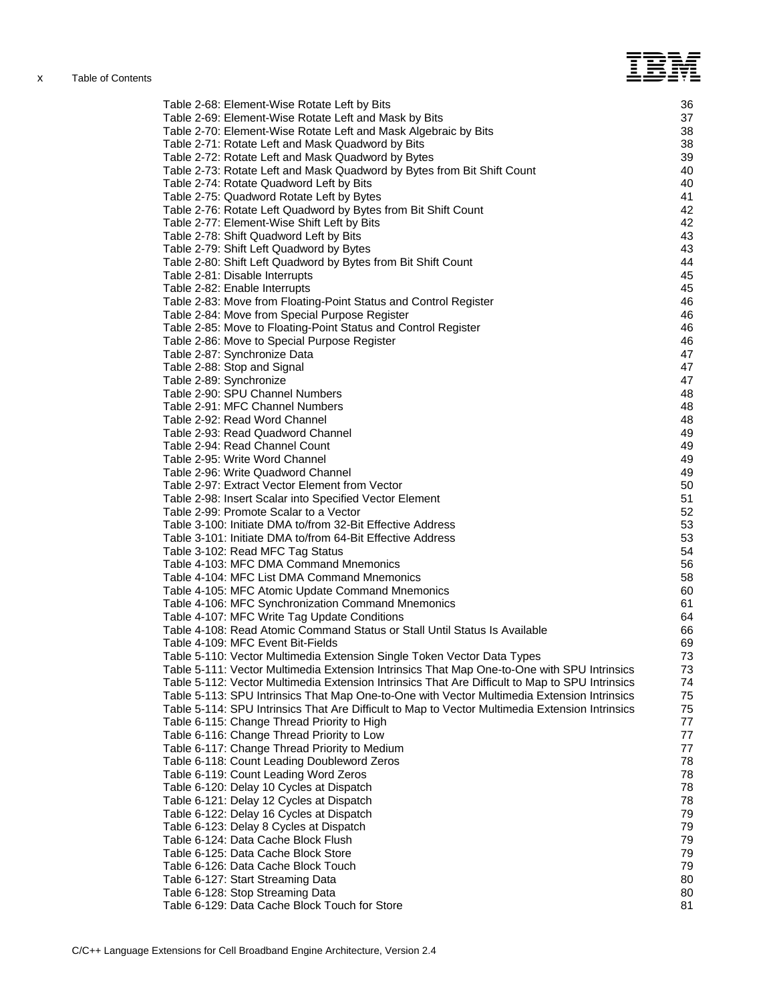## Ī

| Table 2-68: Element-Wise Rotate Left by Bits                                                    | 36 |
|-------------------------------------------------------------------------------------------------|----|
|                                                                                                 |    |
| Table 2-69: Element-Wise Rotate Left and Mask by Bits                                           | 37 |
| Table 2-70: Element-Wise Rotate Left and Mask Algebraic by Bits                                 | 38 |
| Table 2-71: Rotate Left and Mask Quadword by Bits                                               | 38 |
| Table 2-72: Rotate Left and Mask Quadword by Bytes                                              | 39 |
| Table 2-73: Rotate Left and Mask Quadword by Bytes from Bit Shift Count                         | 40 |
| Table 2-74: Rotate Quadword Left by Bits                                                        | 40 |
| Table 2-75: Quadword Rotate Left by Bytes                                                       | 41 |
| Table 2-76: Rotate Left Quadword by Bytes from Bit Shift Count                                  | 42 |
| Table 2-77: Element-Wise Shift Left by Bits                                                     | 42 |
|                                                                                                 |    |
| Table 2-78: Shift Quadword Left by Bits                                                         | 43 |
| Table 2-79: Shift Left Quadword by Bytes                                                        | 43 |
| Table 2-80: Shift Left Quadword by Bytes from Bit Shift Count                                   | 44 |
| Table 2-81: Disable Interrupts                                                                  | 45 |
| Table 2-82: Enable Interrupts                                                                   | 45 |
| Table 2-83: Move from Floating-Point Status and Control Register                                | 46 |
| Table 2-84: Move from Special Purpose Register                                                  | 46 |
| Table 2-85: Move to Floating-Point Status and Control Register                                  | 46 |
| Table 2-86: Move to Special Purpose Register                                                    | 46 |
| Table 2-87: Synchronize Data                                                                    | 47 |
|                                                                                                 | 47 |
| Table 2-88: Stop and Signal                                                                     |    |
| Table 2-89: Synchronize                                                                         | 47 |
| Table 2-90: SPU Channel Numbers                                                                 | 48 |
| Table 2-91: MFC Channel Numbers                                                                 | 48 |
| Table 2-92: Read Word Channel                                                                   | 48 |
| Table 2-93: Read Quadword Channel                                                               | 49 |
| Table 2-94: Read Channel Count                                                                  | 49 |
| Table 2-95: Write Word Channel                                                                  | 49 |
| Table 2-96: Write Quadword Channel                                                              | 49 |
| Table 2-97: Extract Vector Element from Vector                                                  | 50 |
| Table 2-98: Insert Scalar into Specified Vector Element                                         | 51 |
| Table 2-99: Promote Scalar to a Vector                                                          | 52 |
| Table 3-100: Initiate DMA to/from 32-Bit Effective Address                                      | 53 |
|                                                                                                 | 53 |
| Table 3-101: Initiate DMA to/from 64-Bit Effective Address                                      |    |
| Table 3-102: Read MFC Tag Status                                                                | 54 |
| Table 4-103: MFC DMA Command Mnemonics                                                          | 56 |
| Table 4-104: MFC List DMA Command Mnemonics                                                     | 58 |
| Table 4-105: MFC Atomic Update Command Mnemonics                                                | 60 |
| Table 4-106: MFC Synchronization Command Mnemonics                                              | 61 |
| Table 4-107: MFC Write Tag Update Conditions                                                    | 64 |
| Table 4-108: Read Atomic Command Status or Stall Until Status Is Available                      | 66 |
| Table 4-109: MFC Event Bit-Fields                                                               | 69 |
| Table 5-110: Vector Multimedia Extension Single Token Vector Data Types                         | 73 |
| Table 5-111: Vector Multimedia Extension Intrinsics That Map One-to-One with SPU Intrinsics     | 73 |
| Table 5-112: Vector Multimedia Extension Intrinsics That Are Difficult to Map to SPU Intrinsics | 74 |
| Table 5-113: SPU Intrinsics That Map One-to-One with Vector Multimedia Extension Intrinsics     |    |
|                                                                                                 | 75 |
| Table 5-114: SPU Intrinsics That Are Difficult to Map to Vector Multimedia Extension Intrinsics | 75 |
| Table 6-115: Change Thread Priority to High                                                     | 77 |
| Table 6-116: Change Thread Priority to Low                                                      | 77 |
| Table 6-117: Change Thread Priority to Medium                                                   | 77 |
| Table 6-118: Count Leading Doubleword Zeros                                                     | 78 |
| Table 6-119: Count Leading Word Zeros                                                           | 78 |
| Table 6-120: Delay 10 Cycles at Dispatch                                                        | 78 |
| Table 6-121: Delay 12 Cycles at Dispatch                                                        | 78 |
| Table 6-122: Delay 16 Cycles at Dispatch                                                        | 79 |
| Table 6-123: Delay 8 Cycles at Dispatch                                                         | 79 |
| Table 6-124: Data Cache Block Flush                                                             | 79 |
| Table 6-125: Data Cache Block Store                                                             | 79 |
|                                                                                                 |    |
| Table 6-126: Data Cache Block Touch                                                             | 79 |
| Table 6-127: Start Streaming Data                                                               | 80 |
| Table 6-128: Stop Streaming Data                                                                | 80 |
| Table 6-129: Data Cache Block Touch for Store                                                   | 81 |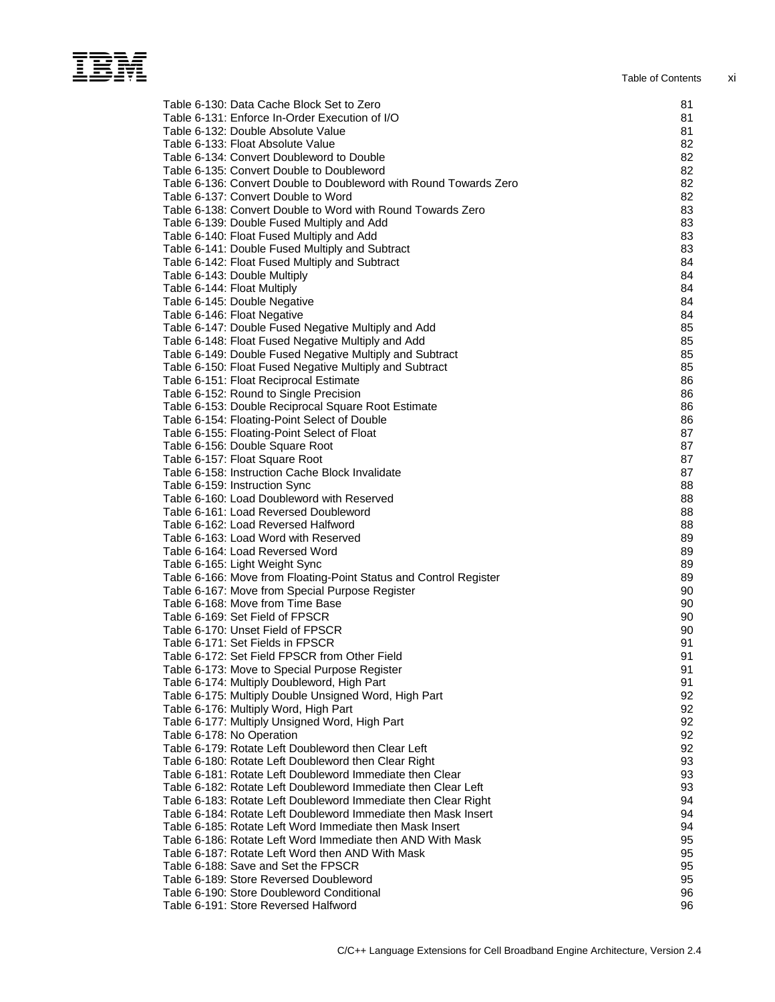

| Table 6-130: Data Cache Block Set to Zero                         | 81 |
|-------------------------------------------------------------------|----|
|                                                                   |    |
| Table 6-131: Enforce In-Order Execution of I/O                    | 81 |
| Table 6-132: Double Absolute Value                                | 81 |
| Table 6-133: Float Absolute Value                                 | 82 |
| Table 6-134: Convert Doubleword to Double                         | 82 |
| Table 6-135: Convert Double to Doubleword                         | 82 |
|                                                                   |    |
| Table 6-136: Convert Double to Doubleword with Round Towards Zero | 82 |
| Table 6-137: Convert Double to Word                               | 82 |
| Table 6-138: Convert Double to Word with Round Towards Zero       | 83 |
| Table 6-139: Double Fused Multiply and Add                        | 83 |
|                                                                   |    |
| Table 6-140: Float Fused Multiply and Add                         | 83 |
| Table 6-141: Double Fused Multiply and Subtract                   | 83 |
| Table 6-142: Float Fused Multiply and Subtract                    | 84 |
| Table 6-143: Double Multiply                                      | 84 |
| Table 6-144: Float Multiply                                       | 84 |
|                                                                   |    |
| Table 6-145: Double Negative                                      | 84 |
| Table 6-146: Float Negative                                       | 84 |
| Table 6-147: Double Fused Negative Multiply and Add               | 85 |
| Table 6-148: Float Fused Negative Multiply and Add                | 85 |
| Table 6-149: Double Fused Negative Multiply and Subtract          | 85 |
|                                                                   |    |
| Table 6-150: Float Fused Negative Multiply and Subtract           | 85 |
| Table 6-151: Float Reciprocal Estimate                            | 86 |
| Table 6-152: Round to Single Precision                            | 86 |
| Table 6-153: Double Reciprocal Square Root Estimate               | 86 |
|                                                                   |    |
| Table 6-154: Floating-Point Select of Double                      | 86 |
| Table 6-155: Floating-Point Select of Float                       | 87 |
| Table 6-156: Double Square Root                                   | 87 |
| Table 6-157: Float Square Root                                    | 87 |
| Table 6-158: Instruction Cache Block Invalidate                   | 87 |
|                                                                   |    |
| Table 6-159: Instruction Sync                                     | 88 |
| Table 6-160: Load Doubleword with Reserved                        | 88 |
| Table 6-161: Load Reversed Doubleword                             | 88 |
| Table 6-162: Load Reversed Halfword                               | 88 |
| Table 6-163: Load Word with Reserved                              | 89 |
|                                                                   |    |
| Table 6-164: Load Reversed Word                                   | 89 |
| Table 6-165: Light Weight Sync                                    | 89 |
| Table 6-166: Move from Floating-Point Status and Control Register | 89 |
| Table 6-167: Move from Special Purpose Register                   | 90 |
|                                                                   |    |
| Table 6-168: Move from Time Base                                  | 90 |
| Table 6-169: Set Field of FPSCR                                   | 90 |
| Table 6-170: Unset Field of FPSCR                                 | 90 |
| Table 6-171: Set Fields in FPSCR                                  | 91 |
| Table 6-172: Set Field FPSCR from Other Field                     | 91 |
|                                                                   |    |
| Table 6-173: Move to Special Purpose Register                     | 91 |
| Table 6-174: Multiply Doubleword, High Part                       | 91 |
| Table 6-175: Multiply Double Unsigned Word, High Part             | 92 |
| Table 6-176: Multiply Word, High Part                             | 92 |
| Table 6-177: Multiply Unsigned Word, High Part                    | 92 |
|                                                                   |    |
| Table 6-178: No Operation                                         | 92 |
| Table 6-179: Rotate Left Doubleword then Clear Left               | 92 |
| Table 6-180: Rotate Left Doubleword then Clear Right              | 93 |
| Table 6-181: Rotate Left Doubleword Immediate then Clear          | 93 |
| Table 6-182: Rotate Left Doubleword Immediate then Clear Left     | 93 |
|                                                                   |    |
| Table 6-183: Rotate Left Doubleword Immediate then Clear Right    | 94 |
| Table 6-184: Rotate Left Doubleword Immediate then Mask Insert    | 94 |
| Table 6-185: Rotate Left Word Immediate then Mask Insert          | 94 |
| Table 6-186: Rotate Left Word Immediate then AND With Mask        | 95 |
| Table 6-187: Rotate Left Word then AND With Mask                  | 95 |
|                                                                   |    |
| Table 6-188: Save and Set the FPSCR                               | 95 |
| Table 6-189: Store Reversed Doubleword                            | 95 |
| Table 6-190: Store Doubleword Conditional                         | 96 |
| Table 6-191: Store Reversed Halfword                              | 96 |
|                                                                   |    |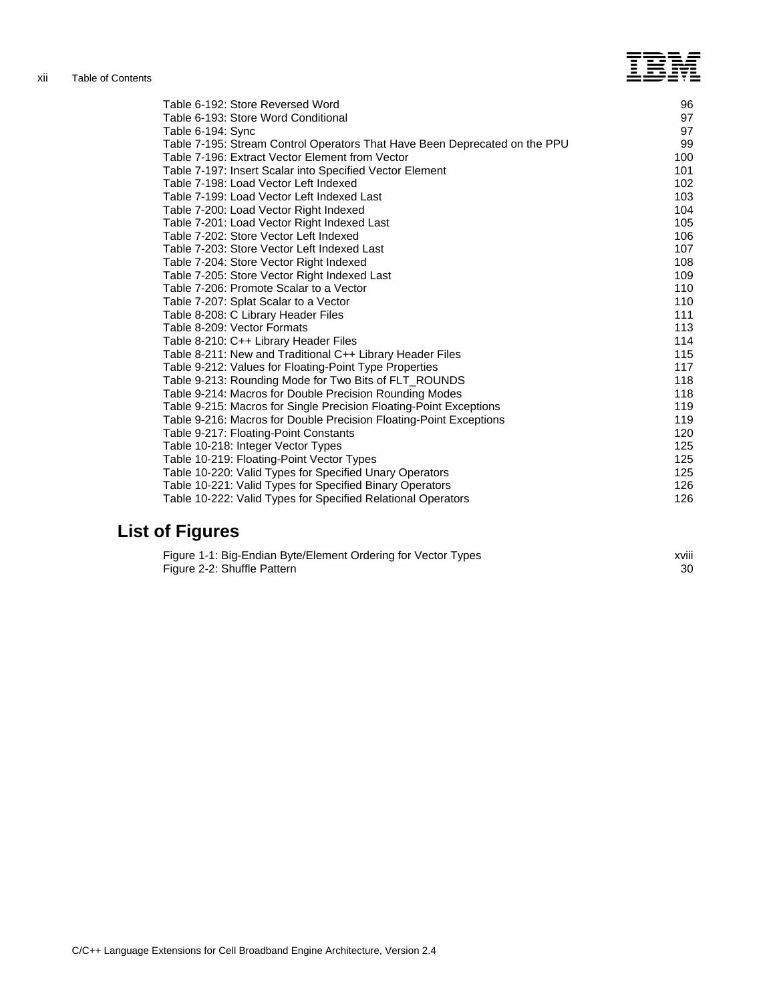## Ī

| Table 6-192: Store Reversed Word                                           | 96  |
|----------------------------------------------------------------------------|-----|
| Table 6-193: Store Word Conditional                                        | 97  |
| Table 6-194: Sync                                                          | 97  |
| Table 7-195: Stream Control Operators That Have Been Deprecated on the PPU | 99  |
| Table 7-196: Extract Vector Element from Vector                            | 100 |
| Table 7-197: Insert Scalar into Specified Vector Element                   | 101 |
| Table 7-198: Load Vector Left Indexed                                      | 102 |
| Table 7-199: Load Vector Left Indexed Last                                 | 103 |
| Table 7-200: Load Vector Right Indexed                                     | 104 |
| Table 7-201: Load Vector Right Indexed Last                                | 105 |
| Table 7-202: Store Vector Left Indexed                                     | 106 |
| Table 7-203: Store Vector Left Indexed Last                                | 107 |
| Table 7-204: Store Vector Right Indexed                                    | 108 |
| Table 7-205: Store Vector Right Indexed Last                               | 109 |
| Table 7-206: Promote Scalar to a Vector                                    | 110 |
| Table 7-207: Splat Scalar to a Vector                                      | 110 |
| Table 8-208: C Library Header Files                                        | 111 |
| Table 8-209: Vector Formats                                                | 113 |
| Table 8-210: C++ Library Header Files                                      | 114 |
| Table 8-211: New and Traditional C++ Library Header Files                  | 115 |
| Table 9-212: Values for Floating-Point Type Properties                     | 117 |
| Table 9-213: Rounding Mode for Two Bits of FLT_ROUNDS                      | 118 |
| Table 9-214: Macros for Double Precision Rounding Modes                    | 118 |
| Table 9-215: Macros for Single Precision Floating-Point Exceptions         | 119 |
| Table 9-216: Macros for Double Precision Floating-Point Exceptions         | 119 |
| Table 9-217: Floating-Point Constants                                      | 120 |
| Table 10-218: Integer Vector Types                                         | 125 |
| Table 10-219: Floating-Point Vector Types                                  | 125 |
| Table 10-220: Valid Types for Specified Unary Operators                    | 125 |
| Table 10-221: Valid Types for Specified Binary Operators                   | 126 |
| Table 10-222: Valid Types for Specified Relational Operators               | 126 |
|                                                                            |     |

## **List of Figures**

| Figure 1-1: Big-Endian Byte/Element Ordering for Vector Types | XVIII |
|---------------------------------------------------------------|-------|
| Figure 2-2: Shuffle Pattern                                   |       |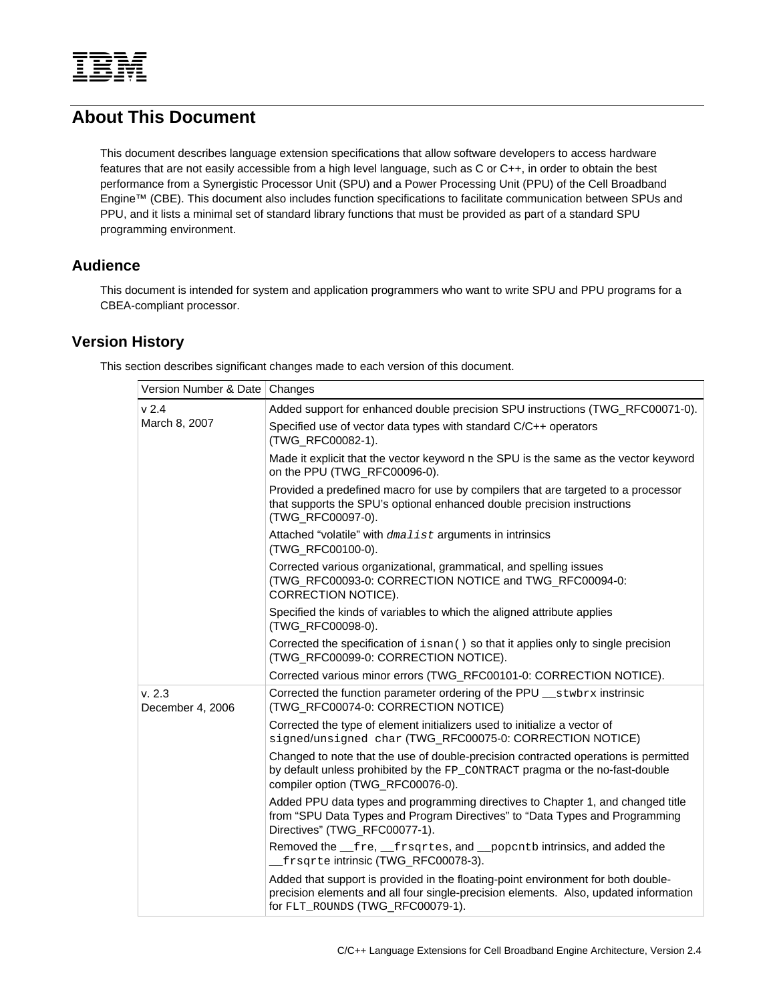

## **About This Document**

This document describes language extension specifications that allow software developers to access hardware features that are not easily accessible from a high level language, such as C or C++, in order to obtain the best performance from a Synergistic Processor Unit (SPU) and a Power Processing Unit (PPU) of the Cell Broadband Engine™ (CBE). This document also includes function specifications to facilitate communication between SPUs and PPU, and it lists a minimal set of standard library functions that must be provided as part of a standard SPU programming environment.

## **Audience**

This document is intended for system and application programmers who want to write SPU and PPU programs for a CBEA-compliant processor.

## **Version History**

This section describes significant changes made to each version of this document.

| Version Number & Date   Changes   |                                                                                                                                                                                                               |
|-----------------------------------|---------------------------------------------------------------------------------------------------------------------------------------------------------------------------------------------------------------|
| v <sub>2.4</sub><br>March 8, 2007 | Added support for enhanced double precision SPU instructions (TWG_RFC00071-0).<br>Specified use of vector data types with standard C/C++ operators<br>(TWG_RFC00082-1).                                       |
|                                   | Made it explicit that the vector keyword n the SPU is the same as the vector keyword<br>on the PPU (TWG_RFC00096-0).                                                                                          |
|                                   | Provided a predefined macro for use by compilers that are targeted to a processor<br>that supports the SPU's optional enhanced double precision instructions<br>(TWG_RFC00097-0).                             |
|                                   | Attached "volatile" with dmalist arguments in intrinsics<br>(TWG_RFC00100-0).                                                                                                                                 |
|                                   | Corrected various organizational, grammatical, and spelling issues<br>(TWG_RFC00093-0: CORRECTION NOTICE and TWG_RFC00094-0:<br>CORRECTION NOTICE).                                                           |
|                                   | Specified the kinds of variables to which the aligned attribute applies<br>(TWG_RFC00098-0).                                                                                                                  |
|                                   | Corrected the specification of $\text{isnan}()$ so that it applies only to single precision<br>(TWG_RFC00099-0: CORRECTION NOTICE).                                                                           |
|                                   | Corrected various minor errors (TWG_RFC00101-0: CORRECTION NOTICE).                                                                                                                                           |
| v. 2.3<br>December 4, 2006        | Corrected the function parameter ordering of the PPU __stwbrx instrinsic<br>(TWG_RFC00074-0: CORRECTION NOTICE)                                                                                               |
|                                   | Corrected the type of element initializers used to initialize a vector of<br>signed/unsigned char (TWG_RFC00075-0: CORRECTION NOTICE)                                                                         |
|                                   | Changed to note that the use of double-precision contracted operations is permitted<br>by default unless prohibited by the FP_CONTRACT pragma or the no-fast-double<br>compiler option (TWG_RFC00076-0).      |
|                                   | Added PPU data types and programming directives to Chapter 1, and changed title<br>from "SPU Data Types and Program Directives" to "Data Types and Programming<br>Directives" (TWG_RFC00077-1).               |
|                                   | Removed the __fre, __frsqrtes, and __popcntb intrinsics, and added the<br>frsqrte intrinsic (TWG_RFC00078-3).                                                                                                 |
|                                   | Added that support is provided in the floating-point environment for both double-<br>precision elements and all four single-precision elements. Also, updated information<br>for FLT_ROUNDS (TWG_RFC00079-1). |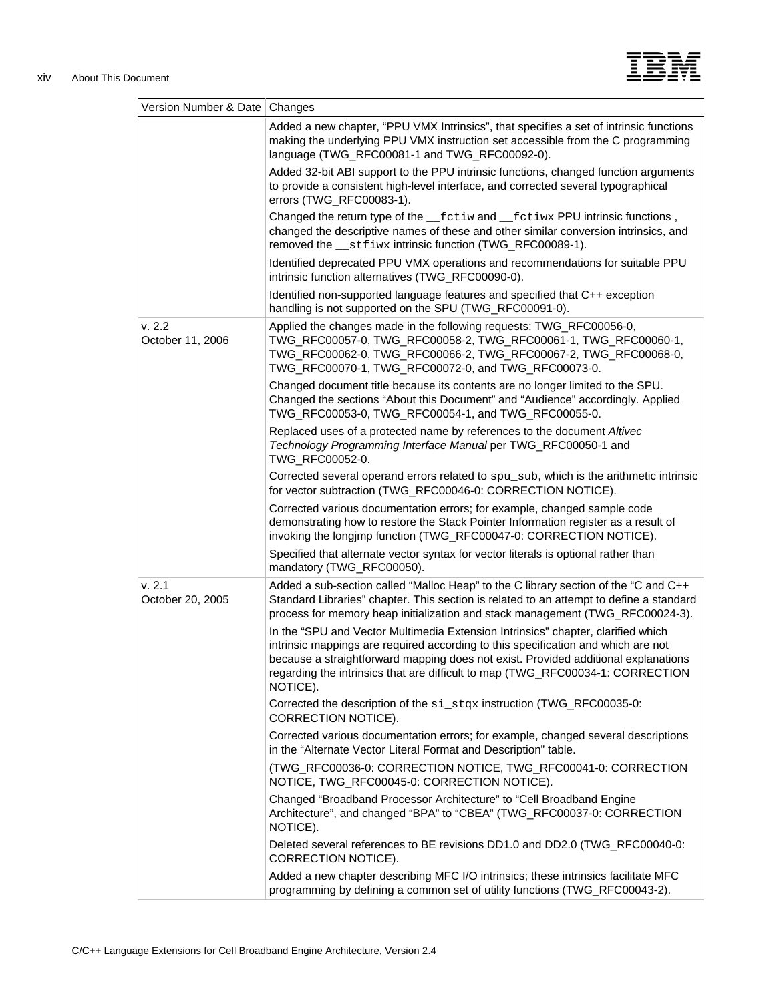

| Version Number & Date Changes |                                                                                                                                                                                                                                                                                                                                                           |
|-------------------------------|-----------------------------------------------------------------------------------------------------------------------------------------------------------------------------------------------------------------------------------------------------------------------------------------------------------------------------------------------------------|
|                               | Added a new chapter, "PPU VMX Intrinsics", that specifies a set of intrinsic functions<br>making the underlying PPU VMX instruction set accessible from the C programming<br>language (TWG_RFC00081-1 and TWG_RFC00092-0).                                                                                                                                |
|                               | Added 32-bit ABI support to the PPU intrinsic functions, changed function arguments<br>to provide a consistent high-level interface, and corrected several typographical<br>errors (TWG_RFC00083-1).                                                                                                                                                      |
|                               | Changed the return type of the <i>__fctiw</i> and <i>__fctiwx</i> PPU intrinsic functions,<br>changed the descriptive names of these and other similar conversion intrinsics, and<br>removed the __stfiwx intrinsic function (TWG_RFC00089-1).                                                                                                            |
|                               | Identified deprecated PPU VMX operations and recommendations for suitable PPU<br>intrinsic function alternatives (TWG_RFC00090-0).                                                                                                                                                                                                                        |
|                               | Identified non-supported language features and specified that C++ exception<br>handling is not supported on the SPU (TWG_RFC00091-0).                                                                                                                                                                                                                     |
| v. 2.2<br>October 11, 2006    | Applied the changes made in the following requests: TWG_RFC00056-0,<br>TWG_RFC00057-0, TWG_RFC00058-2, TWG_RFC00061-1, TWG_RFC00060-1,<br>TWG_RFC00062-0, TWG_RFC00066-2, TWG_RFC00067-2, TWG_RFC00068-0,<br>TWG_RFC00070-1, TWG_RFC00072-0, and TWG_RFC00073-0.                                                                                          |
|                               | Changed document title because its contents are no longer limited to the SPU.<br>Changed the sections "About this Document" and "Audience" accordingly. Applied<br>TWG_RFC00053-0, TWG_RFC00054-1, and TWG_RFC00055-0.                                                                                                                                    |
|                               | Replaced uses of a protected name by references to the document Altivec<br>Technology Programming Interface Manual per TWG_RFC00050-1 and<br>TWG_RFC00052-0.                                                                                                                                                                                              |
|                               | Corrected several operand errors related to spu_sub, which is the arithmetic intrinsic<br>for vector subtraction (TWG_RFC00046-0: CORRECTION NOTICE).                                                                                                                                                                                                     |
|                               | Corrected various documentation errors; for example, changed sample code<br>demonstrating how to restore the Stack Pointer Information register as a result of<br>invoking the longjmp function (TWG_RFC00047-0: CORRECTION NOTICE).                                                                                                                      |
|                               | Specified that alternate vector syntax for vector literals is optional rather than<br>mandatory (TWG_RFC00050).                                                                                                                                                                                                                                           |
| v. 2.1<br>October 20, 2005    | Added a sub-section called "Malloc Heap" to the C library section of the "C and C++<br>Standard Libraries" chapter. This section is related to an attempt to define a standard<br>process for memory heap initialization and stack management (TWG_RFC00024-3).                                                                                           |
|                               | In the "SPU and Vector Multimedia Extension Intrinsics" chapter, clarified which<br>intrinsic mappings are required according to this specification and which are not<br>because a straightforward mapping does not exist. Provided additional explanations<br>regarding the intrinsics that are difficult to map (TWG_RFC00034-1: CORRECTION<br>NOTICE). |
|                               | Corrected the description of the si_stqx instruction (TWG_RFC00035-0:<br>CORRECTION NOTICE).                                                                                                                                                                                                                                                              |
|                               | Corrected various documentation errors; for example, changed several descriptions<br>in the "Alternate Vector Literal Format and Description" table.                                                                                                                                                                                                      |
|                               | (TWG_RFC00036-0: CORRECTION NOTICE, TWG_RFC00041-0: CORRECTION<br>NOTICE, TWG_RFC00045-0: CORRECTION NOTICE).                                                                                                                                                                                                                                             |
|                               | Changed "Broadband Processor Architecture" to "Cell Broadband Engine<br>Architecture", and changed "BPA" to "CBEA" (TWG_RFC00037-0: CORRECTION<br>NOTICE).                                                                                                                                                                                                |
|                               | Deleted several references to BE revisions DD1.0 and DD2.0 (TWG_RFC00040-0:<br>CORRECTION NOTICE).                                                                                                                                                                                                                                                        |
|                               | Added a new chapter describing MFC I/O intrinsics; these intrinsics facilitate MFC<br>programming by defining a common set of utility functions (TWG_RFC00043-2).                                                                                                                                                                                         |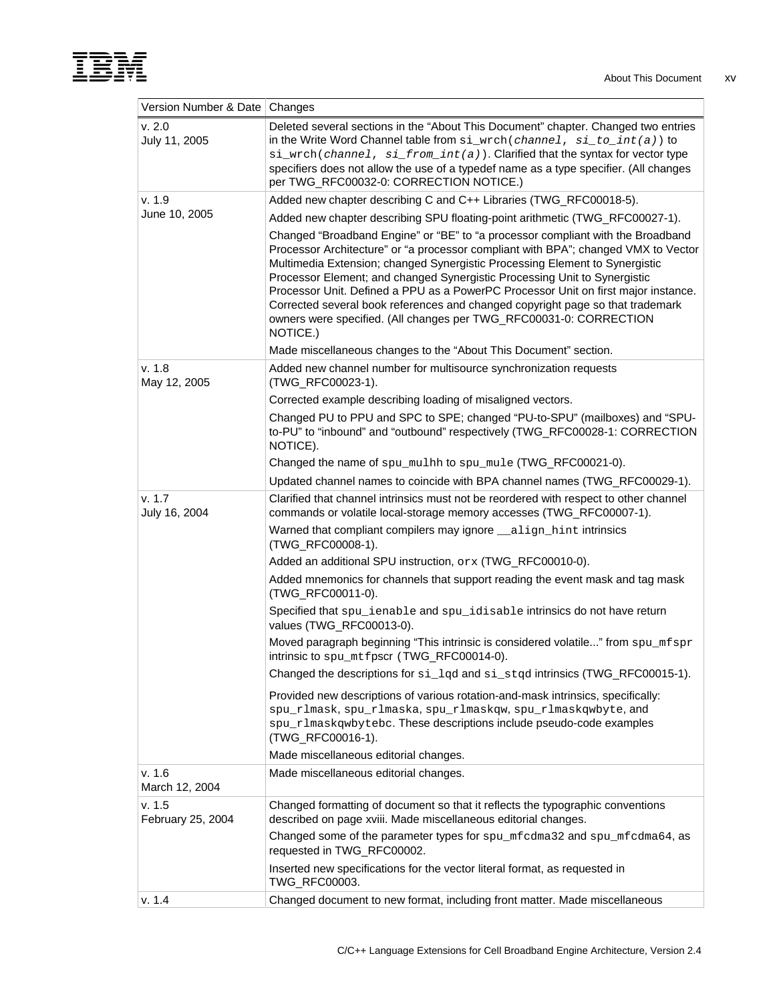| Version Number & Date Changes |                                                                                                                                                                                                                                                                                                                                                                                                                                                                                                                                                                                             |
|-------------------------------|---------------------------------------------------------------------------------------------------------------------------------------------------------------------------------------------------------------------------------------------------------------------------------------------------------------------------------------------------------------------------------------------------------------------------------------------------------------------------------------------------------------------------------------------------------------------------------------------|
| v. 2.0<br>July 11, 2005       | Deleted several sections in the "About This Document" chapter. Changed two entries<br>in the Write Word Channel table from $\sin\theta$ (channel, $\sin\theta$ to $\sin\theta$ to to<br>$\sin{\omega}$ wrch(channel, $\sin{\omega}$ from $\sin{\omega}$ ). Clarified that the syntax for vector type<br>specifiers does not allow the use of a typedef name as a type specifier. (All changes<br>per TWG_RFC00032-0: CORRECTION NOTICE.)                                                                                                                                                    |
| v. 1.9                        | Added new chapter describing C and C++ Libraries (TWG_RFC00018-5).                                                                                                                                                                                                                                                                                                                                                                                                                                                                                                                          |
| June 10, 2005                 | Added new chapter describing SPU floating-point arithmetic (TWG_RFC00027-1).                                                                                                                                                                                                                                                                                                                                                                                                                                                                                                                |
|                               | Changed "Broadband Engine" or "BE" to "a processor compliant with the Broadband<br>Processor Architecture" or "a processor compliant with BPA"; changed VMX to Vector<br>Multimedia Extension; changed Synergistic Processing Element to Synergistic<br>Processor Element; and changed Synergistic Processing Unit to Synergistic<br>Processor Unit. Defined a PPU as a PowerPC Processor Unit on first major instance.<br>Corrected several book references and changed copyright page so that trademark<br>owners were specified. (All changes per TWG_RFC00031-0: CORRECTION<br>NOTICE.) |
|                               | Made miscellaneous changes to the "About This Document" section.                                                                                                                                                                                                                                                                                                                                                                                                                                                                                                                            |
| v. 1.8<br>May 12, 2005        | Added new channel number for multisource synchronization requests<br>(TWG_RFC00023-1).                                                                                                                                                                                                                                                                                                                                                                                                                                                                                                      |
|                               | Corrected example describing loading of misaligned vectors.                                                                                                                                                                                                                                                                                                                                                                                                                                                                                                                                 |
|                               | Changed PU to PPU and SPC to SPE; changed "PU-to-SPU" (mailboxes) and "SPU-<br>to-PU" to "inbound" and "outbound" respectively (TWG_RFC00028-1: CORRECTION<br>NOTICE).                                                                                                                                                                                                                                                                                                                                                                                                                      |
|                               | Changed the name of spu_mulhh to spu_mule (TWG_RFC00021-0).                                                                                                                                                                                                                                                                                                                                                                                                                                                                                                                                 |
|                               | Updated channel names to coincide with BPA channel names (TWG_RFC00029-1).                                                                                                                                                                                                                                                                                                                                                                                                                                                                                                                  |
| v. 1.7<br>July 16, 2004       | Clarified that channel intrinsics must not be reordered with respect to other channel<br>commands or volatile local-storage memory accesses (TWG_RFC00007-1).                                                                                                                                                                                                                                                                                                                                                                                                                               |
|                               | Warned that compliant compilers may ignore __align_hint intrinsics<br>(TWG_RFC00008-1).                                                                                                                                                                                                                                                                                                                                                                                                                                                                                                     |
|                               | Added an additional SPU instruction, orx (TWG_RFC00010-0).                                                                                                                                                                                                                                                                                                                                                                                                                                                                                                                                  |
|                               | Added mnemonics for channels that support reading the event mask and tag mask<br>(TWG_RFC00011-0).                                                                                                                                                                                                                                                                                                                                                                                                                                                                                          |
|                               | Specified that spu_ienable and spu_idisable intrinsics do not have return<br>values (TWG_RFC00013-0).                                                                                                                                                                                                                                                                                                                                                                                                                                                                                       |
|                               | Moved paragraph beginning "This intrinsic is considered volatile" from spu_mfspr<br>intrinsic to spu_mtfpscr (TWG_RFC00014-0).                                                                                                                                                                                                                                                                                                                                                                                                                                                              |
|                               | Changed the descriptions for si_lqd and si_stqd intrinsics (TWG_RFC00015-1).                                                                                                                                                                                                                                                                                                                                                                                                                                                                                                                |
|                               | Provided new descriptions of various rotation-and-mask intrinsics, specifically:<br>spu_rlmask, spu_rlmaska, spu_rlmaskqw, spu_rlmaskqwbyte, and<br>spu_rlmaskqwbytebc. These descriptions include pseudo-code examples<br>(TWG_RFC00016-1).                                                                                                                                                                                                                                                                                                                                                |
|                               | Made miscellaneous editorial changes.                                                                                                                                                                                                                                                                                                                                                                                                                                                                                                                                                       |
| v. 1.6<br>March 12, 2004      | Made miscellaneous editorial changes.                                                                                                                                                                                                                                                                                                                                                                                                                                                                                                                                                       |
| v. 1.5<br>February 25, 2004   | Changed formatting of document so that it reflects the typographic conventions<br>described on page xviii. Made miscellaneous editorial changes.                                                                                                                                                                                                                                                                                                                                                                                                                                            |
|                               | Changed some of the parameter types for spu_mf cdma32 and spu_mf cdma64, as<br>requested in TWG_RFC00002.                                                                                                                                                                                                                                                                                                                                                                                                                                                                                   |
|                               | Inserted new specifications for the vector literal format, as requested in<br>TWG_RFC00003.                                                                                                                                                                                                                                                                                                                                                                                                                                                                                                 |
| v. 1.4                        | Changed document to new format, including front matter. Made miscellaneous                                                                                                                                                                                                                                                                                                                                                                                                                                                                                                                  |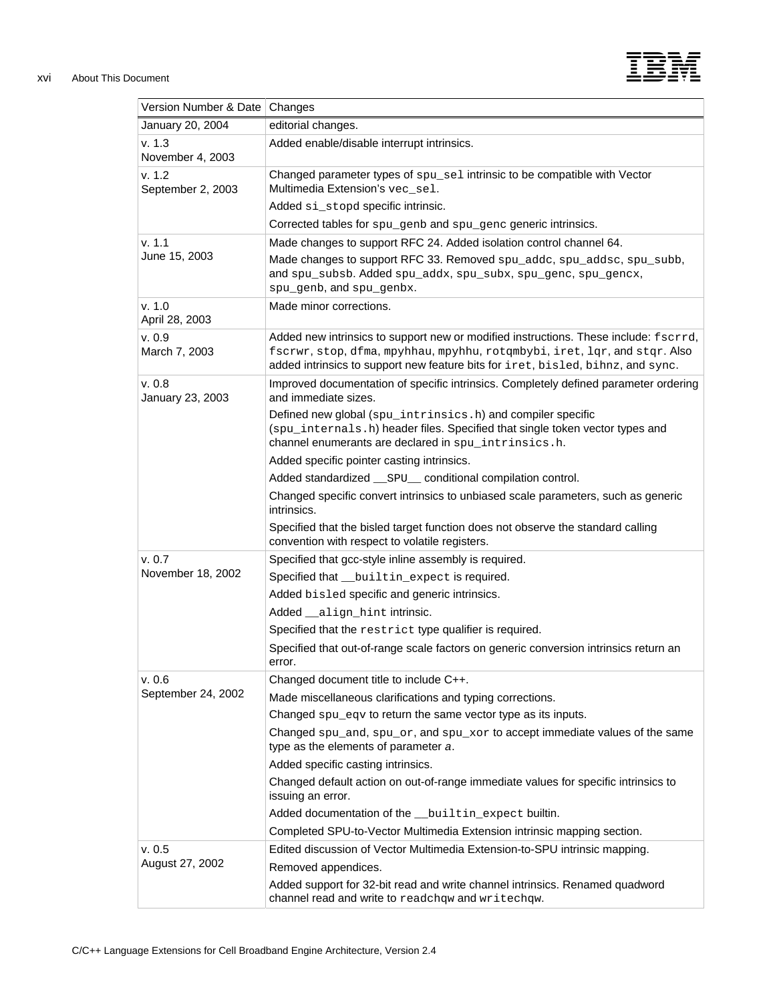

| Version Number & Date   Changes |                                                                                                                                                                                                                                                      |
|---------------------------------|------------------------------------------------------------------------------------------------------------------------------------------------------------------------------------------------------------------------------------------------------|
| January 20, 2004                | editorial changes.                                                                                                                                                                                                                                   |
| v. 1.3<br>November 4, 2003      | Added enable/disable interrupt intrinsics.                                                                                                                                                                                                           |
| v. 1.2<br>September 2, 2003     | Changed parameter types of spu_sel intrinsic to be compatible with Vector<br>Multimedia Extension's yec sel.<br>Added si_stopd specific intrinsic.                                                                                                   |
|                                 | Corrected tables for spu_genb and spu_genc generic intrinsics.                                                                                                                                                                                       |
| v. 1.1<br>June 15, 2003         | Made changes to support RFC 24. Added isolation control channel 64.<br>Made changes to support RFC 33. Removed spu_addc, spu_addsc, spu_subb,<br>and spu_subsb. Added spu_addx, spu_subx, spu_genc, spu_gencx,<br>spu_genb, and spu_genbx.           |
| v. 1.0<br>April 28, 2003        | Made minor corrections.                                                                                                                                                                                                                              |
| v. 0.9<br>March 7, 2003         | Added new intrinsics to support new or modified instructions. These include: fscrrd,<br>fscrwr, stop, dfma, mpyhhau, mpyhhu, rotqmbybi, iret, lqr, and stqr. Also<br>added intrinsics to support new feature bits for iret, bisled, bihnz, and sync. |
| v. 0.8<br>January 23, 2003      | Improved documentation of specific intrinsics. Completely defined parameter ordering<br>and immediate sizes.                                                                                                                                         |
|                                 | Defined new global (spu_intrinsics.h) and compiler specific<br>(spu_internals.h) header files. Specified that single token vector types and<br>channel enumerants are declared in spu_intrinsics.h.                                                  |
|                                 | Added specific pointer casting intrinsics.                                                                                                                                                                                                           |
|                                 | Added standardized __SPU__ conditional compilation control.                                                                                                                                                                                          |
|                                 | Changed specific convert intrinsics to unbiased scale parameters, such as generic<br>intrinsics.                                                                                                                                                     |
|                                 | Specified that the bisled target function does not observe the standard calling<br>convention with respect to volatile registers.                                                                                                                    |
| v. 0.7                          | Specified that gcc-style inline assembly is required.                                                                                                                                                                                                |
| November 18, 2002               | Specified that __builtin_expect is required.                                                                                                                                                                                                         |
|                                 | Added bisled specific and generic intrinsics.                                                                                                                                                                                                        |
|                                 | Added __align_hint intrinsic.                                                                                                                                                                                                                        |
|                                 | Specified that the restrict type qualifier is required.                                                                                                                                                                                              |
|                                 | Specified that out-of-range scale factors on generic conversion intrinsics return an<br>error.                                                                                                                                                       |
| v. 0.6                          | Changed document title to include C++.                                                                                                                                                                                                               |
| September 24, 2002              | Made miscellaneous clarifications and typing corrections.                                                                                                                                                                                            |
|                                 | Changed spu_eqv to return the same vector type as its inputs.                                                                                                                                                                                        |
|                                 | Changed spu_and, spu_or, and spu_xor to accept immediate values of the same<br>type as the elements of parameter a.                                                                                                                                  |
|                                 | Added specific casting intrinsics.                                                                                                                                                                                                                   |
|                                 | Changed default action on out-of-range immediate values for specific intrinsics to<br>issuing an error.                                                                                                                                              |
|                                 | Added documentation of the __builtin_expect builtin.                                                                                                                                                                                                 |
|                                 | Completed SPU-to-Vector Multimedia Extension intrinsic mapping section.                                                                                                                                                                              |
| v. 0.5<br>August 27, 2002       | Edited discussion of Vector Multimedia Extension-to-SPU intrinsic mapping.<br>Removed appendices.                                                                                                                                                    |
|                                 | Added support for 32-bit read and write channel intrinsics. Renamed quadword<br>channel read and write to readchqw and writechqw.                                                                                                                    |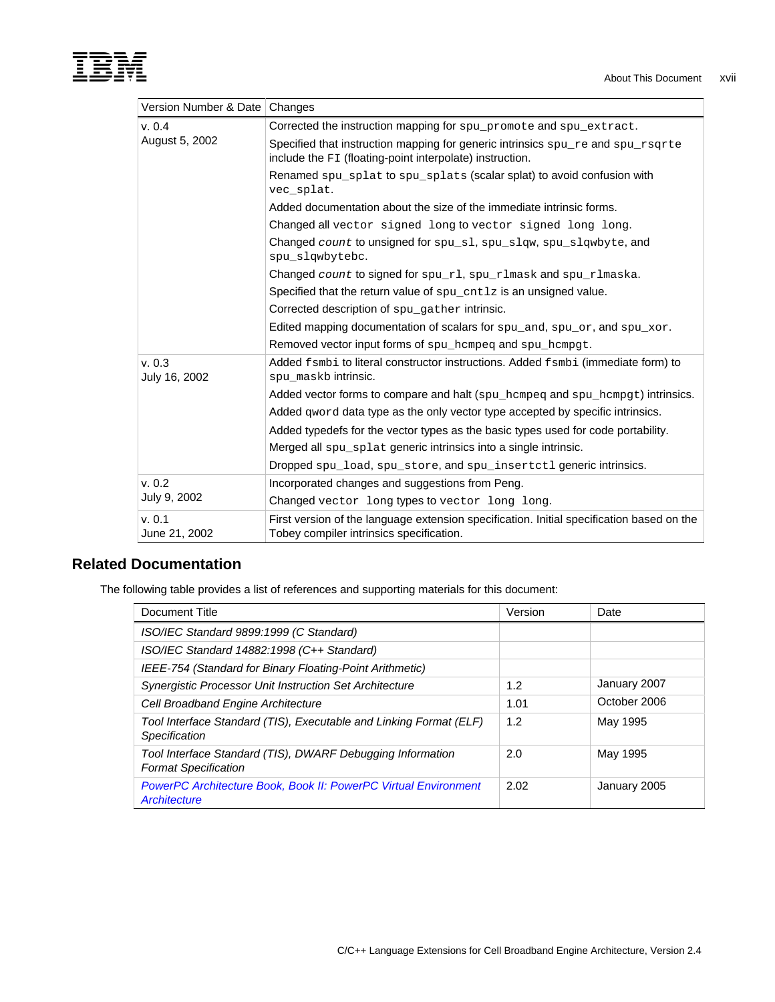## - $\mathbf{E} = \mathbf{F}$

| Version Number & Date   Changes |                                                                                                                                             |
|---------------------------------|---------------------------------------------------------------------------------------------------------------------------------------------|
| v. 0.4                          | Corrected the instruction mapping for spu promote and spu extract.                                                                          |
| August 5, 2002                  | Specified that instruction mapping for generic intrinsics spu_re and spu_rsqrte<br>include the FI (floating-point interpolate) instruction. |
|                                 | Renamed spu_splat to spu_splats (scalar splat) to avoid confusion with<br>vec_splat.                                                        |
|                                 | Added documentation about the size of the immediate intrinsic forms.                                                                        |
|                                 | Changed all vector signed long to vector signed long long.                                                                                  |
|                                 | Changed count to unsigned for spu_s1, spu_s1qw, spu_s1qwbyte, and<br>spu_slqwbytebc.                                                        |
|                                 | Changed count to signed for spu_rl, spu_rlmask and spu_rlmaska.                                                                             |
|                                 | Specified that the return value of spu_cntlz is an unsigned value.                                                                          |
|                                 | Corrected description of spu gather intrinsic.                                                                                              |
|                                 | Edited mapping documentation of scalars for spu_and, spu_or, and spu_xor.                                                                   |
|                                 | Removed vector input forms of spu_hcmpeq and spu_hcmpgt.                                                                                    |
| v. 0.3<br>July 16, 2002         | Added $f \text{smbi}$ to literal constructor instructions. Added $f \text{smbi}$ (immediate form) to<br>spu maskb intrinsic.                |
|                                 | Added vector forms to compare and halt (spu_hcmpeq and spu_hcmpgt) intrinsics.                                                              |
|                                 | Added gword data type as the only vector type accepted by specific intrinsics.                                                              |
|                                 | Added typedefs for the vector types as the basic types used for code portability.                                                           |
|                                 | Merged all spu_splat generic intrinsics into a single intrinsic.                                                                            |
|                                 | Dropped spu_load, spu_store, and spu_insertctl generic intrinsics.                                                                          |
| v. 0.2                          | Incorporated changes and suggestions from Peng.                                                                                             |
| July 9, 2002                    | Changed vector long types to vector long long.                                                                                              |
| V. 0.1<br>June 21, 2002         | First version of the language extension specification. Initial specification based on the<br>Tobey compiler intrinsics specification.       |

## **Related Documentation**

The following table provides a list of references and supporting materials for this document:

| Document Title                                                                            | Version | Date         |
|-------------------------------------------------------------------------------------------|---------|--------------|
| ISO/IEC Standard 9899:1999 (C Standard)                                                   |         |              |
| ISO/IEC Standard 14882:1998 (C++ Standard)                                                |         |              |
| IEEE-754 (Standard for Binary Floating-Point Arithmetic)                                  |         |              |
| <b>Synergistic Processor Unit Instruction Set Architecture</b>                            | 1.2     | January 2007 |
| Cell Broadband Engine Architecture                                                        | 1.01    | October 2006 |
| Tool Interface Standard (TIS), Executable and Linking Format (ELF)<br>Specification       | 1.2     | May 1995     |
| Tool Interface Standard (TIS), DWARF Debugging Information<br><b>Format Specification</b> | 2.0     | May 1995     |
| <b>PowerPC Architecture Book, Book II: PowerPC Virtual Environment</b><br>Architecture    | 2.02    | January 2005 |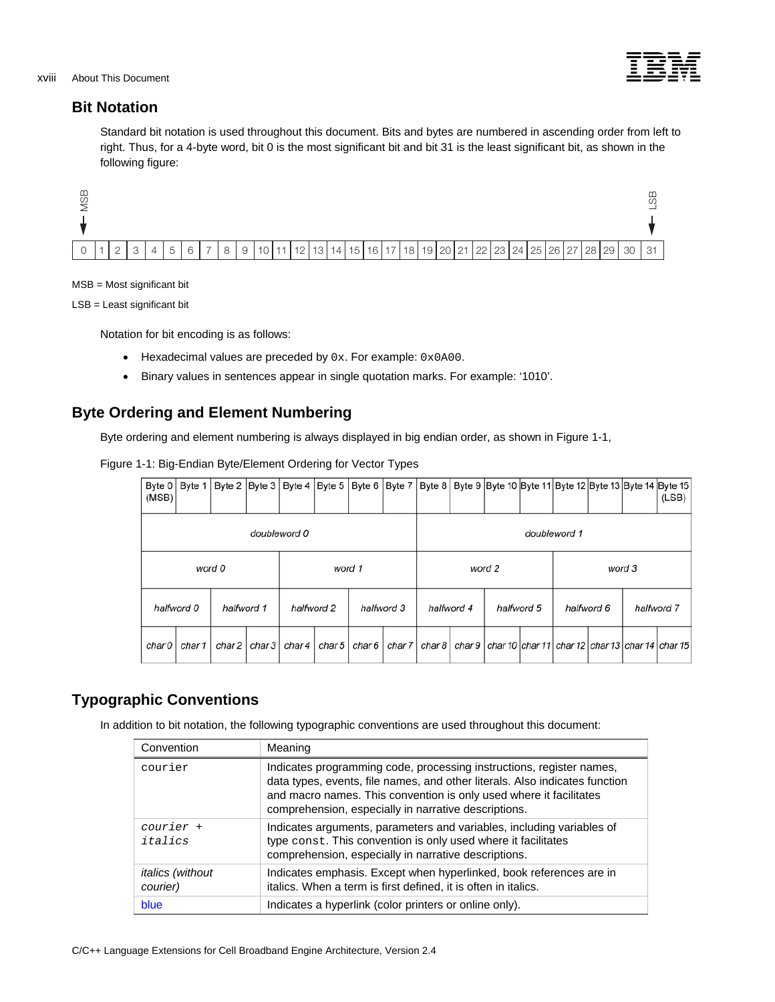

## **Bit Notation**

Standard bit notation is used throughout this document. Bits and bytes are numbered in ascending order from left to right. Thus, for a 4-byte word, bit 0 is the most significant bit and bit 31 is the least significant bit, as shown in the following figure:



#### MSB = Most significant bit

LSB = Least significant bit

Notation for bit encoding is as follows:

- Hexadecimal values are preceded by  $0x$ . For example:  $0x0A00$ .
- Binary values in sentences appear in single quotation marks. For example: '1010'.

## **Byte Ordering and Element Numbering**

Byte ordering and element numbering is always displayed in big endian order, as shown in Figure 1-1,

Figure 1-1: Big-Endian Byte/Element Ordering for Vector Types

| Byte $0$<br>(MSB) | Byte 1                   |  |             | Byte 2   Byte 3   Byte 4   Byte 5 |  |            |              |  | Byte 6 Byte 7 Byte 8 Byte 9 Byte 10 Byte 11 Byte 12 Byte 13 Byte 14 Byte 15                                     |  |            |  | (LSB) |
|-------------------|--------------------------|--|-------------|-----------------------------------|--|------------|--------------|--|-----------------------------------------------------------------------------------------------------------------|--|------------|--|-------|
| doubleword 0      |                          |  |             |                                   |  |            | doubleword 1 |  |                                                                                                                 |  |            |  |       |
|                   | word 0<br>word 1         |  |             |                                   |  | word 2     |              |  | word 3                                                                                                          |  |            |  |       |
|                   | halfword 0<br>halfword 1 |  |             | halfword 2<br>halfword 3          |  | halfword 4 | halfword 5   |  | halfword 6                                                                                                      |  | halfword 7 |  |       |
| char 0            | char 1                   |  | char2 char3 |                                   |  |            |              |  | char 4   char 5   char 6   char 7   char 8   char 9   char 10   char 11   char 12   char 13   char 14   char 15 |  |            |  |       |

## **Typographic Conventions**

In addition to bit notation, the following typographic conventions are used throughout this document:

| Convention                          | Meaning                                                                                                                                                                                                                                                                           |
|-------------------------------------|-----------------------------------------------------------------------------------------------------------------------------------------------------------------------------------------------------------------------------------------------------------------------------------|
| courier                             | Indicates programming code, processing instructions, register names,<br>data types, events, file names, and other literals. Also indicates function<br>and macro names. This convention is only used where it facilitates<br>comprehension, especially in narrative descriptions. |
| $conrier +$<br>italics              | Indicates arguments, parameters and variables, including variables of<br>type const. This convention is only used where it facilitates<br>comprehension, especially in narrative descriptions.                                                                                    |
| <i>italics (without</i><br>courier) | Indicates emphasis. Except when hyperlinked, book references are in<br>italics. When a term is first defined, it is often in italics.                                                                                                                                             |
| blue                                | Indicates a hyperlink (color printers or online only).                                                                                                                                                                                                                            |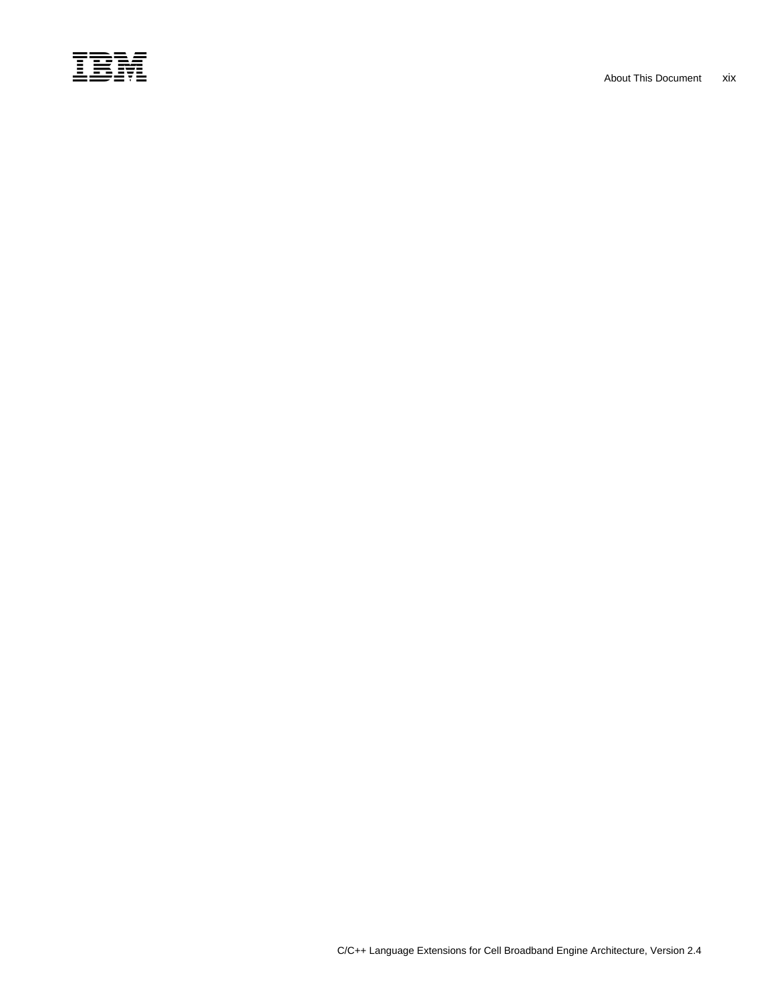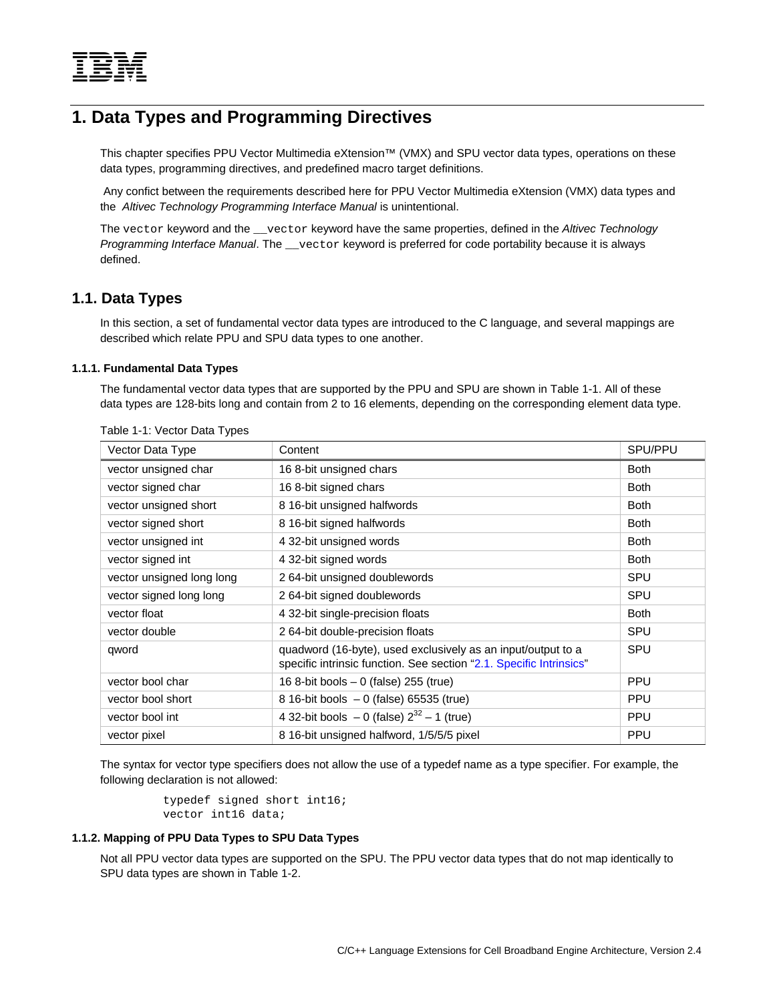

## **1. Data Types and Programming Directives**

This chapter specifies PPU Vector Multimedia eXtension™ (VMX) and SPU vector data types, operations on these data types, programming directives, and predefined macro target definitions.

 Any confict between the requirements described here for PPU Vector Multimedia eXtension (VMX) data types and the *Altivec Technology Programming Interface Manual* is unintentional.

The vector keyword and the \_\_vector keyword have the same properties, defined in the *Altivec Technology Programming Interface Manual*. The \_\_vector keyword is preferred for code portability because it is always defined.

### **1.1. Data Types**

In this section, a set of fundamental vector data types are introduced to the C language, and several mappings are described which relate PPU and SPU data types to one another.

#### **1.1.1. Fundamental Data Types**

The fundamental vector data types that are supported by the PPU and SPU are shown in Table 1-1. All of these data types are 128-bits long and contain from 2 to 16 elements, depending on the corresponding element data type.

| Vector Data Type          | SPU/PPU                                                                                                                             |             |  |  |
|---------------------------|-------------------------------------------------------------------------------------------------------------------------------------|-------------|--|--|
| vector unsigned char      | 16 8-bit unsigned chars                                                                                                             | <b>Both</b> |  |  |
| vector signed char        | 16 8-bit signed chars                                                                                                               | <b>Both</b> |  |  |
| vector unsigned short     | 8 16-bit unsigned halfwords                                                                                                         | <b>Both</b> |  |  |
| vector signed short       | 8 16-bit signed halfwords                                                                                                           | <b>Both</b> |  |  |
| vector unsigned int       | 4 32-bit unsigned words                                                                                                             | <b>Both</b> |  |  |
| vector signed int         | 4 32-bit signed words                                                                                                               | <b>Both</b> |  |  |
| vector unsigned long long | 2 64-bit unsigned doublewords                                                                                                       | SPU         |  |  |
| vector signed long long   | 2 64-bit signed doublewords                                                                                                         | <b>SPU</b>  |  |  |
| vector float              | 4 32-bit single-precision floats                                                                                                    | <b>Both</b> |  |  |
| vector double             | 2 64-bit double-precision floats                                                                                                    |             |  |  |
| qword                     | quadword (16-byte), used exclusively as an input/output to a<br>specific intrinsic function. See section "2.1. Specific Intrinsics" |             |  |  |
| vector bool char          | 16 8-bit bools $-0$ (false) 255 (true)                                                                                              | PPU         |  |  |
| vector bool short         | 8 16-bit bools $-0$ (false) 65535 (true)                                                                                            | <b>PPU</b>  |  |  |
| vector bool int           | 4 32-bit bools $-0$ (false) $2^{32} - 1$ (true)                                                                                     | <b>PPU</b>  |  |  |
| vector pixel              | <b>PPU</b><br>8 16-bit unsigned halfword, 1/5/5/5 pixel                                                                             |             |  |  |

Table 1-1: Vector Data Types

The syntax for vector type specifiers does not allow the use of a typedef name as a type specifier. For example, the following declaration is not allowed:

```
typedef signed short int16; 
vector int16 data;
```
#### **1.1.2. Mapping of PPU Data Types to SPU Data Types**

Not all PPU vector data types are supported on the SPU. The PPU vector data types that do not map identically to SPU data types are shown in Table 1-2.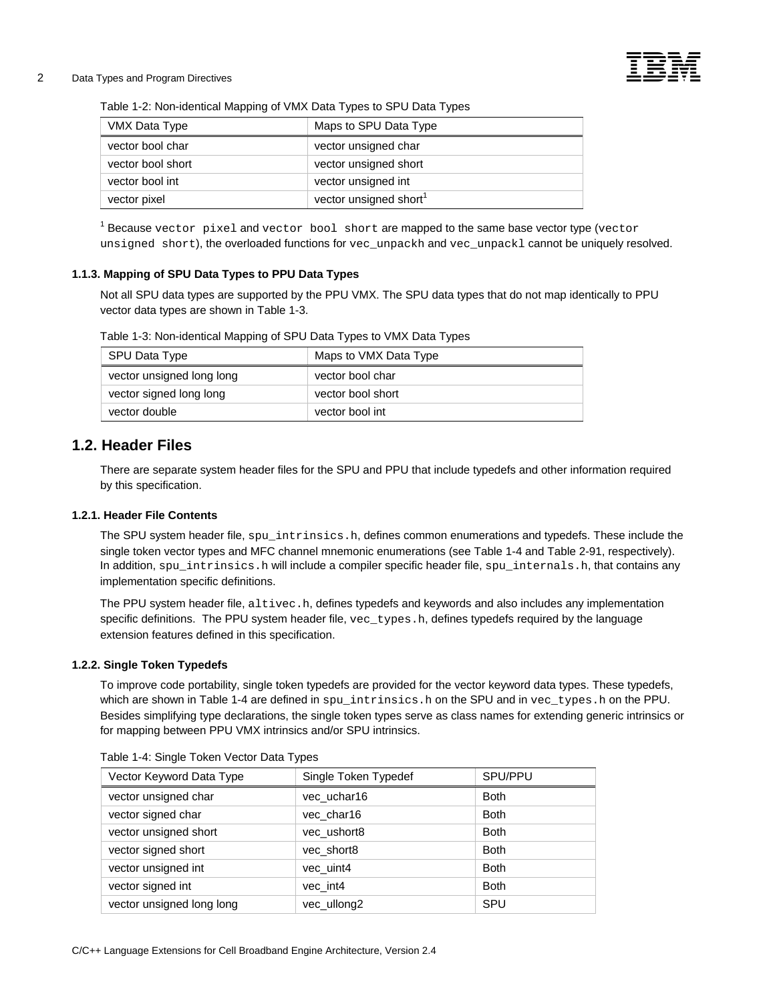

| VMX Data Type     | Maps to SPU Data Type              |
|-------------------|------------------------------------|
| vector bool char  | vector unsigned char               |
| vector bool short | vector unsigned short              |
| vector bool int   | vector unsigned int                |
| vector pixel      | vector unsigned short <sup>1</sup> |

Table 1-2: Non-identical Mapping of VMX Data Types to SPU Data Types

<sup>1</sup> Because vector pixel and vector bool short are mapped to the same base vector type (vector unsigned short), the overloaded functions for vec\_unpackh and vec\_unpackl cannot be uniquely resolved.

#### **1.1.3. Mapping of SPU Data Types to PPU Data Types**

Not all SPU data types are supported by the PPU VMX. The SPU data types that do not map identically to PPU vector data types are shown in Table 1-3.

| SPU Data Type             | Maps to VMX Data Type |
|---------------------------|-----------------------|
| vector unsigned long long | vector bool char      |
| vector signed long long   | vector bool short     |
| vector double             | vector bool int       |

Table 1-3: Non-identical Mapping of SPU Data Types to VMX Data Types

### **1.2. Header Files**

There are separate system header files for the SPU and PPU that include typedefs and other information required by this specification.

#### **1.2.1. Header File Contents**

The SPU system header file, spu\_intrinsics.h, defines common enumerations and typedefs. These include the single token vector types and MFC channel mnemonic enumerations (see Table 1-4 and Table 2-91, respectively). In addition, spu\_intrinsics.h will include a compiler specific header file, spu\_internals.h, that contains any implementation specific definitions.

The PPU system header file, altivec.h, defines typedefs and keywords and also includes any implementation specific definitions. The PPU system header file,  $vec_t$  types.h, defines typedefs required by the language extension features defined in this specification.

#### **1.2.2. Single Token Typedefs**

To improve code portability, single token typedefs are provided for the vector keyword data types. These typedefs, which are shown in Table 1-4 are defined in  $spu_$ intrinsics.h on the SPU and in  $vec_types.h$  on the PPU. Besides simplifying type declarations, the single token types serve as class names for extending generic intrinsics or for mapping between PPU VMX intrinsics and/or SPU intrinsics.

| Vector Keyword Data Type  | Single Token Typedef | SPU/PPU     |
|---------------------------|----------------------|-------------|
| vector unsigned char      | vec uchar16          | <b>Both</b> |
| vector signed char        | vec char16           | <b>Both</b> |
| vector unsigned short     | vec ushort8          | <b>Both</b> |
| vector signed short       | vec short8           | <b>Both</b> |
| vector unsigned int       | vec uint4            | <b>Both</b> |
| vector signed int         | vec int4             | <b>Both</b> |
| vector unsigned long long | vec_ullong2          | SPU         |

| Table 1-4: Single Token Vector Data Types |  |
|-------------------------------------------|--|
|-------------------------------------------|--|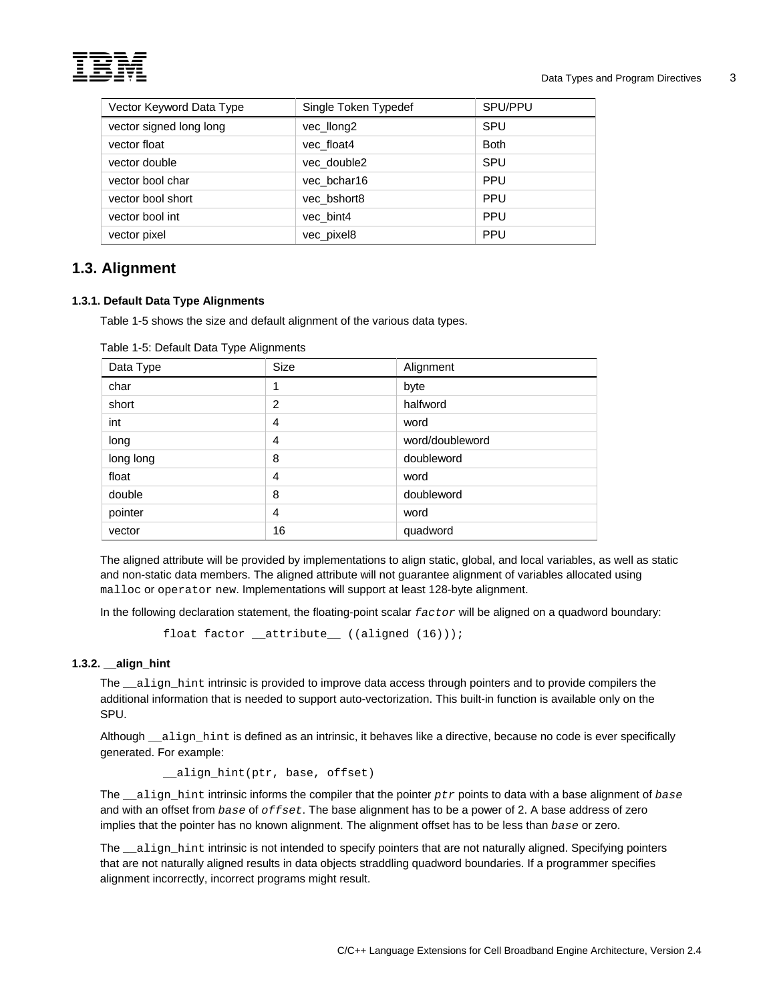

| Vector Keyword Data Type | Single Token Typedef | SPU/PPU     |
|--------------------------|----------------------|-------------|
| vector signed long long  | vec_llong2           | SPU         |
| vector float             | vec float4           | <b>Both</b> |
| vector double            | vec double2          | SPU         |
| vector bool char         | vec bchar16          | <b>PPU</b>  |
| vector bool short        | vec bshort8          | PPU         |
| vector bool int          | vec bint4            | <b>PPU</b>  |
| vector pixel             | vec_pixel8           | <b>PPU</b>  |

### **1.3. Alignment**

#### **1.3.1. Default Data Type Alignments**

Table 1-5 shows the size and default alignment of the various data types.

| Data Type | Size           | Alignment       |
|-----------|----------------|-----------------|
| char      |                | byte            |
| short     | $\overline{2}$ | halfword        |
| int       | 4              | word            |
| long      | 4              | word/doubleword |
| long long | 8              | doubleword      |
| float     | 4              | word            |
| double    | 8              | doubleword      |
| pointer   | 4              | word            |
| vector    | 16             | quadword        |

Table 1-5: Default Data Type Alignments

The aligned attribute will be provided by implementations to align static, global, and local variables, as well as static and non-static data members. The aligned attribute will not guarantee alignment of variables allocated using malloc or operator new. Implementations will support at least 128-byte alignment.

In the following declaration statement, the floating-point scalar *factor* will be aligned on a quadword boundary:

float factor \_\_attribute\_\_ ((aligned (16)));

#### **1.3.2. \_\_align\_hint**

The \_\_align\_hint intrinsic is provided to improve data access through pointers and to provide compilers the additional information that is needed to support auto-vectorization. This built-in function is available only on the SPU.

Although \_align\_hint is defined as an intrinsic, it behaves like a directive, because no code is ever specifically generated. For example:

\_\_align\_hint(ptr, base, offset)

The \_\_align\_hint intrinsic informs the compiler that the pointer *ptr* points to data with a base alignment of *base* and with an offset from *base* of *offset*. The base alignment has to be a power of 2. A base address of zero implies that the pointer has no known alignment. The alignment offset has to be less than *base* or zero.

The \_\_align\_hint intrinsic is not intended to specify pointers that are not naturally aligned. Specifying pointers that are not naturally aligned results in data objects straddling quadword boundaries. If a programmer specifies alignment incorrectly, incorrect programs might result.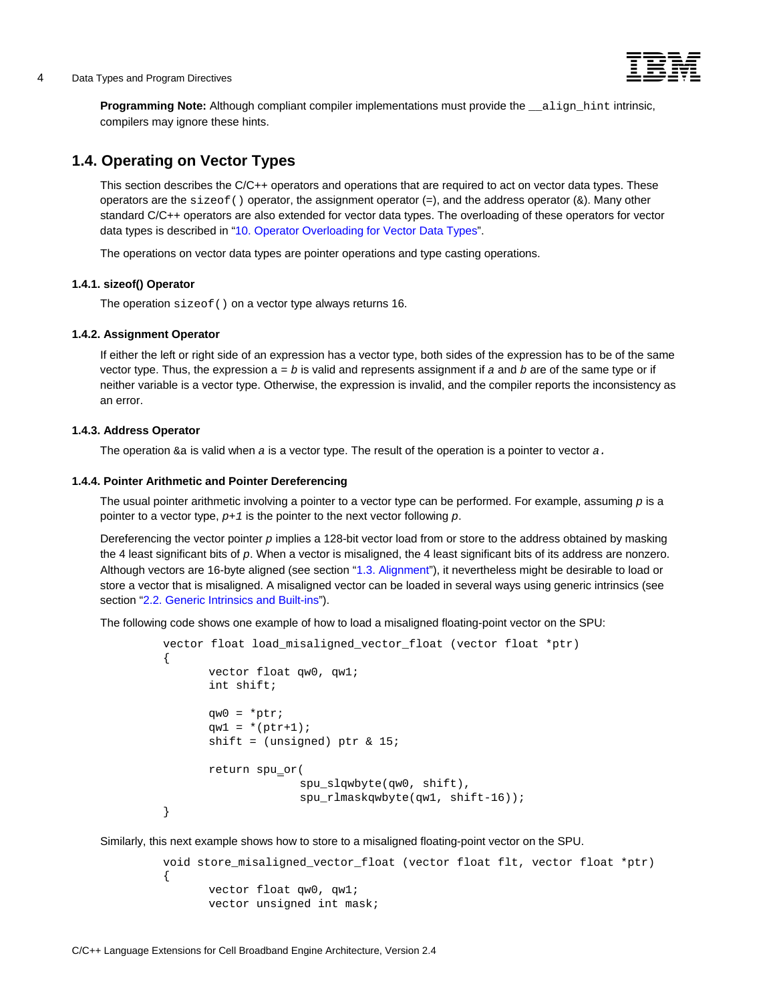## eral discoveries and Program Directives - Andre Directives - Andre Directives - Andre Directives - Andre Directives<br>The State of the Directives - Andre Directives - Andre Directives - Andre Directive - Andre Directives - A



**Programming Note:** Although compliant compiler implementations must provide the align hint intrinsic, compilers may ignore these hints.

### **1.4. Operating on Vector Types**

This section describes the C/C++ operators and operations that are required to act on vector data types. These operators are the  $sizeof()$  operator, the assignment operator (=), and the address operator ( $\&)$ . Many other standard C/C++ operators are also extended for vector data types. The overloading of these operators for vector data types is described in "10. Operator Overloading for Vector Data Types".

The operations on vector data types are pointer operations and type casting operations.

#### **1.4.1. sizeof() Operator**

The operation sizeof() on a vector type always returns 16.

#### **1.4.2. Assignment Operator**

If either the left or right side of an expression has a vector type, both sides of the expression has to be of the same vector type. Thus, the expression a = *b* is valid and represents assignment if *a* and *b* are of the same type or if neither variable is a vector type. Otherwise, the expression is invalid, and the compiler reports the inconsistency as an error.

#### **1.4.3. Address Operator**

The operation &a is valid when *a* is a vector type. The result of the operation is a pointer to vector *a.*

#### **1.4.4. Pointer Arithmetic and Pointer Dereferencing**

The usual pointer arithmetic involving a pointer to a vector type can be performed. For example, assuming *p* is a pointer to a vector type, *p+1* is the pointer to the next vector following *p*.

Dereferencing the vector pointer *p* implies a 128-bit vector load from or store to the address obtained by masking the 4 least significant bits of *p*. When a vector is misaligned, the 4 least significant bits of its address are nonzero. Although vectors are 16-byte aligned (see section "1.3. Alignment"), it nevertheless might be desirable to load or store a vector that is misaligned. A misaligned vector can be loaded in several ways using generic intrinsics (see section "2.2. Generic Intrinsics and Built-ins").

The following code shows one example of how to load a misaligned floating-point vector on the SPU:

```
vector float load misaligned vector float (vector float *ptr)
{ 
       vector float qw0, qw1; 
       int shift; 
       qw0 = *ptr;qwl = * (ptr+1);shift = (unsigned) ptr & 15;
       return spu_or( 
                      spu_slqwbyte(qw0, shift), 
                      spu_rlmaskqwbyte(qw1, shift-16)); 
}
```
Similarly, this next example shows how to store to a misaligned floating-point vector on the SPU.

```
void store misaligned vector float (vector float flt, vector float *ptr)
{ 
      vector float qw0, qw1; 
      vector unsigned int mask;
```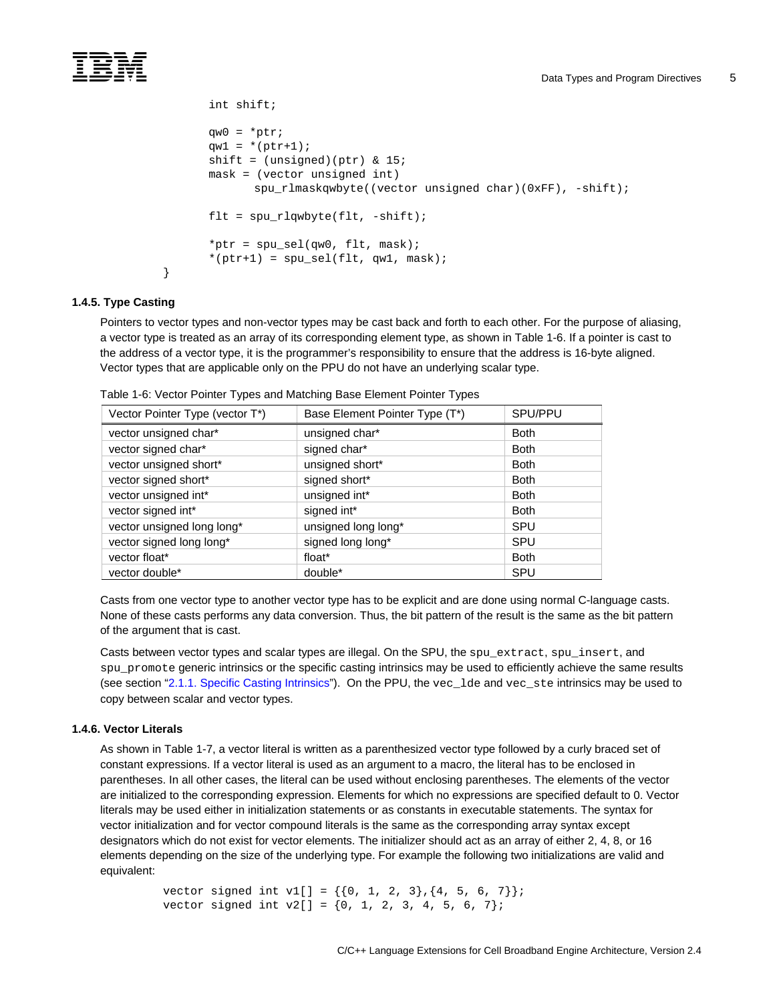# -

```
 int shift; 
        qw0 = *ptr; 
       qwl = * (ptr+1);shift = (unsigned)(ptr) & 15;
       mask = (vector unsigned int) 
              spu_rlmaskqwbyte((vector unsigned char)(0xFF), -shift); 
       flt = spu_rlqwbyte(flt, -shift); 
       *ptr = spu sel(qw0, flt, mask);
       *(ptr+1) = spu\_sel(flt, qwl, mask);}
```
#### **1.4.5. Type Casting**

Pointers to vector types and non-vector types may be cast back and forth to each other. For the purpose of aliasing, a vector type is treated as an array of its corresponding element type, as shown in Table 1-6. If a pointer is cast to the address of a vector type, it is the programmer's responsibility to ensure that the address is 16-byte aligned. Vector types that are applicable only on the PPU do not have an underlying scalar type.

| Vector Pointer Type (vector T*) | Base Element Pointer Type (T*) | SPU/PPU     |
|---------------------------------|--------------------------------|-------------|
| vector unsigned char*           | unsigned char*                 | <b>Both</b> |
| vector signed char*             | signed char*                   | <b>Both</b> |
| vector unsigned short*          | unsigned short*                | <b>Both</b> |
| vector signed short*            | signed short*                  | <b>Both</b> |
| vector unsigned int*            | unsigned int*                  | <b>Both</b> |
| vector signed int*              | signed int*                    | <b>Both</b> |
| vector unsigned long long*      | unsigned long long*            | SPU         |
| vector signed long long*        | signed long long*              | SPU         |
| vector float*                   | float*                         | <b>Both</b> |
| vector double*                  | double*                        | SPU         |

Table 1-6: Vector Pointer Types and Matching Base Element Pointer Types

Casts from one vector type to another vector type has to be explicit and are done using normal C-language casts. None of these casts performs any data conversion. Thus, the bit pattern of the result is the same as the bit pattern of the argument that is cast.

Casts between vector types and scalar types are illegal. On the SPU, the spu\_extract, spu\_insert, and spu\_promote generic intrinsics or the specific casting intrinsics may be used to efficiently achieve the same results (see section "2.1.1. Specific Casting Intrinsics"). On the PPU, the vec\_lde and vec\_ste intrinsics may be used to copy between scalar and vector types.

#### **1.4.6. Vector Literals**

As shown in Table 1-7, a vector literal is written as a parenthesized vector type followed by a curly braced set of constant expressions. If a vector literal is used as an argument to a macro, the literal has to be enclosed in parentheses. In all other cases, the literal can be used without enclosing parentheses. The elements of the vector are initialized to the corresponding expression. Elements for which no expressions are specified default to 0. Vector literals may be used either in initialization statements or as constants in executable statements. The syntax for vector initialization and for vector compound literals is the same as the corresponding array syntax except designators which do not exist for vector elements. The initializer should act as an array of either 2, 4, 8, or 16 elements depending on the size of the underlying type. For example the following two initializations are valid and equivalent:

```
vector signed int v1[] = \{\{0, 1, 2, 3\}, \{4, 5, 6, 7\}\};vector signed int v2[] = \{0, 1, 2, 3, 4, 5, 6, 7\};
```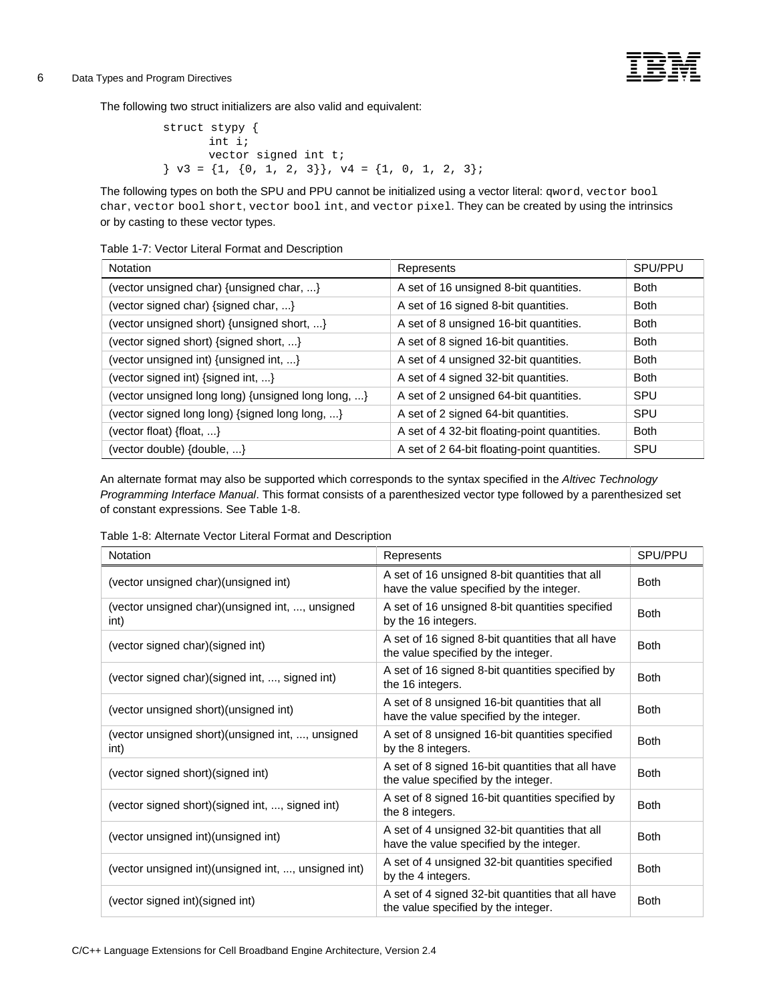

The following two struct initializers are also valid and equivalent:

```
struct stypy { 
       int i; 
       vector signed int t; 
\{ v3 = \{1, \{0, 1, 2, 3\}\}, v4 = \{1, 0, 1, 2, 3\};
```
The following types on both the SPU and PPU cannot be initialized using a vector literal: qword, vector bool char, vector bool short, vector bool int, and vector pixel. They can be created by using the intrinsics or by casting to these vector types.

Table 1-7: Vector Literal Format and Description

| <b>Notation</b>                                    | Represents                                   | SPU/PPU     |
|----------------------------------------------------|----------------------------------------------|-------------|
| (vector unsigned char) {unsigned char, }           | A set of 16 unsigned 8-bit quantities.       | <b>Both</b> |
| (vector signed char) {signed char, }               | A set of 16 signed 8-bit quantities.         | <b>Both</b> |
| (vector unsigned short) {unsigned short, }         | A set of 8 unsigned 16-bit quantities.       | <b>Both</b> |
| (vector signed short) {signed short, }             | A set of 8 signed 16-bit quantities.         | <b>Both</b> |
| (vector unsigned int) {unsigned int, }             | A set of 4 unsigned 32-bit quantities.       | <b>Both</b> |
| (vector signed int) {signed int, }                 | A set of 4 signed 32-bit quantities.         | <b>Both</b> |
| (vector unsigned long long) {unsigned long long, } | A set of 2 unsigned 64-bit quantities.       | <b>SPU</b>  |
| (vector signed long long) {signed long long, }     | A set of 2 signed 64-bit quantities.         | <b>SPU</b>  |
| (vector float) {float, }                           | A set of 4 32-bit floating-point quantities. | <b>Both</b> |
| (vector double) {double, }                         | A set of 2 64-bit floating-point quantities. | SPU         |

An alternate format may also be supported which corresponds to the syntax specified in the *Altivec Technology Programming Interface Manual*. This format consists of a parenthesized vector type followed by a parenthesized set of constant expressions. See Table 1-8.

Table 1-8: Alternate Vector Literal Format and Description

| <b>Notation</b>                                          | Represents                                                                                 | SPU/PPU     |
|----------------------------------------------------------|--------------------------------------------------------------------------------------------|-------------|
| (vector unsigned char)(unsigned int)                     | A set of 16 unsigned 8-bit quantities that all<br>have the value specified by the integer. | <b>Both</b> |
| (vector unsigned char) (unsigned int, , unsigned<br>int) | A set of 16 unsigned 8-bit quantities specified<br>by the 16 integers.                     | <b>Both</b> |
| (vector signed char)(signed int)                         | A set of 16 signed 8-bit quantities that all have<br>the value specified by the integer.   | <b>Both</b> |
| (vector signed char)(signed int, , signed int)           | A set of 16 signed 8-bit quantities specified by<br>the 16 integers.                       | <b>Both</b> |
| (vector unsigned short) (unsigned int)                   | A set of 8 unsigned 16-bit quantities that all<br>have the value specified by the integer. | <b>Both</b> |
| (vector unsigned short)(unsigned int, , unsigned<br>int) | A set of 8 unsigned 16-bit quantities specified<br>by the 8 integers.                      | <b>Both</b> |
| (vector signed short) (signed int)                       | A set of 8 signed 16-bit quantities that all have<br>the value specified by the integer.   | <b>Both</b> |
| (vector signed short)(signed int, , signed int)          | A set of 8 signed 16-bit quantities specified by<br>the 8 integers.                        | <b>Both</b> |
| (vector unsigned int)(unsigned int)                      | A set of 4 unsigned 32-bit quantities that all<br>have the value specified by the integer. | <b>Both</b> |
| (vector unsigned int)(unsigned int, , unsigned int)      | A set of 4 unsigned 32-bit quantities specified<br>by the 4 integers.                      | <b>Both</b> |
| (vector signed int) (signed int)                         | A set of 4 signed 32-bit quantities that all have<br>the value specified by the integer.   | <b>Both</b> |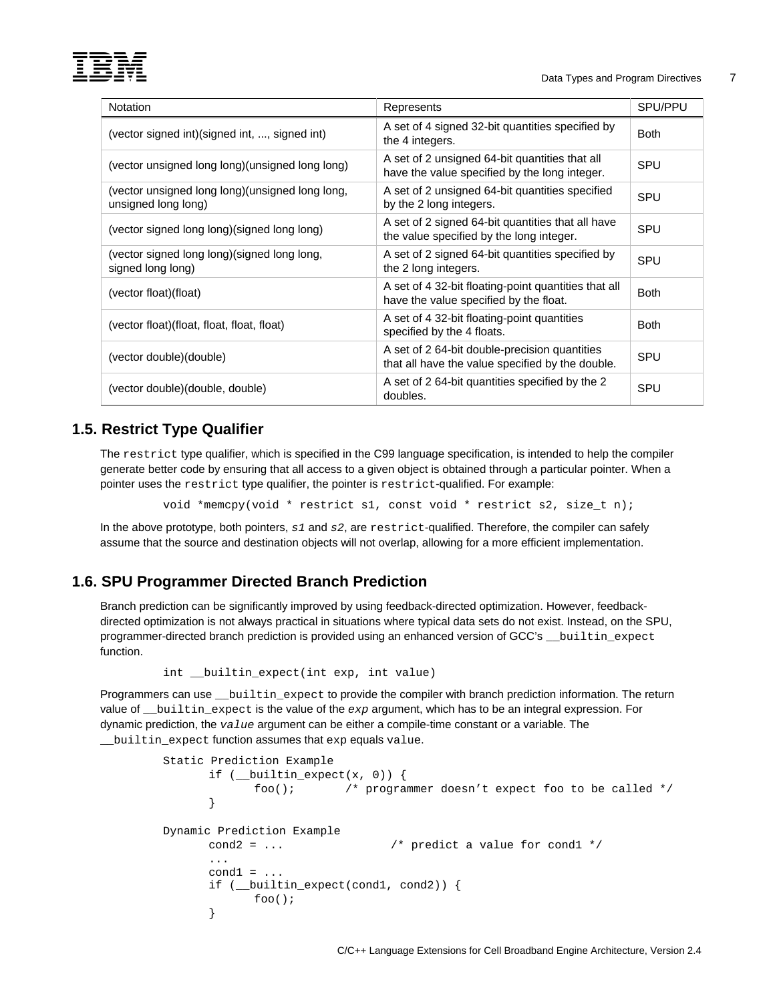

| <b>Notation</b>                                                        | Represents                                                                                        | SPU/PPU     |
|------------------------------------------------------------------------|---------------------------------------------------------------------------------------------------|-------------|
| (vector signed int)(signed int, , signed int)                          | A set of 4 signed 32-bit quantities specified by<br>the 4 integers.                               | <b>Both</b> |
| (vector unsigned long long)(unsigned long long)                        | A set of 2 unsigned 64-bit quantities that all<br>have the value specified by the long integer.   | <b>SPU</b>  |
| (vector unsigned long long)(unsigned long long,<br>unsigned long long) | A set of 2 unsigned 64-bit quantities specified<br>by the 2 long integers.                        | <b>SPU</b>  |
| (vector signed long long)(signed long long)                            | A set of 2 signed 64-bit quantities that all have<br>the value specified by the long integer.     | SPU         |
| (vector signed long long)(signed long long,<br>signed long long)       | A set of 2 signed 64-bit quantities specified by<br>the 2 long integers.                          | SPU         |
| (vector float) (float)                                                 | A set of 4 32-bit floating-point quantities that all<br>have the value specified by the float.    | <b>Both</b> |
| (vector float)(float, float, float, float)                             | A set of 4 32-bit floating-point quantities<br>specified by the 4 floats.                         | <b>Both</b> |
| (vector double)(double)                                                | A set of 2 64-bit double-precision quantities<br>that all have the value specified by the double. | SPU         |
| (vector double)(double, double)                                        | A set of 2 64-bit quantities specified by the 2<br>doubles.                                       | SPU         |

## **1.5. Restrict Type Qualifier**

The restrict type qualifier, which is specified in the C99 language specification, is intended to help the compiler generate better code by ensuring that all access to a given object is obtained through a particular pointer. When a pointer uses the restrict type qualifier, the pointer is restrict-qualified. For example:

void \*memcpy(void \* restrict s1, const void \* restrict s2, size\_t n);

In the above prototype, both pointers,  $s1$  and  $s2$ , are restrict-qualified. Therefore, the compiler can safely assume that the source and destination objects will not overlap, allowing for a more efficient implementation.

## **1.6. SPU Programmer Directed Branch Prediction**

Branch prediction can be significantly improved by using feedback-directed optimization. However, feedbackdirected optimization is not always practical in situations where typical data sets do not exist. Instead, on the SPU, programmer-directed branch prediction is provided using an enhanced version of GCC's builtin expect function.

```
int builtin expect(int exp, int value)
```
Programmers can use \_\_ builtin\_expect to provide the compiler with branch prediction information. The return value of \_\_builtin\_expect is the value of the *exp* argument, which has to be an integral expression. For dynamic prediction, the *value* argument can be either a compile-time constant or a variable. The \_\_builtin\_expect function assumes that exp equals value.

```
Static Prediction Example 
        if (\underline{\hspace{0.5cm}}\underline{\hspace{0.5cm}}builtin\underline{\hspace{0.5cm}}expect(x, 0)) {
                 foo(); /* programmer doesn't expect foo to be called */ 
         } 
Dynamic Prediction Example 
        cond2 = \dots /* predict a value for cond1 */
         ... 
        cond1 = \ldots if (__builtin_expect(cond1, cond2)) { 
                foo();
         }
```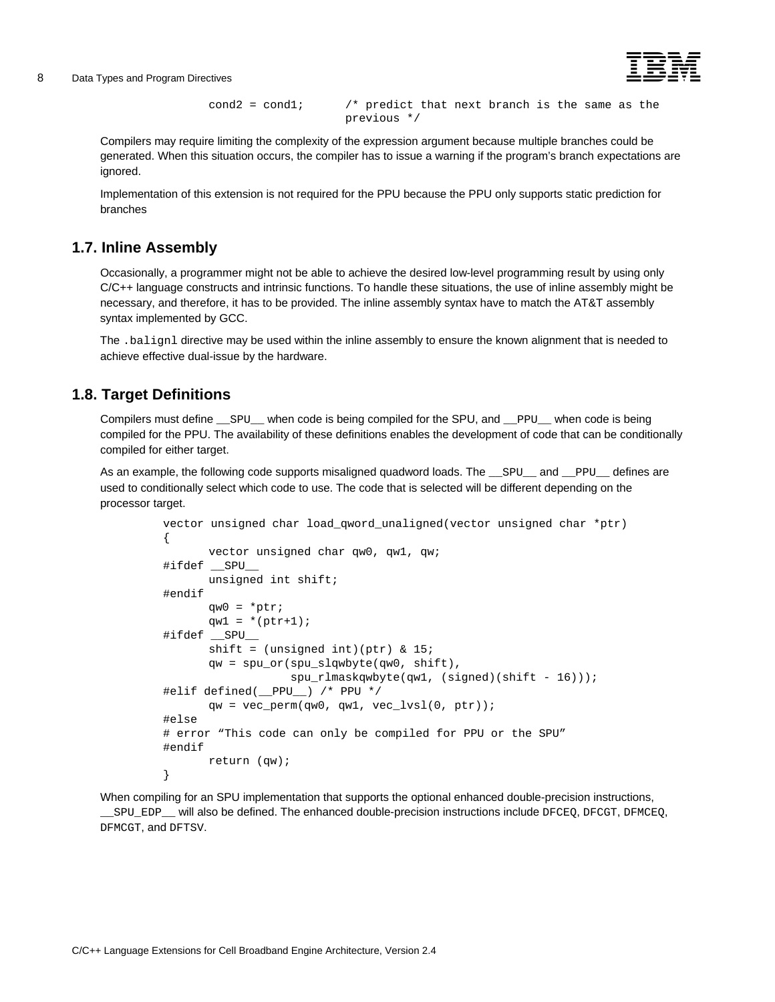#### 8 Data Types and Program Directives



cond2 =  $\text{cond1}$ ; /\* predict that next branch is the same as the previous \*/

Compilers may require limiting the complexity of the expression argument because multiple branches could be generated. When this situation occurs, the compiler has to issue a warning if the program's branch expectations are ignored.

Implementation of this extension is not required for the PPU because the PPU only supports static prediction for branches

### **1.7. Inline Assembly**

Occasionally, a programmer might not be able to achieve the desired low-level programming result by using only C/C++ language constructs and intrinsic functions. To handle these situations, the use of inline assembly might be necessary, and therefore, it has to be provided. The inline assembly syntax have to match the AT&T assembly syntax implemented by GCC.

The .balignl directive may be used within the inline assembly to ensure the known alignment that is needed to achieve effective dual-issue by the hardware.

## **1.8. Target Definitions**

Compilers must define \_\_\_SPU\_\_ when code is being compiled for the SPU, and \_\_\_PPU\_\_\_ when code is being compiled for the PPU. The availability of these definitions enables the development of code that can be conditionally compiled for either target.

As an example, the following code supports misaligned quadword loads. The \_\_SPU\_\_ and \_\_PPU\_\_ defines are used to conditionally select which code to use. The code that is selected will be different depending on the processor target.

```
vector unsigned char load_qword_unaligned(vector unsigned char *ptr) 
{ 
       vector unsigned char qw0, qw1, qw; 
#ifdef __SPU__ 
       unsigned int shift; 
#endif 
       qw0 = *ptr;qw1 = *(ptr+1);#ifdef __SPU__ 
      shift = (unsigned int)(ptr) & 15; qw = spu_or(spu_slqwbyte(qw0, shift), 
                   spu_rlmaskqwbyte(qw1, (signed)(shift - 16)));
#elif defined(__PPU__) /* PPU */ 
      qw = vec\_perm(qw0, qw1, vec\_lvsl(0, ptr));#else 
# error "This code can only be compiled for PPU or the SPU" 
#endif 
       return (qw); 
}
```
When compiling for an SPU implementation that supports the optional enhanced double-precision instructions, \_\_SPU\_EDP\_\_ will also be defined. The enhanced double-precision instructions include DFCEQ, DFCGT, DFMCEQ, DFMCGT, and DFTSV.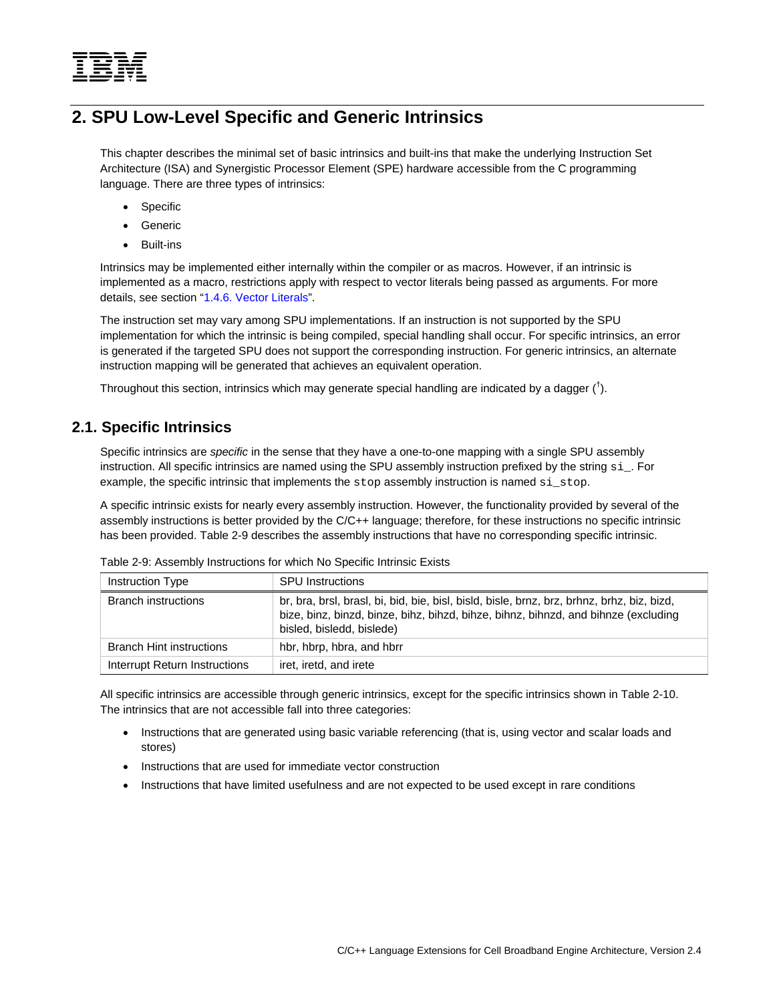

## **2. SPU Low-Level Specific and Generic Intrinsics**

This chapter describes the minimal set of basic intrinsics and built-ins that make the underlying Instruction Set Architecture (ISA) and Synergistic Processor Element (SPE) hardware accessible from the C programming language. There are three types of intrinsics:

- Specific
- Generic
- Built-ins

Intrinsics may be implemented either internally within the compiler or as macros. However, if an intrinsic is implemented as a macro, restrictions apply with respect to vector literals being passed as arguments. For more details, see section "1.4.6. Vector Literals".

The instruction set may vary among SPU implementations. If an instruction is not supported by the SPU implementation for which the intrinsic is being compiled, special handling shall occur. For specific intrinsics, an error is generated if the targeted SPU does not support the corresponding instruction. For generic intrinsics, an alternate instruction mapping will be generated that achieves an equivalent operation.

Throughout this section, intrinsics which may generate special handling are indicated by a dagger (<sup>†</sup>).

## **2.1. Specific Intrinsics**

Specific intrinsics are *specific* in the sense that they have a one-to-one mapping with a single SPU assembly instruction. All specific intrinsics are named using the SPU assembly instruction prefixed by the string  $si$ . For example, the specific intrinsic that implements the stop assembly instruction is named si\_stop.

A specific intrinsic exists for nearly every assembly instruction. However, the functionality provided by several of the assembly instructions is better provided by the C/C++ language; therefore, for these instructions no specific intrinsic has been provided. Table 2-9 describes the assembly instructions that have no corresponding specific intrinsic.

| Instruction Type                | <b>SPU</b> Instructions                                                                                                                                                                                       |
|---------------------------------|---------------------------------------------------------------------------------------------------------------------------------------------------------------------------------------------------------------|
| Branch instructions             | br, bra, brsl, brasl, bi, bid, bie, bisl, bisld, bisle, brnz, brz, brhnz, brhz, biz, bizd,<br>bize, binz, binzd, binze, bihz, bihzd, bihze, bihnz, bihnzd, and bihnze (excluding<br>bisled, bisledd, bislede) |
| <b>Branch Hint instructions</b> | hbr, hbrp, hbra, and hbrr                                                                                                                                                                                     |
| Interrupt Return Instructions   | iret, iretd, and irete                                                                                                                                                                                        |

Table 2-9: Assembly Instructions for which No Specific Intrinsic Exists

All specific intrinsics are accessible through generic intrinsics, except for the specific intrinsics shown in Table 2-10. The intrinsics that are not accessible fall into three categories:

- Instructions that are generated using basic variable referencing (that is, using vector and scalar loads and stores)
- Instructions that are used for immediate vector construction
- Instructions that have limited usefulness and are not expected to be used except in rare conditions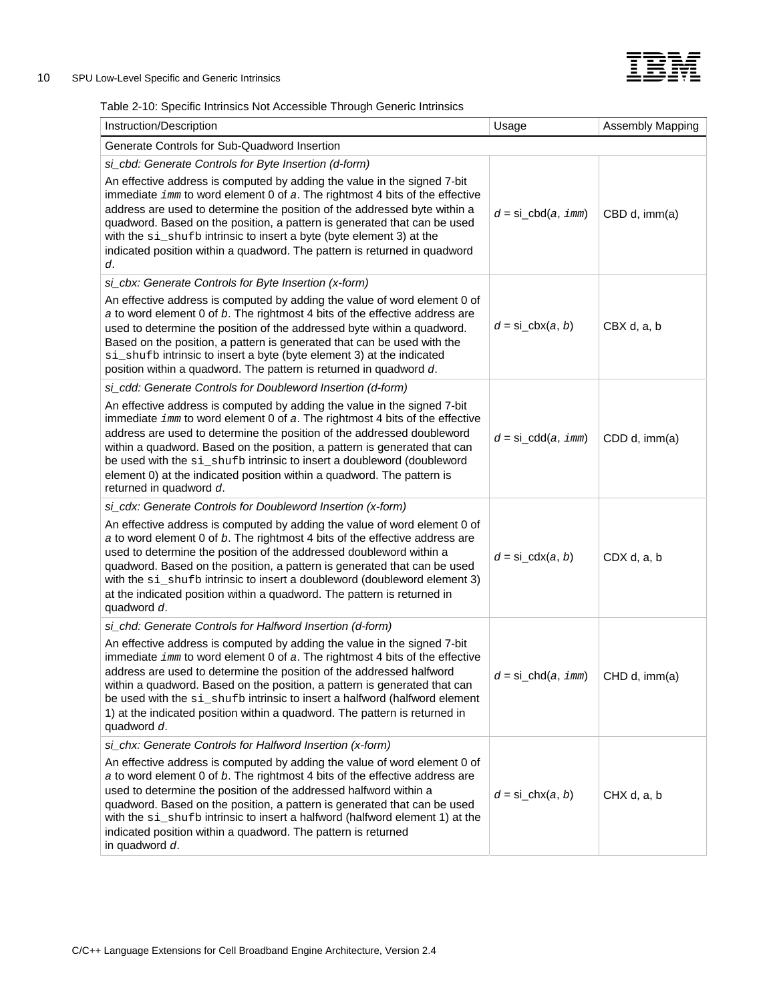

## Table 2-10: Specific Intrinsics Not Accessible Through Generic Intrinsics

| Instruction/Description                                                                                                                                                                                                                                                                                                                                                                                                                                                                                                                                   | Usage                                | Assembly Mapping |
|-----------------------------------------------------------------------------------------------------------------------------------------------------------------------------------------------------------------------------------------------------------------------------------------------------------------------------------------------------------------------------------------------------------------------------------------------------------------------------------------------------------------------------------------------------------|--------------------------------------|------------------|
| Generate Controls for Sub-Quadword Insertion                                                                                                                                                                                                                                                                                                                                                                                                                                                                                                              |                                      |                  |
| si_cbd: Generate Controls for Byte Insertion (d-form)<br>An effective address is computed by adding the value in the signed 7-bit<br>immediate $\lim_{m \to \infty}$ to word element 0 of $a$ . The rightmost 4 bits of the effective<br>address are used to determine the position of the addressed byte within a<br>quadword. Based on the position, a pattern is generated that can be used<br>with the si_shufb intrinsic to insert a byte (byte element 3) at the<br>indicated position within a quadword. The pattern is returned in quadword<br>d. | $d = \text{si\_cbd}(a, \text{imm})$  | CBD d, imm(a)    |
| si_cbx: Generate Controls for Byte Insertion (x-form)                                                                                                                                                                                                                                                                                                                                                                                                                                                                                                     |                                      |                  |
| An effective address is computed by adding the value of word element 0 of<br>$a$ to word element 0 of $b$ . The rightmost 4 bits of the effective address are<br>used to determine the position of the addressed byte within a quadword.<br>Based on the position, a pattern is generated that can be used with the<br>si_shufb intrinsic to insert a byte (byte element 3) at the indicated<br>position within a quadword. The pattern is returned in quadword d.                                                                                        | $d = \sin(bx(a, b))$                 | CBX d, a, b      |
| si_cdd: Generate Controls for Doubleword Insertion (d-form)                                                                                                                                                                                                                                                                                                                                                                                                                                                                                               |                                      |                  |
| An effective address is computed by adding the value in the signed 7-bit<br>immediate $\lim_{m \to \infty}$ to word element 0 of $a$ . The rightmost 4 bits of the effective<br>address are used to determine the position of the addressed doubleword<br>within a quadword. Based on the position, a pattern is generated that can<br>be used with the si_shufb intrinsic to insert a doubleword (doubleword<br>element 0) at the indicated position within a quadword. The pattern is<br>returned in quadword $d$ .                                     | $d = \text{si\_cdd}(a, \text{imm})$  | CDD d, imm(a)    |
| si_cdx: Generate Controls for Doubleword Insertion (x-form)                                                                                                                                                                                                                                                                                                                                                                                                                                                                                               |                                      |                  |
| An effective address is computed by adding the value of word element 0 of<br>$a$ to word element 0 of $b$ . The rightmost 4 bits of the effective address are<br>used to determine the position of the addressed doubleword within a<br>quadword. Based on the position, a pattern is generated that can be used<br>with the si_shufb intrinsic to insert a doubleword (doubleword element 3)<br>at the indicated position within a quadword. The pattern is returned in<br>quadword $d$ .                                                                | $d = \text{si\_cdx}(a, b)$           | CDX d, a, b      |
| si_chd: Generate Controls for Halfword Insertion (d-form)                                                                                                                                                                                                                                                                                                                                                                                                                                                                                                 |                                      |                  |
| An effective address is computed by adding the value in the signed 7-bit<br>immediate $\text{imm}$ to word element 0 of $a$ . The rightmost 4 bits of the effective<br>address are used to determine the position of the addressed halfword<br>within a quadword. Based on the position, a pattern is generated that can<br>be used with the si_shufb intrinsic to insert a halfword (halfword element<br>1) at the indicated position within a quadword. The pattern is returned in<br>quadword $d$ .                                                    | $d = \sin \text{chd}(a, \text{imm})$ | CHD d, imm(a)    |
| si_chx: Generate Controls for Halfword Insertion (x-form)                                                                                                                                                                                                                                                                                                                                                                                                                                                                                                 |                                      |                  |
| An effective address is computed by adding the value of word element 0 of<br>a to word element 0 of b. The rightmost 4 bits of the effective address are<br>used to determine the position of the addressed halfword within a<br>quadword. Based on the position, a pattern is generated that can be used<br>with the si_shufb intrinsic to insert a halfword (halfword element 1) at the<br>indicated position within a quadword. The pattern is returned<br>in quadword $d$ .                                                                           | $d = \sin \text{chx}(a, b)$          | CHX d, a, b      |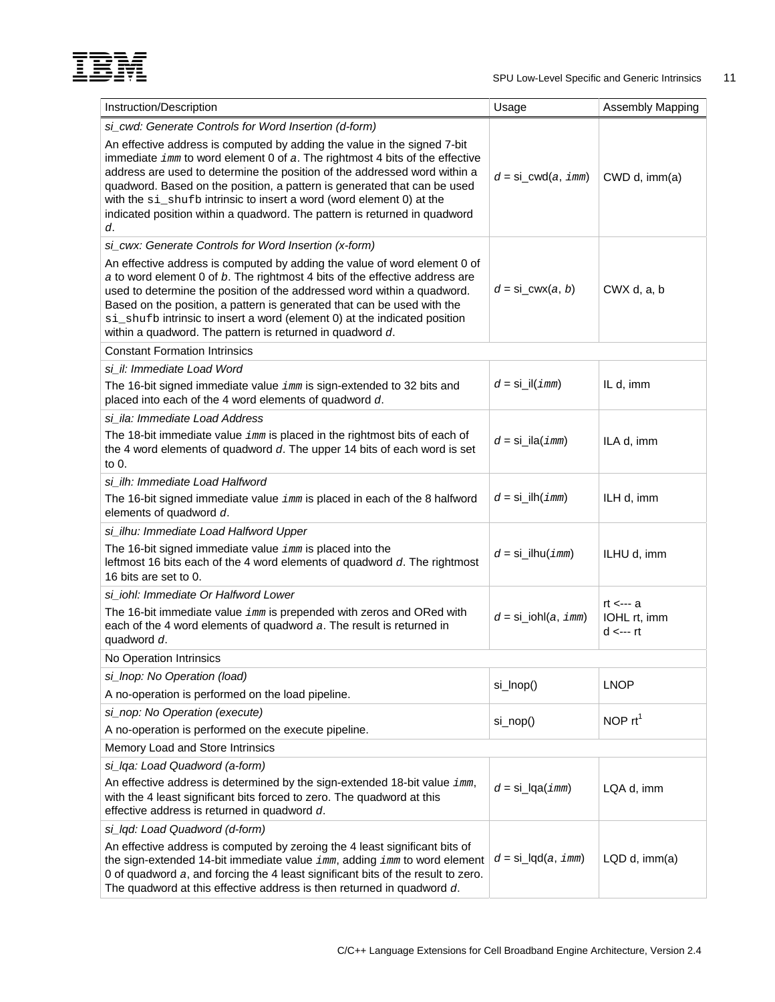

| Instruction/Description                                                                                                                                                                                                                                                                                                                                                                                                                                                                          | Usage                                                   | Assembly Mapping          |
|--------------------------------------------------------------------------------------------------------------------------------------------------------------------------------------------------------------------------------------------------------------------------------------------------------------------------------------------------------------------------------------------------------------------------------------------------------------------------------------------------|---------------------------------------------------------|---------------------------|
| si_cwd: Generate Controls for Word Insertion (d-form)                                                                                                                                                                                                                                                                                                                                                                                                                                            |                                                         |                           |
| An effective address is computed by adding the value in the signed 7-bit<br>immediate $\lim_{m \to \infty}$ to word element 0 of $a$ . The rightmost 4 bits of the effective<br>address are used to determine the position of the addressed word within a<br>quadword. Based on the position, a pattern is generated that can be used<br>with the si_shufb intrinsic to insert a word (word element 0) at the<br>indicated position within a quadword. The pattern is returned in quadword<br>d. | $d = \sin cwd(a, imm)$                                  | CWD d, imm(a)             |
| si_cwx: Generate Controls for Word Insertion (x-form)                                                                                                                                                                                                                                                                                                                                                                                                                                            |                                                         |                           |
| An effective address is computed by adding the value of word element 0 of<br>$a$ to word element 0 of $b$ . The rightmost 4 bits of the effective address are<br>used to determine the position of the addressed word within a quadword.<br>Based on the position, a pattern is generated that can be used with the<br>si_shufb intrinsic to insert a word (element 0) at the indicated position<br>within a quadword. The pattern is returned in quadword $d$ .                                 | $d = \text{si\_cwx}(a, b)$                              | CWX d, a, b               |
| <b>Constant Formation Intrinsics</b>                                                                                                                                                                                                                                                                                                                                                                                                                                                             |                                                         |                           |
| si il: Immediate Load Word<br>The 16-bit signed immediate value imm is sign-extended to 32 bits and<br>placed into each of the 4 word elements of quadword d.                                                                                                                                                                                                                                                                                                                                    | $d = \sin(\text{imm})$                                  | IL d, imm                 |
| si_ila: Immediate Load Address<br>The 18-bit immediate value $\text{imm}$ is placed in the rightmost bits of each of<br>the 4 word elements of quadword $d$ . The upper 14 bits of each word is set<br>to 0.                                                                                                                                                                                                                                                                                     | $d = \sin \left( \frac{i}{m} \right)$                   | ILA d, imm                |
| si_ilh: Immediate Load Halfword                                                                                                                                                                                                                                                                                                                                                                                                                                                                  |                                                         |                           |
| The 16-bit signed immediate value $\lim_{m \to \infty}$ is placed in each of the 8 halfword<br>elements of quadword $d$ .                                                                                                                                                                                                                                                                                                                                                                        | $d = \sin(\text{ilh}(imm))$                             | ILH d, imm                |
| si_ilhu: Immediate Load Halfword Upper                                                                                                                                                                                                                                                                                                                                                                                                                                                           |                                                         |                           |
| The 16-bit signed immediate value $\text{imm}$ is placed into the<br>leftmost 16 bits each of the 4 word elements of quadword $d$ . The rightmost<br>16 bits are set to 0.                                                                                                                                                                                                                                                                                                                       | $d = \sin\left(\frac{i}{m}\right)$                      | ILHU d, imm               |
| si_iohl: Immediate Or Halfword Lower                                                                                                                                                                                                                                                                                                                                                                                                                                                             |                                                         | rt <--- a                 |
| The 16-bit immediate value imm is prepended with zeros and ORed with<br>each of the 4 word elements of quadword a. The result is returned in<br>quadword d.                                                                                                                                                                                                                                                                                                                                      | $d = \sin\left(\alpha, \text{imm}\right)$               | IOHL rt, imm<br>d <--- rt |
| No Operation Intrinsics                                                                                                                                                                                                                                                                                                                                                                                                                                                                          |                                                         |                           |
| si_Inop: No Operation (load)                                                                                                                                                                                                                                                                                                                                                                                                                                                                     | si_Inop()                                               | <b>LNOP</b>               |
| A no-operation is performed on the load pipeline.                                                                                                                                                                                                                                                                                                                                                                                                                                                |                                                         |                           |
| si_nop: No Operation (execute)                                                                                                                                                                                                                                                                                                                                                                                                                                                                   | si_nop()                                                | NOP $rt1$                 |
| A no-operation is performed on the execute pipeline.                                                                                                                                                                                                                                                                                                                                                                                                                                             |                                                         |                           |
| Memory Load and Store Intrinsics                                                                                                                                                                                                                                                                                                                                                                                                                                                                 |                                                         |                           |
| si_lqa: Load Quadword (a-form)                                                                                                                                                                                                                                                                                                                                                                                                                                                                   |                                                         |                           |
| An effective address is determined by the sign-extended 18-bit value imm,<br>with the 4 least significant bits forced to zero. The quadword at this<br>effective address is returned in quadword d.                                                                                                                                                                                                                                                                                              | $d = \sin \left[ \frac{q \cdot \sin \theta}{m} \right]$ | LQA d, imm                |
| si_lqd: Load Quadword (d-form)                                                                                                                                                                                                                                                                                                                                                                                                                                                                   |                                                         |                           |
| An effective address is computed by zeroing the 4 least significant bits of<br>the sign-extended 14-bit immediate value $\text{imm}$ , adding $\text{imm}$ to word element<br>0 of quadword $a$ , and forcing the 4 least significant bits of the result to zero.<br>The quadword at this effective address is then returned in quadword $d$ .                                                                                                                                                   | $d = \sin \left[ \frac{dq}{a}, \text{imm} \right]$      | LQD d, imm(a)             |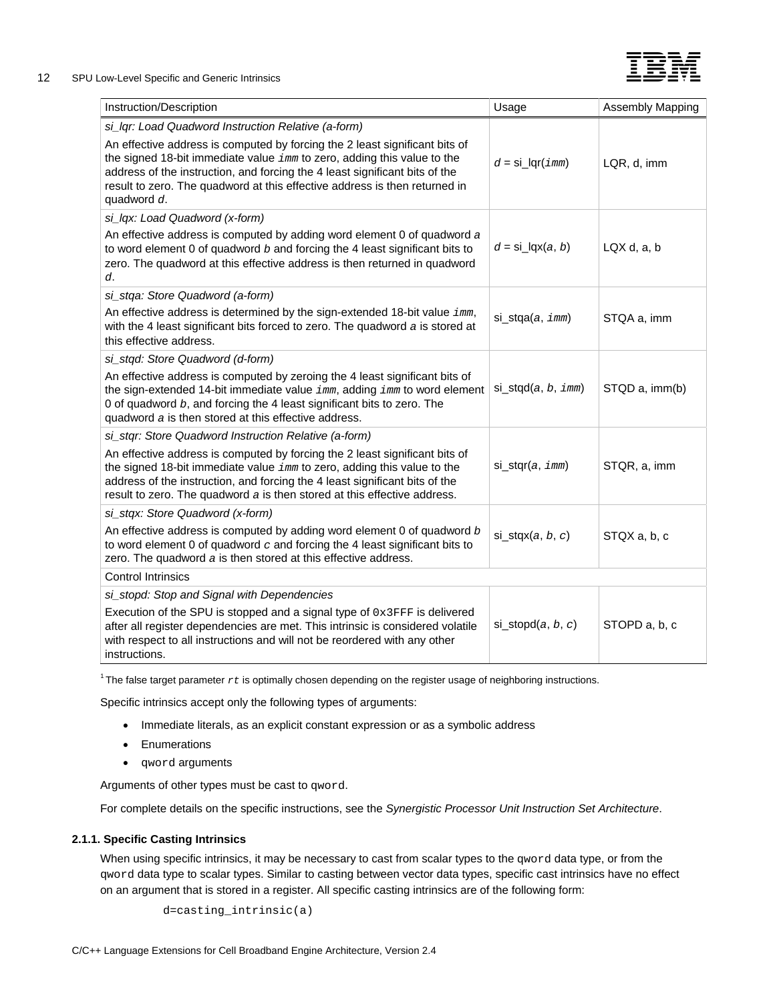

#### 12 SPU Low-Level Specific and Generic Intrinsics

| Instruction/Description                                                                                                                                                                                                                                                                                                                                                                                     | Usage                                       | Assembly Mapping |
|-------------------------------------------------------------------------------------------------------------------------------------------------------------------------------------------------------------------------------------------------------------------------------------------------------------------------------------------------------------------------------------------------------------|---------------------------------------------|------------------|
| si_lqr: Load Quadword Instruction Relative (a-form)<br>An effective address is computed by forcing the 2 least significant bits of<br>the signed 18-bit immediate value $\lim_{m \to \infty}$ to zero, adding this value to the<br>address of the instruction, and forcing the 4 least significant bits of the<br>result to zero. The quadword at this effective address is then returned in<br>quadword d. | $d = \sin \left(\frac{1}{m}\right)$         | LQR, d, imm      |
| si_lqx: Load Quadword (x-form)<br>An effective address is computed by adding word element 0 of quadword a<br>to word element 0 of quadword $b$ and forcing the 4 least significant bits to<br>zero. The quadword at this effective address is then returned in quadword<br>d.                                                                                                                               | $d = \text{si}_\text{a}$ $\text{log}(a, b)$ | $LQX$ d. a. b    |
| si_stqa: Store Quadword (a-form)<br>An effective address is determined by the sign-extended 18-bit value imm,<br>with the 4 least significant bits forced to zero. The quadword $a$ is stored at<br>this effective address.                                                                                                                                                                                 | $si_{star}(a, imm)$                         | STQA a, imm      |
| si_stqd: Store Quadword (d-form)<br>An effective address is computed by zeroing the 4 least significant bits of<br>the sign-extended 14-bit immediate value imm, adding imm to word element<br>0 of quadword b, and forcing the 4 least significant bits to zero. The<br>quadword $a$ is then stored at this effective address.                                                                             | $si\_std(a, b, imm)$                        | STQD a, imm(b)   |
| si_stqr: Store Quadword Instruction Relative (a-form)<br>An effective address is computed by forcing the 2 least significant bits of<br>the signed 18-bit immediate value imm to zero, adding this value to the<br>address of the instruction, and forcing the 4 least significant bits of the<br>result to zero. The quadword $a$ is then stored at this effective address.                                | $si_{str}(a, imm)$                          | STQR, a, imm     |
| si_stqx: Store Quadword (x-form)<br>An effective address is computed by adding word element 0 of quadword b<br>to word element 0 of quadword $c$ and forcing the 4 least significant bits to<br>zero. The quadword $a$ is then stored at this effective address.                                                                                                                                            | $si_{s}$ stqx(a, b, c)                      | STQX a, b, c     |
| Control Intrinsics                                                                                                                                                                                                                                                                                                                                                                                          |                                             |                  |
| si_stopd: Stop and Signal with Dependencies<br>Execution of the SPU is stopped and a signal type of $0x3$ FFF is delivered<br>after all register dependencies are met. This intrinsic is considered volatile<br>with respect to all instructions and will not be reordered with any other<br>instructions.                                                                                                  | si_stopd $(a, b, c)$                        | STOPD a, b, c    |

<sup>1</sup> The false target parameter  $rt$  is optimally chosen depending on the register usage of neighboring instructions.

Specific intrinsics accept only the following types of arguments:

- Immediate literals, as an explicit constant expression or as a symbolic address
- Enumerations
- qword arguments

Arguments of other types must be cast to qword.

For complete details on the specific instructions, see the *Synergistic Processor Unit Instruction Set Architecture*.

#### **2.1.1. Specific Casting Intrinsics**

When using specific intrinsics, it may be necessary to cast from scalar types to the gword data type, or from the qword data type to scalar types. Similar to casting between vector data types, specific cast intrinsics have no effect on an argument that is stored in a register. All specific casting intrinsics are of the following form:

d=casting\_intrinsic(a)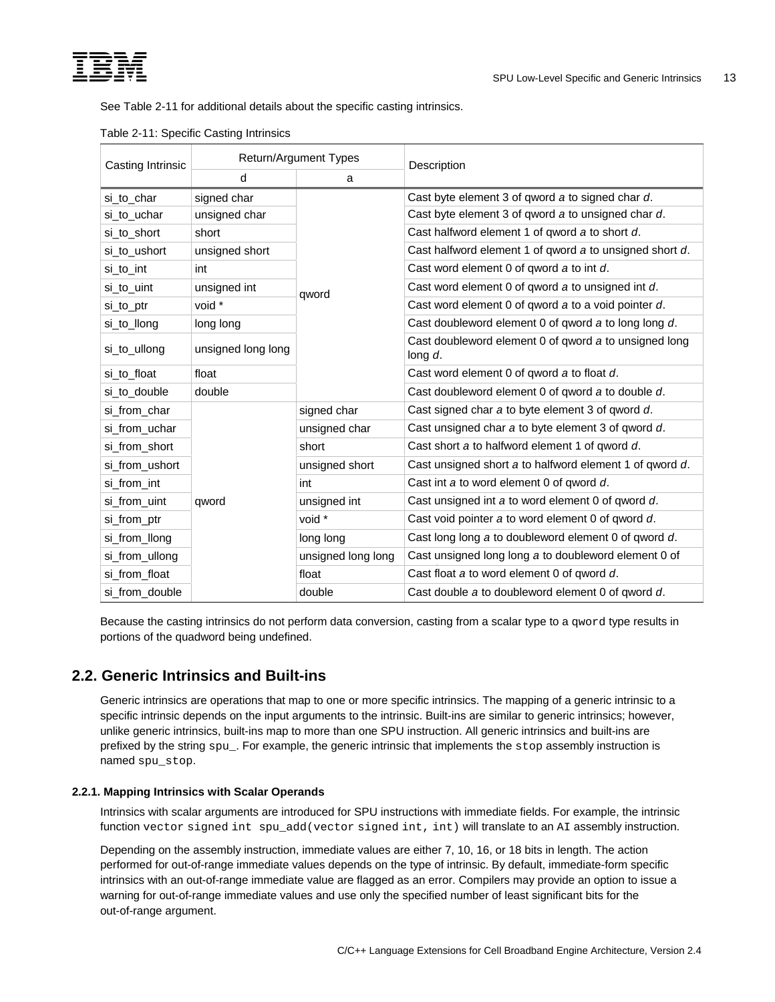

See Table 2-11 for additional details about the specific casting intrinsics.

| Casting Intrinsic | Return/Argument Types |                    | Description                                                           |  |
|-------------------|-----------------------|--------------------|-----------------------------------------------------------------------|--|
|                   | d                     | a                  |                                                                       |  |
| si_to_char        | signed char           |                    | Cast byte element 3 of qword $a$ to signed char $d$ .                 |  |
| si_to_uchar       | unsigned char         |                    | Cast byte element 3 of qword $a$ to unsigned char $d$ .               |  |
| si to short       | short                 |                    | Cast halfword element 1 of qword $a$ to short $d$ .                   |  |
| si_to_ushort      | unsigned short        |                    | Cast halfword element 1 of qword $a$ to unsigned short $d$ .          |  |
| si_to_int         | int                   |                    | Cast word element 0 of qword $a$ to int $d$ .                         |  |
| si to uint        | unsigned int          | qword              | Cast word element 0 of qword $a$ to unsigned int $d$ .                |  |
| si_to_ptr         | void *                |                    | Cast word element 0 of qword $a$ to a void pointer $d$ .              |  |
| si_to_llong       | long long             |                    | Cast doubleword element 0 of qword $a$ to long long $d$ .             |  |
| si_to_ullong      | unsigned long long    |                    | Cast doubleword element 0 of qword $a$ to unsigned long<br>long $d$ . |  |
| si_to_float       | float                 |                    | Cast word element 0 of qword a to float d.                            |  |
| si to double      | double                |                    | Cast doubleword element 0 of qword $a$ to double $d$ .                |  |
| si_from_char      |                       | signed char        | Cast signed char $a$ to byte element 3 of qword $d$ .                 |  |
| si from uchar     |                       | unsigned char      | Cast unsigned char a to byte element 3 of qword d.                    |  |
| si_from_short     |                       | short              | Cast short $a$ to halfword element 1 of qword $d$ .                   |  |
| si from ushort    |                       | unsigned short     | Cast unsigned short $a$ to halfword element 1 of qword $d$ .          |  |
| si_from_int       |                       | int                | Cast int a to word element 0 of qword $d$ .                           |  |
| si_from_uint      | qword                 | unsigned int       | Cast unsigned int $a$ to word element 0 of qword $d$ .                |  |
| si_from_ptr       |                       | void *             | Cast void pointer a to word element 0 of qword $d$ .                  |  |
| si_from_llong     |                       | long long          | Cast long long a to doubleword element 0 of qword $d$ .               |  |
| si_from_ullong    |                       | unsigned long long | Cast unsigned long long $a$ to doubleword element 0 of                |  |
| si_from_float     |                       | float              | Cast float $a$ to word element 0 of qword $d$ .                       |  |
| si_from_double    |                       | double             | Cast double $a$ to doubleword element 0 of qword $d$ .                |  |

Table 2-11: Specific Casting Intrinsics

Because the casting intrinsics do not perform data conversion, casting from a scalar type to a qword type results in portions of the quadword being undefined.

## **2.2. Generic Intrinsics and Built-ins**

Generic intrinsics are operations that map to one or more specific intrinsics. The mapping of a generic intrinsic to a specific intrinsic depends on the input arguments to the intrinsic. Built-ins are similar to generic intrinsics; however, unlike generic intrinsics, built-ins map to more than one SPU instruction. All generic intrinsics and built-ins are prefixed by the string spu\_. For example, the generic intrinsic that implements the stop assembly instruction is named spu\_stop.

#### **2.2.1. Mapping Intrinsics with Scalar Operands**

Intrinsics with scalar arguments are introduced for SPU instructions with immediate fields. For example, the intrinsic function vector signed int spu\_add(vector signed int, int) will translate to an AI assembly instruction.

Depending on the assembly instruction, immediate values are either 7, 10, 16, or 18 bits in length. The action performed for out-of-range immediate values depends on the type of intrinsic. By default, immediate-form specific intrinsics with an out-of-range immediate value are flagged as an error. Compilers may provide an option to issue a warning for out-of-range immediate values and use only the specified number of least significant bits for the out-of-range argument.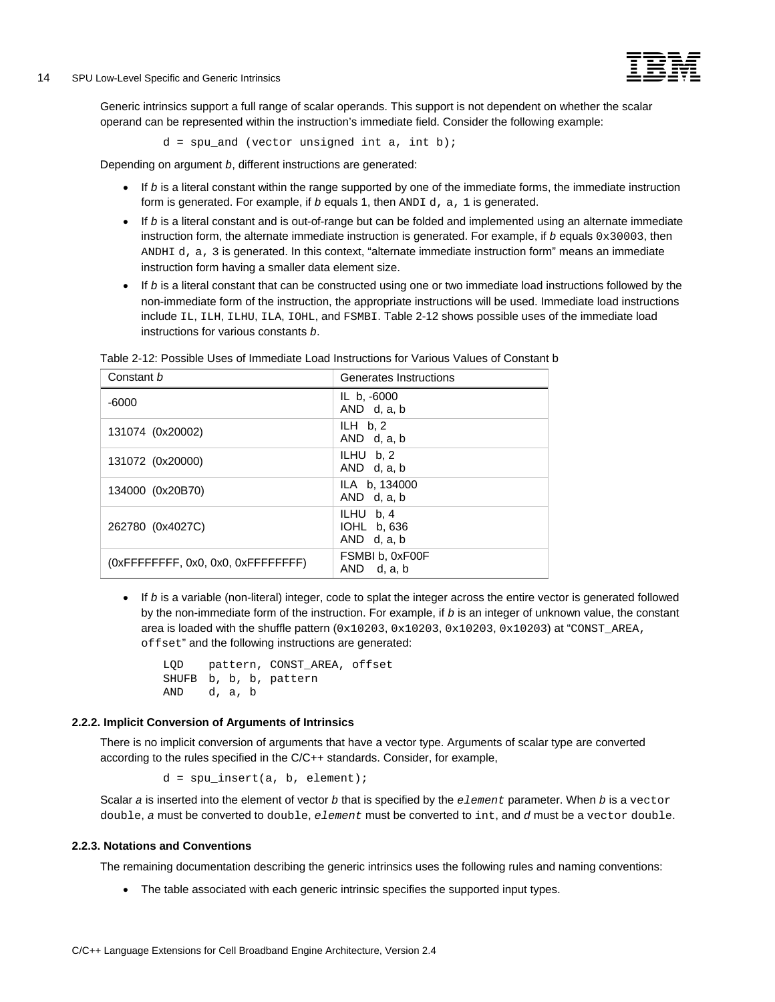

Generic intrinsics support a full range of scalar operands. This support is not dependent on whether the scalar operand can be represented within the instruction's immediate field. Consider the following example:

 $d = spu_and (vector unsigned int a, int b);$ 

Depending on argument *b*, different instructions are generated:

- If *b* is a literal constant within the range supported by one of the immediate forms, the immediate instruction form is generated. For example, if *b* equals 1, then ANDI d, a, 1 is generated.
- If *b* is a literal constant and is out-of-range but can be folded and implemented using an alternate immediate instruction form, the alternate immediate instruction is generated. For example, if *b* equals 0x30003, then ANDHI d, a, 3 is generated. In this context, "alternate immediate instruction form" means an immediate instruction form having a smaller data element size.
- If *b* is a literal constant that can be constructed using one or two immediate load instructions followed by the non-immediate form of the instruction, the appropriate instructions will be used. Immediate load instructions include IL, ILH, ILHU, ILA, IOHL, and FSMBI. Table 2-12 shows possible uses of the immediate load instructions for various constants *b*.

| Constant b                          | Generates Instructions                    |
|-------------------------------------|-------------------------------------------|
| $-6000$                             | IL $b. -6000$<br>$AND$ d, a, b            |
| 131074 (0x20002)                    | ILH $b, 2$<br>$AND$ d, a, b               |
| 131072 (0x20000)                    | ILHU $b, 2$<br>$AND$ d, a, b              |
| 134000 (0x20B70)                    | ILA b, 134000<br>$AND$ d, a, b            |
| 262780 (0x4027C)                    | ILHU b, 4<br>IOHL b, 636<br>$AND$ d, a, b |
| (OxFFFFFFFF, 0x0, 0x0, 0xFFFFFFFFF) | FSMBI b, 0xF00F<br>$AND$ d, a, b          |

Table 2-12: Possible Uses of Immediate Load Instructions for Various Values of Constant b

If  $b$  is a variable (non-literal) integer, code to splat the integer across the entire vector is generated followed by the non-immediate form of the instruction. For example, if *b* is an integer of unknown value, the constant area is loaded with the shuffle pattern  $(0x10203, 0x10203, 0x10203, 0x10203)$  at "CONST\_AREA, offset" and the following instructions are generated:

LQD pattern, CONST\_AREA, offset SHUFB b, b, b, pattern AND d, a, b

#### **2.2.2. Implicit Conversion of Arguments of Intrinsics**

There is no implicit conversion of arguments that have a vector type. Arguments of scalar type are converted according to the rules specified in the C/C++ standards. Consider, for example,

d = spu\_insert(a, b, element);

Scalar *a* is inserted into the element of vector *b* that is specified by the *element* parameter. When *b* is a vector double, *a* must be converted to double, *element* must be converted to int, and *d* must be a vector double.

#### **2.2.3. Notations and Conventions**

The remaining documentation describing the generic intrinsics uses the following rules and naming conventions:

• The table associated with each generic intrinsic specifies the supported input types.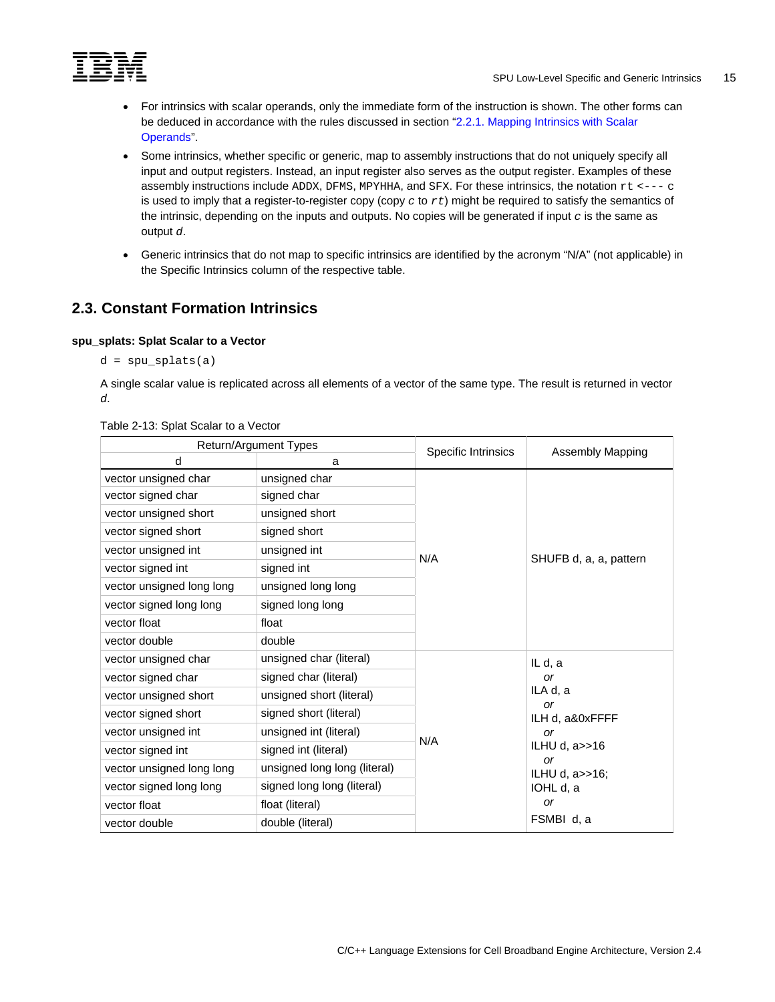

- For intrinsics with scalar operands, only the immediate form of the instruction is shown. The other forms can be deduced in accordance with the rules discussed in section "2.2.1. Mapping Intrinsics with Scalar Operands".
- Some intrinsics, whether specific or generic, map to assembly instructions that do not uniquely specify all input and output registers. Instead, an input register also serves as the output register. Examples of these assembly instructions include ADDX, DFMS, MPYHHA, and SFX. For these intrinsics, the notation rt <--- c is used to imply that a register-to-register copy (copy *c* to *rt*) might be required to satisfy the semantics of the intrinsic, depending on the inputs and outputs. No copies will be generated if input *c* is the same as output *d*.
- Generic intrinsics that do not map to specific intrinsics are identified by the acronym "N/A" (not applicable) in the Specific Intrinsics column of the respective table.

## **2.3. Constant Formation Intrinsics**

#### **spu\_splats: Splat Scalar to a Vector**

 $d = spu_splats(a)$ 

A single scalar value is replicated across all elements of a vector of the same type. The result is returned in vector *d*.

| Return/Argument Types                        |                              | <b>Specific Intrinsics</b> | Assembly Mapping                                                                                                                     |  |
|----------------------------------------------|------------------------------|----------------------------|--------------------------------------------------------------------------------------------------------------------------------------|--|
| d                                            | a                            |                            |                                                                                                                                      |  |
| vector unsigned char                         | unsigned char                |                            |                                                                                                                                      |  |
| vector signed char                           | signed char                  |                            |                                                                                                                                      |  |
| vector unsigned short                        | unsigned short               |                            |                                                                                                                                      |  |
| vector signed short                          | signed short                 |                            |                                                                                                                                      |  |
| vector unsigned int                          | unsigned int<br>N/A          |                            |                                                                                                                                      |  |
| vector signed int                            | signed int                   |                            | SHUFB d, a, a, pattern                                                                                                               |  |
| vector unsigned long long                    | unsigned long long           |                            |                                                                                                                                      |  |
| vector signed long long                      | signed long long             |                            |                                                                                                                                      |  |
| vector float                                 | float                        |                            |                                                                                                                                      |  |
| vector double                                | double                       |                            |                                                                                                                                      |  |
| vector unsigned char                         | unsigned char (literal)      |                            | IL d, a                                                                                                                              |  |
| vector signed char                           | signed char (literal)        | N/A                        | or<br>ILA d, a<br>or<br>ILH d. a&0xFFFF<br><b>or</b><br>ILHU d, $a \rightarrow 16$<br>or<br>ILHU d, a>>16;<br>IOHL d. a<br><b>or</b> |  |
| vector unsigned short<br>vector signed short | unsigned short (literal)     |                            |                                                                                                                                      |  |
|                                              | signed short (literal)       |                            |                                                                                                                                      |  |
| vector unsigned int                          | unsigned int (literal)       |                            |                                                                                                                                      |  |
| vector signed int                            | signed int (literal)         |                            |                                                                                                                                      |  |
| vector unsigned long long                    | unsigned long long (literal) |                            |                                                                                                                                      |  |
| vector signed long long                      | signed long long (literal)   |                            |                                                                                                                                      |  |
| vector float                                 | float (literal)              |                            |                                                                                                                                      |  |
| vector double                                | double (literal)             |                            | FSMBI d.a                                                                                                                            |  |

#### Table 2-13: Splat Scalar to a Vector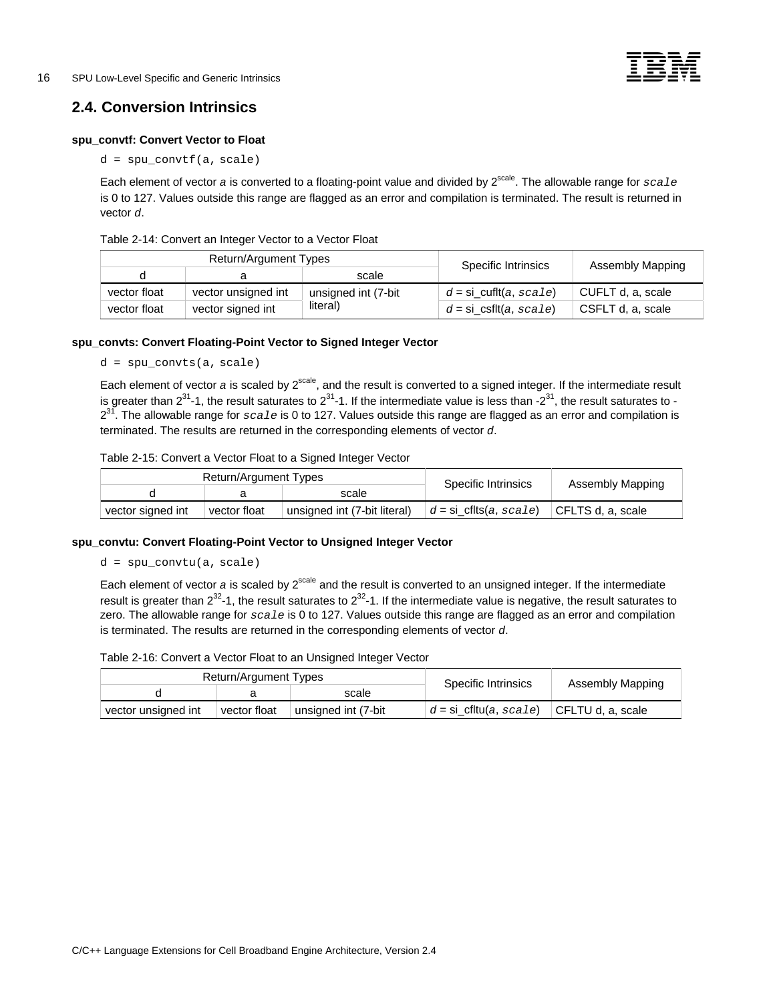

## **2.4. Conversion Intrinsics**

#### **spu\_convtf: Convert Vector to Float**

#### d = spu\_convtf(a, scale)

Each element of vector *a* is converted to a floating-point value and divided by 2<sup>scale</sup>. The allowable range for *scale* is 0 to 127. Values outside this range are flagged as an error and compilation is terminated. The result is returned in vector *d*.

#### Table 2-14: Convert an Integer Vector to a Vector Float

| Return/Argument Types |                     |                                 | Specific Intrinsics              | Assembly Mapping  |
|-----------------------|---------------------|---------------------------------|----------------------------------|-------------------|
|                       |                     | scale                           |                                  |                   |
| vector float          | vector unsigned int | unsigned int (7-bit<br>literal) | $d = \text{si\_cufft}(a, scale)$ | CUFLT d. a. scale |
| vector float          | vector signed int   |                                 | $d = \text{si\_csfft}(a, scale)$ | CSFLT d. a. scale |

#### **spu\_convts: Convert Floating-Point Vector to Signed Integer Vector**

d = spu\_convts(a, scale)

Each element of vector *a* is scaled by 2<sup>scale</sup>, and the result is converted to a signed integer. If the intermediate result is greater than  $2^{31}$ -1, the result saturates to  $2^{31}$ -1. If the intermediate value is less than  $-2^{31}$ , the result saturates to -2<sup>31</sup>. The allowable range for *scale* is 0 to 127. Values outside this range are flagged as an error and compilation is terminated. The results are returned in the corresponding elements of vector *d*.

Table 2-15: Convert a Vector Float to a Signed Integer Vector

| Return/Argument Types |                   | Specific Intrinsics | Assembly Mapping             |                          |                   |
|-----------------------|-------------------|---------------------|------------------------------|--------------------------|-------------------|
|                       |                   |                     | scale                        |                          |                   |
|                       | vector signed int | vector float        | unsigned int (7-bit literal) | $d =$ si_cflts(a, scale) | CFLTS d. a. scale |

#### **spu\_convtu: Convert Floating-Point Vector to Unsigned Integer Vector**

#### d = spu\_convtu(a, scale)

Each element of vector *a* is scaled by 2<sup>scale</sup> and the result is converted to an unsigned integer. If the intermediate result is greater than  $2^{32}$ -1, the result saturates to  $2^{32}$ -1. If the intermediate value is negative, the result saturates to zero. The allowable range for *scale* is 0 to 127. Values outside this range are flagged as an error and compilation is terminated. The results are returned in the corresponding elements of vector *d*.

Table 2-16: Convert a Vector Float to an Unsigned Integer Vector

| Return/Argument Types |              |                      | Specific Intrinsics             | Assembly Mapping  |
|-----------------------|--------------|----------------------|---------------------------------|-------------------|
|                       |              | scale                |                                 |                   |
| vector unsigned int   | vector float | unsigned int (7-bit) | $d = \text{si Cfltu}(a, scale)$ | CFLTU d. a. scale |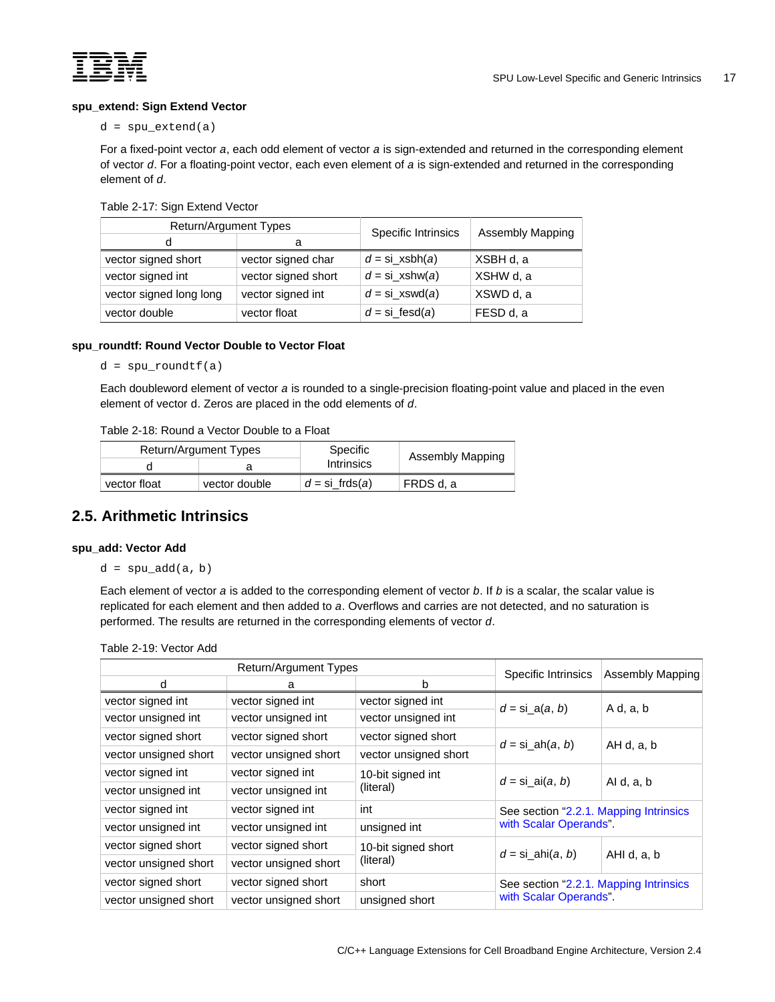

## **spu\_extend: Sign Extend Vector**

 $d = spu\_extend(a)$ 

For a fixed-point vector *a*, each odd element of vector *a* is sign-extended and returned in the corresponding element of vector *d*. For a floating-point vector, each even element of *a* is sign-extended and returned in the corresponding element of *d*.

Table 2-17: Sign Extend Vector

| Return/Argument Types   |                     | <b>Specific Intrinsics</b> | Assembly Mapping |  |
|-------------------------|---------------------|----------------------------|------------------|--|
| d                       | a                   |                            |                  |  |
| vector signed short     | vector signed char  | $d = \sin x \sin(a)$       | XSBH d, a        |  |
| vector signed int       | vector signed short | $d = \sin x \sin w(a)$     | XSHW d, a        |  |
| vector signed long long | vector signed int   | $d = \sin x \text{swd}(a)$ | XSWD d, a        |  |
| vector double           | vector float        | $d = \text{si\_fesd}(a)$   | FESD d, a        |  |

## **spu\_roundtf: Round Vector Double to Vector Float**

```
d = spu_rcount(f(a))
```
Each doubleword element of vector *a* is rounded to a single-precision floating-point value and placed in the even element of vector d. Zeros are placed in the odd elements of *d*.

Table 2-18: Round a Vector Double to a Float

|              | Return/Argument Types | Specific          | Assembly Mapping |  |
|--------------|-----------------------|-------------------|------------------|--|
|              |                       | <b>Intrinsics</b> |                  |  |
| vector float | vector double         | $d = si$ frds(a)  | FRDS d. a        |  |

# **2.5. Arithmetic Intrinsics**

## **spu\_add: Vector Add**

 $d = spu\_add(a, b)$ 

Each element of vector *a* is added to the corresponding element of vector *b*. If *b* is a scalar, the scalar value is replicated for each element and then added to *a*. Overflows and carries are not detected, and no saturation is performed. The results are returned in the corresponding elements of vector *d*.

|  |  | Table 2-19: Vector Add |  |
|--|--|------------------------|--|
|--|--|------------------------|--|

|                       | Return/Argument Types |                       |                                        | Assembly Mapping                       |  |
|-----------------------|-----------------------|-----------------------|----------------------------------------|----------------------------------------|--|
| d                     | a                     | b                     | Specific Intrinsics                    |                                        |  |
| vector signed int     | vector signed int     | vector signed int     | $d = \sin_a(a, b)$                     | A d, a, b                              |  |
| vector unsigned int   | vector unsigned int   | vector unsigned int   |                                        |                                        |  |
| vector signed short   | vector signed short   | vector signed short   | $d = \sin{ah(a, b)}$                   | AH d, a, b                             |  |
| vector unsigned short | vector unsigned short | vector unsigned short |                                        |                                        |  |
| vector signed int     | vector signed int     | 10-bit signed int     | $d = \text{si\_ai}(a, b)$              | Al d, a, b                             |  |
| vector unsigned int   | vector unsigned int   | (literal)             |                                        |                                        |  |
| vector signed int     | vector signed int     | int                   |                                        | See section "2.2.1. Mapping Intrinsics |  |
| vector unsigned int   | vector unsigned int   | unsigned int          | with Scalar Operands".                 |                                        |  |
| vector signed short   | vector signed short   | 10-bit signed short   | $d = \sin \phi(a, b)$                  | AHI d, a, b                            |  |
| vector unsigned short | vector unsigned short | (literal)             |                                        |                                        |  |
| vector signed short   | vector signed short   | short                 | See section "2.2.1. Mapping Intrinsics |                                        |  |
| vector unsigned short | vector unsigned short | unsigned short        | with Scalar Operands".                 |                                        |  |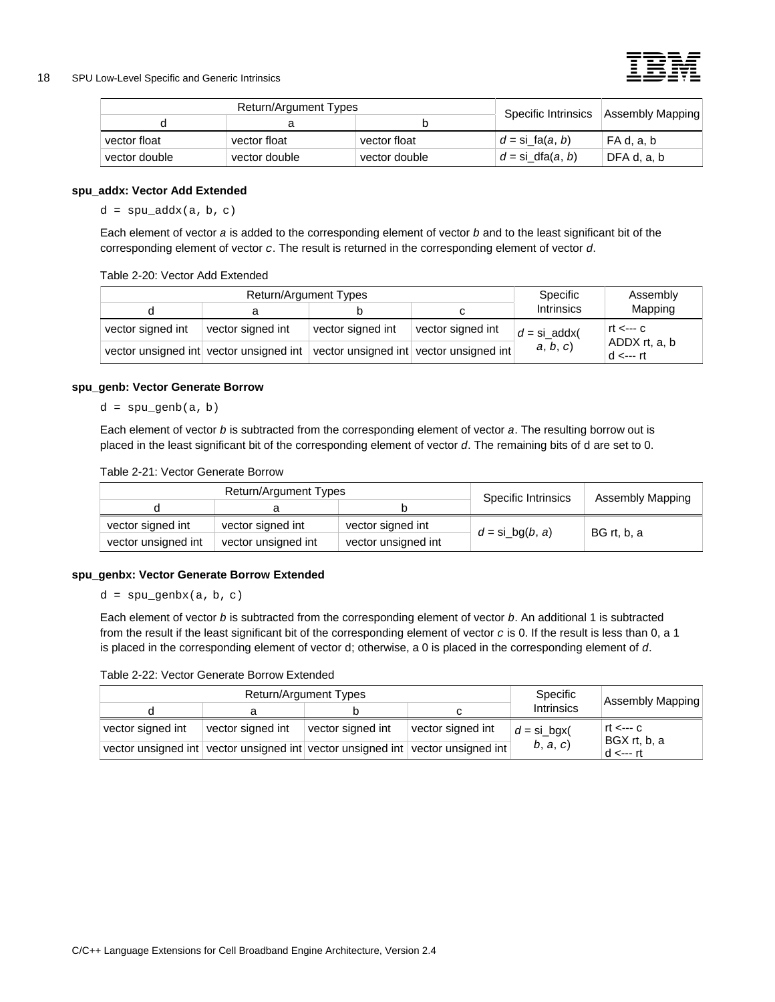

| Return/Argument Types |               |               | Specific Intrinsics         | Assembly Mapping |  |
|-----------------------|---------------|---------------|-----------------------------|------------------|--|
|                       |               |               |                             |                  |  |
| vector float          | vector float  | vector float  | $d = \text{si}$ fa(a, b)    | FA d. a. b       |  |
| vector double         | vector double | vector double | $d = \text{si}_d$ dfa(a, b) | DFA d, a, b      |  |

#### **spu\_addx: Vector Add Extended**

 $d = spu$   $addx(a, b, c)$ 

Each element of vector *a* is added to the corresponding element of vector *b* and to the least significant bit of the corresponding element of vector *c*. The result is returned in the corresponding element of vector *d*.

Table 2-20: Vector Add Extended

| Return/Argument Types |                                                                                 |                   |                   | Specific                | Assembly                             |
|-----------------------|---------------------------------------------------------------------------------|-------------------|-------------------|-------------------------|--------------------------------------|
|                       |                                                                                 |                   |                   | <b>Intrinsics</b>       | Mapping                              |
| vector signed int     | vector signed int                                                               | vector signed int | vector signed int | $d = \sin \theta$ addx( | rt <--- c                            |
|                       | vector unsigned int vector unsigned int vector unsigned int vector unsigned int |                   |                   | a, b, c                 | ADDX rt, a, b<br>$d \leftarrow -r$ t |

#### **spu\_genb: Vector Generate Borrow**

 $d = spu\_genb(a, b)$ 

Each element of vector *b* is subtracted from the corresponding element of vector *a*. The resulting borrow out is placed in the least significant bit of the corresponding element of vector *d*. The remaining bits of d are set to 0.

## Table 2-21: Vector Generate Borrow

|                     | Return/Argument Types | Specific Intrinsics | Assembly Mapping |             |  |
|---------------------|-----------------------|---------------------|------------------|-------------|--|
|                     |                       |                     |                  |             |  |
| vector signed int   | vector signed int     | vector signed int   | $d = \sin(b, a)$ | BG rt, b, a |  |
| vector unsigned int | vector unsigned int   | vector unsigned int |                  |             |  |

### **spu\_genbx: Vector Generate Borrow Extended**

 $d = spu\_genbx(a, b, c)$ 

Each element of vector *b* is subtracted from the corresponding element of vector *b*. An additional 1 is subtracted from the result if the least significant bit of the corresponding element of vector *c* is 0. If the result is less than 0, a 1 is placed in the corresponding element of vector d; otherwise, a 0 is placed in the corresponding element of *d*.

Table 2-22: Vector Generate Borrow Extended

| Return/Argument Types |                   |                   |                                                                                 | Specific                 | <b>Assembly Mapping</b>   |
|-----------------------|-------------------|-------------------|---------------------------------------------------------------------------------|--------------------------|---------------------------|
|                       |                   |                   |                                                                                 | Intrinsics               |                           |
| vector signed int     | vector signed int | vector signed int | vector signed int                                                               | $d = \frac{\sinh(y)}{g}$ | rt <--- c<br>BGX rt, b, a |
|                       |                   |                   | vector unsigned int vector unsigned int vector unsigned int vector unsigned int | b, a, c                  | $d \leftarrow -r$ t       |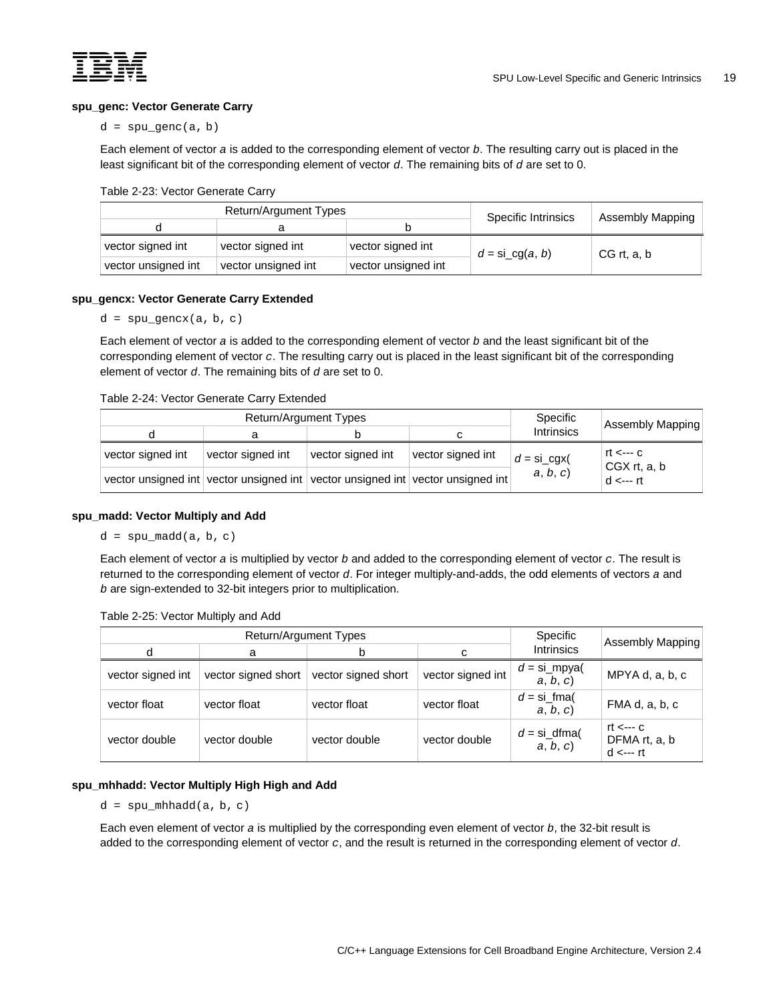

## **spu\_genc: Vector Generate Carry**

 $d = spu\_genc(a, b)$ 

Each element of vector *a* is added to the corresponding element of vector *b*. The resulting carry out is placed in the least significant bit of the corresponding element of vector *d*. The remaining bits of *d* are set to 0.

Table 2-23: Vector Generate Carry

| Return/Argument Types |                     |                     | Specific Intrinsics       | Assembly Mapping |  |
|-----------------------|---------------------|---------------------|---------------------------|------------------|--|
|                       |                     |                     |                           |                  |  |
| vector signed int     | vector signed int   | vector signed int   | $d = \text{si\_cg}(a, b)$ | $CG$ rt, $a, b$  |  |
| vector unsigned int   | vector unsigned int | vector unsigned int |                           |                  |  |

## **spu\_gencx: Vector Generate Carry Extended**

```
d = spu\_gencx(a, b, c)
```
Each element of vector *a* is added to the corresponding element of vector *b* and the least significant bit of the corresponding element of vector *c*. The resulting carry out is placed in the least significant bit of the corresponding element of vector *d*. The remaining bits of *d* are set to 0.

Table 2-24: Vector Generate Carry Extended

| Return/Argument Types |                                                                                 |                   |                   | Specific                        | Assembly Mapping                  |
|-----------------------|---------------------------------------------------------------------------------|-------------------|-------------------|---------------------------------|-----------------------------------|
|                       |                                                                                 |                   |                   | <b>Intrinsics</b>               |                                   |
| vector signed int     | vector signed int                                                               | vector signed int | vector signed int | $d = \text{si\_cgx}$<br>a, b, c | rt <--- c                         |
|                       | vector unsigned int vector unsigned int vector unsigned int vector unsigned int |                   |                   |                                 | CGX rt, a, b<br>$d \leftarrow -r$ |

## **spu\_madd: Vector Multiply and Add**

 $d = spu_madd(a, b, c)$ 

Each element of vector *a* is multiplied by vector *b* and added to the corresponding element of vector *c*. The result is returned to the corresponding element of vector *d*. For integer multiply-and-adds, the odd elements of vectors *a* and *b* are sign-extended to 32-bit integers prior to multiplication.

| Return/Argument Types |                     |                     |                   | Specific                     | Assembly Mapping                                    |  |
|-----------------------|---------------------|---------------------|-------------------|------------------------------|-----------------------------------------------------|--|
| d                     | a                   | b                   | c                 | Intrinsics                   |                                                     |  |
| vector signed int     | vector signed short | vector signed short | vector signed int | $d = \sin m$ pya(<br>a, b, c | MPYA d, a, b, c                                     |  |
| vector float          | vector float        | vector float        | vector float      | $d = \sin f$ ma(<br>a, b, c  | FMA d, a, b, c                                      |  |
| vector double         | vector double       | vector double       | vector double     | $d = \sin{dfma}$<br>a, b, c  | rt <--- c<br>DFMA rt, a, b<br>$d \leftarrow$ --- rt |  |

Table 2-25: Vector Multiply and Add

# **spu\_mhhadd: Vector Multiply High High and Add**

 $d = spu_mhhadd(a, b, c)$ 

Each even element of vector *a* is multiplied by the corresponding even element of vector *b*, the 32-bit result is added to the corresponding element of vector *c*, and the result is returned in the corresponding element of vector *d*.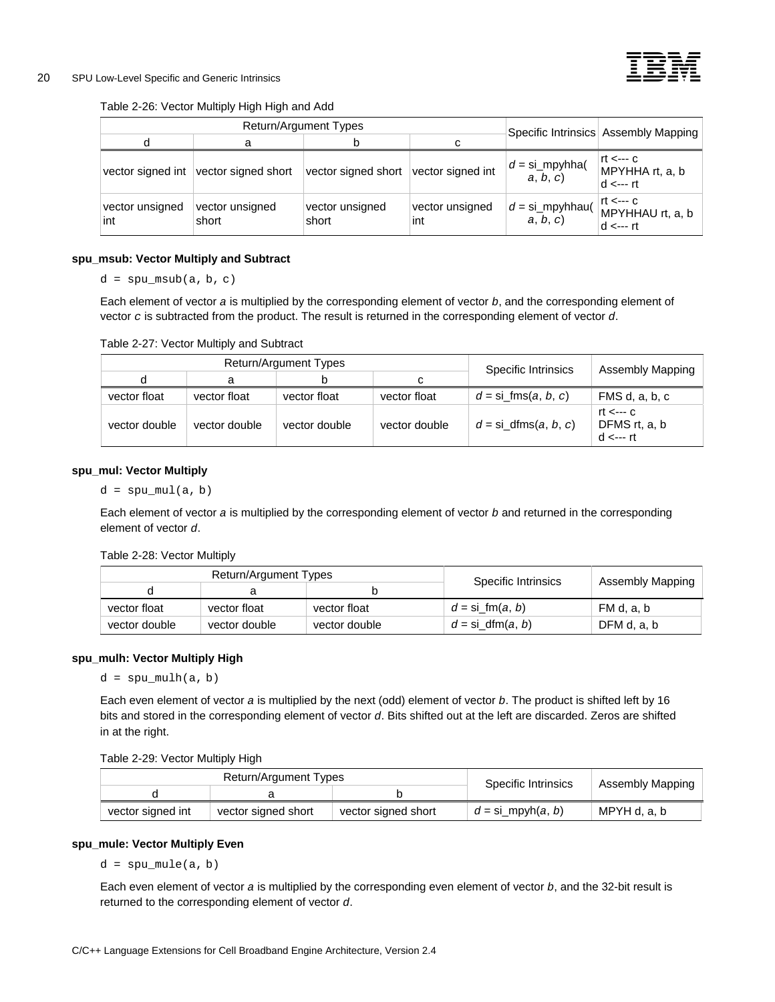## Table 2-26: Vector Multiply High High and Add

| Return/Argument Types  |                          |                          |                        | Specific Intrinsics Assembly Mapping          |                                                        |  |
|------------------------|--------------------------|--------------------------|------------------------|-----------------------------------------------|--------------------------------------------------------|--|
|                        | a                        |                          | с                      |                                               |                                                        |  |
| vector signed int      | vector signed short      | vector signed short      | vector signed int      | $d = \sin\left(m\right)$<br>a, b, c           | rt <--- c<br>MPYHHA rt, a, b<br>$d \leftarrow -r$      |  |
| vector unsigned<br>int | vector unsigned<br>short | vector unsigned<br>short | vector unsigned<br>int | $d = \sin\left(\frac{1}{2}\right)$<br>a, b, c | rt <--- c<br>MPYHHAU rt, a, b<br>$d \leftarrow$ --- rt |  |

## **spu\_msub: Vector Multiply and Subtract**

 $d = spu_msub(a, b, c)$ 

Each element of vector *a* is multiplied by the corresponding element of vector *b*, and the corresponding element of vector *c* is subtracted from the product. The result is returned in the corresponding element of vector *d*.

Table 2-27: Vector Multiply and Subtract

|               | Return/Argument Types | Specific Intrinsics | Assembly Mapping |                                |                                                 |
|---------------|-----------------------|---------------------|------------------|--------------------------------|-------------------------------------------------|
|               | а                     |                     | C                |                                |                                                 |
| vector float  | vector float          | vector float        | vector float     | $d = \text{si}$ fms(a, b, c)   | FMS d, a, b, c                                  |
| vector double | vector double         | vector double       | vector double    | $d = \text{si\_dfms}(a, b, c)$ | rt <--- c<br>DFMS rt, a, b<br>$d \leftarrow -r$ |

## **spu\_mul: Vector Multiply**

 $d = spu_mull(a, b)$ 

Each element of vector *a* is multiplied by the corresponding element of vector *b* and returned in the corresponding element of vector *d*.

## Table 2-28: Vector Multiply

| Return/Argument Types |               |               | Specific Intrinsics   | Assembly Mapping |
|-----------------------|---------------|---------------|-----------------------|------------------|
|                       |               |               |                       |                  |
| vector float          | vector float  | vector float  | $d = \sin fm(a, b)$   | FM d. a. b       |
| vector double         | vector double | vector double | $d = \sin{dfm(a, b)}$ | DFM d, a, b      |

## **spu\_mulh: Vector Multiply High**

 $d = spu_mulh(a, b)$ 

Each even element of vector *a* is multiplied by the next (odd) element of vector *b*. The product is shifted left by 16 bits and stored in the corresponding element of vector *d*. Bits shifted out at the left are discarded. Zeros are shifted in at the right.

|                   | Return/Argument Types | Specific Intrinsics | Assembly Mapping       |              |
|-------------------|-----------------------|---------------------|------------------------|--------------|
|                   |                       |                     |                        |              |
| vector signed int | vector signed short   | vector signed short | $d = \sin(mnyh(a, b))$ | MPYH d, a, b |

#### **spu\_mule: Vector Multiply Even**

 $d = spu_mule(a, b)$ 

Each even element of vector *a* is multiplied by the corresponding even element of vector *b*, and the 32-bit result is returned to the corresponding element of vector *d*.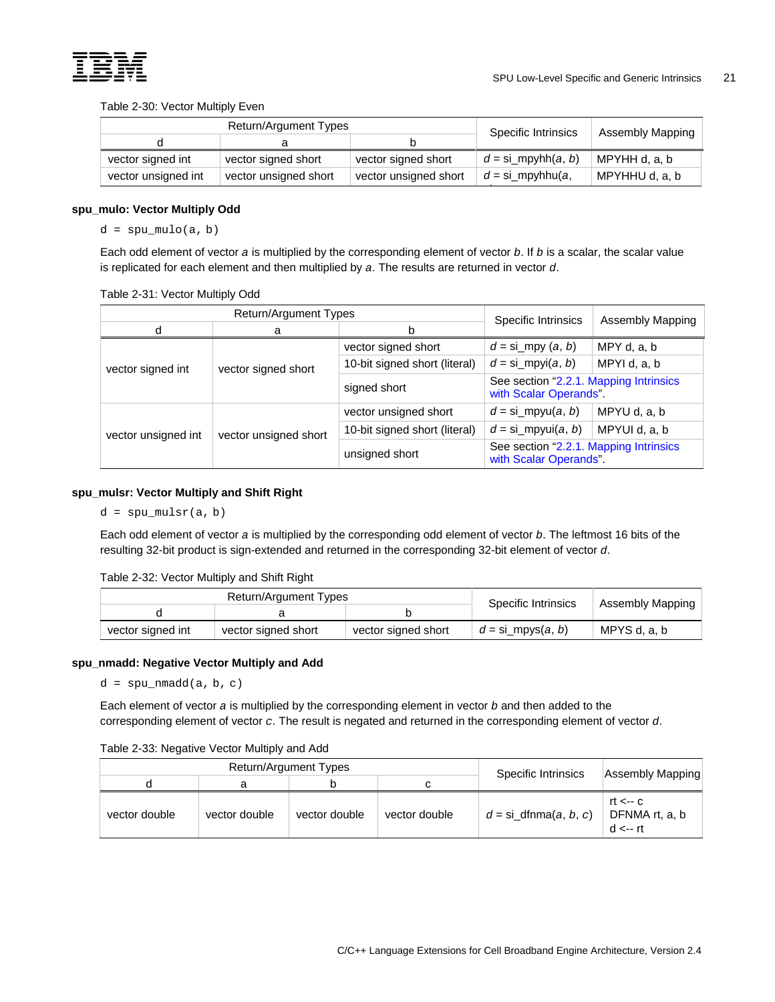

## Table 2-30: Vector Multiply Even

| Return/Argument Types |                       |                       | Specific Intrinsics                | <b>Assembly Mapping</b> |
|-----------------------|-----------------------|-----------------------|------------------------------------|-------------------------|
|                       |                       |                       |                                    |                         |
| vector signed int     | vector signed short   | vector signed short   | $d = \sin m$ mpyhh $(a, b)$        | MPYHH d. a. b           |
| vector unsigned int   | vector unsigned short | vector unsigned short | $d = \sin\left(\frac{m}{2}\right)$ | MPYHHU d, a, b          |

)

## **spu\_mulo: Vector Multiply Odd**

 $d = spu_mulo(a, b)$ 

Each odd element of vector *a* is multiplied by the corresponding element of vector *b*. If *b* is a scalar, the scalar value is replicated for each element and then multiplied by *a*. The results are returned in vector *d*.

#### Table 2-31: Vector Multiply Odd

| Return/Argument Types |                       |                               | <b>Specific Intrinsics</b>                                       | <b>Assembly Mapping</b> |
|-----------------------|-----------------------|-------------------------------|------------------------------------------------------------------|-------------------------|
| d                     | a                     | b                             |                                                                  |                         |
|                       |                       | vector signed short           | $d = \sin mpy$ (a, b)                                            | MPY d, a, b             |
| vector signed int     | vector signed short   | 10-bit signed short (literal) | $d = \sin\left(m\nu\right)(a, b)$                                | MPYI d, a, b            |
|                       |                       | signed short                  | See section "2.2.1. Mapping Intrinsics<br>with Scalar Operands". |                         |
|                       | vector unsigned short | vector unsigned short         | $d = \sin\left(\frac{a}{b}\right)$                               | MPYU d. a. b            |
| vector unsigned int   |                       | 10-bit signed short (literal) | $d = \sin(m)$ mpyui $(a, b)$                                     | MPYUI d, a, b           |
|                       |                       | unsigned short                | See section "2.2.1. Mapping Intrinsics<br>with Scalar Operands". |                         |

## **spu\_mulsr: Vector Multiply and Shift Right**

## $d = spu_mulsr(a, b)$

Each odd element of vector *a* is multiplied by the corresponding odd element of vector *b*. The leftmost 16 bits of the resulting 32-bit product is sign-extended and returned in the corresponding 32-bit element of vector *d*.

#### Table 2-32: Vector Multiply and Shift Right

|                   | Return/Argument Types | Specific Intrinsics | Assembly Mapping       |              |
|-------------------|-----------------------|---------------------|------------------------|--------------|
|                   |                       |                     |                        |              |
| vector signed int | vector signed short   | vector signed short | $d = \sin(mpys(a, b))$ | MPYS d. a. b |

#### **spu\_nmadd: Negative Vector Multiply and Add**

 $d = spu_nmadd(a, b, c)$ 

Each element of vector *a* is multiplied by the corresponding element in vector *b* and then added to the corresponding element of vector *c*. The result is negated and returned in the corresponding element of vector *d*.

| Table 2-33: Negative Vector Multiply and Add |  |  |
|----------------------------------------------|--|--|
|----------------------------------------------|--|--|

|               | Return/Argument Types | Specific Intrinsics | Assembly Mapping |                                  |                                                |
|---------------|-----------------------|---------------------|------------------|----------------------------------|------------------------------------------------|
|               |                       |                     |                  |                                  |                                                |
| vector double | vector double         | vector double       | vector double    | $d = \text{si}_d(fnma(a, b, c))$ | rt <-- c<br>DFNMA rt, a, b<br>$d \leftarrow r$ |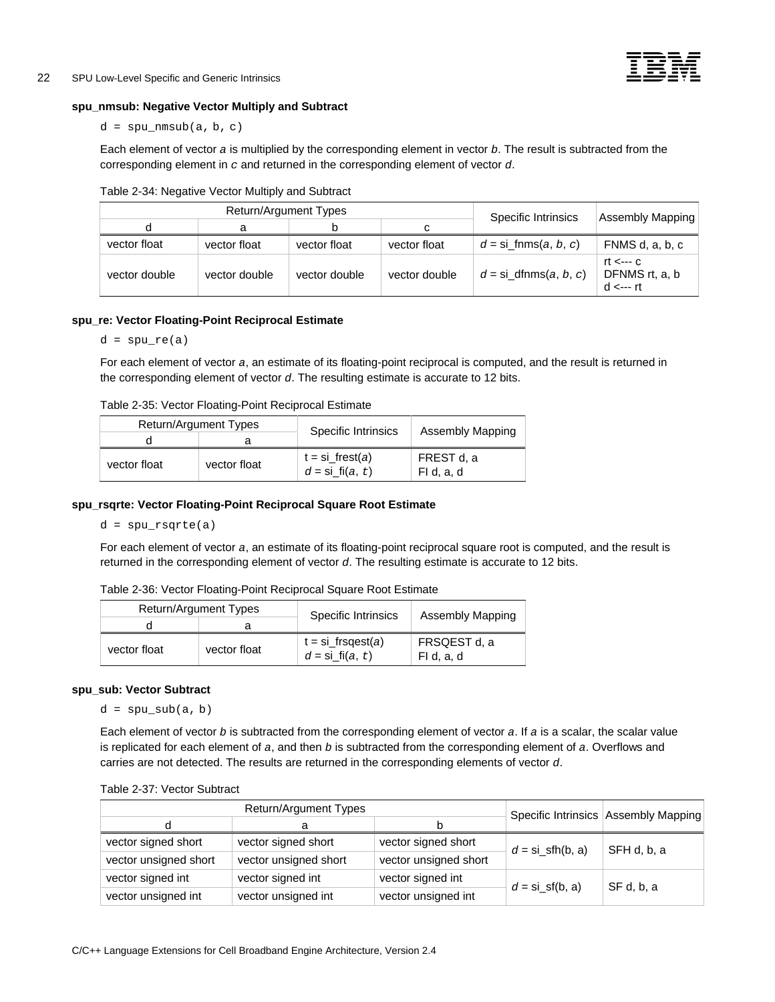## **spu\_nmsub: Negative Vector Multiply and Subtract**

 $d = \text{spu\_nmsub}(a, b, c)$ 

Each element of vector *a* is multiplied by the corresponding element in vector *b*. The result is subtracted from the corresponding element in *c* and returned in the corresponding element of vector *d*.

#### Table 2-34: Negative Vector Multiply and Subtract

| Return/Argument Types |               |               |               | Specific Intrinsics                   | Assembly Mapping                                   |
|-----------------------|---------------|---------------|---------------|---------------------------------------|----------------------------------------------------|
|                       |               |               |               |                                       |                                                    |
| vector float          | vector float  | vector float  | vector float  | $d = \text{si } \text{fnms}(a, b, c)$ | FNMS d, a, b, c                                    |
| vector double         | vector double | vector double | vector double | $d = \text{si\_dfnms}(a, b, c)$       | rt <--- c<br>DFNMS rt, a, b<br>$d \leftarrow -r$ t |

## **spu\_re: Vector Floating-Point Reciprocal Estimate**

 $d = spu_re(a)$ 

For each element of vector *a*, an estimate of its floating-point reciprocal is computed, and the result is returned in the corresponding element of vector *d*. The resulting estimate is accurate to 12 bits.

| Table 2-35: Vector Floating-Point Reciprocal Estimate |  |
|-------------------------------------------------------|--|
|-------------------------------------------------------|--|

|              | Return/Argument Types | <b>Specific Intrinsics</b>                | <b>Assembly Mapping</b>  |
|--------------|-----------------------|-------------------------------------------|--------------------------|
|              |                       |                                           |                          |
| vector float | vector float          | $t = si$ frest(a)<br>$d = \sin(fi(a, t))$ | FREST d. a<br>FI d, a, d |

## **spu\_rsqrte: Vector Floating-Point Reciprocal Square Root Estimate**

#### $d = spu\_rsqrte(a)$

For each element of vector *a*, an estimate of its floating-point reciprocal square root is computed, and the result is returned in the corresponding element of vector *d*. The resulting estimate is accurate to 12 bits.

Table 2-36: Vector Floating-Point Reciprocal Square Root Estimate

| Return/Argument Types |              | <b>Specific Intrinsics</b>                   | Assembly Mapping           |
|-----------------------|--------------|----------------------------------------------|----------------------------|
|                       |              |                                              |                            |
| vector float          | vector float | $t = si\_frsgest(a)$<br>$d = \sin(fi(a, t))$ | FRSQEST d, a<br>FI d, a, d |

## **spu\_sub: Vector Subtract**

 $d = spu\_sub(a, b)$ 

Each element of vector *b* is subtracted from the corresponding element of vector *a*. If *a* is a scalar, the scalar value is replicated for each element of *a*, and then *b* is subtracted from the corresponding element of *a*. Overflows and carries are not detected. The results are returned in the corresponding elements of vector *d*.

| Return/Argument Types |                       |                       | Specific Intrinsics Assembly Mapping |             |  |
|-----------------------|-----------------------|-----------------------|--------------------------------------|-------------|--|
|                       |                       |                       |                                      |             |  |
| vector signed short   | vector signed short   | vector signed short   | $d = \sin \sin(b, a)$                | SFH d, b, a |  |
| vector unsigned short | vector unsigned short | vector unsigned short |                                      |             |  |
| vector signed int     | vector signed int     | vector signed int     | $d = \sin st(b, a)$                  | SF d, b, a  |  |
| vector unsigned int   | vector unsigned int   | vector unsigned int   |                                      |             |  |

Table 2-37: Vector Subtract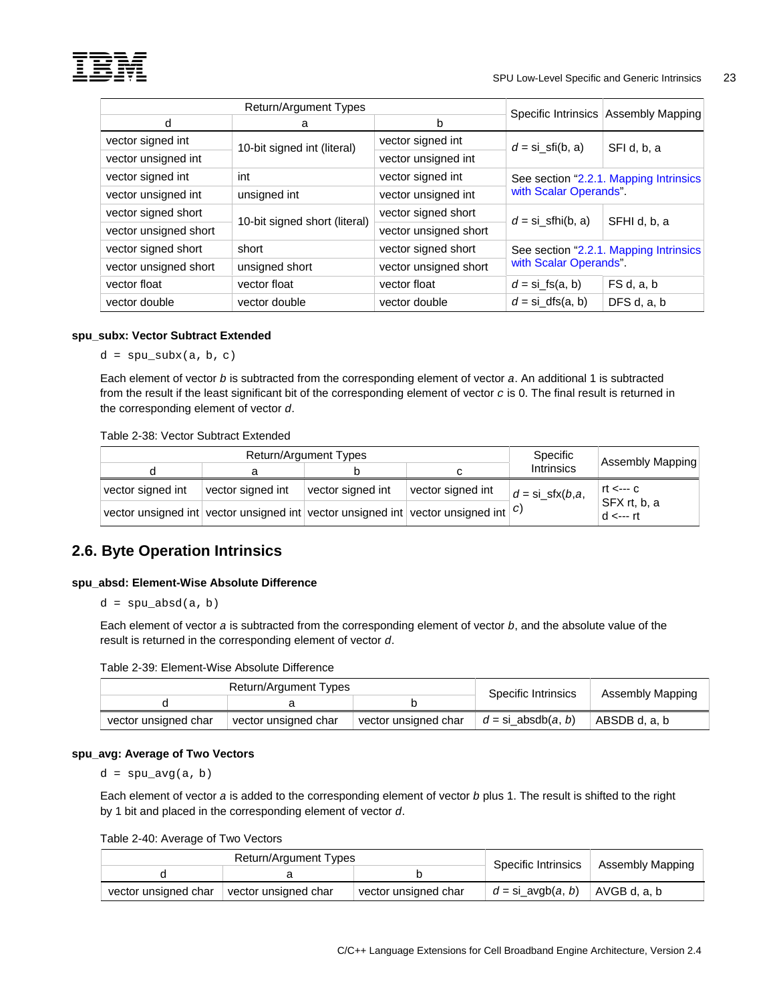

| Return/Argument Types |                               |                       |                                                                  | Specific Intrinsics Assembly Mapping |  |
|-----------------------|-------------------------------|-----------------------|------------------------------------------------------------------|--------------------------------------|--|
| d                     | a                             | b                     |                                                                  |                                      |  |
| vector signed int     | 10-bit signed int (literal)   | vector signed int     | $d = \sin \sin(b, a)$                                            | SFI d, b, a                          |  |
| vector unsigned int   |                               | vector unsigned int   |                                                                  |                                      |  |
| vector signed int     | int                           | vector signed int     | See section "2.2.1. Mapping Intrinsics<br>with Scalar Operands". |                                      |  |
| vector unsigned int   | unsigned int                  | vector unsigned int   |                                                                  |                                      |  |
| vector signed short   | 10-bit signed short (literal) | vector signed short   | $d = \pi$ sfhi(b, a)                                             | SFHI d, b, a                         |  |
| vector unsigned short |                               | vector unsigned short |                                                                  |                                      |  |
| vector signed short   | short                         | vector signed short   | See section "2.2.1. Mapping Intrinsics<br>with Scalar Operands". |                                      |  |
| vector unsigned short | unsigned short                | vector unsigned short |                                                                  |                                      |  |
| vector float          | vector float                  | vector float          | $d = \text{si}$ fs(a, b)                                         | FS d, a, b                           |  |
| vector double         | vector double                 | vector double         | $d = \text{si}_d$ dfs(a, b)                                      | DFS d, a, b                          |  |

## **spu\_subx: Vector Subtract Extended**

 $d = spu_subx(a, b, c)$ 

Each element of vector *b* is subtracted from the corresponding element of vector *a*. An additional 1 is subtracted from the result if the least significant bit of the corresponding element of vector *c* is 0. The final result is returned in the corresponding element of vector *d*.

## Table 2-38: Vector Subtract Extended

| Return/Argument Types |                   |                   |                                                                                             | Specific                 | Assembly Mapping          |
|-----------------------|-------------------|-------------------|---------------------------------------------------------------------------------------------|--------------------------|---------------------------|
|                       |                   |                   | <b>Intrinsics</b>                                                                           |                          |                           |
| vector signed int     | vector signed int | vector signed int | vector signed int                                                                           | $d = \frac{\sin(6b)}{a}$ | rt <--- c<br>SFX rt, b, a |
|                       |                   |                   | vector unsigned int vector unsigned int vector unsigned int vector unsigned int $ c\rangle$ |                          | $d \leftarrow$ --- rt     |

# **2.6. Byte Operation Intrinsics**

#### **spu\_absd: Element-Wise Absolute Difference**

 $d = spu\_absd(a, b)$ 

Each element of vector *a* is subtracted from the corresponding element of vector *b*, and the absolute value of the result is returned in the corresponding element of vector *d*.

| Table 2-39: Element-Wise Absolute Difference |  |  |
|----------------------------------------------|--|--|
|----------------------------------------------|--|--|

| Return/Argument Types |                      |                      | Specific Intrinsics          | Assembly Mapping |
|-----------------------|----------------------|----------------------|------------------------------|------------------|
|                       |                      |                      |                              |                  |
| vector unsigned char  | vector unsigned char | vector unsigned char | $d = \text{si } absdb(a, b)$ | ABSDB d, a, b    |

# **spu\_avg: Average of Two Vectors**

 $d = \text{spu}_\text{avg}(a, b)$ 

Each element of vector *a* is added to the corresponding element of vector *b* plus 1. The result is shifted to the right by 1 bit and placed in the corresponding element of vector *d*.

Table 2-40: Average of Two Vectors

| Return/Argument Types |                      |                      | Specific Intrinsics         | Assembly Mapping |
|-----------------------|----------------------|----------------------|-----------------------------|------------------|
|                       |                      |                      |                             |                  |
| vector unsigned char  | vector unsigned char | vector unsigned char | $d = \text{si\_avgb}(a, b)$ | AVGB d, a, b     |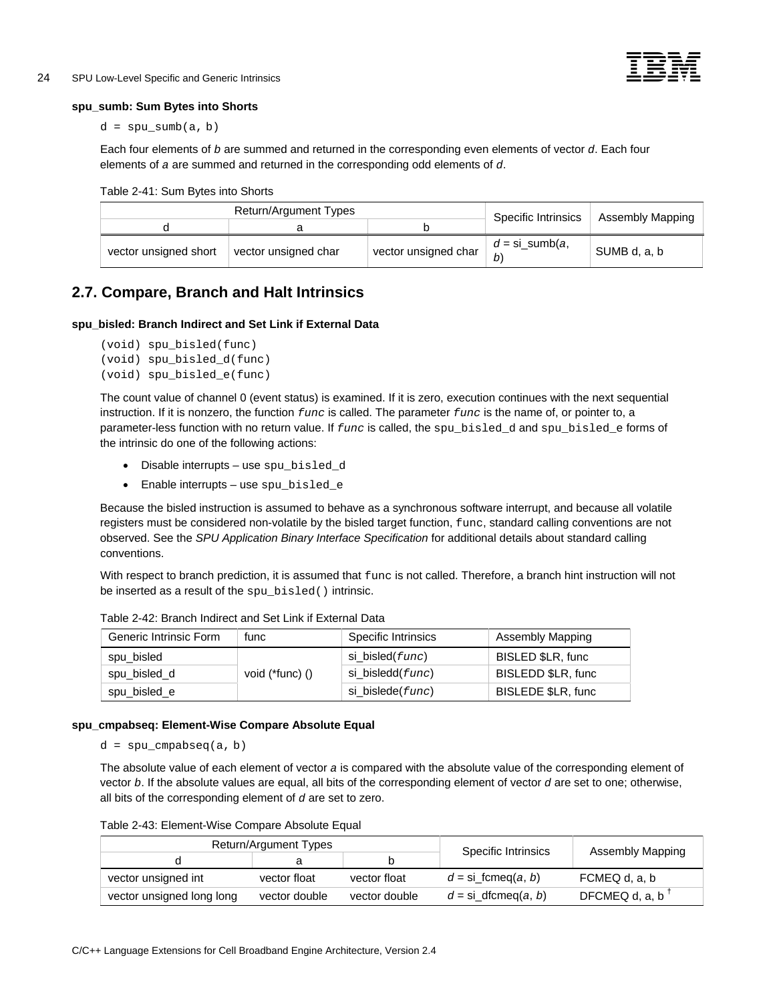

## **spu\_sumb: Sum Bytes into Shorts**

 $d = spu_sum(b(a, b))$ 

Each four elements of *b* are summed and returned in the corresponding even elements of vector *d*. Each four elements of *a* are summed and returned in the corresponding odd elements of *d*.

Table 2-41: Sum Bytes into Shorts

|                       | Return/Argument Types | Specific Intrinsics  | Assembly Mapping                |              |
|-----------------------|-----------------------|----------------------|---------------------------------|--------------|
|                       |                       |                      |                                 |              |
| vector unsigned short | vector unsigned char  | vector unsigned char | $d = \sin \text{sumb}(a)$<br>b) | SUMB d, a, b |

# **2.7. Compare, Branch and Halt Intrinsics**

# **spu\_bisled: Branch Indirect and Set Link if External Data**

```
(void) spu_bisled(func) 
(void) spu_bisled_d(func) 
(void) spu_bisled_e(func)
```
The count value of channel 0 (event status) is examined. If it is zero, execution continues with the next sequential instruction. If it is nonzero, the function *func* is called. The parameter *func* is the name of, or pointer to, a parameter-less function with no return value. If *func* is called, the spu\_bisled\_d and spu\_bisled\_e forms of the intrinsic do one of the following actions:

- Disable interrupts use spu\_bisled\_d
- Enable interrupts use spu\_bisled\_e

Because the bisled instruction is assumed to behave as a synchronous software interrupt, and because all volatile registers must be considered non-volatile by the bisled target function, func, standard calling conventions are not observed. See the *SPU Application Binary Interface Specification* for additional details about standard calling conventions.

With respect to branch prediction, it is assumed that func is not called. Therefore, a branch hint instruction will not be inserted as a result of the spu\_bisled() intrinsic.

| Generic Intrinsic Form | func             | Specific Intrinsics       | Assembly Mapping   |
|------------------------|------------------|---------------------------|--------------------|
| spu_bisled             |                  | si bisled( <i>func</i> )  | BISLED \$LR, func  |
| spu bisled d           | void $(*func)()$ | si bisledd( <i>func</i> ) | BISLEDD \$LR, func |
| spu_bisled_e           |                  | si bislede( <i>func</i> ) | BISLEDE \$LR, func |

Table 2-42: Branch Indirect and Set Link if External Data

## **spu\_cmpabseq: Element-Wise Compare Absolute Equal**

 $d = spu$  cmpabseq(a, b)

The absolute value of each element of vector *a* is compared with the absolute value of the corresponding element of vector *b*. If the absolute values are equal, all bits of the corresponding element of vector *d* are set to one; otherwise, all bits of the corresponding element of *d* are set to zero.

Table 2-43: Element-Wise Compare Absolute Equal

| Return/Argument Types     |               |               | Specific Intrinsics          | Assembly Mapping   |
|---------------------------|---------------|---------------|------------------------------|--------------------|
| b                         |               |               |                              |                    |
| vector unsigned int       | vector float  | vector float  | $d = \text{si}$ fcmeq(a, b)  | FCMEQ d, a, b      |
| vector unsigned long long | vector double | vector double | $d = \text{si}$ dfcmeq(a, b) | DFCMEQ d, a, $b^T$ |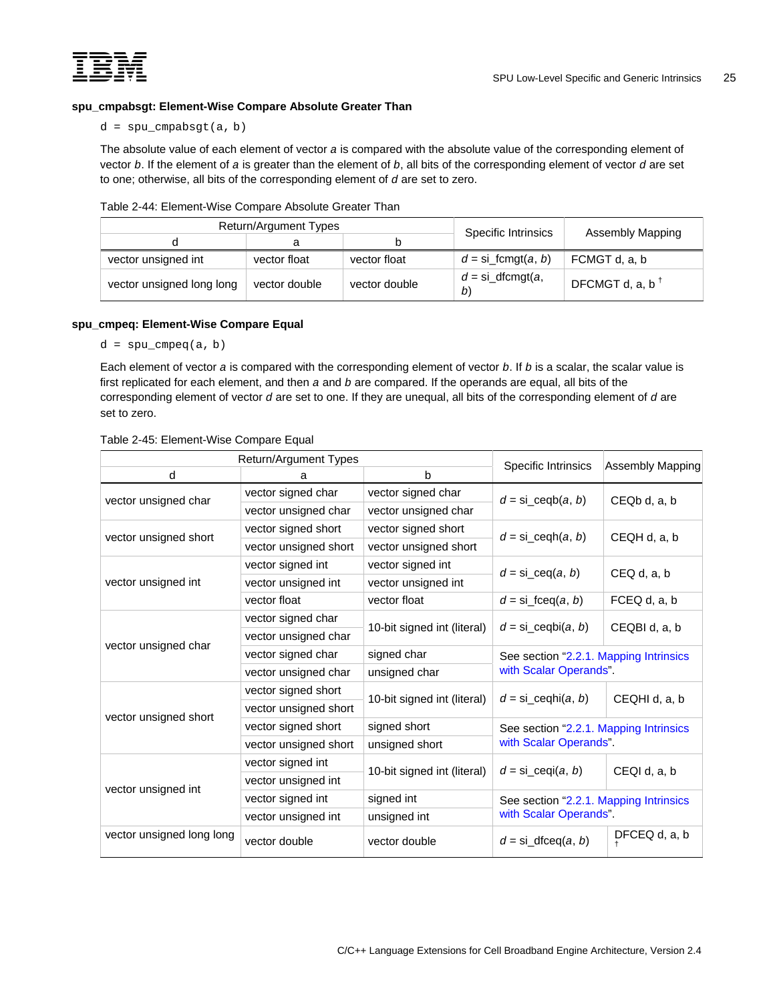

## **spu\_cmpabsgt: Element-Wise Compare Absolute Greater Than**

 $d = spu_{mphasgt(a, b)}$ 

The absolute value of each element of vector *a* is compared with the absolute value of the corresponding element of vector *b*. If the element of *a* is greater than the element of *b*, all bits of the corresponding element of vector *d* are set to one; otherwise, all bits of the corresponding element of *d* are set to zero.

## Table 2-44: Element-Wise Compare Absolute Greater Than

|                           | Return/Argument Types | Specific Intrinsics | <b>Assembly Mapping</b>           |                             |
|---------------------------|-----------------------|---------------------|-----------------------------------|-----------------------------|
|                           |                       |                     |                                   |                             |
| vector unsigned int       | vector float          | vector float        | $d = \text{si\_format}(a, b)$     | FCMGT d, a, b               |
| vector unsigned long long | vector double         | vector double       | $d = \sin \theta$ dfcmgt(a,<br>b) | DFCMGT d, a, b <sup>+</sup> |

## **spu\_cmpeq: Element-Wise Compare Equal**

 $d = spu_{mpeq}(a, b)$ 

Each element of vector *a* is compared with the corresponding element of vector *b*. If *b* is a scalar, the scalar value is first replicated for each element, and then *a* and *b* are compared. If the operands are equal, all bits of the corresponding element of vector *d* are set to one. If they are unequal, all bits of the corresponding element of *d* are set to zero.

### Table 2-45: Element-Wise Compare Equal

|                           | Return/Argument Types |                             | <b>Specific Intrinsics</b>             | Assembly Mapping |  |
|---------------------------|-----------------------|-----------------------------|----------------------------------------|------------------|--|
| d                         | а                     | b                           |                                        |                  |  |
| vector unsigned char      | vector signed char    | vector signed char          | $d = \text{si} \text{ ceqb}(a, b)$     | CEQb d, a, b     |  |
|                           | vector unsigned char  | vector unsigned char        |                                        |                  |  |
| vector unsigned short     | vector signed short   | vector signed short         | $d = \text{si\_ceqh}(a, b)$            | CEQH d, a, b     |  |
|                           | vector unsigned short | vector unsigned short       |                                        |                  |  |
|                           | vector signed int     | vector signed int           |                                        |                  |  |
| vector unsigned int       | vector unsigned int   | vector unsigned int         | $d = \text{si} \text{ ceq}(a, b)$      | CEQ d, a, b      |  |
|                           | vector float          | vector float                | $d = \text{si\_freq}(a, b)$            | FCEQ d, a, b     |  |
| vector unsigned char      | vector signed char    | 10-bit signed int (literal) | $d = \text{si\_ceqbi}(a, b)$           | CEQBI d, a, b    |  |
|                           | vector unsigned char  |                             |                                        |                  |  |
|                           | vector signed char    | signed char                 | See section "2.2.1. Mapping Intrinsics |                  |  |
|                           | vector unsigned char  | unsigned char               | with Scalar Operands".                 |                  |  |
|                           | vector signed short   |                             |                                        |                  |  |
|                           | vector unsigned short | 10-bit signed int (literal) | $d = \text{si\_ceghi}(a, b)$           | CEQHI d, a, b    |  |
| vector unsigned short     | vector signed short   | signed short                | See section "2.2.1. Mapping Intrinsics |                  |  |
|                           | vector unsigned short | unsigned short              | with Scalar Operands".                 |                  |  |
|                           | vector signed int     |                             |                                        |                  |  |
|                           | vector unsigned int   | 10-bit signed int (literal) | $d = \text{si\_ceqi}(a, b)$            | CEQI d, a, b     |  |
| vector unsigned int       | vector signed int     | signed int                  | See section "2.2.1. Mapping Intrinsics |                  |  |
|                           | vector unsigned int   | unsigned int                | with Scalar Operands".                 |                  |  |
| vector unsigned long long | vector double         | vector double               | $d = \text{si\_dfeed}(a, b)$           | DFCEQ d, a, b    |  |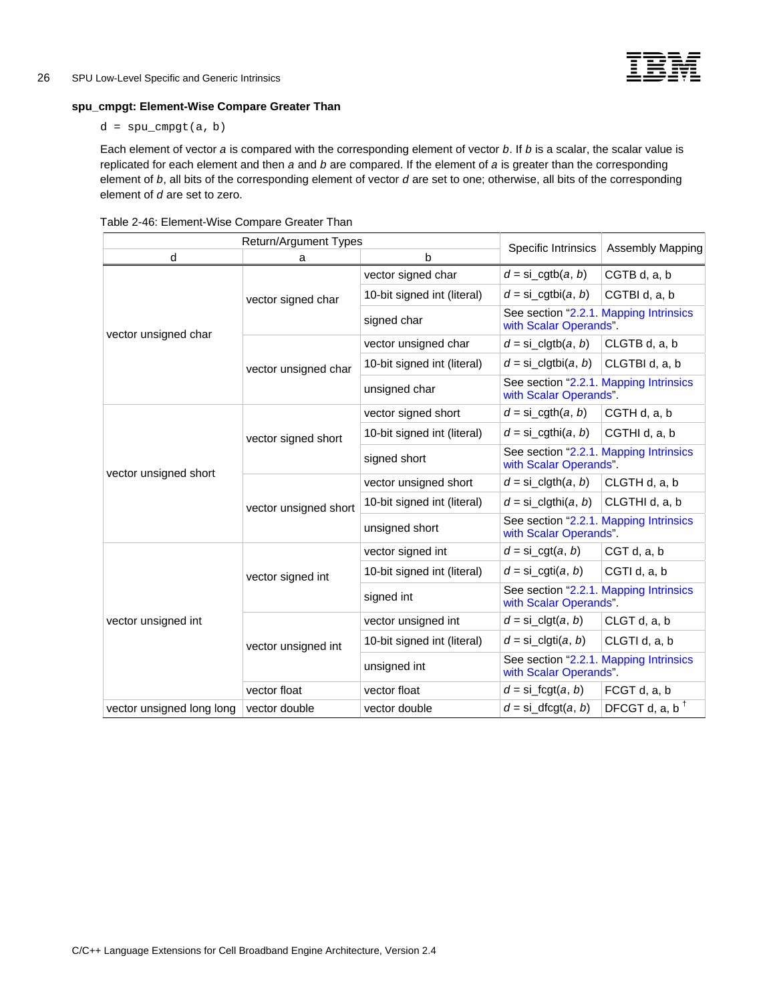

# **spu\_cmpgt: Element-Wise Compare Greater Than**

 $d = spu_{empgt}(a, b)$ 

Each element of vector *a* is compared with the corresponding element of vector *b*. If *b* is a scalar, the scalar value is replicated for each element and then *a* and *b* are compared. If the element of *a* is greater than the corresponding element of *b*, all bits of the corresponding element of vector *d* are set to one; otherwise, all bits of the corresponding element of *d* are set to zero.

| Table 2-46: Element-Wise Compare Greater Than |
|-----------------------------------------------|
|-----------------------------------------------|

| Return/Argument Types     |                       |                             | Specific Intrinsics                                              | Assembly Mapping           |  |
|---------------------------|-----------------------|-----------------------------|------------------------------------------------------------------|----------------------------|--|
| d                         | b<br>a                |                             |                                                                  |                            |  |
|                           |                       | vector signed char          | $d = \text{si\_cgtb}(a, b)$                                      | CGTB d, a, b               |  |
|                           | vector signed char    | 10-bit signed int (literal) | $d = \text{si\_cgtbi}(a, b)$                                     | CGTBI d, a, b              |  |
| vector unsigned char      |                       | signed char                 | See section "2.2.1. Mapping Intrinsics<br>with Scalar Operands". |                            |  |
|                           |                       | vector unsigned char        | $d = \text{si\_clgtb}(a, b)$                                     | CLGTB d, a, b              |  |
|                           | vector unsigned char  | 10-bit signed int (literal) | $d = \text{si\_clgtbi}(a, b)$                                    | CLGTBI d, a, b             |  |
|                           |                       | unsigned char               | See section "2.2.1. Mapping Intrinsics<br>with Scalar Operands". |                            |  |
|                           |                       | vector signed short         | $d = \text{si\_cgth}(a, b)$                                      | CGTH d, a, b               |  |
|                           | vector signed short   | 10-bit signed int (literal) | $d = \text{si\_cgthi}(a, b)$                                     | CGTHI d, a, b              |  |
| vector unsigned short     |                       | signed short                | See section "2.2.1. Mapping Intrinsics<br>with Scalar Operands". |                            |  |
|                           | vector unsigned short | vector unsigned short       | $d = \text{si\_clgth}(a, b)$                                     | CLGTH d, a, b              |  |
|                           |                       | 10-bit signed int (literal) | $d = \text{si\_clgthi}(a, b)$                                    | CLGTHI d, a, b             |  |
|                           |                       | unsigned short              | See section "2.2.1. Mapping Intrinsics<br>with Scalar Operands". |                            |  |
| vector unsigned int       | vector signed int     | vector signed int           | $d = \text{si\_cgt}(a, b)$                                       | CGT d, a, b                |  |
|                           |                       | 10-bit signed int (literal) | $d = \text{si\_cgti}(a, b)$                                      | CGTI d, a, b               |  |
|                           |                       | signed int                  | See section "2.2.1. Mapping Intrinsics<br>with Scalar Operands". |                            |  |
|                           |                       | vector unsigned int         | $d = \text{si\_clgt}(a, b)$                                      | CLGT d. a. b               |  |
|                           | vector unsigned int   | 10-bit signed int (literal) | $d = \text{si\_clgti}(a, b)$                                     | CLGTI d, a, b              |  |
|                           |                       | unsigned int                | See section "2.2.1. Mapping Intrinsics<br>with Scalar Operands". |                            |  |
|                           | vector float          | vector float                | $d = \text{si\_fcgt}(a, b)$                                      | FCGT d, a, b               |  |
| vector unsigned long long | vector double         | vector double               | $d = \text{si\_dfcgt}(a, b)$                                     | DFCGT d, a, b <sup>+</sup> |  |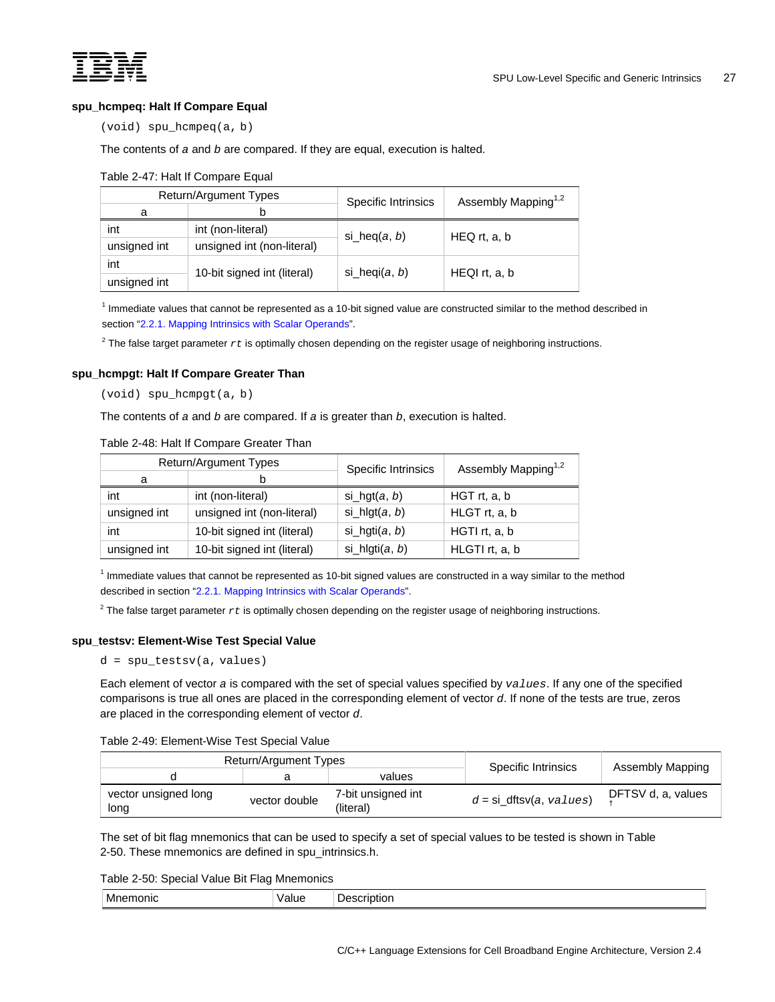

## **spu\_hcmpeq: Halt If Compare Equal**

(void) spu\_hcmpeq(a, b)

The contents of *a* and *b* are compared. If they are equal, execution is halted.

#### Table 2-47: Halt If Compare Equal

| Return/Argument Types                      |                             | Specific Intrinsics | Assembly Mapping <sup>1,2</sup> |  |
|--------------------------------------------|-----------------------------|---------------------|---------------------------------|--|
| а                                          |                             |                     |                                 |  |
| int                                        | int (non-literal)           | si_heq( $a, b$ )    | $HEQ$ rt, a, b                  |  |
| unsigned int (non-literal)<br>unsigned int |                             |                     |                                 |  |
| int                                        | 10-bit signed int (literal) | si_heqi $(a, b)$    | HEQI rt, a, b                   |  |
| unsigned int                               |                             |                     |                                 |  |

<sup>1</sup> Immediate values that cannot be represented as a 10-bit signed value are constructed similar to the method described in section "2.2.1. Mapping Intrinsics with Scalar Operands".

2 The false target parameter *rt* is optimally chosen depending on the register usage of neighboring instructions.

## **spu\_hcmpgt: Halt If Compare Greater Than**

(void) spu\_hcmpgt(a, b)

The contents of *a* and *b* are compared. If *a* is greater than *b*, execution is halted.

#### Table 2-48: Halt If Compare Greater Than

| Return/Argument Types |                             | Specific Intrinsics   | Assembly Mapping <sup>1,2</sup> |
|-----------------------|-----------------------------|-----------------------|---------------------------------|
| a                     |                             |                       |                                 |
| int                   | int (non-literal)           | $si_hgt(a, b)$        | $HGT$ rt, a, b                  |
| unsigned int          | unsigned int (non-literal)  | $si_l$ hlgt $(a, b)$  | HLGT rt, a, b                   |
| int                   | 10-bit signed int (literal) | $si$ _hgti $(a, b)$   | HGTI rt, a, b                   |
| unsigned int          | 10-bit signed int (literal) | $si_l$ hlgti $(a, b)$ | HLGTI rt, a, b                  |

<sup>1</sup> Immediate values that cannot be represented as 10-bit signed values are constructed in a way similar to the method described in section "2.2.1. Mapping Intrinsics with Scalar Operands".

2 The false target parameter *rt* is optimally chosen depending on the register usage of neighboring instructions.

## **spu\_testsv: Element-Wise Test Special Value**

## $d = spu_testsv(a, values)$

Each element of vector *a* is compared with the set of special values specified by *values*. If any one of the specified comparisons is true all ones are placed in the corresponding element of vector *d*. If none of the tests are true, zeros are placed in the corresponding element of vector *d*.

| Table 2-49: Element-Wise Test Special Value |  |
|---------------------------------------------|--|
|---------------------------------------------|--|

| Return/Argument Types        |               |                                 | Specific Intrinsics              | Assembly Mapping   |
|------------------------------|---------------|---------------------------------|----------------------------------|--------------------|
|                              |               | values                          |                                  |                    |
| vector unsigned long<br>long | vector double | 7-bit unsigned int<br>(literal) | $d = \text{si}$ dftsv(a, values) | DFTSV d. a. values |

The set of bit flag mnemonics that can be used to specify a set of special values to be tested is shown in Table 2-50. These mnemonics are defined in spu\_intrinsics.h.

## Table 2-50: Special Value Bit Flag Mnemonics

| Мı<br>ткл<br>чи | 411 JF<br>. .<br>. | . |
|-----------------|--------------------|---|
|                 |                    |   |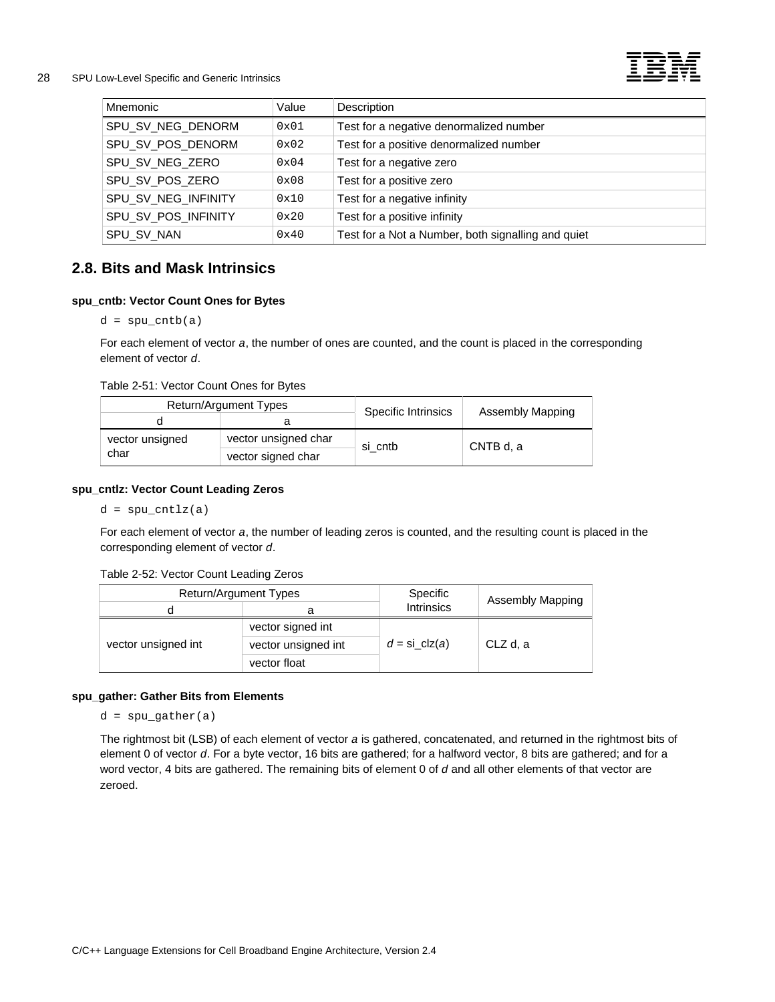# 28 SPU Low-Level Specific and Generic Intrinsics



| Mnemonic            | Value          | Description                                        |
|---------------------|----------------|----------------------------------------------------|
| SPU SV NEG DENORM   | 0x01           | Test for a negative denormalized number            |
| SPU_SV_POS_DENORM   | $0 \times 02$  | Test for a positive denormalized number            |
| SPU_SV_NEG_ZERO     | 0x04           | Test for a negative zero                           |
| SPU_SV_POS_ZERO     | $0 \times 0.8$ | Test for a positive zero                           |
| SPU_SV_NEG_INFINITY | 0x10           | Test for a negative infinity                       |
| SPU_SV_POS_INFINITY | $0 \times 20$  | Test for a positive infinity                       |
| SPU_SV_NAN          | 0x40           | Test for a Not a Number, both signalling and quiet |

# **2.8. Bits and Mask Intrinsics**

# **spu\_cntb: Vector Count Ones for Bytes**

 $d = spu_{cntb(a)}$ 

For each element of vector *a*, the number of ones are counted, and the count is placed in the corresponding element of vector *d*.

Table 2-51: Vector Count Ones for Bytes

| Return/Argument Types |                      | Specific Intrinsics | <b>Assembly Mapping</b> |
|-----------------------|----------------------|---------------------|-------------------------|
|                       |                      |                     |                         |
| vector unsigned       | vector unsigned char | si cntb             | CNTB d, a               |
| char                  | vector signed char   |                     |                         |

## **spu\_cntlz: Vector Count Leading Zeros**

 $d = spu_{entlz(a)}$ 

For each element of vector *a*, the number of leading zeros is counted, and the resulting count is placed in the corresponding element of vector *d*.

Table 2-52: Vector Count Leading Zeros

|                     | Return/Argument Types | Specific                | <b>Assembly Mapping</b> |
|---------------------|-----------------------|-------------------------|-------------------------|
|                     |                       | <b>Intrinsics</b>       |                         |
|                     | vector signed int     |                         | CLZ d, a                |
| vector unsigned int | vector unsigned int   | $d = \text{si\_clz}(a)$ |                         |
|                     | vector float          |                         |                         |

# **spu\_gather: Gather Bits from Elements**

d = spu\_gather(a)

The rightmost bit (LSB) of each element of vector *a* is gathered, concatenated, and returned in the rightmost bits of element 0 of vector *d*. For a byte vector, 16 bits are gathered; for a halfword vector, 8 bits are gathered; and for a word vector, 4 bits are gathered. The remaining bits of element 0 of *d* and all other elements of that vector are zeroed.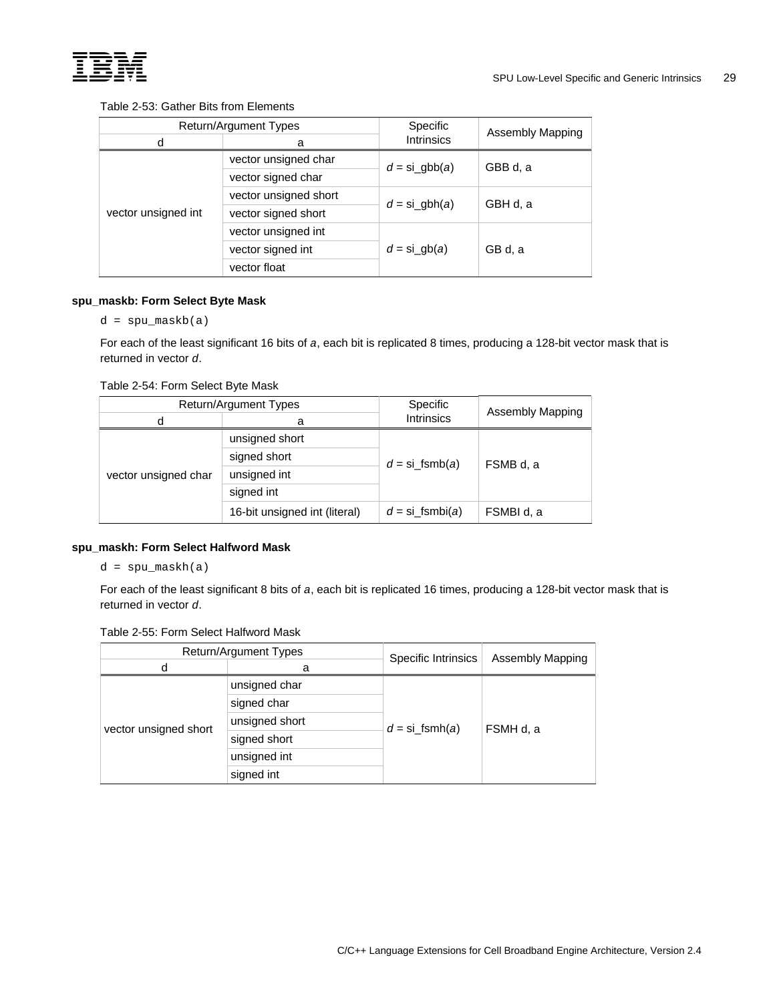

# Table 2-53: Gather Bits from Elements

|                     | Return/Argument Types  | Specific                        | <b>Assembly Mapping</b> |
|---------------------|------------------------|---------------------------------|-------------------------|
| d                   | <b>Intrinsics</b><br>a |                                 |                         |
| vector unsigned int | vector unsigned char   | $d = \text{si}$ gbb(a)          | GBB d, a                |
|                     | vector signed char     |                                 |                         |
|                     | vector unsigned short  | $d = \sin \theta h(a)$          | GBH d, a                |
|                     | vector signed short    |                                 |                         |
|                     | vector unsigned int    |                                 | GB d, a                 |
|                     | vector signed int      | $d = \text{si} \, \text{gb}(a)$ |                         |
|                     | vector float           |                                 |                         |

# **spu\_maskb: Form Select Byte Mask**

## $d = spu_maxb(a)$

For each of the least significant 16 bits of *a*, each bit is replicated 8 times, producing a 128-bit vector mask that is returned in vector *d*.

## Table 2-54: Form Select Byte Mask

|                      | Return/Argument Types         | Specific              | <b>Assembly Mapping</b> |
|----------------------|-------------------------------|-----------------------|-------------------------|
|                      | a                             | <b>Intrinsics</b>     |                         |
|                      | unsigned short                |                       |                         |
| vector unsigned char | signed short                  | $d = \sin f \sinh(a)$ | FSMB d, a               |
|                      | unsigned int                  |                       |                         |
|                      | signed int                    |                       |                         |
|                      | 16-bit unsigned int (literal) | $d = \sin f \sinh(a)$ | FSMBI d, a              |

## **spu\_maskh: Form Select Halfword Mask**

## d = spu\_maskh(a)

For each of the least significant 8 bits of *a*, each bit is replicated 16 times, producing a 128-bit vector mask that is returned in vector *d*.

#### Table 2-55: Form Select Halfword Mask

| Return/Argument Types |                | Specific Intrinsics   | Assembly Mapping |  |
|-----------------------|----------------|-----------------------|------------------|--|
| d                     | a              |                       |                  |  |
|                       | unsigned char  |                       |                  |  |
|                       | signed char    |                       | FSMH d, a        |  |
| vector unsigned short | unsigned short | $d = \sin f \sinh(a)$ |                  |  |
|                       | signed short   |                       |                  |  |
|                       | unsigned int   |                       |                  |  |
|                       | signed int     |                       |                  |  |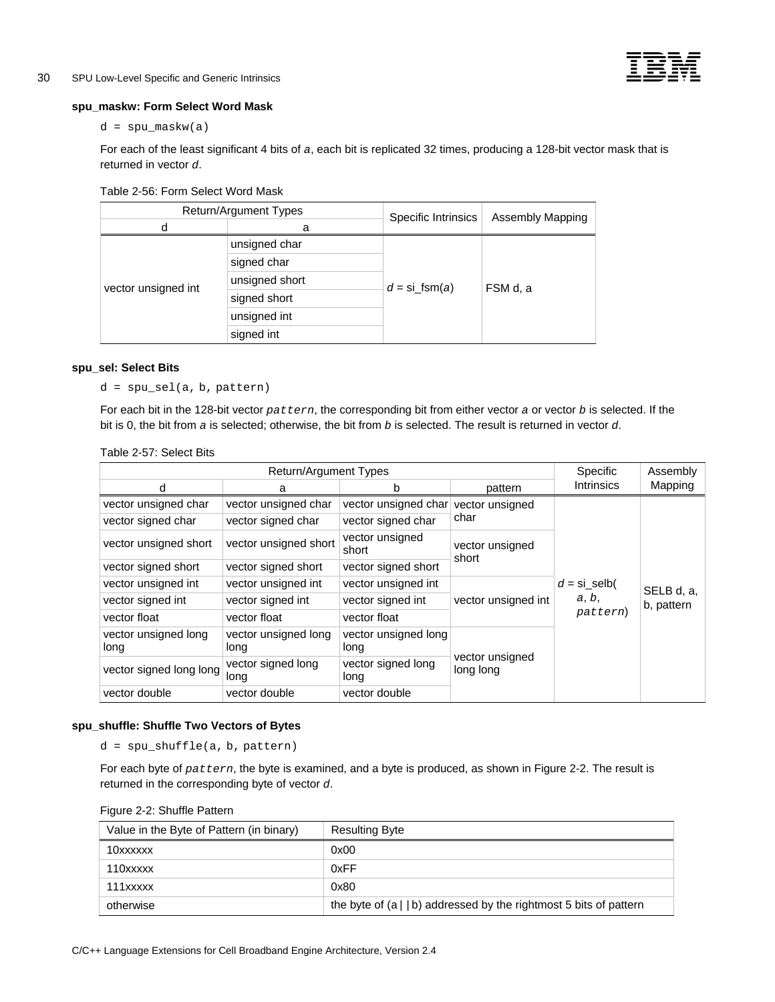## 30 SPU Low-Level Specific and Generic Intrinsics -



## **spu\_maskw: Form Select Word Mask**

d = spu\_maskw(a)

For each of the least significant 4 bits of *a*, each bit is replicated 32 times, producing a 128-bit vector mask that is returned in vector *d*.

## Table 2-56: Form Select Word Mask

| Return/Argument Types |                | Specific Intrinsics  | <b>Assembly Mapping</b> |  |
|-----------------------|----------------|----------------------|-------------------------|--|
| d                     | a              |                      |                         |  |
|                       | unsigned char  |                      |                         |  |
|                       | signed char    |                      | FSM d, a                |  |
|                       | unsigned short | $d = \sin f \sin(a)$ |                         |  |
| vector unsigned int   | signed short   |                      |                         |  |
|                       | unsigned int   |                      |                         |  |
|                       | signed int     |                      |                         |  |

## **spu\_sel: Select Bits**

d = spu\_sel(a, b, pattern)

For each bit in the 128-bit vector *pattern*, the corresponding bit from either vector *a* or vector *b* is selected. If the bit is 0, the bit from *a* is selected; otherwise, the bit from *b* is selected. The result is returned in vector *d*.

|                              | Specific                     | Assembly                     |                              |                   |                          |
|------------------------------|------------------------------|------------------------------|------------------------------|-------------------|--------------------------|
| d                            | a                            | b                            | pattern                      | <b>Intrinsics</b> | Mapping                  |
| vector unsigned char         | vector unsigned char         | vector unsigned char         | vector unsigned              |                   |                          |
| vector signed char           | vector signed char           | vector signed char           | char                         |                   |                          |
| vector unsigned short        | vector unsigned short        | vector unsigned<br>short     | vector unsigned<br>short     |                   |                          |
| vector signed short          | vector signed short          | vector signed short          |                              |                   | SELB d, a,<br>b, pattern |
| vector unsigned int          | vector unsigned int          | vector unsigned int          | $d = \text{si} \text{ selb}$ |                   |                          |
| vector signed int            | vector signed int            | vector signed int            | vector unsigned int          | a, b,             |                          |
| vector float                 | vector float                 | vector float                 |                              | pattern)          |                          |
| vector unsigned long<br>long | vector unsigned long<br>long | vector unsigned long<br>long |                              |                   |                          |
| vector signed long long      | vector signed long<br>long   | vector signed long<br>long   | vector unsigned<br>long long |                   |                          |
| vector double                | vector double                | vector double                |                              |                   |                          |

# Table 2-57: Select Bits

# **spu\_shuffle: Shuffle Two Vectors of Bytes**

d = spu\_shuffle(a, b, pattern)

For each byte of *pattern*, the byte is examined, and a byte is produced, as shown in Figure 2-2. The result is returned in the corresponding byte of vector *d*.

| Value in the Byte of Pattern (in binary) | <b>Resulting Byte</b>                                                 |
|------------------------------------------|-----------------------------------------------------------------------|
| 10xxxxxx                                 | 0x00                                                                  |
| 110xxxxx                                 | 0xFF                                                                  |
| 111xxxxx                                 | 0x80                                                                  |
| otherwise                                | the byte of $(a \mid b)$ addressed by the rightmost 5 bits of pattern |

Figure 2-2: Shuffle Pattern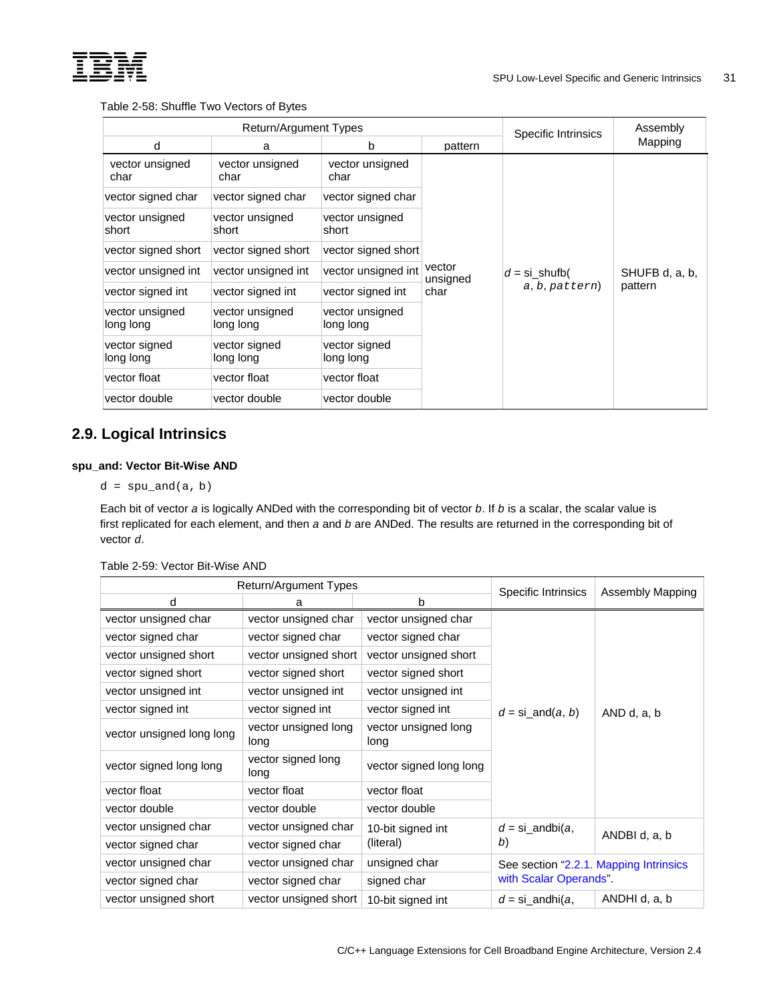

Table 2-58: Shuffle Two Vectors of Bytes

| <b>Return/Argument Types</b> |                              |                              | Specific Intrinsics | Assembly                 |                |
|------------------------------|------------------------------|------------------------------|---------------------|--------------------------|----------------|
| d                            | a                            | b                            | pattern             |                          | Mapping        |
| vector unsigned<br>char      | vector unsigned<br>char      | vector unsigned<br>char      |                     |                          |                |
| vector signed char           | vector signed char           | vector signed char           |                     |                          |                |
| vector unsigned<br>short     | vector unsigned<br>short     | vector unsigned<br>short     |                     |                          |                |
| vector signed short          | vector signed short          | vector signed short          |                     |                          |                |
| vector unsigned int          | vector unsigned int          | vector unsigned int          | vector<br>unsigned  | $d = \sin \theta$ shufb( | SHUFB d, a, b, |
| vector signed int            | vector signed int            | vector signed int            | char                | a, b, pattern)           | pattern        |
| vector unsigned<br>long long | vector unsigned<br>long long | vector unsigned<br>long long |                     |                          |                |
| vector signed<br>long long   | vector signed<br>long long   | vector signed<br>long long   |                     |                          |                |
| vector float                 | vector float                 | vector float                 |                     |                          |                |
| vector double                | vector double                | vector double                |                     |                          |                |

# **2.9. Logical Intrinsics**

# **spu\_and: Vector Bit-Wise AND**

 $d = spu_and(a, b)$ 

Each bit of vector *a* is logically ANDed with the corresponding bit of vector *b*. If *b* is a scalar, the scalar value is first replicated for each element, and then *a* and *b* are ANDed. The results are returned in the corresponding bit of vector *d*.

# Table 2-59: Vector Bit-Wise AND

| Return/Argument Types     |                              | Specific Intrinsics          |                             |                                        |  |
|---------------------------|------------------------------|------------------------------|-----------------------------|----------------------------------------|--|
| d                         | a                            | b                            |                             | Assembly Mapping                       |  |
| vector unsigned char      | vector unsigned char         | vector unsigned char         |                             |                                        |  |
| vector signed char        | vector signed char           | vector signed char           |                             |                                        |  |
| vector unsigned short     | vector unsigned short        | vector unsigned short        |                             |                                        |  |
| vector signed short       | vector signed short          | vector signed short          |                             |                                        |  |
| vector unsigned int       | vector unsigned int          | vector unsigned int          |                             | AND d, a, b                            |  |
| vector signed int         | vector signed int            | vector signed int            | $d = \sin \text{and}(a, b)$ |                                        |  |
| vector unsigned long long | vector unsigned long<br>long | vector unsigned long<br>long |                             |                                        |  |
| vector signed long long   | vector signed long<br>long   | vector signed long long      |                             |                                        |  |
| vector float              | vector float                 | vector float                 |                             |                                        |  |
| vector double             | vector double                | vector double                |                             |                                        |  |
| vector unsigned char      | vector unsigned char         | 10-bit signed int            | $d = \sin$ and bi(a,        |                                        |  |
| vector signed char        | vector signed char           | (literal)                    | b)                          | ANDBI d, a, b                          |  |
| vector unsigned char      | vector unsigned char         | unsigned char                |                             | See section "2.2.1. Mapping Intrinsics |  |
| vector signed char        | vector signed char           | signed char                  | with Scalar Operands".      |                                        |  |
| vector unsigned short     | vector unsigned short        | 10-bit signed int            | $d = \sin \theta$ and hi(a, | ANDHI d, a, b                          |  |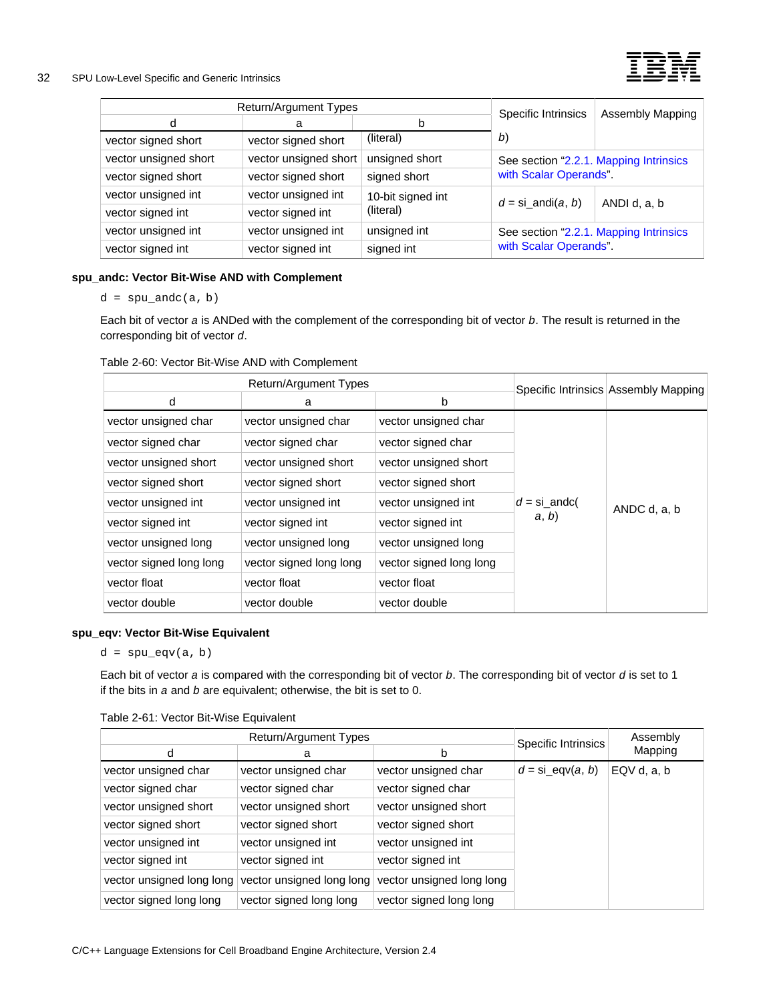# 32 SPU Low-Level Specific and Generic Intrinsics -



| Return/Argument Types |                       |                   | Specific Intrinsics                                              | Assembly Mapping |
|-----------------------|-----------------------|-------------------|------------------------------------------------------------------|------------------|
| d                     | a                     | b                 |                                                                  |                  |
| vector signed short   | vector signed short   | (literal)         | b)                                                               |                  |
| vector unsigned short | vector unsigned short | unsigned short    | See section "2.2.1. Mapping Intrinsics<br>with Scalar Operands". |                  |
| vector signed short   | vector signed short   | signed short      |                                                                  |                  |
| vector unsigned int   | vector unsigned int   | 10-bit signed int | $d = \text{si\_andi}(a, b)$<br>ANDI d. a. b                      |                  |
| vector signed int     | vector signed int     | (literal)         |                                                                  |                  |
| vector unsigned int   | vector unsigned int   | unsigned int      | See section "2.2.1. Mapping Intrinsics<br>with Scalar Operands". |                  |
| vector signed int     | vector signed int     | signed int        |                                                                  |                  |

# **spu\_andc: Vector Bit-Wise AND with Complement**

## $d = spu_andc(a, b)$

Each bit of vector *a* is ANDed with the complement of the corresponding bit of vector *b*. The result is returned in the corresponding bit of vector *d*.

# Table 2-60: Vector Bit-Wise AND with Complement

| <b>Return/Argument Types</b> |                         |                         | Specific Intrinsics Assembly Mapping |              |
|------------------------------|-------------------------|-------------------------|--------------------------------------|--------------|
| d                            | a                       | b                       |                                      |              |
| vector unsigned char         | vector unsigned char    | vector unsigned char    |                                      | ANDC d, a, b |
| vector signed char           | vector signed char      | vector signed char      |                                      |              |
| vector unsigned short        | vector unsigned short   | vector unsigned short   | $d = \sin \text{ and } c$            |              |
| vector signed short          | vector signed short     | vector signed short     |                                      |              |
| vector unsigned int          | vector unsigned int     | vector unsigned int     |                                      |              |
| vector signed int            | vector signed int       | vector signed int       | a, b                                 |              |
| vector unsigned long         | vector unsigned long    | vector unsigned long    |                                      |              |
| vector signed long long      | vector signed long long | vector signed long long |                                      |              |
| vector float                 | vector float            | vector float            |                                      |              |
| vector double                | vector double           | vector double           |                                      |              |

# **spu\_eqv: Vector Bit-Wise Equivalent**

 $d = spu_eqv(a, b)$ 

Each bit of vector *a* is compared with the corresponding bit of vector *b*. The corresponding bit of vector *d* is set to 1 if the bits in *a* and *b* are equivalent; otherwise, the bit is set to 0.

| Return/Argument Types     |                           |                           | Specific Intrinsics        | Assembly<br>Mapping |
|---------------------------|---------------------------|---------------------------|----------------------------|---------------------|
| d                         | а                         | h                         |                            |                     |
| vector unsigned char      | vector unsigned char      | vector unsigned char      | $d = \text{si\_eqv}(a, b)$ | EQV d, a, b         |
| vector signed char        | vector signed char        | vector signed char        |                            |                     |
| vector unsigned short     | vector unsigned short     | vector unsigned short     |                            |                     |
| vector signed short       | vector signed short       | vector signed short       |                            |                     |
| vector unsigned int       | vector unsigned int       | vector unsigned int       |                            |                     |
| vector signed int         | vector signed int         | vector signed int         |                            |                     |
| vector unsigned long long | vector unsigned long long | vector unsigned long long |                            |                     |
| vector signed long long   | vector signed long long   | vector signed long long   |                            |                     |

## Table 2-61: Vector Bit-Wise Equivalent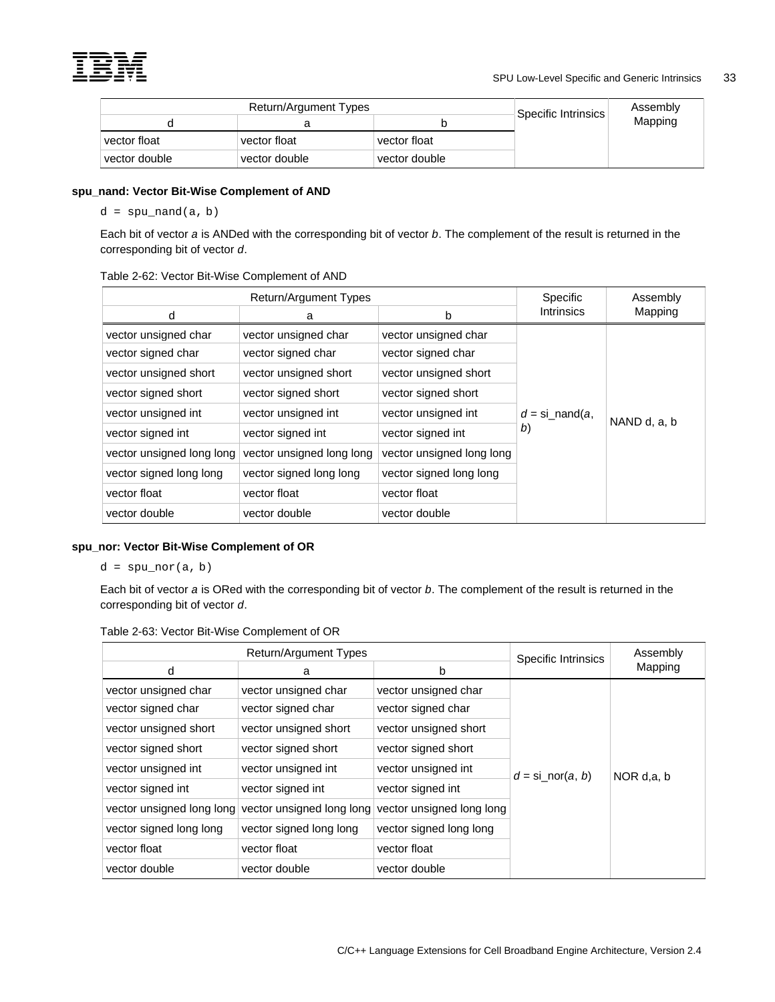

|               | Specific Intrinsics | Assembly      |  |         |
|---------------|---------------------|---------------|--|---------|
|               |                     |               |  | Mapping |
| vector float  | vector float        | vector float  |  |         |
| vector double | vector double       | vector double |  |         |

# **spu\_nand: Vector Bit-Wise Complement of AND**

 $d = spu\_nand(a, b)$ 

Each bit of vector *a* is ANDed with the corresponding bit of vector *b*. The complement of the result is returned in the corresponding bit of vector *d*.

| Return/Argument Types     |                           |                           | Specific           | Assembly     |
|---------------------------|---------------------------|---------------------------|--------------------|--------------|
| d                         | a                         | b                         | <b>Intrinsics</b>  | Mapping      |
| vector unsigned char      | vector unsigned char      | vector unsigned char      |                    |              |
| vector signed char        | vector signed char        | vector signed char        |                    | NAND d, a, b |
| vector unsigned short     | vector unsigned short     | vector unsigned short     |                    |              |
| vector signed short       | vector signed short       | vector signed short       |                    |              |
| vector unsigned int       | vector unsigned int       | vector unsigned int       | $d = \sin$ nand(a, |              |
| vector signed int         | vector signed int         | vector signed int         | b)                 |              |
| vector unsigned long long | vector unsigned long long | vector unsigned long long |                    |              |
| vector signed long long   | vector signed long long   | vector signed long long   |                    |              |
| vector float              | vector float              | vector float              |                    |              |
| vector double             | vector double             | vector double             |                    |              |

#### Table 2-62: Vector Bit-Wise Complement of AND

## **spu\_nor: Vector Bit-Wise Complement of OR**

 $d = spu\_nor(a, b)$ 

Each bit of vector *a* is ORed with the corresponding bit of vector *b*. The complement of the result is returned in the corresponding bit of vector *d*.

| Return/Argument Types<br>b<br>d<br>a |                           |                           | Specific Intrinsics       | Assembly<br>Mapping |
|--------------------------------------|---------------------------|---------------------------|---------------------------|---------------------|
| vector unsigned char                 | vector unsigned char      | vector unsigned char      |                           | NOR d,a, b          |
| vector signed char                   | vector signed char        | vector signed char        |                           |                     |
| vector unsigned short                | vector unsigned short     | vector unsigned short     | $d = \text{si nor}(a, b)$ |                     |
| vector signed short                  | vector signed short       | vector signed short       |                           |                     |
| vector unsigned int                  | vector unsigned int       | vector unsigned int       |                           |                     |
| vector signed int                    | vector signed int         | vector signed int         |                           |                     |
| vector unsigned long long            | vector unsigned long long | vector unsigned long long |                           |                     |
| vector signed long long              | vector signed long long   | vector signed long long   |                           |                     |
| vector float                         | vector float              | vector float              |                           |                     |
| vector double                        | vector double             | vector double             |                           |                     |

### Table 2-63: Vector Bit-Wise Complement of OR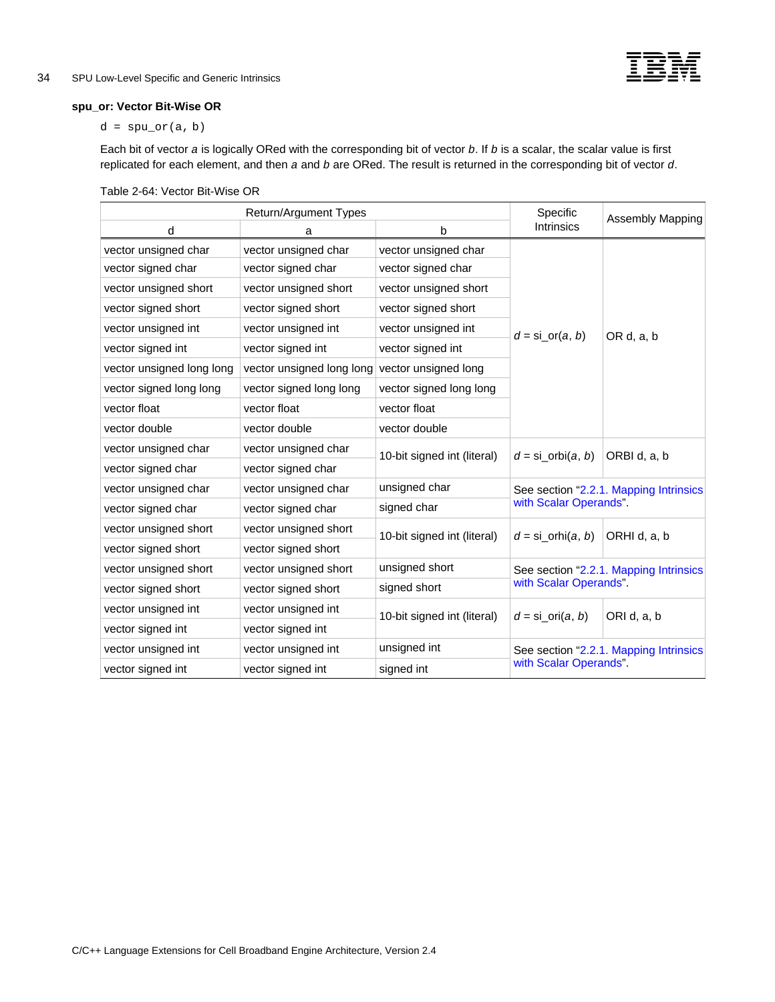## 34 SPU Low-Level Specific and Generic Intrinsics -



# **spu\_or: Vector Bit-Wise OR**

# $d = spu_or(a, b)$

Each bit of vector *a* is logically ORed with the corresponding bit of vector *b*. If *b* is a scalar, the scalar value is first replicated for each element, and then *a* and *b* are ORed. The result is returned in the corresponding bit of vector *d*.

## Table 2-64: Vector Bit-Wise OR

| Return/Argument Types     |                           |                                      | Specific                                                         | Assembly Mapping                       |
|---------------------------|---------------------------|--------------------------------------|------------------------------------------------------------------|----------------------------------------|
| d                         | a                         | b                                    | <b>Intrinsics</b>                                                |                                        |
| vector unsigned char      | vector unsigned char      | vector unsigned char                 |                                                                  |                                        |
| vector signed char        | vector signed char        | vector signed char                   |                                                                  |                                        |
| vector unsigned short     | vector unsigned short     | vector unsigned short                |                                                                  |                                        |
| vector signed short       | vector signed short       | vector signed short                  |                                                                  |                                        |
| vector unsigned int       | vector unsigned int       | vector unsigned int                  | $d = \text{si\_or}(a, b)$                                        | OR d, a, b                             |
| vector signed int         | vector signed int         | vector signed int                    |                                                                  |                                        |
| vector unsigned long long | vector unsigned long long | vector unsigned long                 |                                                                  |                                        |
| vector signed long long   | vector signed long long   | vector signed long long              |                                                                  |                                        |
| vector float              | vector float              | vector float                         |                                                                  |                                        |
| vector double             | vector double             | vector double                        |                                                                  |                                        |
| vector unsigned char      | vector unsigned char      | 10-bit signed int (literal)          | $d = \text{si\_orbit}(a, b)$                                     | ORBI d, a, b                           |
| vector signed char        | vector signed char        |                                      |                                                                  |                                        |
| vector unsigned char      | vector unsigned char      | unsigned char                        | See section "2.2.1. Mapping Intrinsics<br>with Scalar Operands". |                                        |
| vector signed char        | vector signed char        | signed char                          |                                                                  |                                        |
| vector unsigned short     | vector unsigned short     | 10-bit signed int (literal)          | $d = \sin \phi$ crhi $(a, b)$                                    | ORHI d, a, b                           |
| vector signed short       | vector signed short       |                                      |                                                                  |                                        |
| vector unsigned short     | vector unsigned short     | unsigned short                       |                                                                  | See section "2.2.1. Mapping Intrinsics |
| vector signed short       | vector signed short       | signed short                         | with Scalar Operands".                                           |                                        |
| vector unsigned int       | vector unsigned int       | 10-bit signed int (literal)          | $d = \text{si\_ori}(a, b)$                                       | ORI d, a, b                            |
| vector signed int         | vector signed int         |                                      |                                                                  |                                        |
| vector unsigned int       | vector unsigned int       | unsigned int                         | See section "2.2.1. Mapping Intrinsics                           |                                        |
| vector signed int         | vector signed int         | with Scalar Operands".<br>signed int |                                                                  |                                        |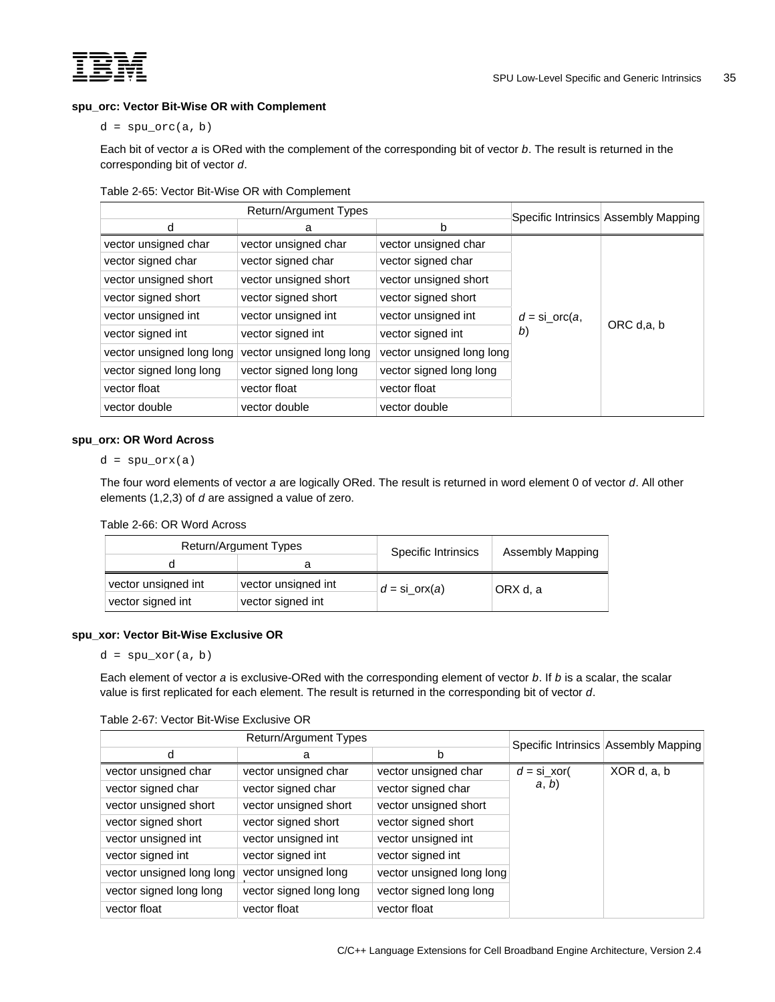

# **spu\_orc: Vector Bit-Wise OR with Complement**

 $d = spu\_orc(a, b)$ 

Each bit of vector *a* is ORed with the complement of the corresponding bit of vector *b*. The result is returned in the corresponding bit of vector *d*.

## Table 2-65: Vector Bit-Wise OR with Complement

| Return/Argument Types     |                           |                           | Specific Intrinsics Assembly Mapping |            |
|---------------------------|---------------------------|---------------------------|--------------------------------------|------------|
| d                         | а                         | b                         |                                      |            |
| vector unsigned char      | vector unsigned char      | vector unsigned char      |                                      |            |
| vector signed char        | vector signed char        | vector signed char        |                                      |            |
| vector unsigned short     | vector unsigned short     | vector unsigned short     |                                      |            |
| vector signed short       | vector signed short       | vector signed short       |                                      |            |
| vector unsigned int       | vector unsigned int       | vector unsigned int       | $d = \text{si\_orc}(a,$              | ORC d.a. b |
| vector signed int         | vector signed int         | vector signed int         | b)                                   |            |
| vector unsigned long long | vector unsigned long long | vector unsigned long long |                                      |            |
| vector signed long long   | vector signed long long   | vector signed long long   |                                      |            |
| vector float              | vector float              | vector float              |                                      |            |
| vector double             | vector double             | vector double             |                                      |            |

## **spu\_orx: OR Word Across**

 $d = spu_orx(a)$ 

The four word elements of vector *a* are logically ORed. The result is returned in word element 0 of vector *d*. All other elements (1,2,3) of *d* are assigned a value of zero.

## Table 2-66: OR Word Across

| Return/Argument Types |                     | Specific Intrinsics                     | Assembly Mapping |  |
|-----------------------|---------------------|-----------------------------------------|------------------|--|
|                       |                     |                                         |                  |  |
| vector unsigned int   | vector unsigned int | $d = \text{si} \text{ or } \text{x}(a)$ | ORX d, a         |  |
| vector signed int     | vector signed int   |                                         |                  |  |

# **spu\_xor: Vector Bit-Wise Exclusive OR**

 $d = spu_xor(a, b)$ 

Each element of vector *a* is exclusive-ORed with the corresponding element of vector *b*. If *b* is a scalar, the scalar value is first replicated for each element. The result is returned in the corresponding bit of vector *d*.

| Return/Argument Types     |                         |                           |               | Specific Intrinsics Assembly Mapping |
|---------------------------|-------------------------|---------------------------|---------------|--------------------------------------|
| d                         | а                       | b                         |               |                                      |
| vector unsigned char      | vector unsigned char    | vector unsigned char      | $d = si$ xor( | XOR d, a, b                          |
| vector signed char        | vector signed char      | vector signed char        | a, b)         |                                      |
| vector unsigned short     | vector unsigned short   | vector unsigned short     |               |                                      |
| vector signed short       | vector signed short     | vector signed short       |               |                                      |
| vector unsigned int       | vector unsigned int     | vector unsigned int       |               |                                      |
| vector signed int         | vector signed int       | vector signed int         |               |                                      |
| vector unsigned long long | vector unsigned long    | vector unsigned long long |               |                                      |
| vector signed long long   | vector signed long long | vector signed long long   |               |                                      |
| vector float              | vector float            | vector float              |               |                                      |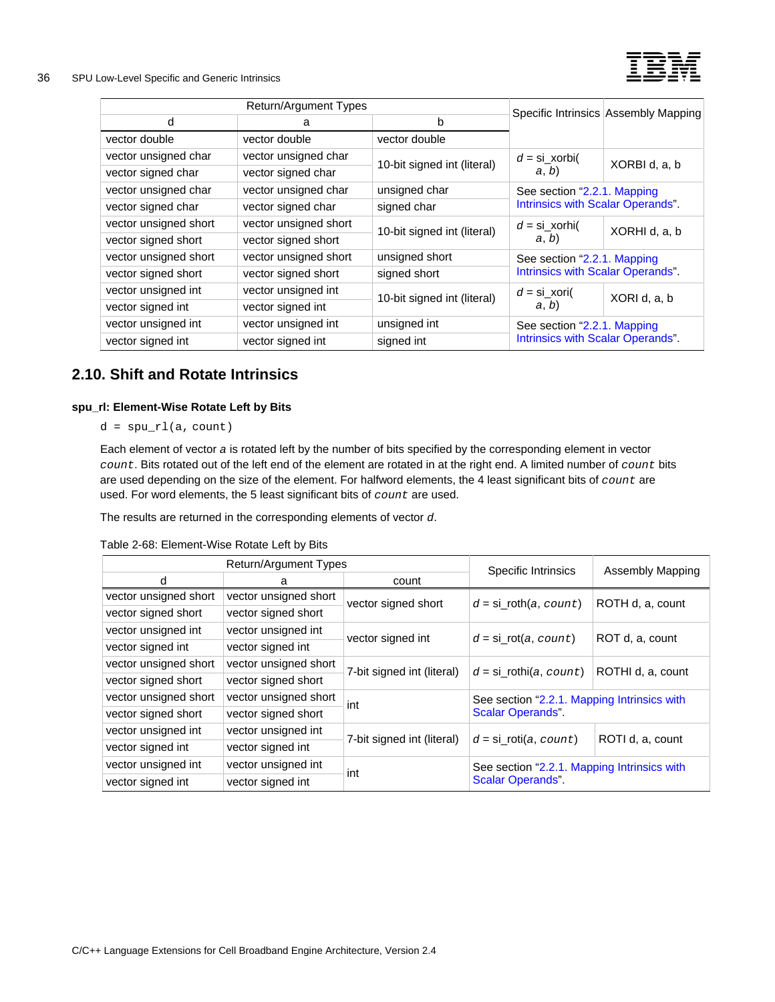# 36 SPU Low-Level Specific and Generic Intrinsics -



| Return/Argument Types |                       |                                                                                                  |                                   | Specific Intrinsics Assembly Mapping |  |
|-----------------------|-----------------------|--------------------------------------------------------------------------------------------------|-----------------------------------|--------------------------------------|--|
| d                     | a                     | b                                                                                                |                                   |                                      |  |
| vector double         | vector double         | vector double                                                                                    |                                   |                                      |  |
| vector unsigned char  | vector unsigned char  | 10-bit signed int (literal)                                                                      | $d = \sin x$ xorbi(<br>a, b       | XORBI d, a, b                        |  |
| vector signed char    | vector signed char    |                                                                                                  |                                   |                                      |  |
| vector unsigned char  | vector unsigned char  | unsigned char<br>See section "2.2.1. Mapping<br>Intrinsics with Scalar Operands".<br>signed char |                                   |                                      |  |
| vector signed char    | vector signed char    |                                                                                                  |                                   |                                      |  |
| vector unsigned short | vector unsigned short | 10-bit signed int (literal)                                                                      | $d = \sin x$ orhi(<br>a, b        | XORHI d, a, b                        |  |
| vector signed short   | vector signed short   |                                                                                                  |                                   |                                      |  |
| vector unsigned short | vector unsigned short | unsigned short                                                                                   | See section "2.2.1. Mapping"      |                                      |  |
| vector signed short   | vector signed short   | signed short                                                                                     | Intrinsics with Scalar Operands". |                                      |  |
| vector unsigned int   | vector unsigned int   | 10-bit signed int (literal)                                                                      | $d = \sin x$ ori(                 | XORI d, a, b                         |  |
| vector signed int     | vector signed int     |                                                                                                  | a, b                              |                                      |  |
| vector unsigned int   | vector unsigned int   | unsigned int                                                                                     | See section "2.2.1. Mapping       |                                      |  |
| vector signed int     | vector signed int     | signed int                                                                                       | Intrinsics with Scalar Operands". |                                      |  |

# **2.10. Shift and Rotate Intrinsics**

# **spu\_rl: Element-Wise Rotate Left by Bits**

 $d = spu_r1(a, count)$ 

Each element of vector *a* is rotated left by the number of bits specified by the corresponding element in vector *count*. Bits rotated out of the left end of the element are rotated in at the right end. A limited number of *count* bits are used depending on the size of the element. For halfword elements, the 4 least significant bits of *count* are used. For word elements, the 5 least significant bits of *count* are used.

The results are returned in the corresponding elements of vector *d*.

## Table 2-68: Element-Wise Rotate Left by Bits

| Return/Argument Types |                       |                            | Specific Intrinsics                                                     | <b>Assembly Mapping</b> |
|-----------------------|-----------------------|----------------------------|-------------------------------------------------------------------------|-------------------------|
| d                     | a                     | count                      |                                                                         |                         |
| vector unsigned short | vector unsigned short | vector signed short        | $d = \sin \theta$ roth(a, count)                                        | ROTH d. a. count        |
| vector signed short   | vector signed short   |                            |                                                                         |                         |
| vector unsigned int   | vector unsigned int   |                            |                                                                         | ROT d, a, count         |
| vector signed int     | vector signed int     | vector signed int          | $d = \text{si\_rot}(a, count)$                                          |                         |
| vector unsigned short | vector unsigned short | 7-bit signed int (literal) |                                                                         | ROTHI d, a, count       |
| vector signed short   | vector signed short   |                            | $d = \sin(\text{rothi}(a, count))$                                      |                         |
| vector unsigned short | vector unsigned short | int                        | See section "2.2.1. Mapping Intrinsics with<br><b>Scalar Operands".</b> |                         |
| vector signed short   | vector signed short   |                            |                                                                         |                         |
| vector unsigned int   | vector unsigned int   |                            | $d = \text{si\_roti}(a, count)$                                         | ROTI d. a. count        |
| vector signed int     | vector signed int     | 7-bit signed int (literal) |                                                                         |                         |
| vector unsigned int   | vector unsigned int   | int                        | See section "2.2.1. Mapping Intrinsics with<br><b>Scalar Operands"</b>  |                         |
| vector signed int     | vector signed int     |                            |                                                                         |                         |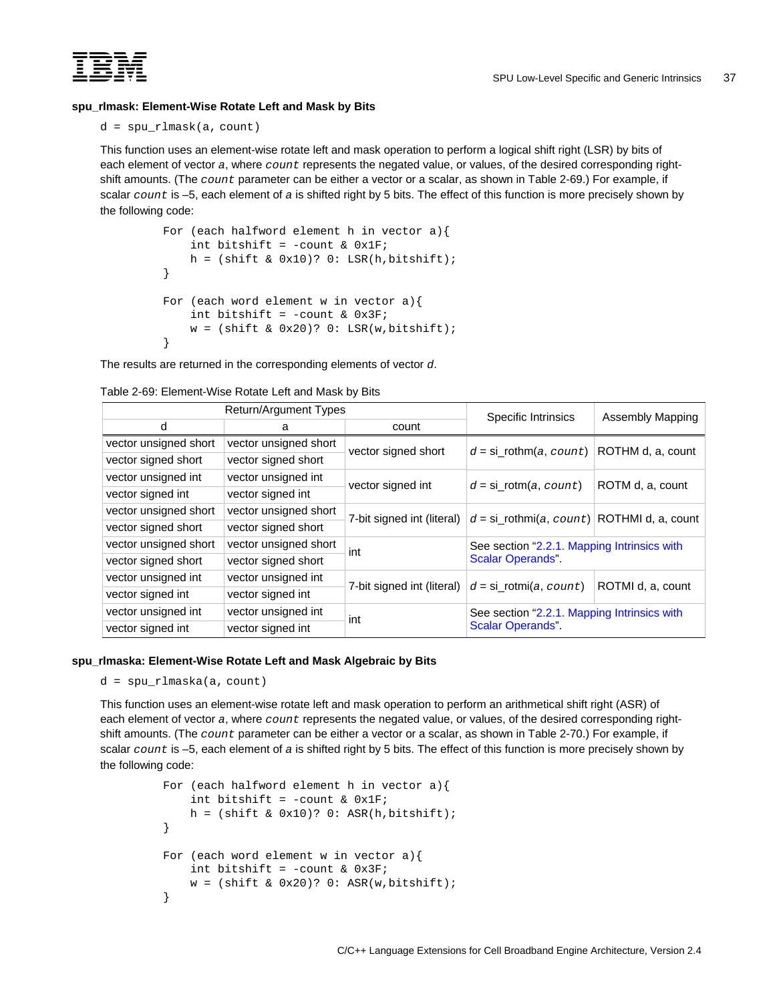

## **spu\_rlmask: Element-Wise Rotate Left and Mask by Bits**

```
d = spu_rlmask(a, count)
```
This function uses an element-wise rotate left and mask operation to perform a logical shift right (LSR) by bits of each element of vector *a*, where *count* represents the negated value, or values, of the desired corresponding rightshift amounts. (The *count* parameter can be either a vector or a scalar, as shown in Table 2-69.) For example, if scalar *count* is –5, each element of *a* is shifted right by 5 bits. The effect of this function is more precisely shown by the following code:

```
For (each halfword element h in vector a){ 
    int bitshift = -count & 0x1F; 
   h = (shift & 0x10)? 0: LSR(h,bitshift);} 
For (each word element w in vector a) {
     int bitshift = -count & 0x3F; 
   w = (shift & 0x20)? 0: LSR(w,bitshift);}
```
The results are returned in the corresponding elements of vector *d*.

| Return/Argument Types |                       | Specific Intrinsics        | <b>Assembly Mapping</b>                                                 |                   |
|-----------------------|-----------------------|----------------------------|-------------------------------------------------------------------------|-------------------|
| d                     | a                     | count                      |                                                                         |                   |
| vector unsigned short | vector unsigned short | vector signed short        | $d = \sin \theta$ rothm(a, count)                                       | ROTHM d, a, count |
| vector signed short   | vector signed short   |                            |                                                                         |                   |
| vector unsigned int   | vector unsigned int   | vector signed int          | $d = \sin \theta$ rotm(a, count)                                        | ROTM d. a. count  |
| vector signed int     | vector signed int     |                            |                                                                         |                   |
| vector unsigned short | vector unsigned short | 7-bit signed int (literal) | $d = \pi$ rothmi(a, count) ROTHMI d, a, count                           |                   |
| vector signed short   | vector signed short   |                            |                                                                         |                   |
| vector unsigned short | vector unsigned short | int                        | See section "2.2.1. Mapping Intrinsics with<br><b>Scalar Operands".</b> |                   |
| vector signed short   | vector signed short   |                            |                                                                         |                   |
| vector unsigned int   | vector unsigned int   | 7-bit signed int (literal) | $d = \sin \theta$ rotmi(a, count)                                       | ROTMI d, a, count |
| vector signed int     | vector signed int     |                            |                                                                         |                   |
| vector unsigned int   | vector unsigned int   | int                        | See section "2.2.1. Mapping Intrinsics with<br><b>Scalar Operands".</b> |                   |
| vector signed int     | vector signed int     |                            |                                                                         |                   |

Table 2-69: Element-Wise Rotate Left and Mask by Bits

## **spu\_rlmaska: Element-Wise Rotate Left and Mask Algebraic by Bits**

d = spu\_rlmaska(a, count)

This function uses an element-wise rotate left and mask operation to perform an arithmetical shift right (ASR) of each element of vector *a*, where *count* represents the negated value, or values, of the desired corresponding rightshift amounts. (The *count* parameter can be either a vector or a scalar, as shown in Table 2-70.) For example, if scalar *count* is –5, each element of *a* is shifted right by 5 bits. The effect of this function is more precisely shown by the following code:

```
For (each halfword element h in vector a){ 
   int bitshift = -count & 0x1F;
   h = (shift & 0x10)? 0: ASR(h,bitshift);} 
For (each word element w in vector a){ 
    int bitshift = -count & 0x3F; 
   w = (shift & 0x20)? 0: ASR(w,bitshift);}
```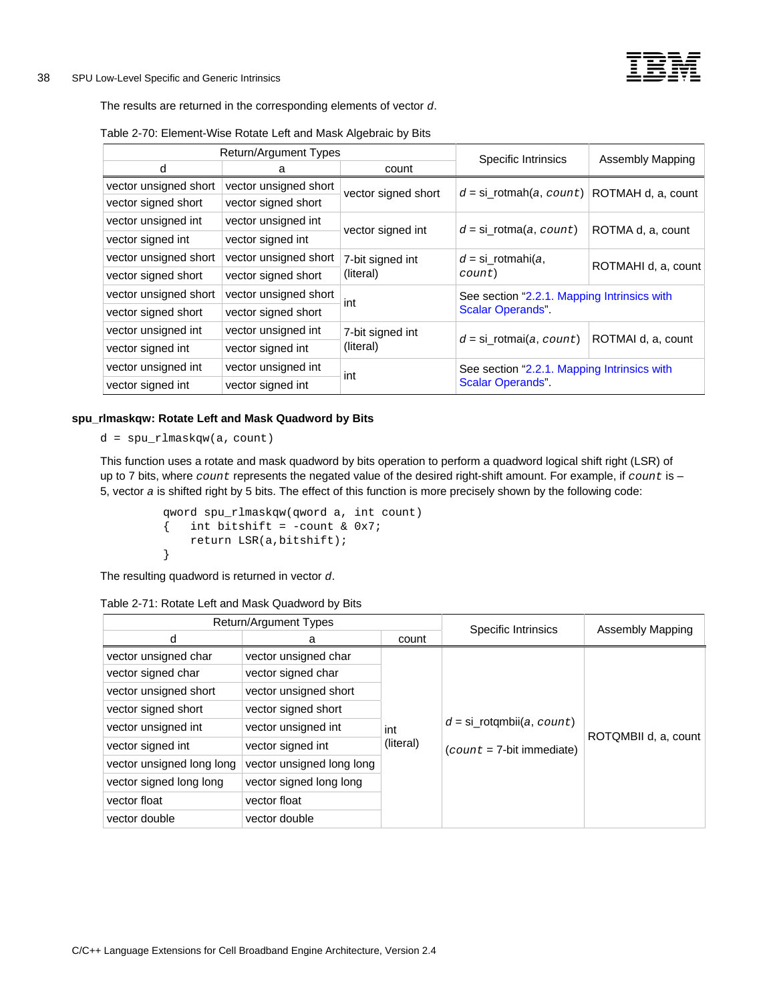

ROTQMBII d, a, count

The results are returned in the corresponding elements of vector *d*.

| Return/Argument Types |                       | Specific Intrinsics | Assembly Mapping                                                        |                     |
|-----------------------|-----------------------|---------------------|-------------------------------------------------------------------------|---------------------|
| d                     | a                     | count               |                                                                         |                     |
| vector unsigned short | vector unsigned short | vector signed short | $d = \pi$ si_rotmah(a, count) ROTMAH d, a, count                        |                     |
| vector signed short   | vector signed short   |                     |                                                                         |                     |
| vector unsigned int   | vector unsigned int   |                     |                                                                         |                     |
| vector signed int     | vector signed int     | vector signed int   | $d = \sin(t)$ = si_rotma(a, count)                                      | ROTMA d, a, count   |
| vector unsigned short | vector unsigned short | 7-bit signed int    | $d = \sin$ rotmahi(a,<br>count)                                         | ROTMAHI d. a. count |
| vector signed short   | vector signed short   | (literal)           |                                                                         |                     |
| vector unsigned short | vector unsigned short | int                 | See section "2.2.1. Mapping Intrinsics with<br><b>Scalar Operands".</b> |                     |
| vector signed short   | vector signed short   |                     |                                                                         |                     |
| vector unsigned int   | vector unsigned int   | 7-bit signed int    | $d = \sin(t)$ signormai(a, count)                                       | ROTMAI d, a, count  |
| vector signed int     | vector signed int     | (literal)           |                                                                         |                     |
| vector unsigned int   | vector unsigned int   | int                 | See section "2.2.1. Mapping Intrinsics with<br><b>Scalar Operands".</b> |                     |
| vector signed int     | vector signed int     |                     |                                                                         |                     |

Table 2-70: Element-Wise Rotate Left and Mask Algebraic by Bits

## **spu\_rlmaskqw: Rotate Left and Mask Quadword by Bits**

d = spu\_rlmaskqw(a, count)

This function uses a rotate and mask quadword by bits operation to perform a quadword logical shift right (LSR) of up to 7 bits, where *count* represents the negated value of the desired right-shift amount. For example, if *count* is – 5, vector *a* is shifted right by 5 bits. The effect of this function is more precisely shown by the following code:

```
qword spu_rlmaskqw(qword a, int count) 
{ int bitshift = -count & 0x7;
     return LSR(a,bitshift); 
}
```
The resulting quadword is returned in vector *d*.

|                       | Table 2-71: Rotate Left and Mask Quadword by Bits |           |                                     |                         |
|-----------------------|---------------------------------------------------|-----------|-------------------------------------|-------------------------|
| Return/Argument Types |                                                   |           | <b>Specific Intrinsics</b>          | <b>Assembly Mapping</b> |
|                       | а                                                 | count     |                                     |                         |
| vector unsigned char  | vector unsigned char                              |           |                                     |                         |
| vector signed char    | vector signed char                                |           |                                     |                         |
| vector unsigned short | vector unsigned short                             |           |                                     |                         |
| vector signed short   | vector signed short                               |           |                                     |                         |
| vector unsigned int   | vector unsigned int                               | int       | $d = \text{si\_rotqmbii}(a, count)$ |                         |
| vector signed int     | vector signed int                                 | (literal) | $(count = 7-bit immediate)$         | ROTQMBII d, a, cour     |

| Table 2-71: Rotate Left and Mask Quadword by Bits |
|---------------------------------------------------|
|---------------------------------------------------|

vector unsigned long long vector unsigned long long vector signed long long vector signed long long

vector float vector float vector double vector double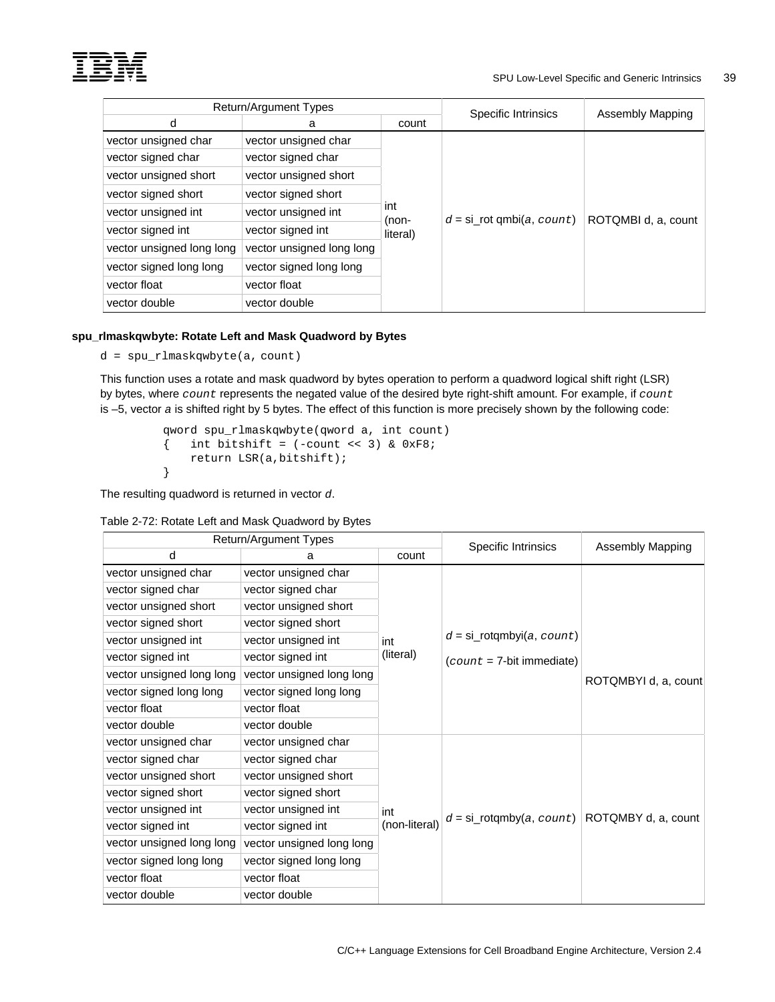

| Return/Argument Types     |                           | Specific Intrinsics      | Assembly Mapping                |                     |
|---------------------------|---------------------------|--------------------------|---------------------------------|---------------------|
| d                         | a                         | count                    |                                 |                     |
| vector unsigned char      | vector unsigned char      | int<br>(non-<br>literal) |                                 | ROTQMBI d, a, count |
| vector signed char        | vector signed char        |                          |                                 |                     |
| vector unsigned short     | vector unsigned short     |                          |                                 |                     |
| vector signed short       | vector signed short       |                          |                                 |                     |
| vector unsigned int       | vector unsigned int       |                          | $d = \sin(t)$ and $d = \sin(t)$ |                     |
| vector signed int         | vector signed int         |                          |                                 |                     |
| vector unsigned long long | vector unsigned long long |                          |                                 |                     |
| vector signed long long   | vector signed long long   |                          |                                 |                     |
| vector float              | vector float              |                          |                                 |                     |
| vector double             | vector double             |                          |                                 |                     |

# **spu\_rlmaskqwbyte: Rotate Left and Mask Quadword by Bytes**

d = spu\_rlmaskqwbyte(a, count)

This function uses a rotate and mask quadword by bytes operation to perform a quadword logical shift right (LSR) by bytes, where *count* represents the negated value of the desired byte right-shift amount. For example, if *count* is –5, vector *a* is shifted right by 5 bytes. The effect of this function is more precisely shown by the following code:

```
qword spu_rlmaskqwbyte(qword a, int count) 
{ int bitshift = (-count \leq 3) & 0xF8;
    return LSR(a,bitshift); 
}
```
The resulting quadword is returned in vector *d*.

| <b>Return/Argument Types</b> |                           | Specific Intrinsics | Assembly Mapping                                             |                      |
|------------------------------|---------------------------|---------------------|--------------------------------------------------------------|----------------------|
| d                            | а                         | count               |                                                              |                      |
| vector unsigned char         | vector unsigned char      |                     |                                                              |                      |
| vector signed char           | vector signed char        |                     |                                                              |                      |
| vector unsigned short        | vector unsigned short     |                     |                                                              |                      |
| vector signed short          | vector signed short       |                     |                                                              |                      |
| vector unsigned int          | vector unsigned int       | int                 | $d = \sin\left(\frac{1}{2} \right)$ si rotqmbyi $(a, count)$ |                      |
| vector signed int            | vector signed int         | (literal)           | $(count = 7-bit immediate)$                                  |                      |
| vector unsigned long long    | vector unsigned long long |                     |                                                              | ROTQMBYI d, a, count |
| vector signed long long      | vector signed long long   |                     |                                                              |                      |
| vector float                 | vector float              |                     |                                                              |                      |
| vector double                | vector double             |                     |                                                              |                      |
| vector unsigned char         | vector unsigned char      |                     |                                                              |                      |
| vector signed char           | vector signed char        |                     |                                                              |                      |
| vector unsigned short        | vector unsigned short     |                     |                                                              |                      |
| vector signed short          | vector signed short       |                     |                                                              |                      |
| vector unsigned int          | vector unsigned int       | int                 |                                                              | ROTQMBY d, a, count  |
| vector signed int            | vector signed int         | (non-literal)       | $d = \sin(\theta)$ signal count)                             |                      |
| vector unsigned long long    | vector unsigned long long |                     |                                                              |                      |
| vector signed long long      | vector signed long long   |                     |                                                              |                      |
| vector float                 | vector float              |                     |                                                              |                      |
| vector double                | vector double             |                     |                                                              |                      |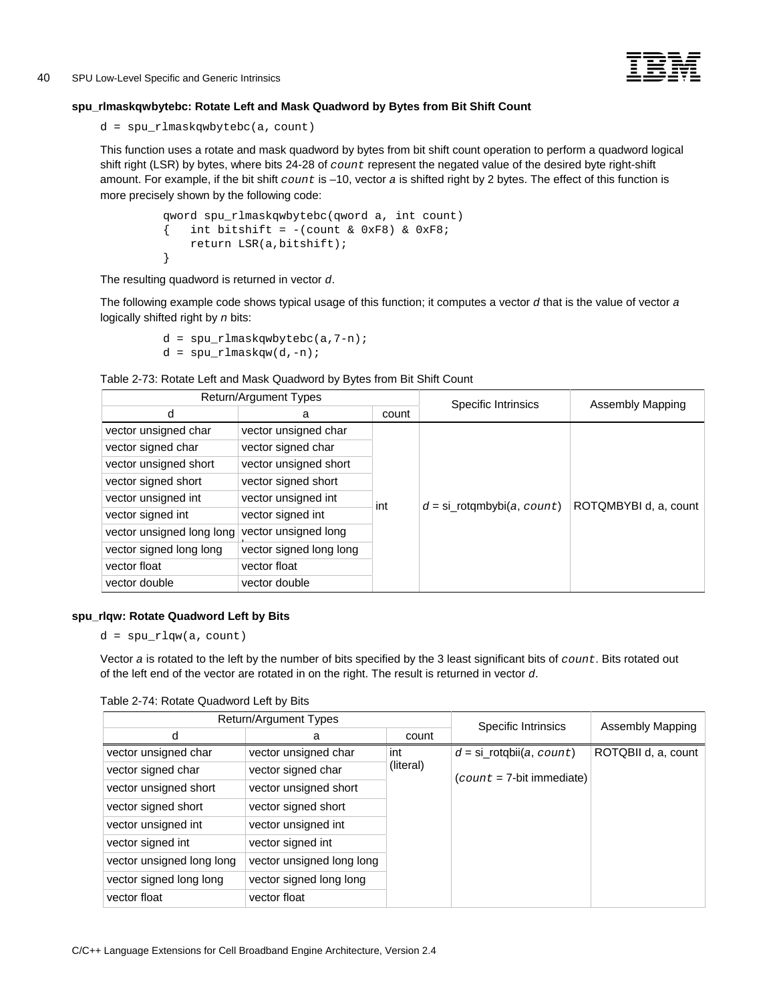

## **spu\_rlmaskqwbytebc: Rotate Left and Mask Quadword by Bytes from Bit Shift Count**

```
d = spu_rlmaskqwbytebc(a, count)
```
This function uses a rotate and mask quadword by bytes from bit shift count operation to perform a quadword logical shift right (LSR) by bytes, where bits 24-28 of *count* represent the negated value of the desired byte right-shift amount. For example, if the bit shift *count* is –10, vector *a* is shifted right by 2 bytes. The effect of this function is more precisely shown by the following code:

```
qword spu_rlmaskqwbytebc(qword a, int count) 
\{ int bitshift = -(count & 0xF8) & 0xF8;
    return LSR(a,bitshift); 
}
```
The resulting quadword is returned in vector *d*.

The following example code shows typical usage of this function; it computes a vector *d* that is the value of vector *a* logically shifted right by *n* bits:

```
d = spu_rlmaskqwbytebc(a,7-n); 
d = spu_rlmaskqw(d,-n);
```
Table 2-73: Rotate Left and Mask Quadword by Bytes from Bit Shift Count

| Return/Argument Types     |                         | Specific Intrinsics | Assembly Mapping                            |                       |
|---------------------------|-------------------------|---------------------|---------------------------------------------|-----------------------|
| d                         | а                       | count               |                                             |                       |
| vector unsigned char      | vector unsigned char    |                     |                                             |                       |
| vector signed char        | vector signed char      | int                 |                                             |                       |
| vector unsigned short     | vector unsigned short   |                     |                                             |                       |
| vector signed short       | vector signed short     |                     |                                             |                       |
| vector unsigned int       | vector unsigned int     |                     | $d = \sin(\theta)$ = si_rotqmbybi(a, count) | ROTQMBYBI d. a. count |
| vector signed int         | vector signed int       |                     |                                             |                       |
| vector unsigned long long | vector unsigned long    |                     |                                             |                       |
| vector signed long long   | vector signed long long |                     |                                             |                       |
| vector float              | vector float            |                     |                                             |                       |
| vector double             | vector double           |                     |                                             |                       |

## **spu\_rlqw: Rotate Quadword Left by Bits**

 $d = spu_rlqw(a, count)$ 

Vector *a* is rotated to the left by the number of bits specified by the 3 least significant bits of *count*. Bits rotated out of the left end of the vector are rotated in on the right. The result is returned in vector *d*.

| Return/Argument Types     |                           |           | Specific Intrinsics                 | Assembly Mapping    |
|---------------------------|---------------------------|-----------|-------------------------------------|---------------------|
| d                         | а                         | count     |                                     |                     |
| vector unsigned char      | vector unsigned char      | int       | $d = \sin \theta$ rotgbii(a, count) | ROTQBII d. a. count |
| vector signed char        | vector signed char        | (literal) | $(count = 7-bit immediate)$         |                     |
| vector unsigned short     | vector unsigned short     |           |                                     |                     |
| vector signed short       | vector signed short       |           |                                     |                     |
| vector unsigned int       | vector unsigned int       |           |                                     |                     |
| vector signed int         | vector signed int         |           |                                     |                     |
| vector unsigned long long | vector unsigned long long |           |                                     |                     |
| vector signed long long   | vector signed long long   |           |                                     |                     |
| vector float              | vector float              |           |                                     |                     |

Table 2-74: Rotate Quadword Left by Bits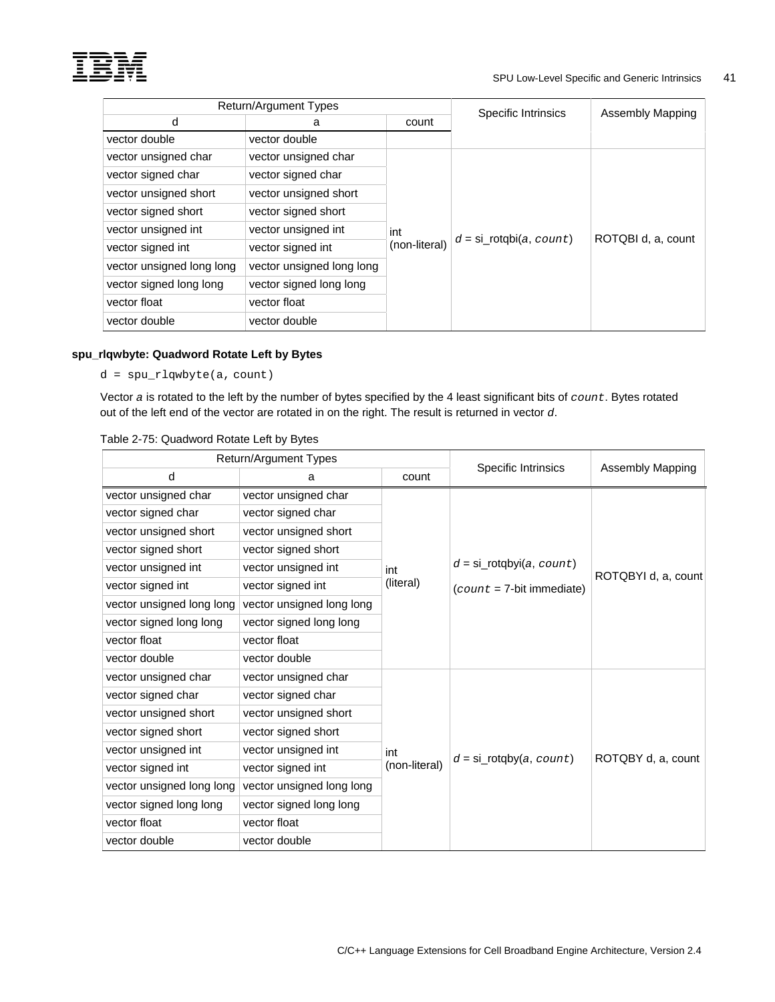



| Return/Argument Types     |                           |               | Specific Intrinsics                | <b>Assembly Mapping</b> |
|---------------------------|---------------------------|---------------|------------------------------------|-------------------------|
| d                         | a                         | count         |                                    |                         |
| vector double             | vector double             |               |                                    |                         |
| vector unsigned char      | vector unsigned char      |               | $d = \sin \theta$ rotabi(a, count) | ROTQBI d, a, count      |
| vector signed char        | vector signed char        |               |                                    |                         |
| vector unsigned short     | vector unsigned short     |               |                                    |                         |
| vector signed short       | vector signed short       |               |                                    |                         |
| vector unsigned int       | vector unsigned int       | int           |                                    |                         |
| vector signed int         | vector signed int         | (non-literal) |                                    |                         |
| vector unsigned long long | vector unsigned long long |               |                                    |                         |
| vector signed long long   | vector signed long long   |               |                                    |                         |
| vector float              | vector float              |               |                                    |                         |
| vector double             | vector double             |               |                                    |                         |

# **spu\_rlqwbyte: Quadword Rotate Left by Bytes**

d = spu\_rlqwbyte(a, count)

Vector *a* is rotated to the left by the number of bytes specified by the 4 least significant bits of *count*. Bytes rotated out of the left end of the vector are rotated in on the right. The result is returned in vector *d*.

# Table 2-75: Quadword Rotate Left by Bytes

| Return/Argument Types     |                           | <b>Specific Intrinsics</b> | Assembly Mapping                        |                     |
|---------------------------|---------------------------|----------------------------|-----------------------------------------|---------------------|
| d                         | a                         | count                      |                                         |                     |
| vector unsigned char      | vector unsigned char      |                            |                                         |                     |
| vector signed char        | vector signed char        |                            |                                         |                     |
| vector unsigned short     | vector unsigned short     |                            |                                         |                     |
| vector signed short       | vector signed short       |                            |                                         |                     |
| vector unsigned int       | vector unsigned int       | int                        | $d = \sin(\theta)$ rotqbyi $(a, count)$ | ROTQBYI d, a, count |
| vector signed int         | vector signed int         | (literal)                  | $(count = 7-bit immediate)$             |                     |
| vector unsigned long long | vector unsigned long long |                            |                                         |                     |
| vector signed long long   | vector signed long long   |                            |                                         |                     |
| vector float              | vector float              |                            |                                         |                     |
| vector double             | vector double             |                            |                                         |                     |
| vector unsigned char      | vector unsigned char      |                            |                                         |                     |
| vector signed char        | vector signed char        |                            |                                         |                     |
| vector unsigned short     | vector unsigned short     |                            |                                         |                     |
| vector signed short       | vector signed short       |                            |                                         |                     |
| vector unsigned int       | vector unsigned int       | int                        |                                         | ROTQBY d. a. count  |
| vector signed int         | vector signed int         | (non-literal)              | $d = \sin(\theta)$ count)               |                     |
| vector unsigned long long | vector unsigned long long |                            |                                         |                     |
| vector signed long long   | vector signed long long   |                            |                                         |                     |
| vector float              | vector float              |                            |                                         |                     |
| vector double             | vector double             |                            |                                         |                     |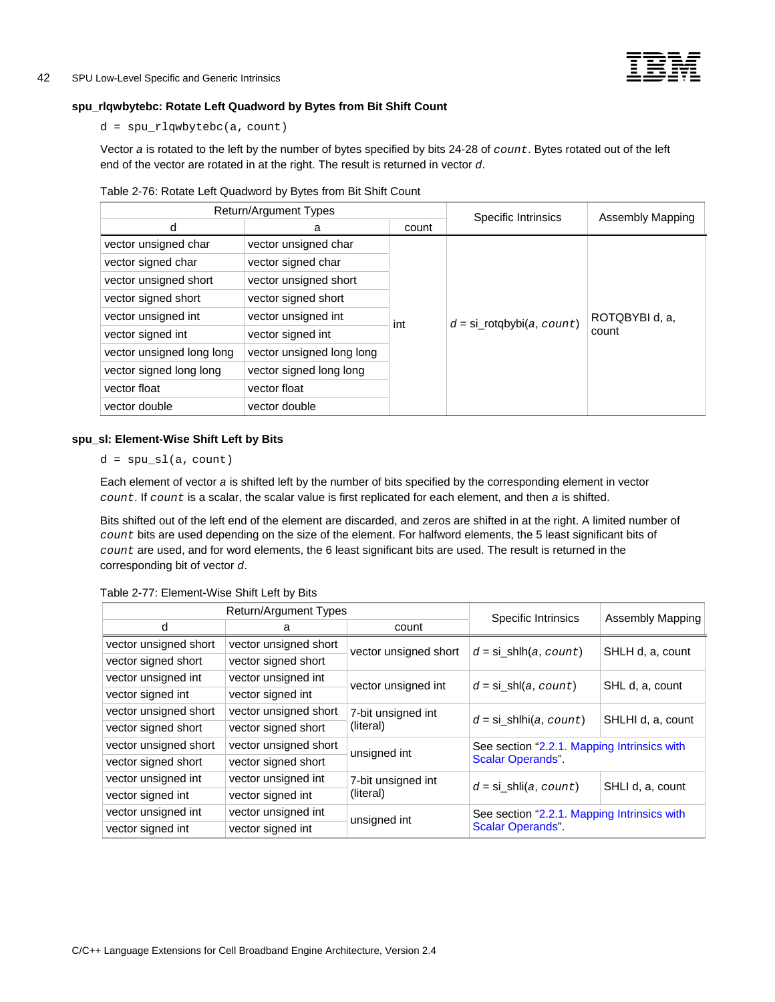

# **spu\_rlqwbytebc: Rotate Left Quadword by Bytes from Bit Shift Count**

d = spu\_rlqwbytebc(a, count)

Vector *a* is rotated to the left by the number of bytes specified by bits 24-28 of *count*. Bytes rotated out of the left end of the vector are rotated in at the right. The result is returned in vector *d*.

## Table 2-76: Rotate Left Quadword by Bytes from Bit Shift Count

| Return/Argument Types     |                           | Specific Intrinsics | Assembly Mapping                         |                         |
|---------------------------|---------------------------|---------------------|------------------------------------------|-------------------------|
| d                         | а                         | count               |                                          |                         |
| vector unsigned char      | vector unsigned char      |                     | $d = \sin(\theta)$ rotqbybi $(a, count)$ | ROTQBYBI d. a.<br>count |
| vector signed char        | vector signed char        |                     |                                          |                         |
| vector unsigned short     | vector unsigned short     | int                 |                                          |                         |
| vector signed short       | vector signed short       |                     |                                          |                         |
| vector unsigned int       | vector unsigned int       |                     |                                          |                         |
| vector signed int         | vector signed int         |                     |                                          |                         |
| vector unsigned long long | vector unsigned long long |                     |                                          |                         |
| vector signed long long   | vector signed long long   |                     |                                          |                         |
| vector float              | vector float              |                     |                                          |                         |
| vector double             | vector double             |                     |                                          |                         |

# **spu\_sl: Element-Wise Shift Left by Bits**

 $d = spu_s1(a, count)$ 

Each element of vector *a* is shifted left by the number of bits specified by the corresponding element in vector *count*. If *count* is a scalar, the scalar value is first replicated for each element, and then *a* is shifted.

Bits shifted out of the left end of the element are discarded, and zeros are shifted in at the right. A limited number of *count* bits are used depending on the size of the element. For halfword elements, the 5 least significant bits of *count* are used, and for word elements, the 6 least significant bits are used. The result is returned in the corresponding bit of vector *d*.

| Table 2-77: Element-Wise Shift Left by Bits |  |  |
|---------------------------------------------|--|--|
|---------------------------------------------|--|--|

| Return/Argument Types |                       | Specific Intrinsics   | <b>Assembly Mapping</b>                                                 |                   |  |
|-----------------------|-----------------------|-----------------------|-------------------------------------------------------------------------|-------------------|--|
| d                     | a                     | count                 |                                                                         |                   |  |
| vector unsigned short | vector unsigned short | vector unsigned short | $d = \sin \phi(a, count)$                                               | SHLH d, a, count  |  |
| vector signed short   | vector signed short   |                       |                                                                         |                   |  |
| vector unsigned int   | vector unsigned int   | vector unsigned int   | $d = \sin \text{sh}(a, count)$                                          | SHL d. a. count   |  |
| vector signed int     | vector signed int     |                       |                                                                         |                   |  |
| vector unsigned short | vector unsigned short | 7-bit unsigned int    | $d = \sin\left(\frac{a}{c}, \frac{count}{c}\right)$                     | SHLHI d. a. count |  |
| vector signed short   | vector signed short   | (literal)             |                                                                         |                   |  |
| vector unsigned short | vector unsigned short |                       | See section "2.2.1. Mapping Intrinsics with<br><b>Scalar Operands".</b> |                   |  |
| vector signed short   | vector signed short   | unsigned int          |                                                                         |                   |  |
| vector unsigned int   | vector unsigned int   | 7-bit unsigned int    |                                                                         |                   |  |
| vector signed int     | vector signed int     | (literal)             | $d = \sin \text{shli}(a, count)$                                        | SHLI d. a. count  |  |
| vector unsigned int   | vector unsigned int   |                       | See section "2.2.1. Mapping Intrinsics with<br><b>Scalar Operands".</b> |                   |  |
| vector signed int     | vector signed int     | unsigned int          |                                                                         |                   |  |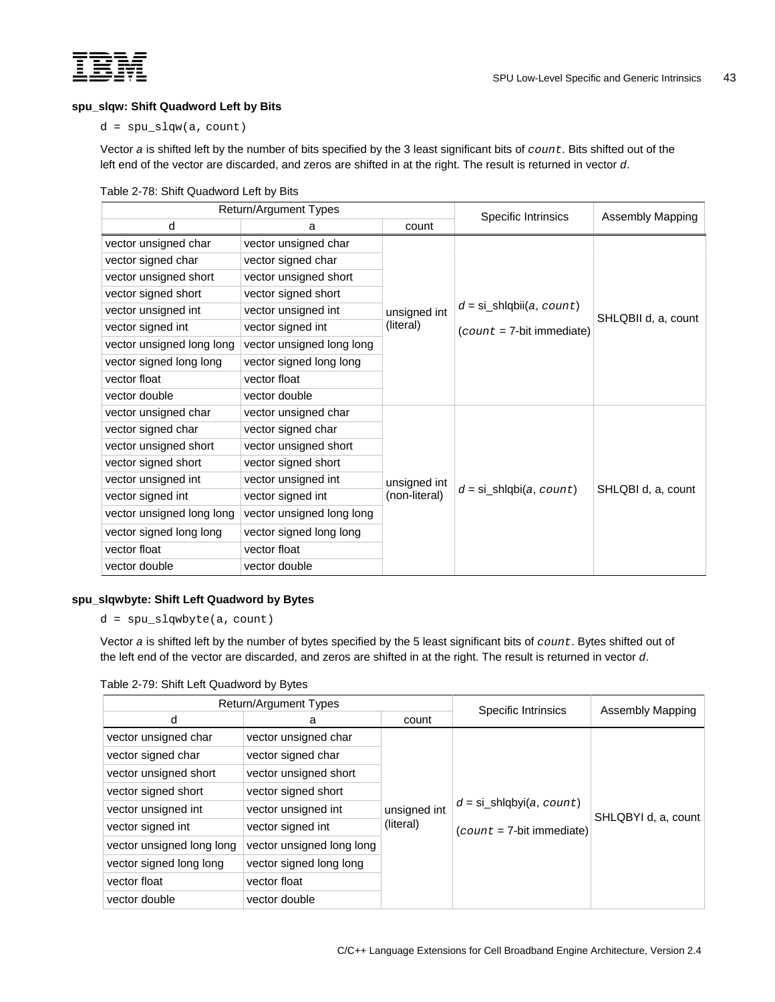

# **spu\_slqw: Shift Quadword Left by Bits**

 $d = spu_slqw(a, count)$ 

Vector *a* is shifted left by the number of bits specified by the 3 least significant bits of *count*. Bits shifted out of the left end of the vector are discarded, and zeros are shifted in at the right. The result is returned in vector *d*.

| Table 2-78: Shift Quadword Left by Bits |  |  |  |  |
|-----------------------------------------|--|--|--|--|
|-----------------------------------------|--|--|--|--|

| Return/Argument Types     |                           | Specific Intrinsics | Assembly Mapping                   |                     |
|---------------------------|---------------------------|---------------------|------------------------------------|---------------------|
| d                         | a                         | count               |                                    |                     |
| vector unsigned char      | vector unsigned char      |                     |                                    |                     |
| vector signed char        | vector signed char        |                     |                                    |                     |
| vector unsigned short     | vector unsigned short     |                     |                                    |                     |
| vector signed short       | vector signed short       |                     |                                    |                     |
| vector unsigned int       | vector unsigned int       | unsigned int        | $d = \sin \text{shlqbi}(a, count)$ | SHLQBII d, a, count |
| vector signed int         | vector signed int         | (literal)           | $(count = 7-bit immediate)$        |                     |
| vector unsigned long long | vector unsigned long long |                     |                                    |                     |
| vector signed long long   | vector signed long long   |                     |                                    |                     |
| vector float              | vector float              |                     |                                    |                     |
| vector double             | vector double             |                     |                                    |                     |
| vector unsigned char      | vector unsigned char      |                     |                                    |                     |
| vector signed char        | vector signed char        |                     |                                    |                     |
| vector unsigned short     | vector unsigned short     |                     |                                    |                     |
| vector signed short       | vector signed short       |                     |                                    |                     |
| vector unsigned int       | vector unsigned int       | unsigned int        |                                    |                     |
| vector signed int         | vector signed int         | (non-literal)       | $d = \sin\theta$ shlqbi(a, count)  | SHLQBI d, a, count  |
| vector unsigned long long | vector unsigned long long |                     |                                    |                     |
| vector signed long long   | vector signed long long   |                     |                                    |                     |
| vector float              | vector float              |                     |                                    |                     |
| vector double             | vector double             |                     |                                    |                     |

# **spu\_slqwbyte: Shift Left Quadword by Bytes**

d = spu\_slqwbyte(a, count)

Vector *a* is shifted left by the number of bytes specified by the 5 least significant bits of *count*. Bytes shifted out of the left end of the vector are discarded, and zeros are shifted in at the right. The result is returned in vector *d*.

Table 2-79: Shift Left Quadword by Bytes

| <b>Return/Argument Types</b> |                           |                           | Specific Intrinsics                                                | Assembly Mapping    |
|------------------------------|---------------------------|---------------------------|--------------------------------------------------------------------|---------------------|
| d                            | a                         | count                     |                                                                    |                     |
| vector unsigned char         | vector unsigned char      | unsigned int<br>(literal) |                                                                    | SHLQBYI d, a, count |
| vector signed char           | vector signed char        |                           |                                                                    |                     |
| vector unsigned short        | vector unsigned short     |                           | $d = \sin \text{shlqbyi}(a, count)$<br>$(count = 7-bit immediate)$ |                     |
| vector signed short          | vector signed short       |                           |                                                                    |                     |
| vector unsigned int          | vector unsigned int       |                           |                                                                    |                     |
| vector signed int            | vector signed int         |                           |                                                                    |                     |
| vector unsigned long long    | vector unsigned long long |                           |                                                                    |                     |
| vector signed long long      | vector signed long long   |                           |                                                                    |                     |
| vector float                 | vector float              |                           |                                                                    |                     |
| vector double                | vector double             |                           |                                                                    |                     |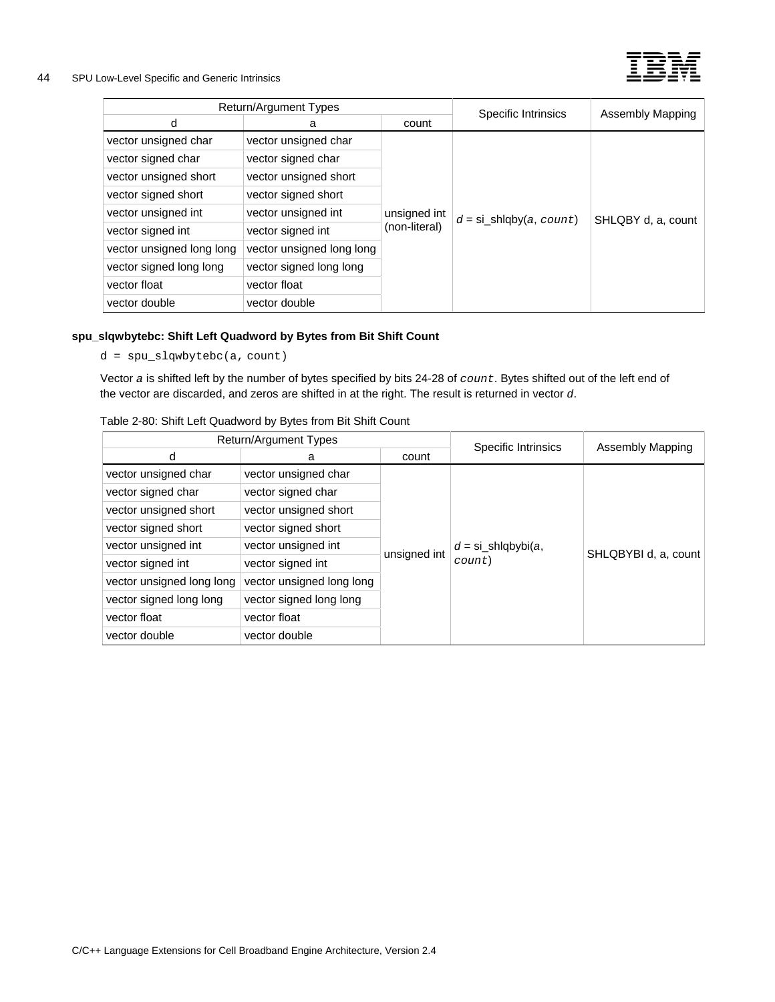# 44 SPU Low-Level Specific and Generic Intrinsics



| Return/Argument Types     |                           |               | Specific Intrinsics                            | <b>Assembly Mapping</b> |
|---------------------------|---------------------------|---------------|------------------------------------------------|-------------------------|
| d                         | a                         | count         |                                                |                         |
| vector unsigned char      | vector unsigned char      |               |                                                |                         |
| vector signed char        | vector signed char        |               |                                                |                         |
| vector unsigned short     | vector unsigned short     |               |                                                |                         |
| vector signed short       | vector signed short       | unsigned int  | $d = \sin \frac{\sinh(\alpha)}{\cosh(\alpha)}$ | SHLQBY d, a, count      |
| vector unsigned int       | vector unsigned int       |               |                                                |                         |
| vector signed int         | vector signed int         | (non-literal) |                                                |                         |
| vector unsigned long long | vector unsigned long long |               |                                                |                         |
| vector signed long long   | vector signed long long   |               |                                                |                         |
| vector float              | vector float              |               |                                                |                         |
| vector double             | vector double             |               |                                                |                         |

# **spu\_slqwbytebc: Shift Left Quadword by Bytes from Bit Shift Count**

d = spu\_slqwbytebc(a, count)

Vector *a* is shifted left by the number of bytes specified by bits 24-28 of *count*. Bytes shifted out of the left end of the vector are discarded, and zeros are shifted in at the right. The result is returned in vector *d*.

# Table 2-80: Shift Left Quadword by Bytes from Bit Shift Count

| Return/Argument Types     |                           |              | <b>Specific Intrinsics</b>        | Assembly Mapping     |  |
|---------------------------|---------------------------|--------------|-----------------------------------|----------------------|--|
| d                         | а                         | count        |                                   |                      |  |
| vector unsigned char      | vector unsigned char      |              |                                   |                      |  |
| vector signed char        | vector signed char        |              |                                   |                      |  |
| vector unsigned short     | vector unsigned short     |              |                                   |                      |  |
| vector signed short       | vector signed short       |              |                                   |                      |  |
| vector unsigned int       | vector unsigned int       | unsigned int | $d = \pi_{\text{si}}$ shlqbybi(a, | SHLQBYBI d, a, count |  |
| vector signed int         | vector signed int         |              | count)                            |                      |  |
| vector unsigned long long | vector unsigned long long |              |                                   |                      |  |
| vector signed long long   | vector signed long long   |              |                                   |                      |  |
| vector float              | vector float              |              |                                   |                      |  |
| vector double             | vector double             |              |                                   |                      |  |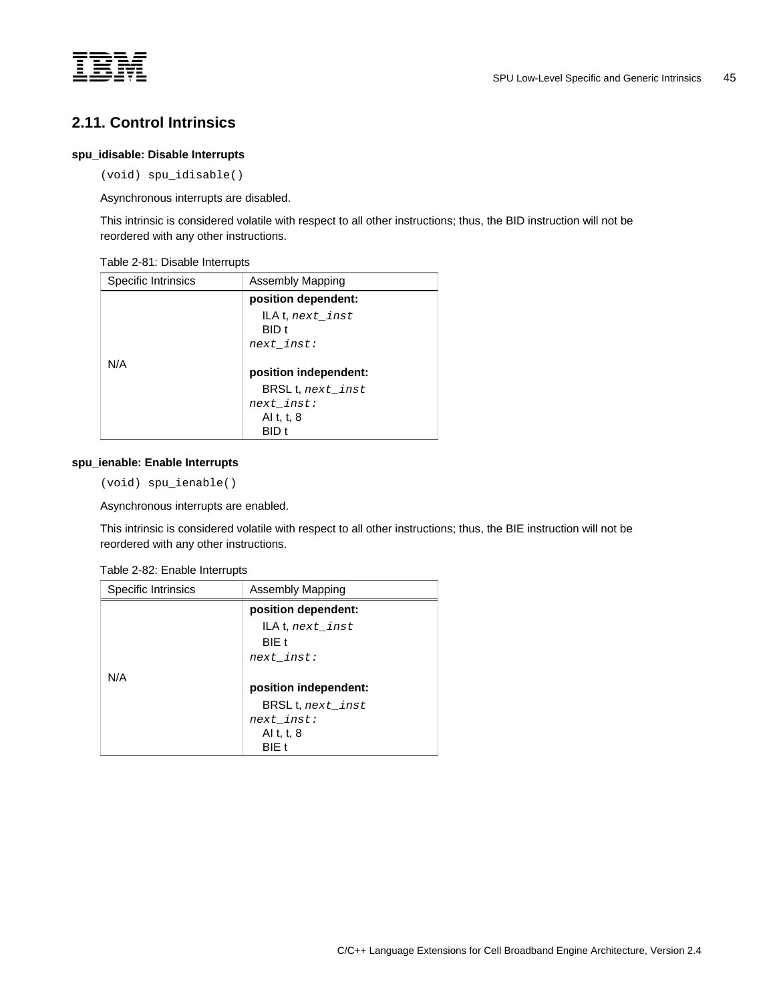

# **2.11. Control Intrinsics**

## **spu\_idisable: Disable Interrupts**

(void) spu\_idisable()

Asynchronous interrupts are disabled.

This intrinsic is considered volatile with respect to all other instructions; thus, the BID instruction will not be reordered with any other instructions.

| Specific Intrinsics | Assembly Mapping      |
|---------------------|-----------------------|
|                     | position dependent:   |
|                     | $ILA$ , $next\_inst$  |
|                     | BID t                 |
|                     | next inst:            |
| N/A                 |                       |
|                     | position independent: |
|                     | BRSL t, next inst     |
|                     | next inst:            |
|                     | AI t, t, 8            |
|                     | BID t                 |

# **spu\_ienable: Enable Interrupts**

(void) spu\_ienable()

Asynchronous interrupts are enabled.

This intrinsic is considered volatile with respect to all other instructions; thus, the BIE instruction will not be reordered with any other instructions.

| Specific Intrinsics | Assembly Mapping      |
|---------------------|-----------------------|
|                     | position dependent:   |
|                     | ILA t, next inst      |
|                     | BIE t                 |
|                     | next inst:            |
| N/A                 |                       |
|                     | position independent: |
|                     | BRSL t, next inst     |
|                     | next inst:            |
|                     | AI t, t, 8            |
|                     | BIE t                 |

Table 2-82: Enable Interrupts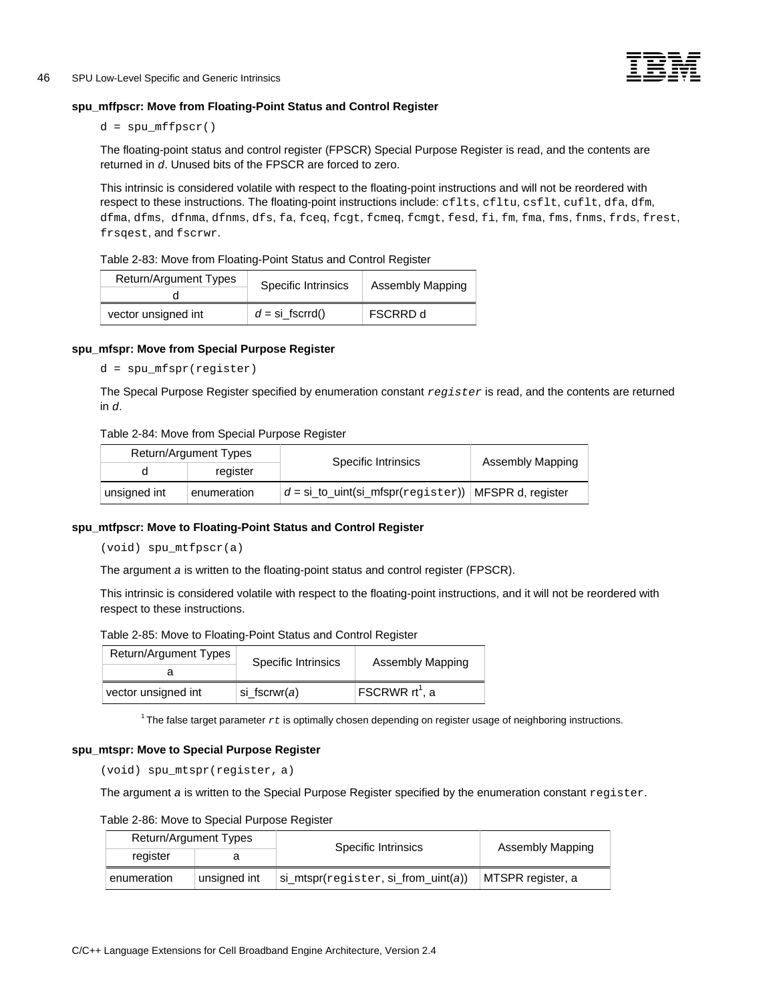

#### **spu\_mffpscr: Move from Floating-Point Status and Control Register**

 $d = spu_mffpscr()$ 

The floating-point status and control register (FPSCR) Special Purpose Register is read, and the contents are returned in *d*. Unused bits of the FPSCR are forced to zero.

This intrinsic is considered volatile with respect to the floating-point instructions and will not be reordered with respect to these instructions. The floating-point instructions include: cflts, cfltu, csflt, cuflt, dfa, dfm, dfma, dfms, dfnma, dfnms, dfs, fa, fceq, fcgt, fcmeq, fcmgt, fesd, fi, fm, fma, fms, fnms, frds, frest, frsqest, and fscrwr.

#### Table 2-83: Move from Floating-Point Status and Control Register

| Return/Argument Types | Specific Intrinsics | Assembly Mapping |  |
|-----------------------|---------------------|------------------|--|
|                       |                     |                  |  |
| vector unsigned int   | $d = si$ fscrrd()   | <b>FSCRRD d</b>  |  |

#### **spu\_mfspr: Move from Special Purpose Register**

d = spu\_mfspr(register)

The Specal Purpose Register specified by enumeration constant *register* is read, and the contents are returned in *d*.

#### Table 2-84: Move from Special Purpose Register

| Return/Argument Types |             | Specific Intrinsics                                       |                  |
|-----------------------|-------------|-----------------------------------------------------------|------------------|
|                       | register    |                                                           | Assembly Mapping |
| unsigned int          | enumeration | $d = \sin t$ o_uint(si_mfspr(register)) MFSPR d, register |                  |

#### **spu\_mtfpscr: Move to Floating-Point Status and Control Register**

(void) spu\_mtfpscr(a)

The argument *a* is written to the floating-point status and control register (FPSCR).

This intrinsic is considered volatile with respect to the floating-point instructions, and it will not be reordered with respect to these instructions.

Table 2-85: Move to Floating-Point Status and Control Register

|  | Return/Argument Types | Specific Intrinsics | <b>Assembly Mapping</b> |  |
|--|-----------------------|---------------------|-------------------------|--|
|  |                       |                     |                         |  |
|  | vector unsigned int   | si fscrwr $(a)$     | FSCRWR $rt^1$ , a       |  |

<sup>1</sup> The false target parameter  $rt$  is optimally chosen depending on register usage of neighboring instructions.

## **spu\_mtspr: Move to Special Purpose Register**

(void) spu\_mtspr(register, a)

The argument *a* is written to the Special Purpose Register specified by the enumeration constant register.

Table 2-86: Move to Special Purpose Register

| Return/Argument Types |             |              | Specific Intrinsics                     | Assembly Mapping  |
|-----------------------|-------------|--------------|-----------------------------------------|-------------------|
|                       | register    |              |                                         |                   |
|                       | enumeration | unsigned int | si_mtspr( $register, si from unit(a)$ ) | MTSPR register, a |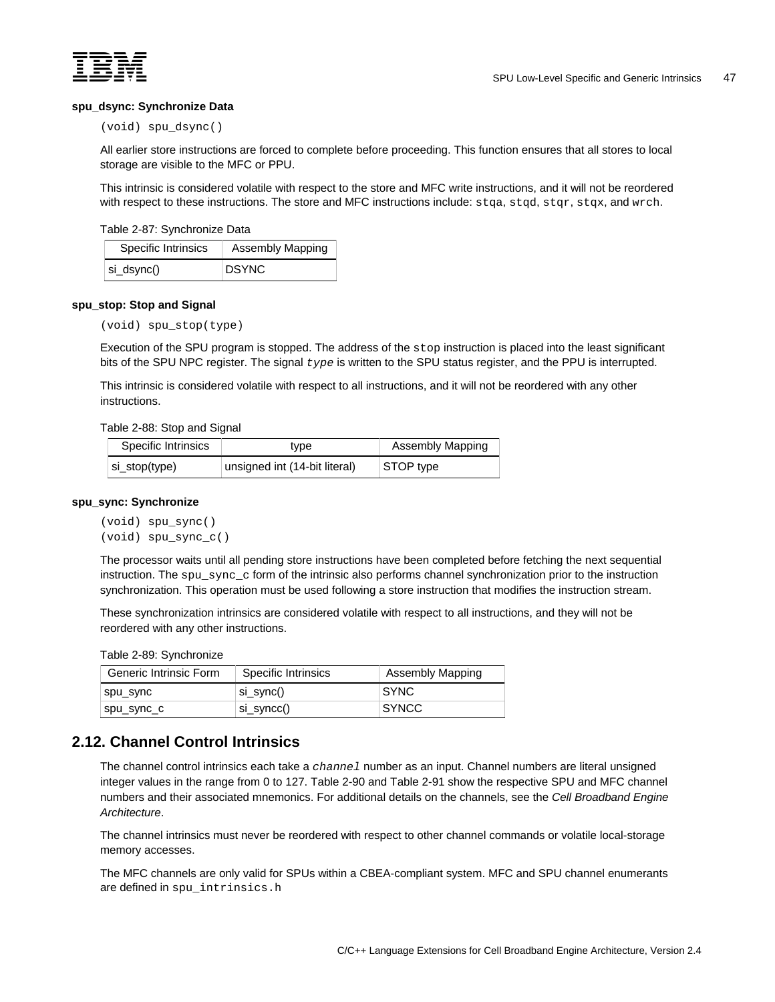

## **spu\_dsync: Synchronize Data**

(void) spu\_dsync()

All earlier store instructions are forced to complete before proceeding. This function ensures that all stores to local storage are visible to the MFC or PPU.

This intrinsic is considered volatile with respect to the store and MFC write instructions, and it will not be reordered with respect to these instructions. The store and MFC instructions include: stqa, stqd, stqr, stqx, and wrch.

Table 2-87: Synchronize Data

| Specific Intrinsics | Assembly Mapping |
|---------------------|------------------|
| si_dsync()          | DSYNC            |

## **spu\_stop: Stop and Signal**

(void) spu\_stop(type)

Execution of the SPU program is stopped. The address of the stop instruction is placed into the least significant bits of the SPU NPC register. The signal *type* is written to the SPU status register, and the PPU is interrupted.

This intrinsic is considered volatile with respect to all instructions, and it will not be reordered with any other instructions.

Table 2-88: Stop and Signal

| Specific Intrinsics | type                          | Assembly Mapping |
|---------------------|-------------------------------|------------------|
| si_stop(type)       | unsigned int (14-bit literal) | STOP type        |

## **spu\_sync: Synchronize**

```
(void) spu_sync() 
(void) spu_sync_c()
```
The processor waits until all pending store instructions have been completed before fetching the next sequential instruction. The spu\_sync\_c form of the intrinsic also performs channel synchronization prior to the instruction synchronization. This operation must be used following a store instruction that modifies the instruction stream.

These synchronization intrinsics are considered volatile with respect to all instructions, and they will not be reordered with any other instructions.

Table 2-89: Synchronize

| Generic Intrinsic Form | Specific Intrinsics | Assembly Mapping |
|------------------------|---------------------|------------------|
| spu_sync               | si_sync()           | <b>SYNC</b>      |
| spu_sync_c             | si_syncc()          | <b>SYNCC</b>     |

# **2.12. Channel Control Intrinsics**

The channel control intrinsics each take a *channel* number as an input. Channel numbers are literal unsigned integer values in the range from 0 to 127. Table 2-90 and Table 2-91 show the respective SPU and MFC channel numbers and their associated mnemonics. For additional details on the channels, see the *Cell Broadband Engine Architecture*.

The channel intrinsics must never be reordered with respect to other channel commands or volatile local-storage memory accesses.

The MFC channels are only valid for SPUs within a CBEA-compliant system. MFC and SPU channel enumerants are defined in spu\_intrinsics.h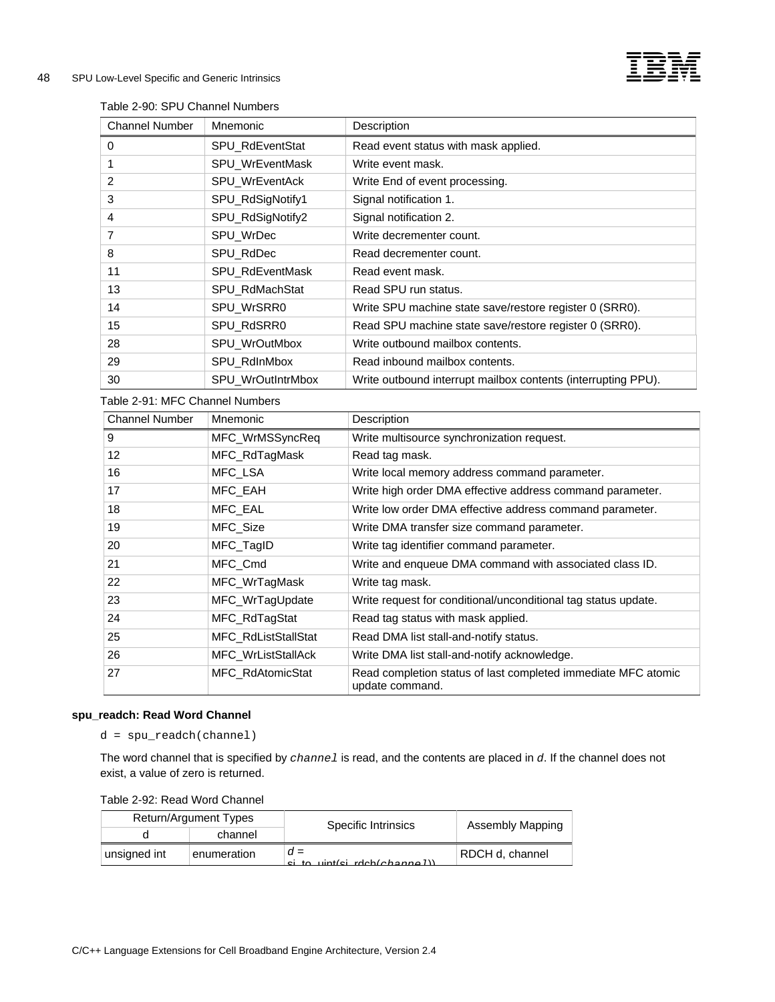

| Table 2-90: SPU Channel Numbers |  |  |  |  |  |
|---------------------------------|--|--|--|--|--|
|---------------------------------|--|--|--|--|--|

| <b>Channel Number</b> | Mnemonic               | Description                                                   |
|-----------------------|------------------------|---------------------------------------------------------------|
| 0                     | SPU_RdEventStat        | Read event status with mask applied.                          |
|                       | <b>SPU WrEventMask</b> | Write event mask.                                             |
| $\overline{2}$        | <b>SPU WrEventAck</b>  | Write End of event processing.                                |
| 3                     | SPU_RdSigNotify1       | Signal notification 1.                                        |
| 4                     | SPU_RdSigNotify2       | Signal notification 2.                                        |
| 7                     | SPU_WrDec              | Write decrementer count.                                      |
| 8                     | SPU_RdDec              | Read decrementer count.                                       |
| 11                    | <b>SPU RdEventMask</b> | Read event mask.                                              |
| 13                    | SPU_RdMachStat         | Read SPU run status.                                          |
| 14                    | SPU WrSRR0             | Write SPU machine state save/restore register 0 (SRR0).       |
| 15                    | SPU_RdSRR0             | Read SPU machine state save/restore register 0 (SRR0).        |
| 28                    | SPU WrOutMbox          | Write outbound mailbox contents.                              |
| 29                    | SPU_RdInMbox           | Read inbound mailbox contents.                                |
| 30                    | SPU WrOutIntrMbox      | Write outbound interrupt mailbox contents (interrupting PPU). |

# Table 2-91: MFC Channel Numbers

| <b>Channel Number</b> | Mnemonic            | Description                                                                      |
|-----------------------|---------------------|----------------------------------------------------------------------------------|
| 9                     | MFC WrMSSyncReq     | Write multisource synchronization request.                                       |
| 12                    | MFC_RdTagMask       | Read tag mask.                                                                   |
| 16                    | MFC LSA             | Write local memory address command parameter.                                    |
| 17                    | MFC EAH             | Write high order DMA effective address command parameter.                        |
| 18                    | MFC EAL             | Write low order DMA effective address command parameter.                         |
| 19                    | MFC_Size            | Write DMA transfer size command parameter.                                       |
| 20                    | MFC_TagID           | Write tag identifier command parameter.                                          |
| 21                    | MFC Cmd             | Write and enqueue DMA command with associated class ID.                          |
| 22                    | MFC_WrTagMask       | Write tag mask.                                                                  |
| 23                    | MFC_WrTagUpdate     | Write request for conditional/unconditional tag status update.                   |
| 24                    | MFC_RdTagStat       | Read tag status with mask applied.                                               |
| 25                    | MFC RdListStallStat | Read DMA list stall-and-notify status.                                           |
| 26                    | MFC WrListStallAck  | Write DMA list stall-and-notify acknowledge.                                     |
| 27                    | MFC RdAtomicStat    | Read completion status of last completed immediate MFC atomic<br>update command. |

## **spu\_readch: Read Word Channel**

d = spu\_readch(channel)

The word channel that is specified by *channel* is read, and the contents are placed in *d*. If the channel does not exist, a value of zero is returned.

| Return/Argument Types |             | Specific Intrinsics                          | <b>Assembly Mapping</b> |  |
|-----------------------|-------------|----------------------------------------------|-------------------------|--|
|                       | channel     |                                              |                         |  |
| unsigned int          | enumeration | $d =$<br>$\pi$ to unteriordeb(abonne $\pi$ ) | RDCH d, channel         |  |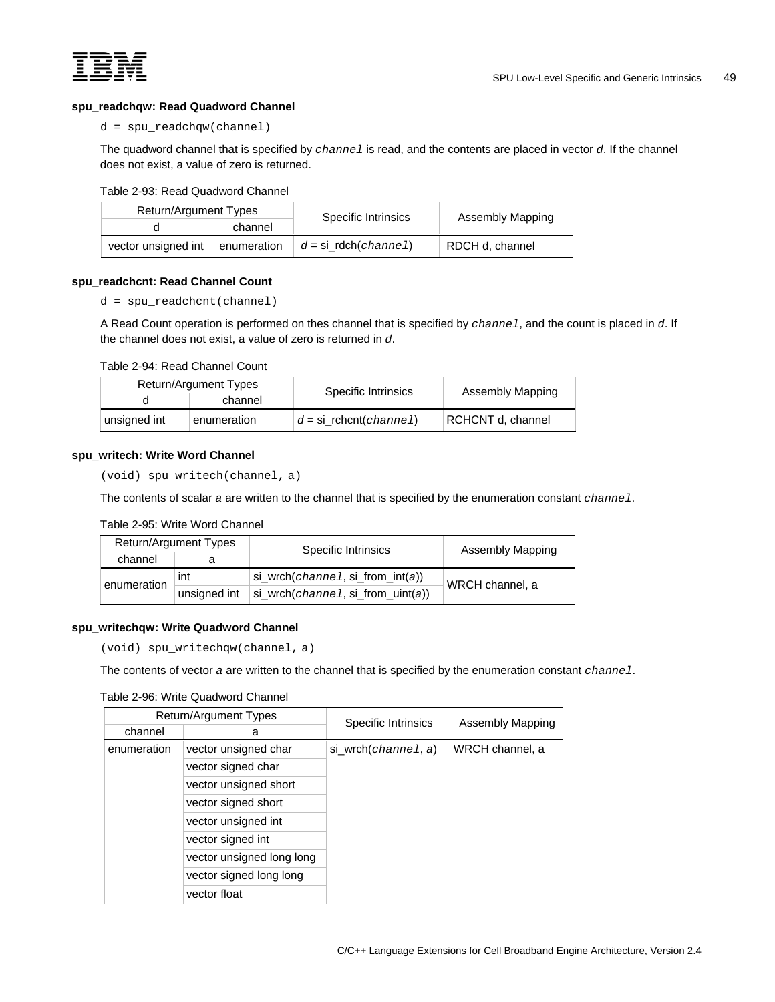

## **spu\_readchqw: Read Quadword Channel**

d = spu\_readchqw(channel)

The quadword channel that is specified by *channel* is read, and the contents are placed in vector *d*. If the channel does not exist, a value of zero is returned.

## Table 2-93: Read Quadword Channel

| Return/Argument Types |             | Specific Intrinsics             | Assembly Mapping |  |
|-----------------------|-------------|---------------------------------|------------------|--|
|                       | channel     |                                 |                  |  |
| vector unsigned int   | enumeration | $d = \sin \text{rdch}(channel)$ | RDCH d, channel  |  |

## **spu\_readchcnt: Read Channel Count**

 $d = spu$  readchcnt(channel)

A Read Count operation is performed on thes channel that is specified by *channel*, and the count is placed in *d*. If the channel does not exist, a value of zero is returned in *d*.

## Table 2-94: Read Channel Count

| Return/Argument Types |             | Specific Intrinsics                      | Assembly Mapping  |  |
|-----------------------|-------------|------------------------------------------|-------------------|--|
|                       | channel     |                                          |                   |  |
| unsigned int          | enumeration | $d = \text{si}$ rchcnt( <i>channel</i> ) | RCHCNT d, channel |  |

## **spu\_writech: Write Word Channel**

(void) spu\_writech(channel, a)

The contents of scalar *a* are written to the channel that is specified by the enumeration constant *channel*.

#### Table 2-95: Write Word Channel

| Return/Argument Types |              | Specific Intrinsics                                                       | Assembly Mapping |  |
|-----------------------|--------------|---------------------------------------------------------------------------|------------------|--|
| channel               |              |                                                                           |                  |  |
| enumeration           | int          | $si_wrch(channel, si_from(int(a)))$                                       | WRCH channel, a  |  |
|                       | unsigned int | $\sin\left(\frac{channel}{s}\right)$ , $\sin\left(\frac{ln(n)}{s}\right)$ |                  |  |

## **spu\_writechqw: Write Quadword Channel**

(void) spu\_writechqw(channel, a)

The contents of vector *a* are written to the channel that is specified by the enumeration constant *channel*.

Table 2-96: Write Quadword Channel

| Return/Argument Types |                           | Specific Intrinsics | <b>Assembly Mapping</b> |  |
|-----------------------|---------------------------|---------------------|-------------------------|--|
| channel               | a                         |                     |                         |  |
| enumeration           | vector unsigned char      | si wrch(channel, a) | WRCH channel, a         |  |
|                       | vector signed char        |                     |                         |  |
|                       | vector unsigned short     |                     |                         |  |
|                       | vector signed short       |                     |                         |  |
|                       | vector unsigned int       |                     |                         |  |
|                       | vector signed int         |                     |                         |  |
|                       | vector unsigned long long |                     |                         |  |
|                       | vector signed long long   |                     |                         |  |
|                       | vector float              |                     |                         |  |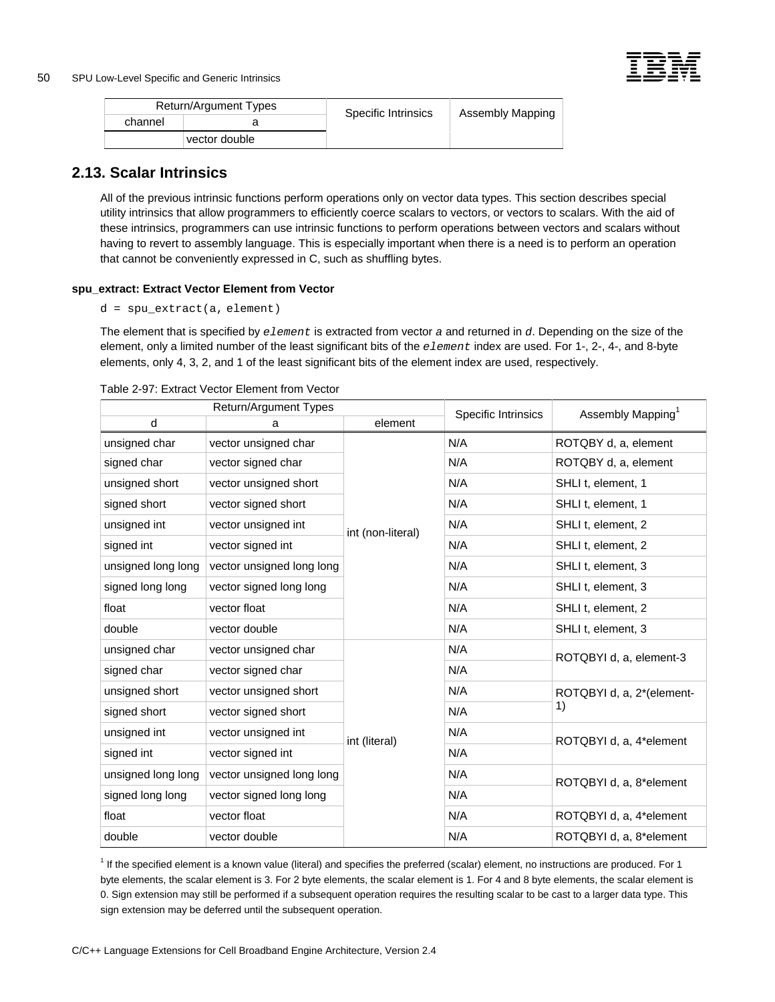

| Return/Argument Types |               | Specific Intrinsics | Assembly Mapping |
|-----------------------|---------------|---------------------|------------------|
| channel               |               |                     |                  |
|                       | vector double |                     |                  |

# **2.13. Scalar Intrinsics**

All of the previous intrinsic functions perform operations only on vector data types. This section describes special utility intrinsics that allow programmers to efficiently coerce scalars to vectors, or vectors to scalars. With the aid of these intrinsics, programmers can use intrinsic functions to perform operations between vectors and scalars without having to revert to assembly language. This is especially important when there is a need is to perform an operation that cannot be conveniently expressed in C, such as shuffling bytes.

## **spu\_extract: Extract Vector Element from Vector**

#### d = spu\_extract(a, element)

The element that is specified by *element* is extracted from vector *a* and returned in *d*. Depending on the size of the element, only a limited number of the least significant bits of the *element* index are used. For 1-, 2-, 4-, and 8-byte elements, only 4, 3, 2, and 1 of the least significant bits of the element index are used, respectively.

| Return/Argument Types |                           |                   | Specific Intrinsics | Assembly Mapping <sup>1</sup> |  |
|-----------------------|---------------------------|-------------------|---------------------|-------------------------------|--|
| d                     | a                         | element           |                     |                               |  |
| unsigned char         | vector unsigned char      |                   | N/A                 | ROTQBY d, a, element          |  |
| signed char           | vector signed char        |                   | N/A                 | ROTQBY d, a, element          |  |
| unsigned short        | vector unsigned short     |                   | N/A                 | SHLI t, element, 1            |  |
| signed short          | vector signed short       |                   | N/A                 | SHLI t, element, 1            |  |
| unsigned int          | vector unsigned int       | int (non-literal) | N/A                 | SHLI t, element, 2            |  |
| signed int            | vector signed int         |                   | N/A                 | SHLI t, element, 2            |  |
| unsigned long long    | vector unsigned long long |                   | N/A                 | SHLI t, element, 3            |  |
| signed long long      | vector signed long long   |                   | N/A                 | SHLI t, element, 3            |  |
| float                 | vector float              |                   | N/A                 | SHLI t, element, 2            |  |
| double                | vector double             |                   | N/A                 | SHLI t, element, 3            |  |
| unsigned char         | vector unsigned char      |                   | N/A                 | ROTQBYI d, a, element-3       |  |
| signed char           | vector signed char        |                   | N/A                 |                               |  |
| unsigned short        | vector unsigned short     |                   | N/A                 | ROTQBYI d, a, 2*(element-     |  |
| signed short          | vector signed short       |                   | N/A                 | 1)                            |  |
| unsigned int          | vector unsigned int       | int (literal)     | N/A                 | ROTQBYI d, a, 4*element       |  |
| signed int            | vector signed int         |                   | N/A                 |                               |  |
| unsigned long long    | vector unsigned long long |                   | N/A                 | ROTQBYI d, a, 8*element       |  |
| signed long long      | vector signed long long   |                   | N/A                 |                               |  |
| float                 | vector float              |                   | N/A                 | ROTQBYI d. a. 4*element       |  |
| double                | vector double             |                   | N/A                 | ROTQBYI d. a. 8*element       |  |

Table 2-97: Extract Vector Element from Vector

<sup>1</sup> If the specified element is a known value (literal) and specifies the preferred (scalar) element, no instructions are produced. For 1 byte elements, the scalar element is 3. For 2 byte elements, the scalar element is 1. For 4 and 8 byte elements, the scalar element is 0. Sign extension may still be performed if a subsequent operation requires the resulting scalar to be cast to a larger data type. This sign extension may be deferred until the subsequent operation.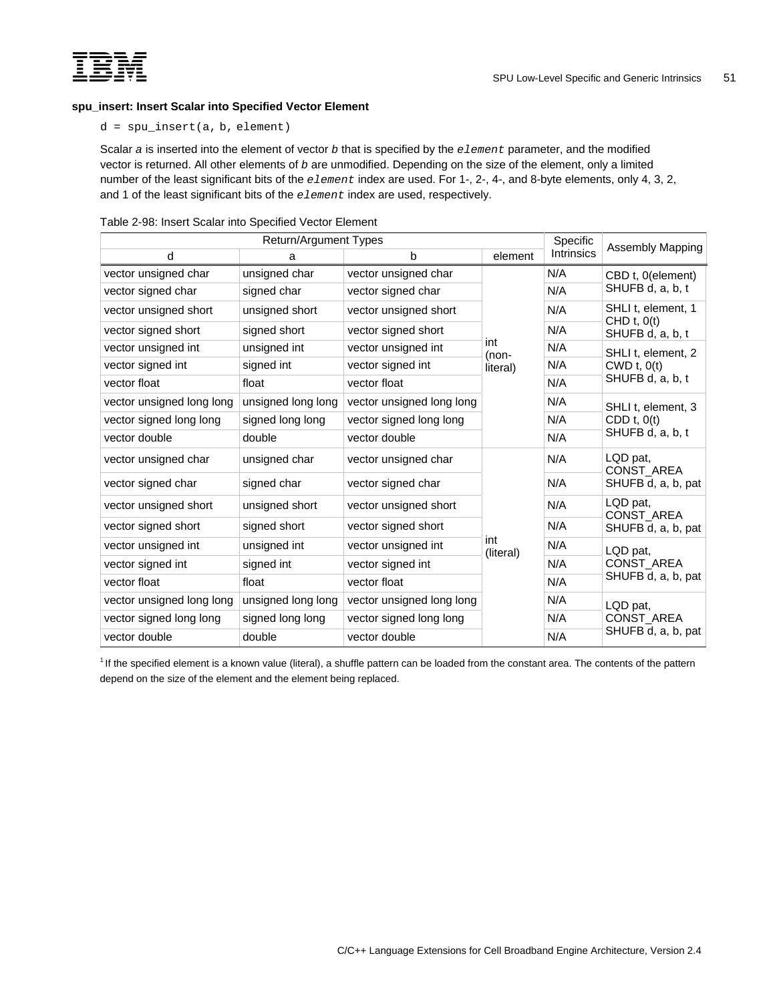

# **spu\_insert: Insert Scalar into Specified Vector Element**

 $d = spu_insett(a, b, element)$ 

Scalar *a* is inserted into the element of vector *b* that is specified by the *element* parameter, and the modified vector is returned. All other elements of *b* are unmodified. Depending on the size of the element, only a limited number of the least significant bits of the *element* index are used. For 1-, 2-, 4-, and 8-byte elements, only 4, 3, 2, and 1 of the least significant bits of the *element* index are used, respectively.

| <b>Return/Argument Types</b> |                    |                           |                  |                   | Assembly Mapping                                           |
|------------------------------|--------------------|---------------------------|------------------|-------------------|------------------------------------------------------------|
| d                            | а                  | b                         | element          | <b>Intrinsics</b> |                                                            |
| vector unsigned char         | unsigned char      | vector unsigned char      |                  | N/A               | CBD t, 0(element)                                          |
| vector signed char           | signed char        | vector signed char        |                  | N/A               | SHUFB d, a, b, t                                           |
| vector unsigned short        | unsigned short     | vector unsigned short     |                  | N/A               | SHLI t, element, 1<br>CHD $t, 0(t)$                        |
| vector signed short          | signed short       | vector signed short       |                  | N/A               | SHUFB d, a, b, t                                           |
| vector unsigned int          | unsigned int       | vector unsigned int       | int<br>$(non-$   | N/A               | SHLI t, element, 2                                         |
| vector signed int            | signed int         | vector signed int         | literal)         | N/A               | CWD $t$ , $O(t)$                                           |
| vector float                 | float              | vector float              |                  | N/A               | SHUFB d, a, b, t                                           |
| vector unsigned long long    | unsigned long long | vector unsigned long long |                  | N/A               | SHLI t, element, 3<br>CDD $t$ , $O(t)$<br>SHUFB d, a, b, t |
| vector signed long long      | signed long long   | vector signed long long   |                  | N/A               |                                                            |
| vector double                | double             | vector double             |                  | N/A               |                                                            |
| vector unsigned char         | unsigned char      | vector unsigned char      |                  | N/A               | LQD pat,<br><b>CONST AREA</b><br>SHUFB d, a, b, pat        |
| vector signed char           | signed char        | vector signed char        |                  | N/A               |                                                            |
| vector unsigned short        | unsigned short     | vector unsigned short     |                  | N/A               | LQD pat,<br><b>CONST AREA</b>                              |
| vector signed short          | signed short       | vector signed short       |                  | N/A               | SHUFB d, a, b, pat                                         |
| vector unsigned int          | unsigned int       | vector unsigned int       | int<br>(literal) | N/A               | LQD pat,                                                   |
| vector signed int            | signed int         | vector signed int         |                  | N/A               | <b>CONST AREA</b>                                          |
| vector float                 | float              | vector float              |                  | N/A               | SHUFB d, a, b, pat                                         |
| vector unsigned long long    | unsigned long long | vector unsigned long long |                  | N/A               | LQD pat,                                                   |
| vector signed long long      | signed long long   | vector signed long long   |                  | N/A               | CONST_AREA                                                 |
| vector double                | double             | vector double             |                  | N/A               | SHUFB d, a, b, pat                                         |

Table 2-98: Insert Scalar into Specified Vector Element

<sup>1</sup> If the specified element is a known value (literal), a shuffle pattern can be loaded from the constant area. The contents of the pattern depend on the size of the element and the element being replaced.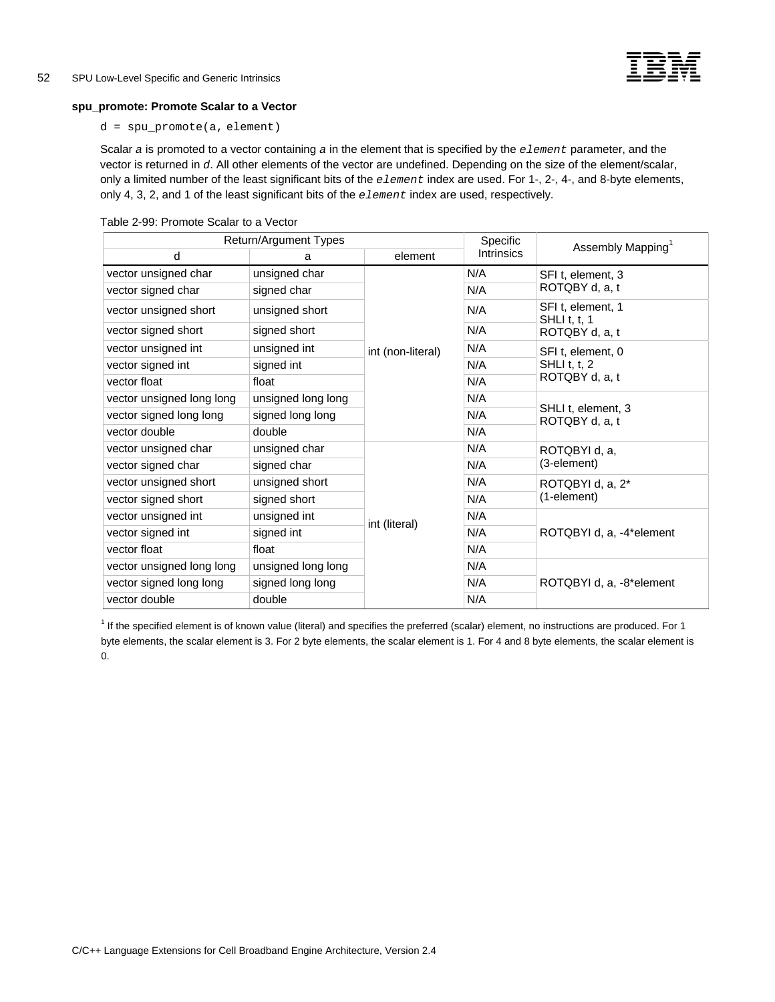

## **spu\_promote: Promote Scalar to a Vector**

d = spu\_promote(a, element)

Scalar *a* is promoted to a vector containing *a* in the element that is specified by the *element* parameter, and the vector is returned in *d*. All other elements of the vector are undefined. Depending on the size of the element/scalar, only a limited number of the least significant bits of the *element* index are used. For 1-, 2-, 4-, and 8-byte elements, only 4, 3, 2, and 1 of the least significant bits of the *element* index are used, respectively.

| Return/Argument Types     |                    |                   | Specific          | Assembly Mapping <sup>1</sup>                         |
|---------------------------|--------------------|-------------------|-------------------|-------------------------------------------------------|
| d                         | a                  | element           | <b>Intrinsics</b> |                                                       |
| vector unsigned char      | unsigned char      | int (non-literal) | N/A               | SFI t, element, 3                                     |
| vector signed char        | signed char        |                   | N/A               | ROTQBY d, a, t                                        |
| vector unsigned short     | unsigned short     |                   | N/A               | SFI t, element, 1<br>SHLI t, t, $1$<br>ROTQBY d. a. t |
| vector signed short       | signed short       |                   | N/A               |                                                       |
| vector unsigned int       | unsigned int       |                   | N/A               | SFI t, element, 0<br>SHLI $t, t, 2$<br>ROTQBY d, a, t |
| vector signed int         | signed int         |                   | N/A               |                                                       |
| vector float              | float              |                   | N/A               |                                                       |
| vector unsigned long long | unsigned long long |                   | N/A               | SHLI t, element, 3<br>ROTQBY d. a. t                  |
| vector signed long long   | signed long long   |                   | N/A               |                                                       |
| vector double             | double             |                   | N/A               |                                                       |
| vector unsigned char      | unsigned char      | int (literal)     | N/A               | ROTQBYI d, a,<br>(3-element)                          |
| vector signed char        | signed char        |                   | N/A               |                                                       |
| vector unsigned short     | unsigned short     |                   | N/A               | ROTQBYI d, a, 2*<br>(1-element)                       |
| vector signed short       | signed short       |                   | N/A               |                                                       |
| vector unsigned int       | unsigned int       |                   | N/A               | ROTQBYI d, a, -4*element                              |
| vector signed int         | signed int         |                   | N/A               |                                                       |
| vector float              | float              |                   | N/A               |                                                       |
| vector unsigned long long | unsigned long long |                   | N/A               | ROTQBYI d, a, -8*element                              |
| vector signed long long   | signed long long   |                   | N/A               |                                                       |
| vector double             | double             |                   | N/A               |                                                       |

Table 2-99: Promote Scalar to a Vector

<sup>1</sup> If the specified element is of known value (literal) and specifies the preferred (scalar) element, no instructions are produced. For 1 byte elements, the scalar element is 3. For 2 byte elements, the scalar element is 1. For 4 and 8 byte elements, the scalar element is 0.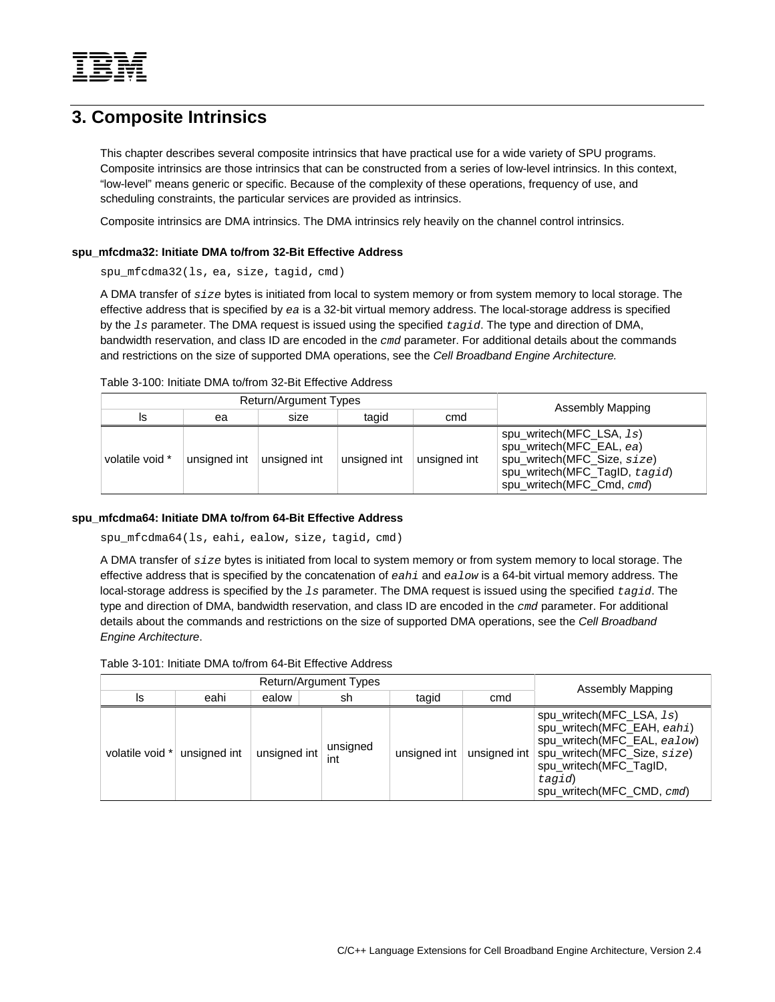

# **3. Composite Intrinsics**

This chapter describes several composite intrinsics that have practical use for a wide variety of SPU programs. Composite intrinsics are those intrinsics that can be constructed from a series of low-level intrinsics. In this context, "low-level" means generic or specific. Because of the complexity of these operations, frequency of use, and scheduling constraints, the particular services are provided as intrinsics.

Composite intrinsics are DMA intrinsics. The DMA intrinsics rely heavily on the channel control intrinsics.

# **spu\_mfcdma32: Initiate DMA to/from 32-Bit Effective Address**

spu\_mfcdma32(ls, ea, size, tagid, cmd)

A DMA transfer of *size* bytes is initiated from local to system memory or from system memory to local storage. The effective address that is specified by *ea* is a 32-bit virtual memory address. The local-storage address is specified by the *ls* parameter. The DMA request is issued using the specified *tagid*. The type and direction of DMA, bandwidth reservation, and class ID are encoded in the *cmd* parameter. For additional details about the commands and restrictions on the size of supported DMA operations, see the *Cell Broadband Engine Architecture.*

| Return/Argument Types            |              |              |              | Assembly Mapping |                                                                                                                                                       |
|----------------------------------|--------------|--------------|--------------|------------------|-------------------------------------------------------------------------------------------------------------------------------------------------------|
| tagid<br>cmd<br>ls<br>size<br>ea |              |              |              |                  |                                                                                                                                                       |
| volatile void *                  | unsigned int | unsigned int | unsigned int | unsigned int     | spu_writech(MFC_LSA, 1s)<br>spu writech (MFC EAL, $ea$ )<br>spu_writech(MFC_Size, size)<br>spu_writech(MFC_TagID, tagid)<br>spu_writech(MFC_Cmd, cmd) |

#### Table 3-100: Initiate DMA to/from 32-Bit Effective Address

## **spu\_mfcdma64: Initiate DMA to/from 64-Bit Effective Address**

spu\_mfcdma64(ls, eahi, ealow, size, tagid, cmd)

A DMA transfer of *size* bytes is initiated from local to system memory or from system memory to local storage. The effective address that is specified by the concatenation of *eahi* and *ealow* is a 64-bit virtual memory address. The local-storage address is specified by the *ls* parameter. The DMA request is issued using the specified *tagid*. The type and direction of DMA, bandwidth reservation, and class ID are encoded in the *cmd* parameter. For additional details about the commands and restrictions on the size of supported DMA operations, see the *Cell Broadband Engine Architecture*.

| Return/Argument Types |              |                      |                 |              | Assembly Mapping |                                                                                                                                                                                                            |
|-----------------------|--------------|----------------------|-----------------|--------------|------------------|------------------------------------------------------------------------------------------------------------------------------------------------------------------------------------------------------------|
| ls                    | eahi         | tagid<br>ealow<br>sh |                 | cmd          |                  |                                                                                                                                                                                                            |
| volatile void *       | unsigned int | unsigned int         | unsigned<br>int | unsigned int |                  | spu_writech(MFC_LSA, 1s)<br>spu writech (MFC EAH, eahi)<br>spu writech (MFC EAL, ealow)<br>unsigned int spu writech (MFC Size, $size$ )<br>spu writech (MFC TagID,<br>tagid)<br>spu writech (MFC CMD, cmd) |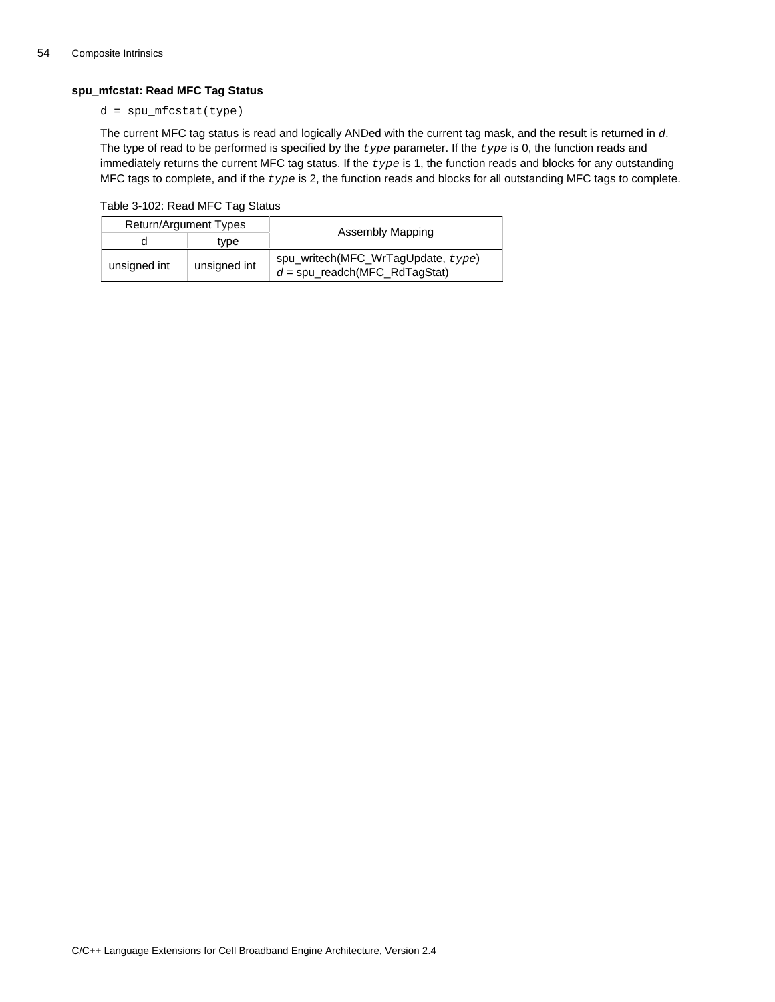# **spu\_mfcstat: Read MFC Tag Status**

d = spu\_mfcstat(type)

The current MFC tag status is read and logically ANDed with the current tag mask, and the result is returned in *d*. The type of read to be performed is specified by the *type* parameter. If the *type* is 0, the function reads and immediately returns the current MFC tag status. If the *type* is 1, the function reads and blocks for any outstanding MFC tags to complete, and if the *type* is 2, the function reads and blocks for all outstanding MFC tags to complete.

Table 3-102: Read MFC Tag Status

| Return/Argument Types |              | Assembly Mapping                                                                      |  |
|-----------------------|--------------|---------------------------------------------------------------------------------------|--|
| tvpe                  |              |                                                                                       |  |
| unsigned int          | unsigned int | spu_writech(MFC_WrTagUpdate, type)<br>$d = \text{spu\_readch}(\text{MFC\_RdTagStat})$ |  |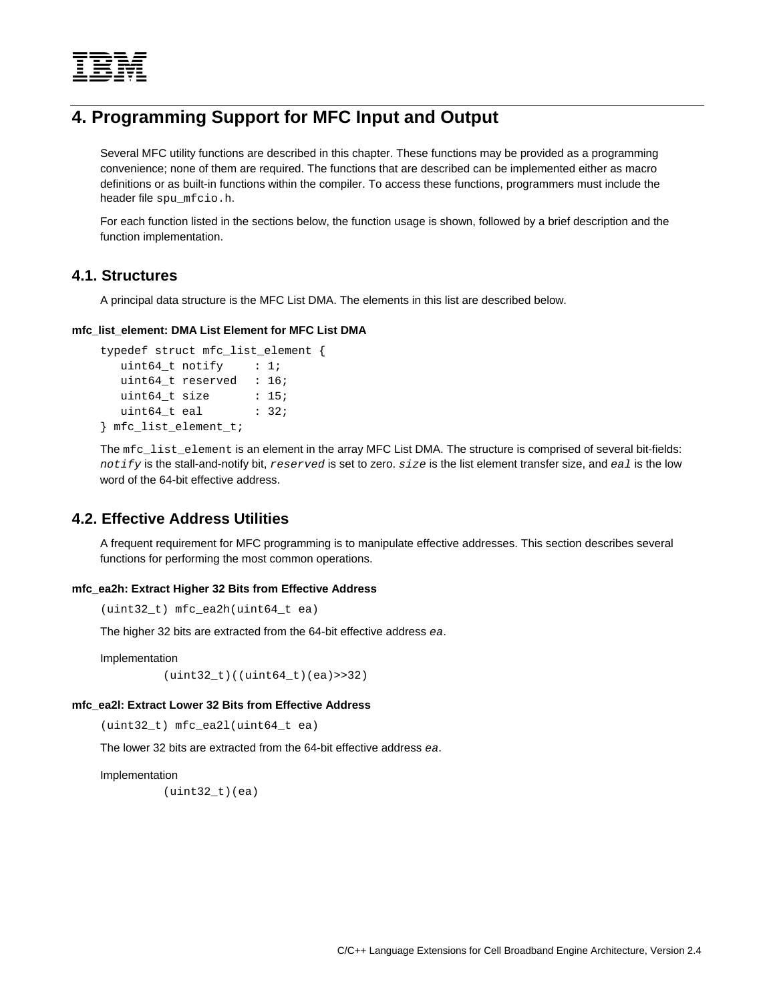

# **4. Programming Support for MFC Input and Output**

Several MFC utility functions are described in this chapter. These functions may be provided as a programming convenience; none of them are required. The functions that are described can be implemented either as macro definitions or as built-in functions within the compiler. To access these functions, programmers must include the header file spu\_mfcio.h.

For each function listed in the sections below, the function usage is shown, followed by a brief description and the function implementation.

# **4.1. Structures**

A principal data structure is the MFC List DMA. The elements in this list are described below.

#### **mfc\_list\_element: DMA List Element for MFC List DMA**

```
typedef struct mfc_list_element { 
   uint64_t notify : 1; 
  uint64_t reserved : 16;
  uint64<sub>_t</sub> size : 15;
  uint64 t eal : 32;
} mfc list element t;
```
The mfc\_list\_element is an element in the array MFC List DMA. The structure is comprised of several bit-fields: *notify* is the stall-and-notify bit, *reserved* is set to zero. *size* is the list element transfer size, and *eal* is the low word of the 64-bit effective address.

# **4.2. Effective Address Utilities**

A frequent requirement for MFC programming is to manipulate effective addresses. This section describes several functions for performing the most common operations.

## **mfc\_ea2h: Extract Higher 32 Bits from Effective Address**

```
(uint32_t) mfc_ea2h(uint64_t ea)
```
The higher 32 bits are extracted from the 64-bit effective address *ea*.

#### Implementation

```
(uint32_t)((uint64_t)(ea)>>32)
```
## **mfc\_ea2l: Extract Lower 32 Bits from Effective Address**

```
(uint32_t) mfc_ea2l(uint64_t ea)
```
The lower 32 bits are extracted from the 64-bit effective address *ea*.

## Implementation

 $(uint32 t)(ea)$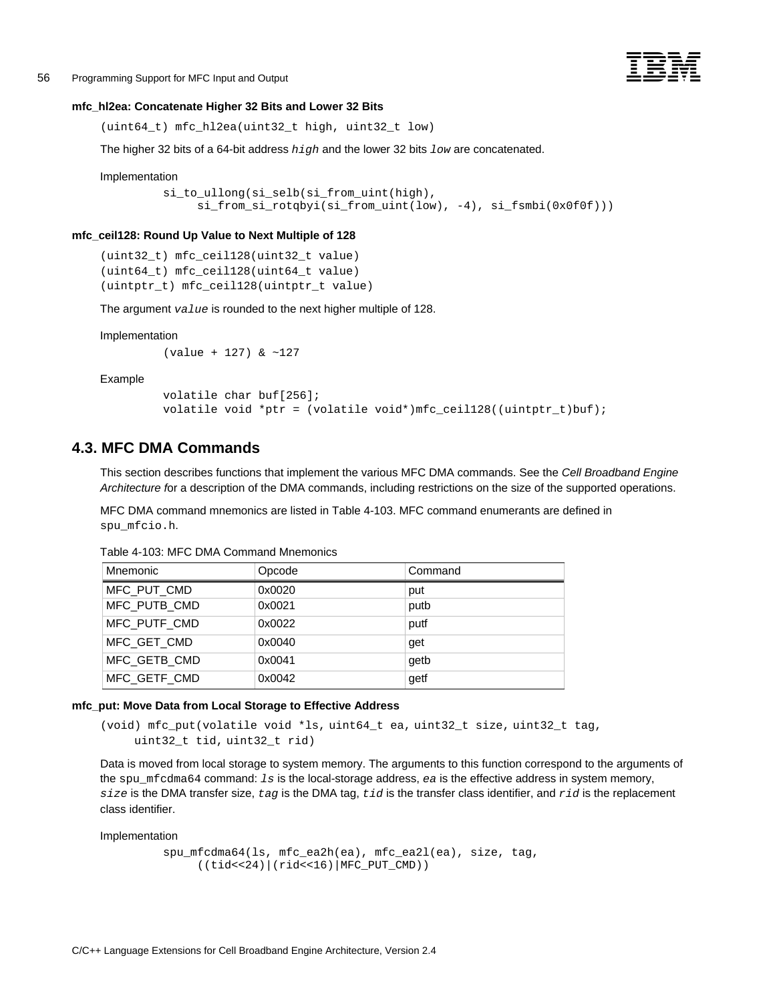

#### **mfc\_hl2ea: Concatenate Higher 32 Bits and Lower 32 Bits**

(uint64\_t) mfc\_hl2ea(uint32\_t high, uint32\_t low)

The higher 32 bits of a 64-bit address *high* and the lower 32 bits *low* are concatenated.

Implementation

```
si_to_ullong(si_selb(si_from_uint(high), 
      si_from_si_rotqbyi(si_from_uint(low), -4), si_fsmbi(0x0f0f)))
```
#### **mfc\_ceil128: Round Up Value to Next Multiple of 128**

```
(uint32_t) mfc_ceil128(uint32_t value) 
(uint64_t) mfc_ceil128(uint64_t value) 
(uintptr_t) mfc_ceil128(uintptr_t value)
```
The argument *value* is rounded to the next higher multiple of 128.

Implementation

(value + 127) & ~127

Example

```
volatile char buf[256]; 
volatile void *ptr = (volatile void*)mfc_ceil128((uintptr_t)buf);
```
# **4.3. MFC DMA Commands**

This section describes functions that implement the various MFC DMA commands. See the *Cell Broadband Engine Architecture f*or a description of the DMA commands, including restrictions on the size of the supported operations.

MFC DMA command mnemonics are listed in Table 4-103. MFC command enumerants are defined in spu\_mfcio.h.

| Mnemonic     | Opcode | Command |
|--------------|--------|---------|
| MFC PUT CMD  | 0x0020 | put     |
| MFC_PUTB_CMD | 0x0021 | putb    |
| MFC PUTF CMD | 0x0022 | putf    |
| MFC_GET_CMD  | 0x0040 | get     |
| MFC GETB CMD | 0x0041 | getb    |
| MFC GETF CMD | 0x0042 | getf    |

Table 4-103: MFC DMA Command Mnemonics

#### **mfc\_put: Move Data from Local Storage to Effective Address**

```
(void) mfc_put(volatile void *ls, uint64_t ea, uint32_t size, uint32_t tag,
     uint32 t tid, uint32 t rid)
```
Data is moved from local storage to system memory. The arguments to this function correspond to the arguments of the spu\_mfcdma64 command: *ls* is the local-storage address, *ea* is the effective address in system memory, *size* is the DMA transfer size, *tag* is the DMA tag, *tid* is the transfer class identifier, and *rid* is the replacement class identifier.

Implementation

```
spu mfcdma64(ls, mfc ea2h(ea), mfc ea2l(ea), size, tag,
     ((tid<<24) | (rid<<16) | MFC_PUT_CMD))
```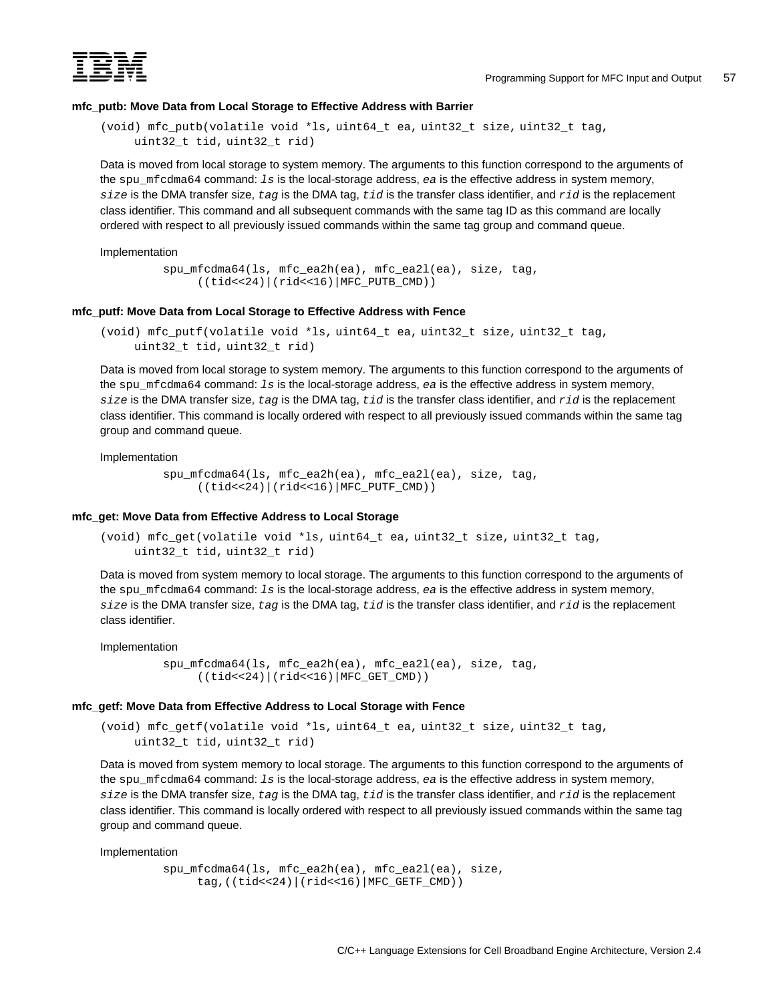

#### **mfc\_putb: Move Data from Local Storage to Effective Address with Barrier**

```
(void) mfc_putb(volatile void *ls, uint64_t ea, uint32_t size, uint32_t tag, 
    uint32 t tid, uint32 t rid)
```
Data is moved from local storage to system memory. The arguments to this function correspond to the arguments of the spu\_mfcdma64 command: *ls* is the local-storage address, *ea* is the effective address in system memory, *size* is the DMA transfer size, *tag* is the DMA tag, *tid* is the transfer class identifier, and *rid* is the replacement class identifier. This command and all subsequent commands with the same tag ID as this command are locally ordered with respect to all previously issued commands within the same tag group and command queue.

Implementation

```
spu_mfcdma64(ls, mfc_ea2h(ea), mfc_ea2l(ea), size, tag, 
      ((tid<<24)|(rid<<16)|MFC_PUTB_CMD))
```
#### **mfc\_putf: Move Data from Local Storage to Effective Address with Fence**

```
(void) mfc_putf(volatile void *ls, uint64_t ea, uint32_t size, uint32_t tag, 
      uint32_t tid, uint32_t rid)
```
Data is moved from local storage to system memory. The arguments to this function correspond to the arguments of the spu\_mfcdma64 command: *ls* is the local-storage address, *ea* is the effective address in system memory, *size* is the DMA transfer size, *tag* is the DMA tag, *tid* is the transfer class identifier, and *rid* is the replacement class identifier. This command is locally ordered with respect to all previously issued commands within the same tag group and command queue.

Implementation

```
spu_mfcdma64(ls, mfc_ea2h(ea), mfc_ea2l(ea), size, tag, 
      ((tid<<24)|(rid<<16)|MFC_PUTF_CMD))
```
#### **mfc\_get: Move Data from Effective Address to Local Storage**

```
(void) mfc_get(volatile void *ls, uint64_t ea, uint32_t size, uint32_t tag, 
      uint32_t tid, uint32_t rid)
```
Data is moved from system memory to local storage. The arguments to this function correspond to the arguments of the spu\_mfcdma64 command: *ls* is the local-storage address, *ea* is the effective address in system memory, *size* is the DMA transfer size, *tag* is the DMA tag, *tid* is the transfer class identifier, and *rid* is the replacement class identifier.

Implementation

```
spu_mfcdma64(ls, mfc_ea2h(ea), mfc_ea2l(ea), size, tag, 
      ((tid<<24)|(rid<<16)|MFC_GET_CMD))
```
#### **mfc\_getf: Move Data from Effective Address to Local Storage with Fence**

```
(void) mfc_getf(volatile void *ls, uint64_t ea, uint32_t size, uint32_t tag,
      uint32_t tid, uint32_t rid)
```
Data is moved from system memory to local storage. The arguments to this function correspond to the arguments of the spu\_mfcdma64 command: *ls* is the local-storage address, *ea* is the effective address in system memory, *size* is the DMA transfer size, *tag* is the DMA tag, *tid* is the transfer class identifier, and *rid* is the replacement class identifier. This command is locally ordered with respect to all previously issued commands within the same tag group and command queue.

Implementation

```
spu_mfcdma64(ls, mfc_ea2h(ea), mfc_ea2l(ea), size, 
      tag,((tid<<24)|(rid<<16)|MFC_GETF_CMD))
```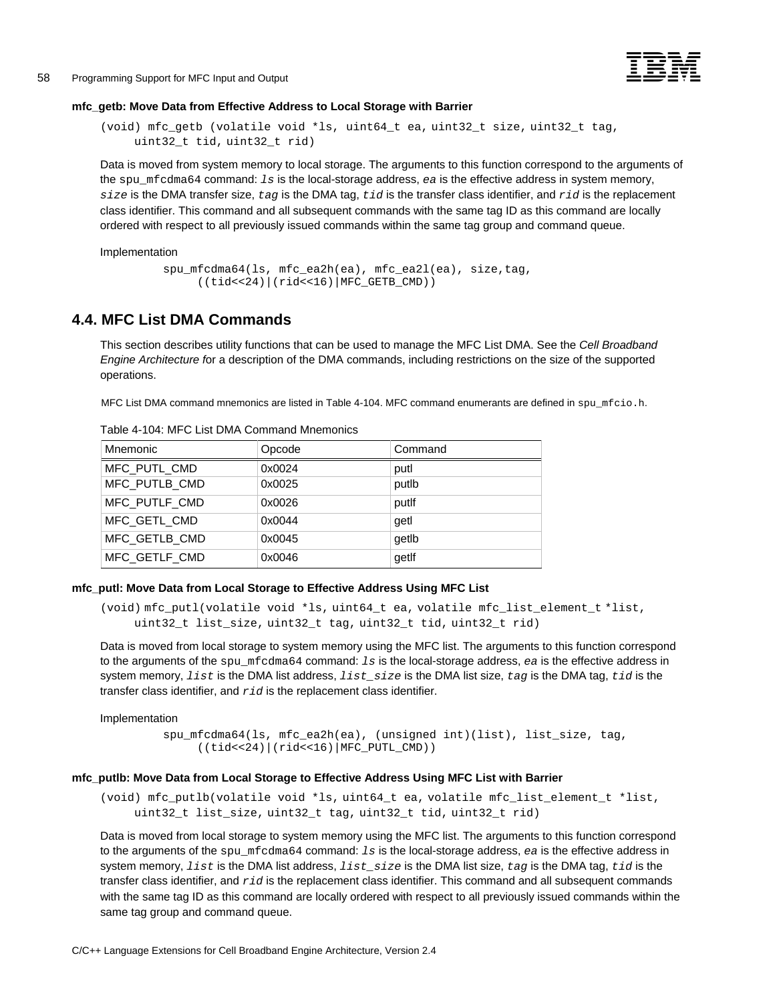

#### **mfc\_getb: Move Data from Effective Address to Local Storage with Barrier**

```
(void) mfc_getb (volatile void *ls, uint64_t ea, uint32_t size, uint32_t tag,
     uint32 t tid, uint32 t rid)
```
Data is moved from system memory to local storage. The arguments to this function correspond to the arguments of the spu\_mfcdma64 command: *ls* is the local-storage address, *ea* is the effective address in system memory, *size* is the DMA transfer size, *tag* is the DMA tag, *tid* is the transfer class identifier, and *rid* is the replacement class identifier. This command and all subsequent commands with the same tag ID as this command are locally ordered with respect to all previously issued commands within the same tag group and command queue.

Implementation

```
spu_mfcdma64(ls, mfc_ea2h(ea), mfc_ea2l(ea), size,tag, 
      ((tid<<24)|(rid<<16)|MFC_GETB_CMD))
```
# **4.4. MFC List DMA Commands**

This section describes utility functions that can be used to manage the MFC List DMA. See the *Cell Broadband Engine Architecture f*or a description of the DMA commands, including restrictions on the size of the supported operations.

MFC List DMA command mnemonics are listed in Table 4-104. MFC command enumerants are defined in spu\_mfcio.h.

| Mnemonic      | Opcode | Command |
|---------------|--------|---------|
| MFC_PUTL_CMD  | 0x0024 | putl    |
| MFC_PUTLB_CMD | 0x0025 | putib   |
| MFC_PUTLF_CMD | 0x0026 | putlf   |
| MFC GETL CMD  | 0x0044 | getl    |
| MFC GETLB CMD | 0x0045 | qetlb   |
| MFC GETLF CMD | 0x0046 | getlf   |

Table 4-104: MFC List DMA Command Mnemonics

#### **mfc\_putl: Move Data from Local Storage to Effective Address Using MFC List**

```
(void) mfc_putl(volatile void *ls, uint64_t ea, volatile mfc_list_element_t *list,
      uint32_t list_size, uint32_t tag, uint32_t tid, uint32_t rid)
```
Data is moved from local storage to system memory using the MFC list. The arguments to this function correspond to the arguments of the spu\_mfcdma64 command: *ls* is the local-storage address, *ea* is the effective address in system memory, *list* is the DMA list address, *list\_size* is the DMA list size, *tag* is the DMA tag, *tid* is the transfer class identifier, and *rid* is the replacement class identifier.

Implementation

spu\_mfcdma64(ls, mfc\_ea2h(ea), (unsigned int)(list), list\_size, tag,  $((tid<<24)|(rid<<16)|MFC_PUTL_CMD))$ 

#### **mfc\_putlb: Move Data from Local Storage to Effective Address Using MFC List with Barrier**

```
(void) mfc_putlb(volatile void *ls, uint64_t ea, volatile mfc_list_element_t *list,
      uint32_t list_size, uint32_t tag, uint32_t tid, uint32_t rid)
```
Data is moved from local storage to system memory using the MFC list. The arguments to this function correspond to the arguments of the spu\_mfcdma64 command: *ls* is the local-storage address, *ea* is the effective address in system memory, *list* is the DMA list address, *list\_size* is the DMA list size, *tag* is the DMA tag, *tid* is the transfer class identifier, and *rid* is the replacement class identifier. This command and all subsequent commands with the same tag ID as this command are locally ordered with respect to all previously issued commands within the same tag group and command queue.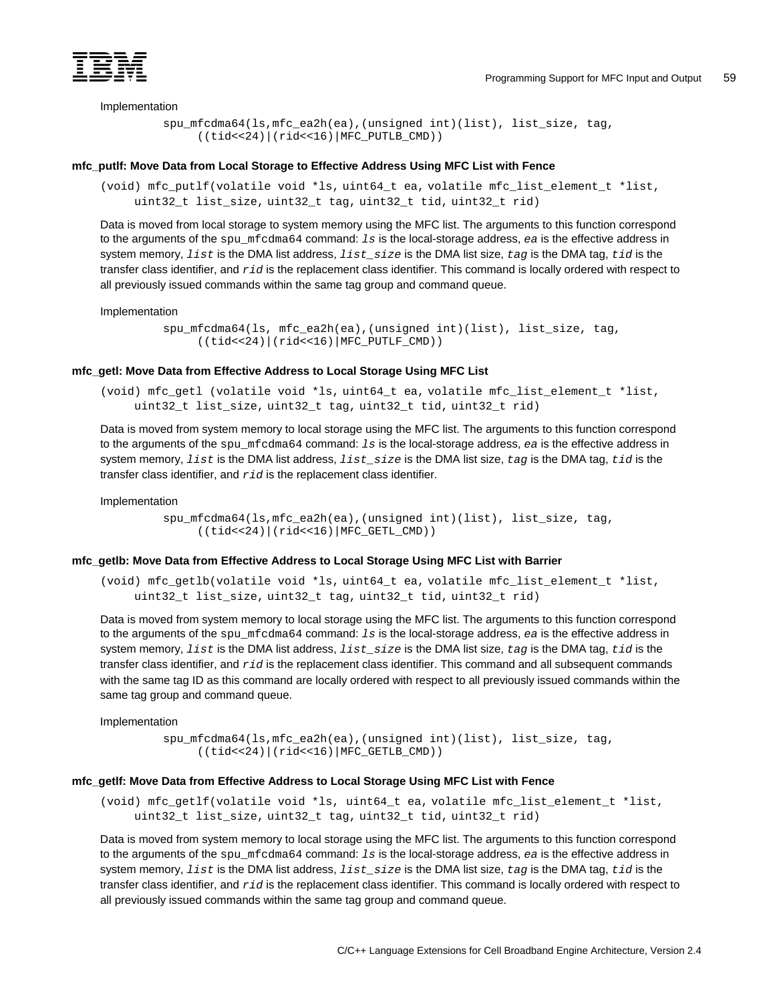

Implementation

```
spu_mfcdma64(ls,mfc_ea2h(ea),(unsigned int)(list), list_size, tag, 
      ((tid<<24)|(rid<<16)|MFC_PUTLB_CMD))
```
#### **mfc\_putlf: Move Data from Local Storage to Effective Address Using MFC List with Fence**

```
(void) mfc_putlf(volatile void *ls, uint64_t ea, volatile mfc_list_element_t *list,
      uint32_t list_size, uint32_t tag, uint32_t tid, uint32_t rid)
```
Data is moved from local storage to system memory using the MFC list. The arguments to this function correspond to the arguments of the spu\_mfcdma64 command: *ls* is the local-storage address, *ea* is the effective address in system memory, *list* is the DMA list address, *list\_size* is the DMA list size, *tag* is the DMA tag, *tid* is the transfer class identifier, and *rid* is the replacement class identifier. This command is locally ordered with respect to all previously issued commands within the same tag group and command queue.

Implementation

```
spu_mfcdma64(ls, mfc_ea2h(ea),(unsigned int)(list), list_size, tag, 
      ((tid<<24)|(rid<<16)|MFC_PUTLF_CMD))
```
#### **mfc\_getl: Move Data from Effective Address to Local Storage Using MFC List**

(void) mfc\_getl (volatile void \*ls, uint64\_t ea, volatile mfc\_list\_element\_t \*list, uint32\_t list\_size, uint32\_t tag, uint32\_t tid, uint32\_t rid)

Data is moved from system memory to local storage using the MFC list. The arguments to this function correspond to the arguments of the spu\_mfcdma64 command: *ls* is the local-storage address, *ea* is the effective address in system memory, *list* is the DMA list address, *list\_size* is the DMA list size, *tag* is the DMA tag, *tid* is the transfer class identifier, and *rid* is the replacement class identifier.

Implementation

```
spu_mfcdma64(ls,mfc_ea2h(ea),(unsigned int)(list), list_size, tag, 
      ((tid<<24)|(rid<<16)|MFC_GETL_CMD))
```
#### **mfc\_getlb: Move Data from Effective Address to Local Storage Using MFC List with Barrier**

(void) mfc qetlb(volatile void \*ls, uint64 t ea, volatile mfc list element  $t$  \*list, uint32\_t list\_size, uint32\_t tag, uint32\_t tid, uint32\_t rid)

Data is moved from system memory to local storage using the MFC list. The arguments to this function correspond to the arguments of the spu\_mfcdma64 command: *ls* is the local-storage address, *ea* is the effective address in system memory, *list* is the DMA list address, *list\_size* is the DMA list size, *tag* is the DMA tag, *tid* is the transfer class identifier, and *rid* is the replacement class identifier. This command and all subsequent commands with the same tag ID as this command are locally ordered with respect to all previously issued commands within the same tag group and command queue.

Implementation

```
spu_mfcdma64(ls,mfc_ea2h(ea),(unsigned int)(list), list_size, tag, 
      ((tid<<24)|(rid<<16)|MFC_GETLB_CMD))
```
#### **mfc\_getlf: Move Data from Effective Address to Local Storage Using MFC List with Fence**

```
(void) mfc_getlf(volatile void *ls, uint64_t ea, volatile mfc_list_element_t *list,
      uint32_t list_size, uint32_t tag, uint32_t tid, uint32_t rid)
```
Data is moved from system memory to local storage using the MFC list. The arguments to this function correspond to the arguments of the spu\_mfcdma64 command: *ls* is the local-storage address, *ea* is the effective address in system memory, *list* is the DMA list address, *list\_size* is the DMA list size, *tag* is the DMA tag, *tid* is the transfer class identifier, and *rid* is the replacement class identifier. This command is locally ordered with respect to all previously issued commands within the same tag group and command queue.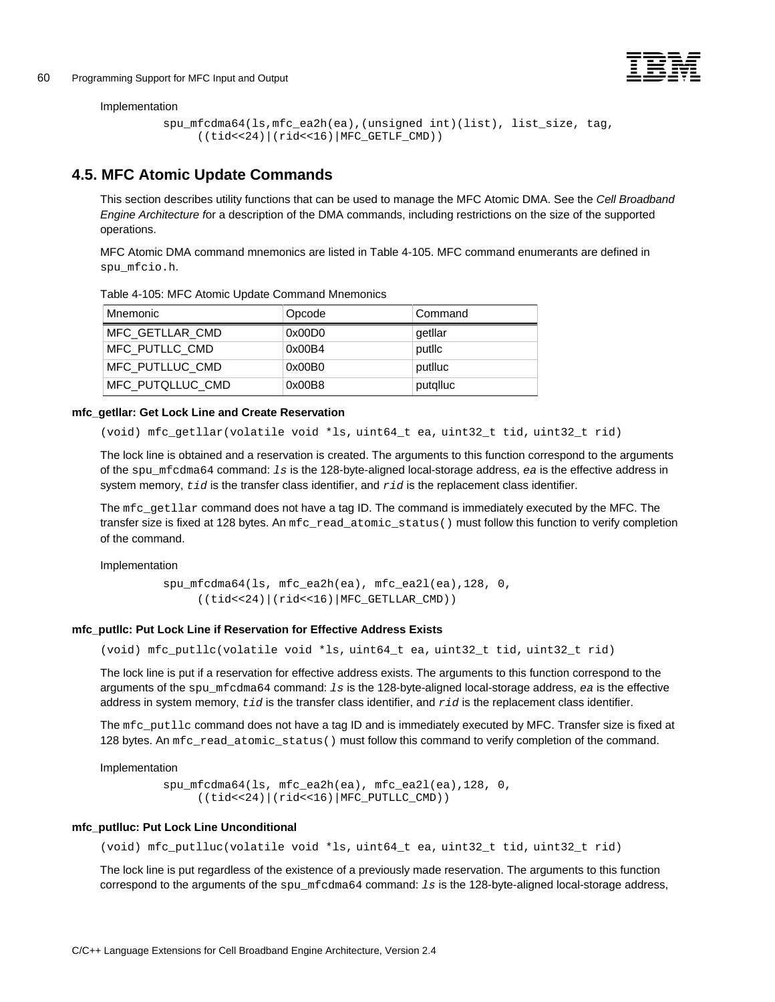

Implementation

```
spu_mfcdma64(ls,mfc_ea2h(ea),(unsigned int)(list), list_size, tag, 
      ((tid<<24)|(rid<<16)|MFC_GETLF_CMD))
```
# **4.5. MFC Atomic Update Commands**

This section describes utility functions that can be used to manage the MFC Atomic DMA. See the *Cell Broadband Engine Architecture f*or a description of the DMA commands, including restrictions on the size of the supported operations.

MFC Atomic DMA command mnemonics are listed in Table 4-105. MFC command enumerants are defined in spu\_mfcio.h.

| Mnemonic         | Opcode | Command  |
|------------------|--------|----------|
| MFC_GETLLAR_CMD  | 0x00D0 | getllar  |
| MFC PUTLLC CMD   | 0x00B4 | putlic   |
| MFC PUTLLUC CMD  | 0x00B0 | putlluc  |
| MFC_PUTQLLUC_CMD | 0x00B8 | putglluc |

Table 4-105: MFC Atomic Update Command Mnemonics

#### **mfc\_getllar: Get Lock Line and Create Reservation**

(void) mfc\_getllar(volatile void \*ls, uint64\_t ea, uint32\_t tid, uint32\_t rid)

The lock line is obtained and a reservation is created. The arguments to this function correspond to the arguments of the spu\_mfcdma64 command: *ls* is the 128-byte-aligned local-storage address, *ea* is the effective address in system memory, *tid* is the transfer class identifier, and *rid* is the replacement class identifier.

The mfc\_getllar command does not have a tag ID. The command is immediately executed by the MFC. The transfer size is fixed at 128 bytes. An mfc\_read\_atomic\_status() must follow this function to verify completion of the command.

#### Implementation

```
spu_mfcdma64(ls, mfc_ea2h(ea), mfc_ea2l(ea),128, 0, 
      ((tid<<24)|(rid<<16)|MFC_GETLLAR_CMD))
```
#### **mfc\_putllc: Put Lock Line if Reservation for Effective Address Exists**

(void) mfc\_putllc(volatile void \*ls, uint64\_t ea, uint32\_t tid, uint32\_t rid)

The lock line is put if a reservation for effective address exists. The arguments to this function correspond to the arguments of the spu\_mfcdma64 command: *ls* is the 128-byte-aligned local-storage address, *ea* is the effective address in system memory, *tid* is the transfer class identifier, and *rid* is the replacement class identifier.

The mfc\_putllc command does not have a tag ID and is immediately executed by MFC. Transfer size is fixed at 128 bytes. An mfc\_read\_atomic\_status() must follow this command to verify completion of the command.

Implementation

```
spu_mfcdma64(ls, mfc_ea2h(ea), mfc_ea2l(ea),128, 0, 
      ((tid<<24)|(rid<<16)|MFC_PUTLLC_CMD))
```
#### **mfc\_putlluc: Put Lock Line Unconditional**

(void) mfc\_putlluc(volatile void \*ls, uint64\_t ea, uint32\_t tid, uint32\_t rid)

The lock line is put regardless of the existence of a previously made reservation. The arguments to this function correspond to the arguments of the spu\_mfcdma64 command: *ls* is the 128-byte-aligned local-storage address,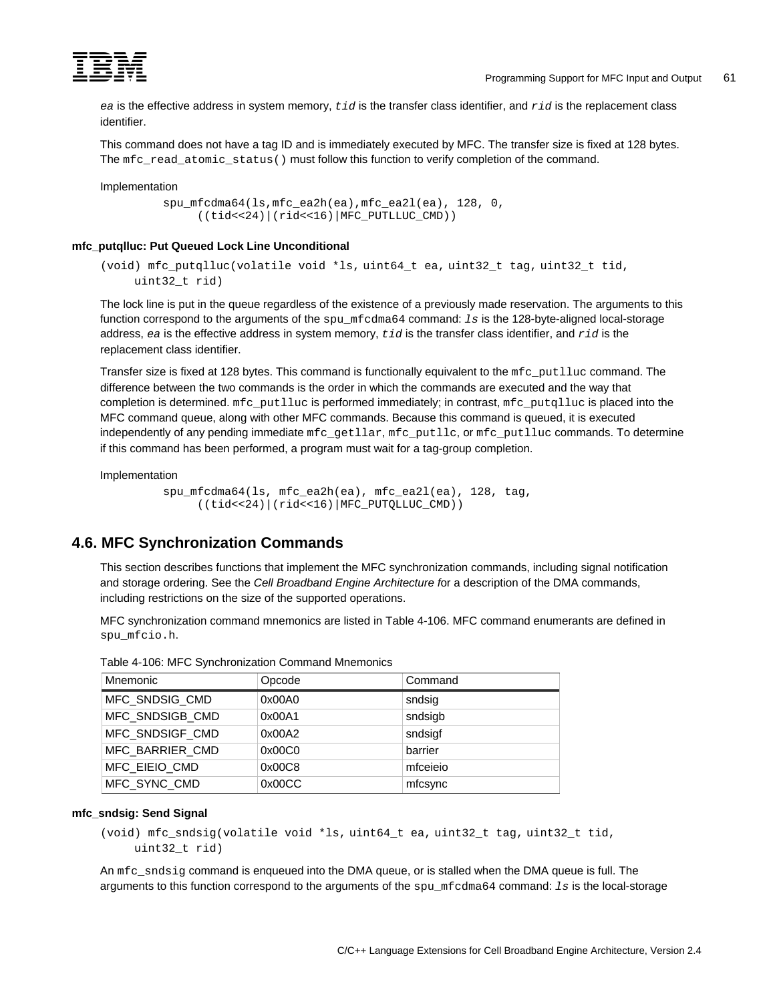

*ea* is the effective address in system memory, *tid* is the transfer class identifier, and *rid* is the replacement class identifier.

This command does not have a tag ID and is immediately executed by MFC. The transfer size is fixed at 128 bytes. The mfc\_read\_atomic\_status() must follow this function to verify completion of the command.

Implementation

```
spu_mfcdma64(ls,mfc_ea2h(ea),mfc_ea2l(ea), 128, 0, 
      ((tid<<24)|(rid<<16)|MFC_PUTLLUC_CMD))
```
#### **mfc\_putqlluc: Put Queued Lock Line Unconditional**

```
(void) mfc_putqlluc(volatile void *ls, uint64_t ea, uint32_t tag, uint32_t tid,
      uint32_t rid)
```
The lock line is put in the queue regardless of the existence of a previously made reservation. The arguments to this function correspond to the arguments of the spu\_mfcdma64 command: *ls* is the 128-byte-aligned local-storage address, *ea* is the effective address in system memory, *tid* is the transfer class identifier, and *rid* is the replacement class identifier.

Transfer size is fixed at 128 bytes. This command is functionally equivalent to the mfc\_putlluc command. The difference between the two commands is the order in which the commands are executed and the way that completion is determined.  $mfc\_put$ lluc is performed immediately; in contrast,  $mfc\_put$ qlluc is placed into the MFC command queue, along with other MFC commands. Because this command is queued, it is executed independently of any pending immediate  $mfc\_getllar$ ,  $mfc\_putllc$ , or  $mfc\_putlluc$  commands. To determine if this command has been performed, a program must wait for a tag-group completion.

Implementation

```
spu_mfcdma64(ls, mfc_ea2h(ea), mfc_ea2l(ea), 128, tag, 
      ((tid<<24)|(rid<<16)|MFC_PUTQLLUC_CMD))
```
# **4.6. MFC Synchronization Commands**

This section describes functions that implement the MFC synchronization commands, including signal notification and storage ordering. See the *Cell Broadband Engine Architecture f*or a description of the DMA commands, including restrictions on the size of the supported operations.

MFC synchronization command mnemonics are listed in Table 4-106. MFC command enumerants are defined in spu\_mfcio.h.

| Mnemonic              | Opcode | Command  |  |  |
|-----------------------|--------|----------|--|--|
| <b>MFC SNDSIG CMD</b> | 0x00A0 | sndsig   |  |  |
| MFC_SNDSIGB_CMD       | 0x00A1 | sndsigb  |  |  |
| MFC_SNDSIGF_CMD       | 0x00A2 | sndsigf  |  |  |
| MFC_BARRIER_CMD       | 0x00C0 | barrier  |  |  |
| <b>MFC EIEIO CMD</b>  | 0x00C8 | mfceieio |  |  |
| MFC_SYNC_CMD          | 0x00CC | mfcsync  |  |  |

Table 4-106: MFC Synchronization Command Mnemonics

#### **mfc\_sndsig: Send Signal**

```
(void) mfc_sndsig(volatile void *ls, uint64_t ea, uint32_t tag, uint32_t tid,
      uint32_t rid)
```
An mfc\_sndsig command is enqueued into the DMA queue, or is stalled when the DMA queue is full. The arguments to this function correspond to the arguments of the spu\_mfcdma64 command: *ls* is the local-storage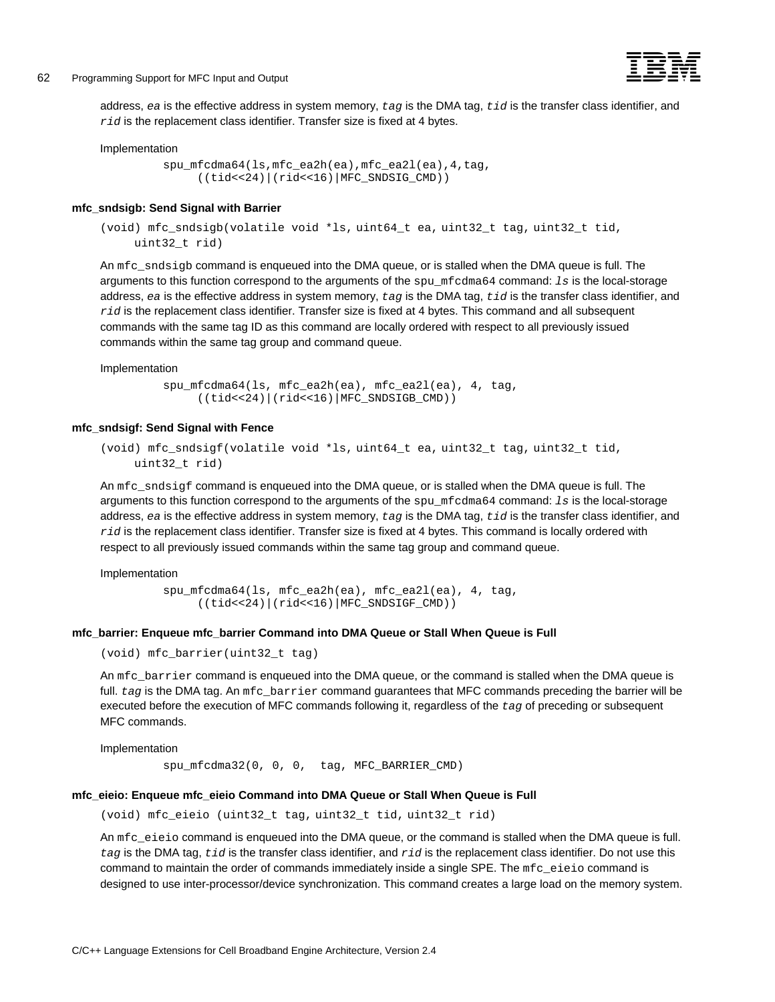

#### 62 Programming Support for MFC Input and Output

address, *ea* is the effective address in system memory, *tag* is the DMA tag, *tid* is the transfer class identifier, and *rid* is the replacement class identifier. Transfer size is fixed at 4 bytes.

#### Implementation

```
spu_mfcdma64(ls,mfc_ea2h(ea),mfc_ea2l(ea),4,tag, 
      ((tid<<24)|(rid<<16)|MFC_SNDSIG_CMD))
```
#### **mfc\_sndsigb: Send Signal with Barrier**

```
(void) mfc_sndsigb(volatile void *ls, uint64_t ea, uint32_t tag, uint32_t tid,
     uint32_t rid)
```
An mfc\_sndsigb command is enqueued into the DMA queue, or is stalled when the DMA queue is full. The arguments to this function correspond to the arguments of the spu\_mfcdma64 command: *ls* is the local-storage address, *ea* is the effective address in system memory, *tag* is the DMA tag, *tid* is the transfer class identifier, and *rid* is the replacement class identifier. Transfer size is fixed at 4 bytes. This command and all subsequent commands with the same tag ID as this command are locally ordered with respect to all previously issued commands within the same tag group and command queue.

#### Implementation

```
spu_mfcdma64(ls, mfc_ea2h(ea), mfc_ea2l(ea), 4, tag, 
      ((tid<<24)|(rid<<16)|MFC_SNDSIGB_CMD))
```
#### **mfc\_sndsigf: Send Signal with Fence**

```
(void) mfc_sndsigf(volatile void *ls, uint64_t ea, uint32_t tag, uint32_t tid,
      uint32_t rid)
```
An mfc\_sndsigf command is enqueued into the DMA queue, or is stalled when the DMA queue is full. The arguments to this function correspond to the arguments of the spu\_mfcdma64 command: *ls* is the local-storage address, *ea* is the effective address in system memory, *tag* is the DMA tag, *tid* is the transfer class identifier, and *rid* is the replacement class identifier. Transfer size is fixed at 4 bytes. This command is locally ordered with respect to all previously issued commands within the same tag group and command queue.

Implementation

```
spu_mfcdma64(ls, mfc_ea2h(ea), mfc_ea2l(ea), 4, tag, 
      ((tid<<24)|(rid<<16)|MFC_SNDSIGF_CMD))
```
#### **mfc\_barrier: Enqueue mfc\_barrier Command into DMA Queue or Stall When Queue is Full**

(void) mfc\_barrier(uint32\_t tag)

An mfc\_barrier command is enqueued into the DMA queue, or the command is stalled when the DMA queue is full. *tag* is the DMA tag. An mfc barrier command guarantees that MFC commands preceding the barrier will be executed before the execution of MFC commands following it, regardless of the *tag* of preceding or subsequent MFC commands.

Implementation

spu\_mfcdma32(0, 0, 0, tag, MFC\_BARRIER\_CMD)

#### **mfc\_eieio: Enqueue mfc\_eieio Command into DMA Queue or Stall When Queue is Full**

(void) mfc\_eieio (uint32\_t tag, uint32\_t tid, uint32\_t rid)

An mfc\_eieio command is enqueued into the DMA queue, or the command is stalled when the DMA queue is full. *tag* is the DMA tag, *tid* is the transfer class identifier, and *rid* is the replacement class identifier. Do not use this command to maintain the order of commands immediately inside a single SPE. The  $mfc$  eieio command is designed to use inter-processor/device synchronization. This command creates a large load on the memory system.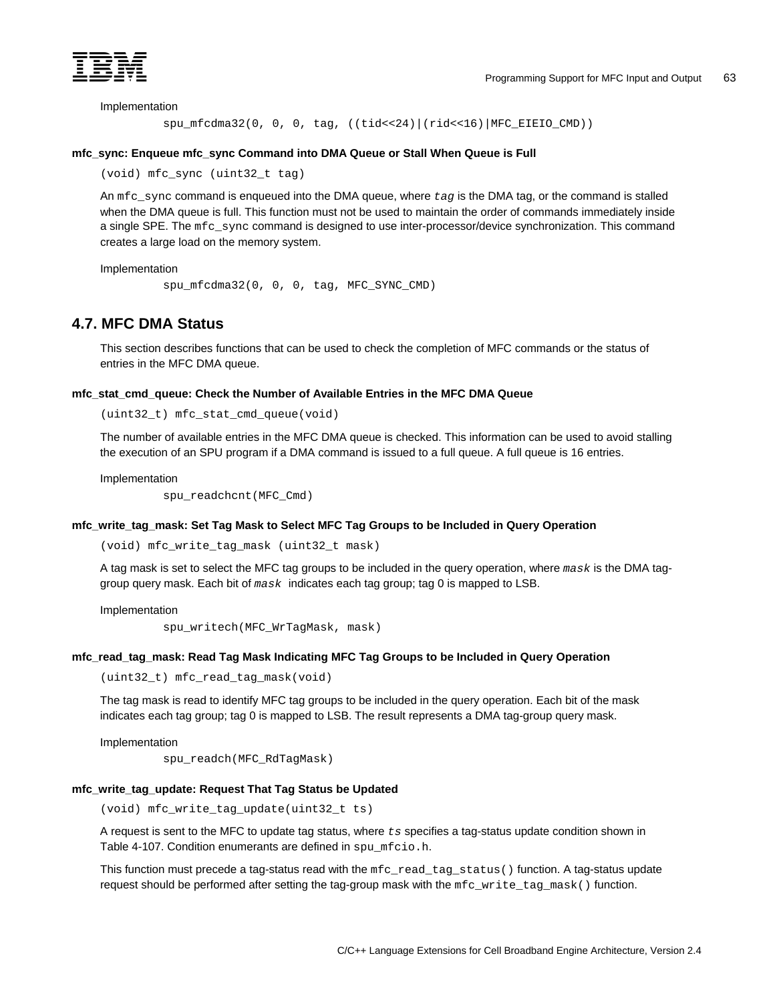

Implementation

spu\_mfcdma32(0, 0, 0, tag, ((tid<<24)|(rid<<16)|MFC\_EIEIO\_CMD))

#### **mfc\_sync: Enqueue mfc\_sync Command into DMA Queue or Stall When Queue is Full**

(void) mfc\_sync (uint32\_t tag)

An mfc\_sync command is enqueued into the DMA queue, where *tag* is the DMA tag, or the command is stalled when the DMA queue is full. This function must not be used to maintain the order of commands immediately inside a single SPE. The mfc\_sync command is designed to use inter-processor/device synchronization. This command creates a large load on the memory system.

#### Implementation

spu\_mfcdma32(0, 0, 0, tag, MFC\_SYNC\_CMD)

# **4.7. MFC DMA Status**

This section describes functions that can be used to check the completion of MFC commands or the status of entries in the MFC DMA queue.

#### **mfc\_stat\_cmd\_queue: Check the Number of Available Entries in the MFC DMA Queue**

(uint32\_t) mfc\_stat\_cmd\_queue(void)

The number of available entries in the MFC DMA queue is checked. This information can be used to avoid stalling the execution of an SPU program if a DMA command is issued to a full queue. A full queue is 16 entries.

Implementation

spu\_readchcnt(MFC\_Cmd)

# **mfc\_write\_tag\_mask: Set Tag Mask to Select MFC Tag Groups to be Included in Query Operation**

(void) mfc\_write\_tag\_mask (uint32\_t mask)

A tag mask is set to select the MFC tag groups to be included in the query operation, where *mask* is the DMA taggroup query mask. Each bit of *mask* indicates each tag group; tag 0 is mapped to LSB.

Implementation

spu\_writech(MFC\_WrTagMask, mask)

#### **mfc\_read\_tag\_mask: Read Tag Mask Indicating MFC Tag Groups to be Included in Query Operation**

(uint32\_t) mfc\_read\_tag\_mask(void)

The tag mask is read to identify MFC tag groups to be included in the query operation. Each bit of the mask indicates each tag group; tag 0 is mapped to LSB. The result represents a DMA tag-group query mask.

Implementation

spu\_readch(MFC\_RdTagMask)

#### **mfc\_write\_tag\_update: Request That Tag Status be Updated**

(void) mfc\_write\_tag\_update(uint32\_t ts)

A request is sent to the MFC to update tag status, where *ts* specifies a tag-status update condition shown in Table 4-107. Condition enumerants are defined in spu\_mfcio.h.

This function must precede a tag-status read with the mfc\_read\_tag\_status() function. A tag-status update request should be performed after setting the tag-group mask with the mfc\_write\_tag\_mask() function.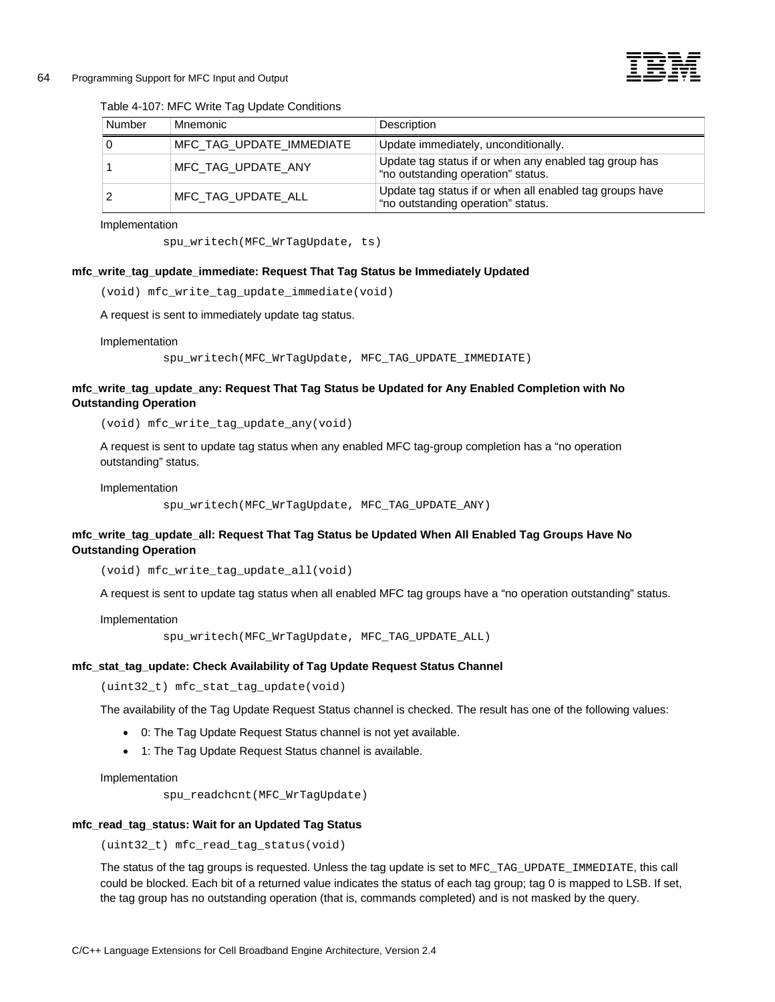

#### Table 4-107: MFC Write Tag Update Conditions

| Number | Mnemonic                 | Description                                                                                    |
|--------|--------------------------|------------------------------------------------------------------------------------------------|
|        | MFC TAG UPDATE IMMEDIATE | Update immediately, unconditionally.                                                           |
|        | MFC_TAG_UPDATE_ANY       | Update tag status if or when any enabled tag group has<br>"no outstanding operation" status.   |
|        | MFC_TAG_UPDATE_ALL       | Update tag status if or when all enabled tag groups have<br>"no outstanding operation" status. |

Implementation

spu\_writech(MFC\_WrTagUpdate, ts)

#### **mfc\_write\_tag\_update\_immediate: Request That Tag Status be Immediately Updated**

(void) mfc\_write\_tag\_update\_immediate(void)

A request is sent to immediately update tag status.

Implementation

spu\_writech(MFC\_WrTagUpdate, MFC\_TAG\_UPDATE\_IMMEDIATE)

# **mfc\_write\_tag\_update\_any: Request That Tag Status be Updated for Any Enabled Completion with No Outstanding Operation**

(void) mfc\_write\_tag\_update\_any(void)

A request is sent to update tag status when any enabled MFC tag-group completion has a "no operation outstanding" status.

Implementation

spu\_writech(MFC\_WrTagUpdate, MFC\_TAG\_UPDATE\_ANY)

# **mfc\_write\_tag\_update\_all: Request That Tag Status be Updated When All Enabled Tag Groups Have No Outstanding Operation**

(void) mfc\_write\_tag\_update\_all(void)

A request is sent to update tag status when all enabled MFC tag groups have a "no operation outstanding" status.

Implementation

spu\_writech(MFC\_WrTagUpdate, MFC\_TAG\_UPDATE\_ALL)

#### **mfc\_stat\_tag\_update: Check Availability of Tag Update Request Status Channel**

(uint32\_t) mfc\_stat\_tag\_update(void)

The availability of the Tag Update Request Status channel is checked. The result has one of the following values:

- 0: The Tag Update Request Status channel is not yet available.
- 1: The Tag Update Request Status channel is available.

Implementation

spu\_readchcnt(MFC\_WrTagUpdate)

#### **mfc\_read\_tag\_status: Wait for an Updated Tag Status**

(uint32 t) mfc read tag status(void)

The status of the tag groups is requested. Unless the tag update is set to MFC\_TAG\_UPDATE\_IMMEDIATE, this call could be blocked. Each bit of a returned value indicates the status of each tag group; tag 0 is mapped to LSB. If set, the tag group has no outstanding operation (that is, commands completed) and is not masked by the query.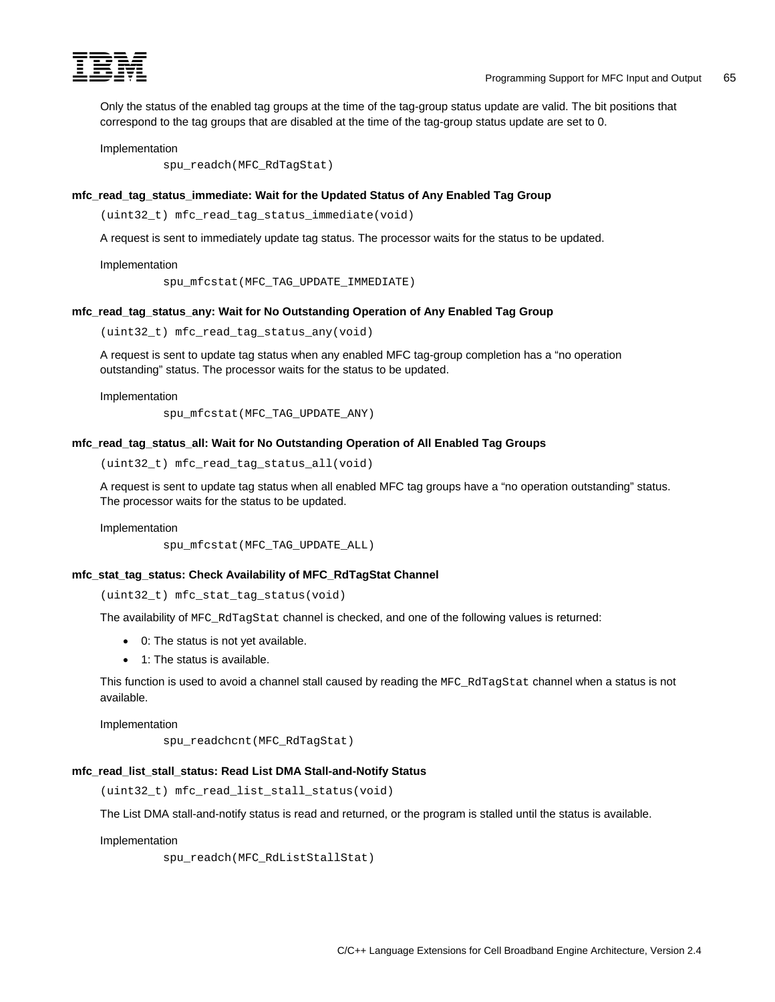

Only the status of the enabled tag groups at the time of the tag-group status update are valid. The bit positions that correspond to the tag groups that are disabled at the time of the tag-group status update are set to 0.

#### Implementation

spu\_readch(MFC\_RdTagStat)

#### **mfc\_read\_tag\_status\_immediate: Wait for the Updated Status of Any Enabled Tag Group**

(uint32\_t) mfc\_read\_tag\_status\_immediate(void)

A request is sent to immediately update tag status. The processor waits for the status to be updated.

#### Implementation

spu\_mfcstat(MFC\_TAG\_UPDATE\_IMMEDIATE)

#### **mfc\_read\_tag\_status\_any: Wait for No Outstanding Operation of Any Enabled Tag Group**

(uint32\_t) mfc\_read\_tag\_status\_any(void)

A request is sent to update tag status when any enabled MFC tag-group completion has a "no operation outstanding" status. The processor waits for the status to be updated.

Implementation

spu\_mfcstat(MFC\_TAG\_UPDATE\_ANY)

#### **mfc\_read\_tag\_status\_all: Wait for No Outstanding Operation of All Enabled Tag Groups**

(uint32\_t) mfc\_read\_tag\_status\_all(void)

A request is sent to update tag status when all enabled MFC tag groups have a "no operation outstanding" status. The processor waits for the status to be updated.

Implementation

spu\_mfcstat(MFC\_TAG\_UPDATE\_ALL)

#### **mfc\_stat\_tag\_status: Check Availability of MFC\_RdTagStat Channel**

(uint32\_t) mfc\_stat\_tag\_status(void)

The availability of MFC\_RdTagStat channel is checked, and one of the following values is returned:

- 0: The status is not yet available.
- 1: The status is available.

This function is used to avoid a channel stall caused by reading the MFC\_RdTagStat channel when a status is not available.

Implementation

spu\_readchcnt(MFC\_RdTagStat)

#### **mfc\_read\_list\_stall\_status: Read List DMA Stall-and-Notify Status**

(uint32\_t) mfc\_read\_list\_stall\_status(void)

The List DMA stall-and-notify status is read and returned, or the program is stalled until the status is available.

#### Implementation

spu\_readch(MFC\_RdListStallStat)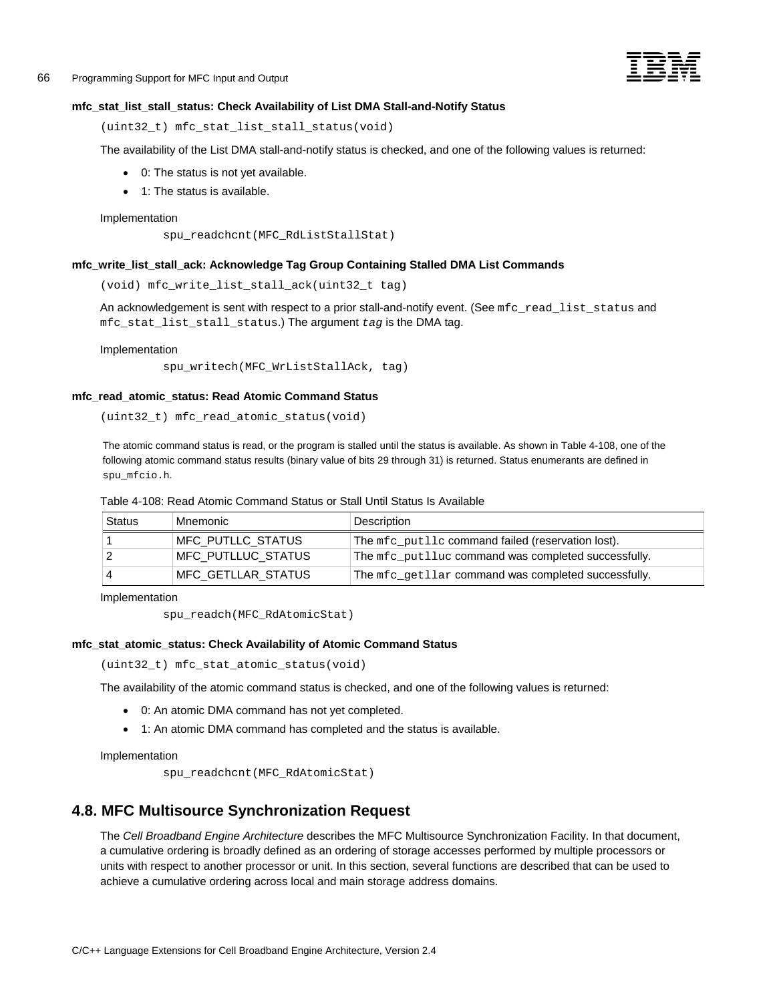

#### **mfc\_stat\_list\_stall\_status: Check Availability of List DMA Stall-and-Notify Status**

(uint32\_t) mfc\_stat\_list\_stall\_status(void)

The availability of the List DMA stall-and-notify status is checked, and one of the following values is returned:

- 0: The status is not yet available.
- 1: The status is available.

#### Implementation

spu\_readchcnt(MFC\_RdListStallStat)

#### **mfc\_write\_list\_stall\_ack: Acknowledge Tag Group Containing Stalled DMA List Commands**

(void) mfc\_write\_list\_stall\_ack(uint32\_t tag)

An acknowledgement is sent with respect to a prior stall-and-notify event. (See mfc\_read\_list\_status and mfc\_stat\_list\_stall\_status.) The argument *tag* is the DMA tag.

Implementation

spu\_writech(MFC\_WrListStallAck, tag)

#### **mfc\_read\_atomic\_status: Read Atomic Command Status**

(uint32\_t) mfc\_read\_atomic\_status(void)

The atomic command status is read, or the program is stalled until the status is available. As shown in Table 4-108, one of the following atomic command status results (binary value of bits 29 through 31) is returned. Status enumerants are defined in spu\_mfcio.h.

# Table 4-108: Read Atomic Command Status or Stall Until Status Is Available

| Status         | Mnemonic                  | Description                                         |
|----------------|---------------------------|-----------------------------------------------------|
|                | MFC PUTLLC STATUS         | The mfc_putllc command failed (reservation lost).   |
|                | <b>MFC PUTLLUC STATUS</b> | The mfc putlluc command was completed successfully. |
| $\overline{4}$ | <b>MFC GETLLAR STATUS</b> | The mfc getllar command was completed successfully. |

Implementation

spu\_readch(MFC\_RdAtomicStat)

#### **mfc\_stat\_atomic\_status: Check Availability of Atomic Command Status**

(uint32\_t) mfc\_stat\_atomic\_status(void)

The availability of the atomic command status is checked, and one of the following values is returned:

- 0: An atomic DMA command has not yet completed.
- 1: An atomic DMA command has completed and the status is available.

#### Implementation

spu\_readchcnt(MFC\_RdAtomicStat)

# **4.8. MFC Multisource Synchronization Request**

The *Cell Broadband Engine Architecture* describes the MFC Multisource Synchronization Facility. In that document, a cumulative ordering is broadly defined as an ordering of storage accesses performed by multiple processors or units with respect to another processor or unit. In this section, several functions are described that can be used to achieve a cumulative ordering across local and main storage address domains.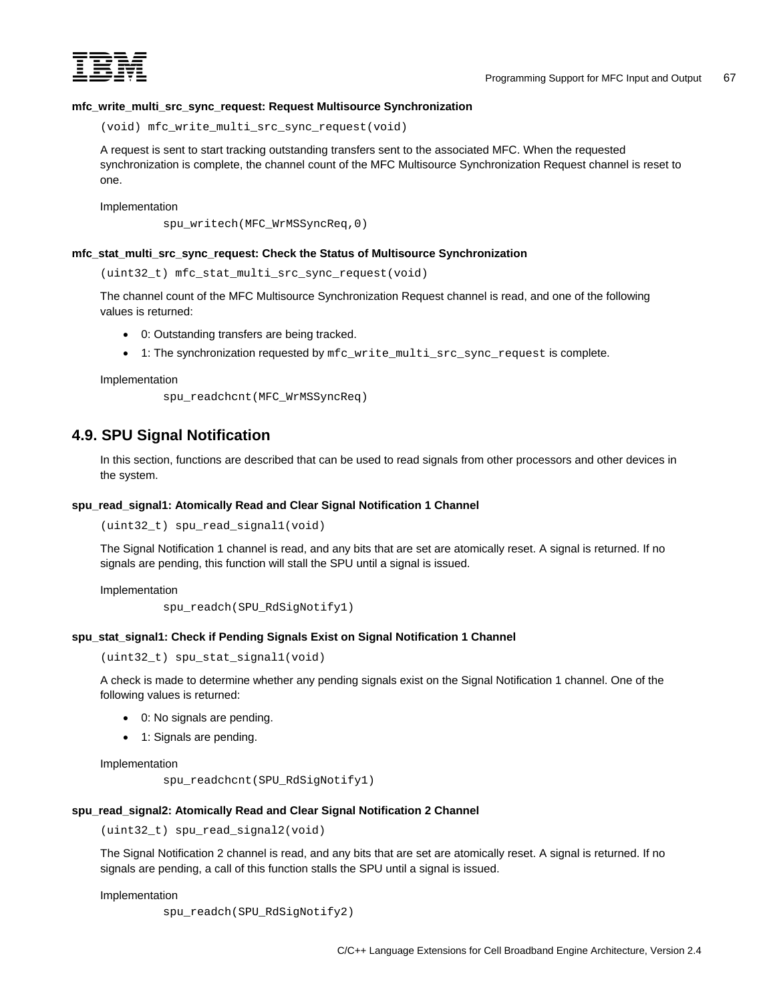

#### **mfc\_write\_multi\_src\_sync\_request: Request Multisource Synchronization**

(void) mfc\_write\_multi\_src\_sync\_request(void)

A request is sent to start tracking outstanding transfers sent to the associated MFC. When the requested synchronization is complete, the channel count of the MFC Multisource Synchronization Request channel is reset to one.

Implementation

spu\_writech(MFC\_WrMSSyncReq,0)

#### **mfc\_stat\_multi\_src\_sync\_request: Check the Status of Multisource Synchronization**

(uint32\_t) mfc\_stat\_multi\_src\_sync\_request(void)

The channel count of the MFC Multisource Synchronization Request channel is read, and one of the following values is returned:

- 0: Outstanding transfers are being tracked.
- 1: The synchronization requested by mfc\_write\_multi\_src\_sync\_request is complete.

Implementation

spu\_readchcnt(MFC\_WrMSSyncReq)

# **4.9. SPU Signal Notification**

In this section, functions are described that can be used to read signals from other processors and other devices in the system.

#### **spu\_read\_signal1: Atomically Read and Clear Signal Notification 1 Channel**

(uint32\_t) spu\_read\_signal1(void)

The Signal Notification 1 channel is read, and any bits that are set are atomically reset. A signal is returned. If no signals are pending, this function will stall the SPU until a signal is issued.

Implementation

```
spu_readch(SPU_RdSigNotify1)
```
#### **spu\_stat\_signal1: Check if Pending Signals Exist on Signal Notification 1 Channel**

(uint32\_t) spu\_stat\_signal1(void)

A check is made to determine whether any pending signals exist on the Signal Notification 1 channel. One of the following values is returned:

- 0: No signals are pending.
- 1: Signals are pending.

```
Implementation
```
spu\_readchcnt(SPU\_RdSigNotify1)

#### **spu\_read\_signal2: Atomically Read and Clear Signal Notification 2 Channel**

(uint32\_t) spu\_read\_signal2(void)

The Signal Notification 2 channel is read, and any bits that are set are atomically reset. A signal is returned. If no signals are pending, a call of this function stalls the SPU until a signal is issued.

Implementation

```
spu_readch(SPU_RdSigNotify2)
```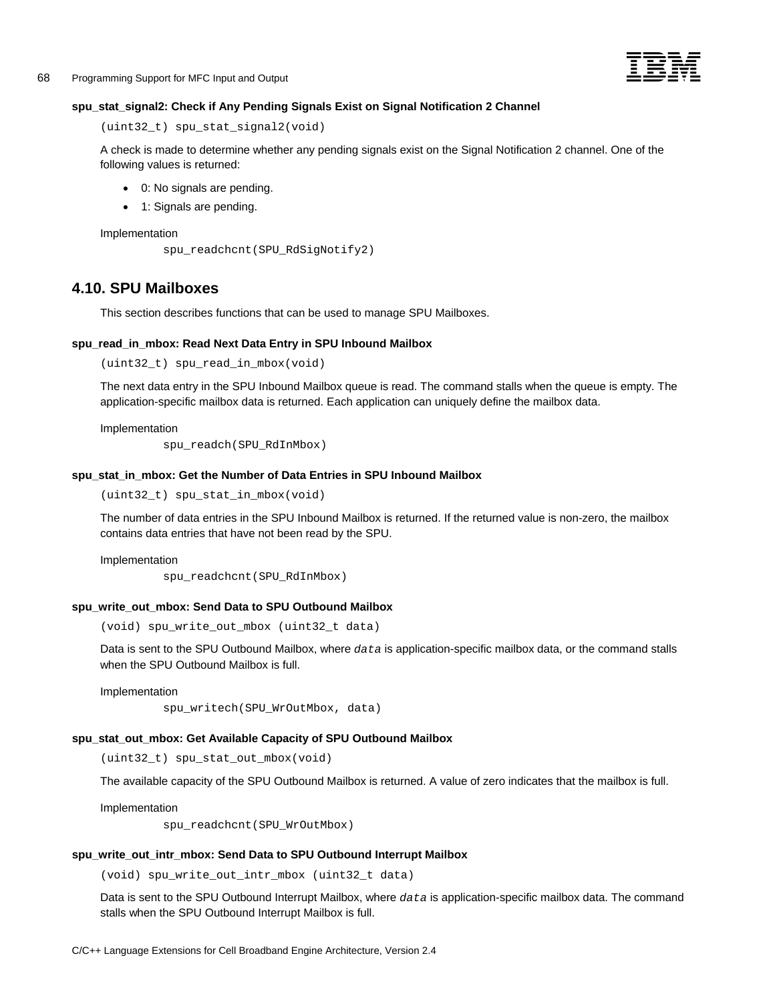

#### **spu\_stat\_signal2: Check if Any Pending Signals Exist on Signal Notification 2 Channel**

(uint32\_t) spu\_stat\_signal2(void)

A check is made to determine whether any pending signals exist on the Signal Notification 2 channel. One of the following values is returned:

- 0: No signals are pending.
- 1: Signals are pending.

Implementation

spu\_readchcnt(SPU\_RdSigNotify2)

# **4.10. SPU Mailboxes**

This section describes functions that can be used to manage SPU Mailboxes.

#### **spu\_read\_in\_mbox: Read Next Data Entry in SPU Inbound Mailbox**

(uint32\_t) spu\_read\_in\_mbox(void)

The next data entry in the SPU Inbound Mailbox queue is read. The command stalls when the queue is empty. The application-specific mailbox data is returned. Each application can uniquely define the mailbox data.

Implementation

spu\_readch(SPU\_RdInMbox)

#### **spu\_stat\_in\_mbox: Get the Number of Data Entries in SPU Inbound Mailbox**

(uint32\_t) spu\_stat\_in\_mbox(void)

The number of data entries in the SPU Inbound Mailbox is returned. If the returned value is non-zero, the mailbox contains data entries that have not been read by the SPU.

Implementation

spu\_readchcnt(SPU\_RdInMbox)

#### **spu\_write\_out\_mbox: Send Data to SPU Outbound Mailbox**

(void) spu\_write\_out\_mbox (uint32\_t data)

Data is sent to the SPU Outbound Mailbox, where *data* is application-specific mailbox data, or the command stalls when the SPU Outbound Mailbox is full.

Implementation

spu\_writech(SPU\_WrOutMbox, data)

#### **spu\_stat\_out\_mbox: Get Available Capacity of SPU Outbound Mailbox**

(uint32\_t) spu\_stat\_out\_mbox(void)

The available capacity of the SPU Outbound Mailbox is returned. A value of zero indicates that the mailbox is full.

Implementation

spu\_readchcnt(SPU\_WrOutMbox)

#### **spu\_write\_out\_intr\_mbox: Send Data to SPU Outbound Interrupt Mailbox**

(void) spu\_write\_out\_intr\_mbox (uint32\_t data)

Data is sent to the SPU Outbound Interrupt Mailbox, where *data* is application-specific mailbox data. The command stalls when the SPU Outbound Interrupt Mailbox is full.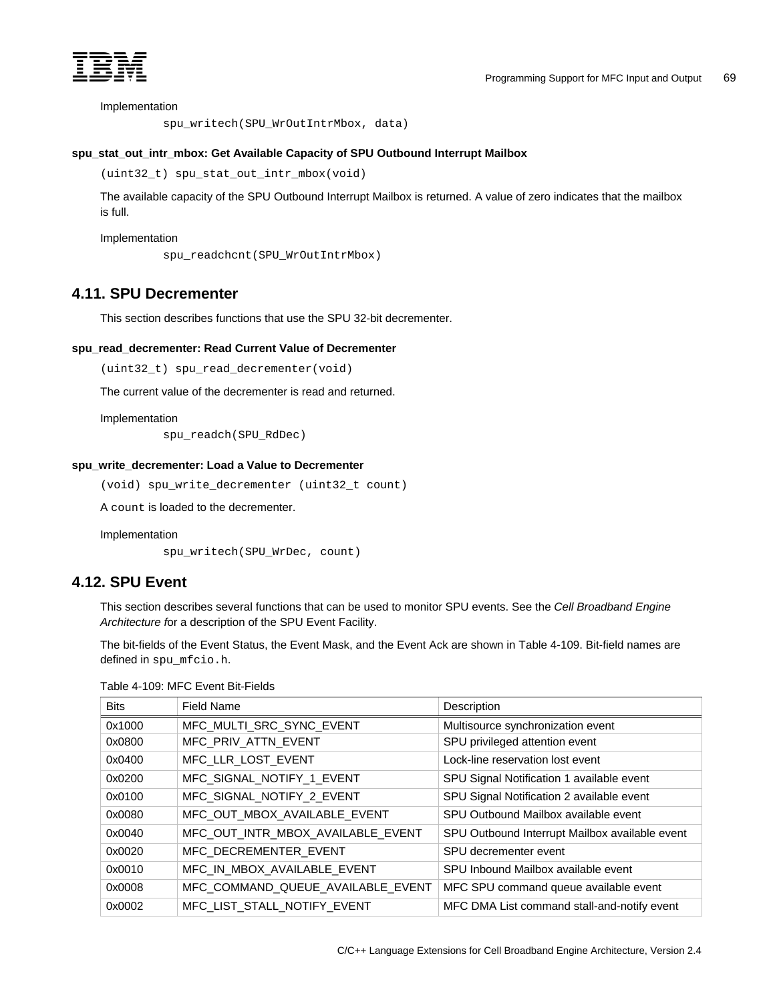

Implementation

spu\_writech(SPU\_WrOutIntrMbox, data)

#### **spu\_stat\_out\_intr\_mbox: Get Available Capacity of SPU Outbound Interrupt Mailbox**

(uint32\_t) spu\_stat\_out\_intr\_mbox(void)

The available capacity of the SPU Outbound Interrupt Mailbox is returned. A value of zero indicates that the mailbox is full.

Implementation

spu\_readchcnt(SPU\_WrOutIntrMbox)

# **4.11. SPU Decrementer**

This section describes functions that use the SPU 32-bit decrementer.

#### **spu\_read\_decrementer: Read Current Value of Decrementer**

(uint32\_t) spu\_read\_decrementer(void)

The current value of the decrementer is read and returned.

Implementation

spu\_readch(SPU\_RdDec)

#### **spu\_write\_decrementer: Load a Value to Decrementer**

```
(void) spu_write_decrementer (uint32_t count)
```
A count is loaded to the decrementer.

Implementation

spu\_writech(SPU\_WrDec, count)

# **4.12. SPU Event**

This section describes several functions that can be used to monitor SPU events. See the *Cell Broadband Engine Architecture f*or a description of the SPU Event Facility.

The bit-fields of the Event Status, the Event Mask, and the Event Ack are shown in Table 4-109. Bit-field names are defined in spu\_mfcio.h.

| <b>Bits</b> | Field Name                        | Description                                    |
|-------------|-----------------------------------|------------------------------------------------|
| 0x1000      | MFC MULTI SRC SYNC EVENT          | Multisource synchronization event              |
| 0x0800      | MFC PRIV ATTN EVENT               | SPU privileged attention event                 |
| 0x0400      | MFC LLR LOST EVENT                | Lock-line reservation lost event               |
| 0x0200      | MFC_SIGNAL_NOTIFY_1_EVENT         | SPU Signal Notification 1 available event      |
| 0x0100      | MFC SIGNAL NOTIFY 2 EVENT         | SPU Signal Notification 2 available event      |
| 0x0080      | MFC OUT MBOX AVAILABLE EVENT      | SPU Outbound Mailbox available event           |
| 0x0040      | MFC OUT INTR MBOX AVAILABLE EVENT | SPU Outbound Interrupt Mailbox available event |
| 0x0020      | MFC DECREMENTER EVENT             | SPU decrementer event                          |
| 0x0010      | MFC_IN_MBOX_AVAILABLE_EVENT       | SPU Inbound Mailbox available event            |
| 0x0008      | MFC_COMMAND_QUEUE_AVAILABLE_EVENT | MFC SPU command queue available event          |
| 0x0002      | MFC_LIST_STALL_NOTIFY_EVENT       | MFC DMA List command stall-and-notify event    |

Table 4-109: MFC Event Bit-Fields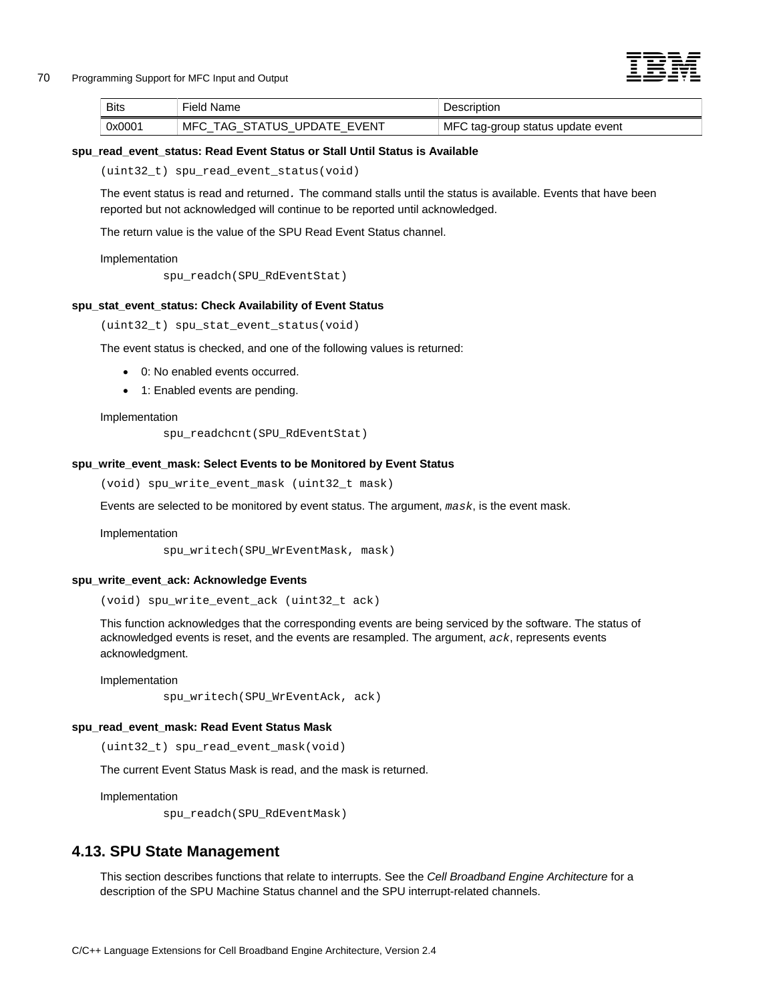

| <b>Bits</b> | <sup>1</sup> Name<br>Field                      | Description                       |
|-------------|-------------------------------------------------|-----------------------------------|
| 0x0001      | MFC<br>STATUS<br><b>UPDATE</b><br>EVENT<br>-AG- | MFC tag-group status update event |

#### **spu\_read\_event\_status: Read Event Status or Stall Until Status is Available**

(uint32 t) spu read event status(void)

The event status is read and returned*.* The command stalls until the status is available. Events that have been reported but not acknowledged will continue to be reported until acknowledged.

The return value is the value of the SPU Read Event Status channel.

#### Implementation

spu\_readch(SPU\_RdEventStat)

#### **spu\_stat\_event\_status: Check Availability of Event Status**

(uint32\_t) spu\_stat\_event\_status(void)

The event status is checked, and one of the following values is returned:

- 0: No enabled events occurred.
- 1: Enabled events are pending.

#### Implementation

spu\_readchcnt(SPU\_RdEventStat)

#### **spu\_write\_event\_mask: Select Events to be Monitored by Event Status**

(void) spu\_write\_event\_mask (uint32\_t mask)

Events are selected to be monitored by event status. The argument, *mask*, is the event mask.

#### Implementation

spu\_writech(SPU\_WrEventMask, mask)

#### **spu\_write\_event\_ack: Acknowledge Events**

(void) spu\_write\_event\_ack (uint32\_t ack)

This function acknowledges that the corresponding events are being serviced by the software. The status of acknowledged events is reset, and the events are resampled. The argument, *ack*, represents events acknowledgment.

#### Implementation

spu\_writech(SPU\_WrEventAck, ack)

#### **spu\_read\_event\_mask: Read Event Status Mask**

(uint32\_t) spu\_read\_event\_mask(void)

The current Event Status Mask is read, and the mask is returned.

#### Implementation

spu\_readch(SPU\_RdEventMask)

# **4.13. SPU State Management**

This section describes functions that relate to interrupts. See the *Cell Broadband Engine Architecture* for a description of the SPU Machine Status channel and the SPU interrupt-related channels.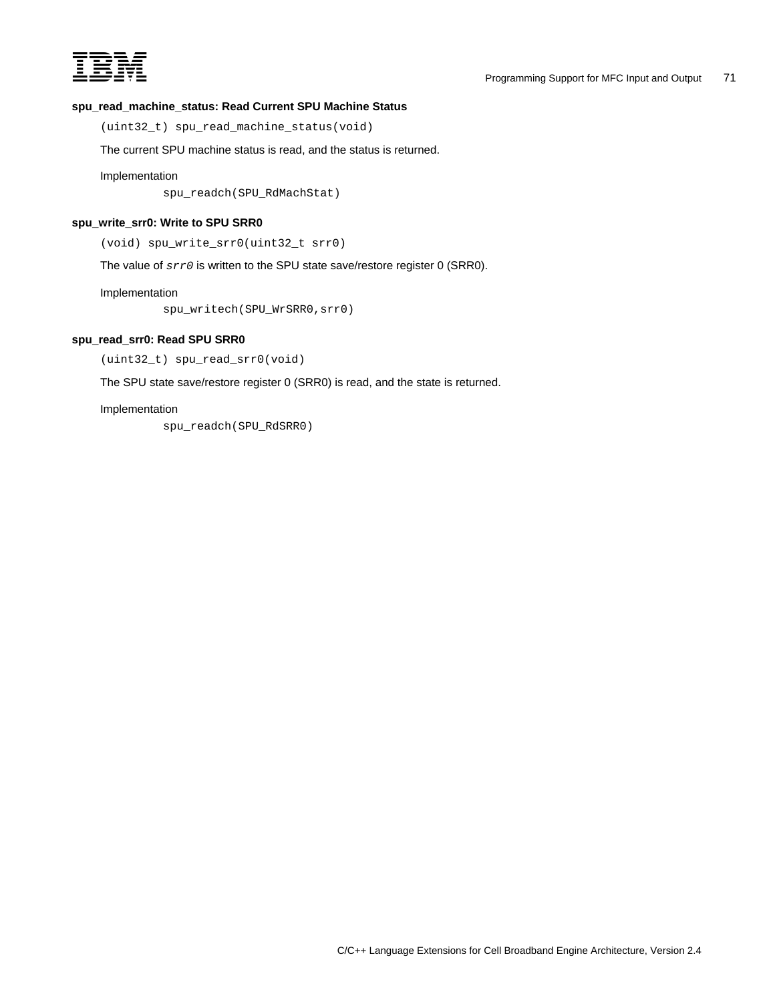

# **spu\_read\_machine\_status: Read Current SPU Machine Status**

(uint32\_t) spu\_read\_machine\_status(void)

The current SPU machine status is read, and the status is returned.

#### Implementation

spu\_readch(SPU\_RdMachStat)

# **spu\_write\_srr0: Write to SPU SRR0**

(void) spu\_write\_srr0(uint32\_t srr0)

The value of  $srr0$  is written to the SPU state save/restore register 0 (SRR0).

#### Implementation

spu\_writech(SPU\_WrSRR0,srr0)

#### **spu\_read\_srr0: Read SPU SRR0**

(uint32\_t) spu\_read\_srr0(void)

The SPU state save/restore register 0 (SRR0) is read, and the state is returned.

#### Implementation

spu\_readch(SPU\_RdSRR0)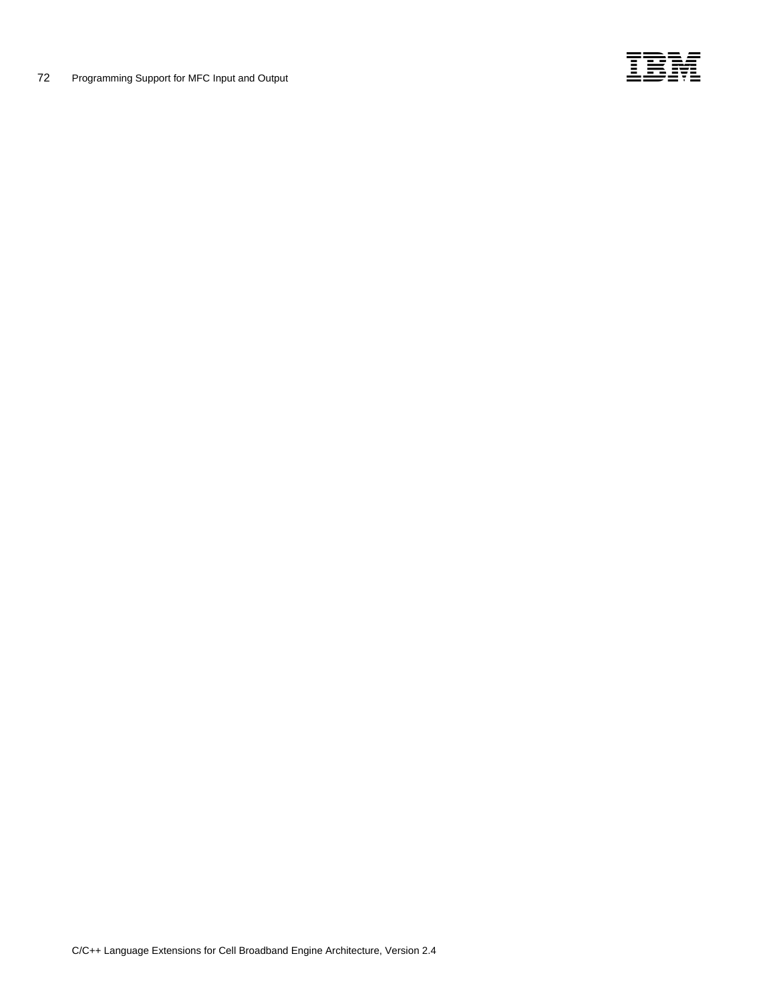72 Programming Support for MFC Input and Output

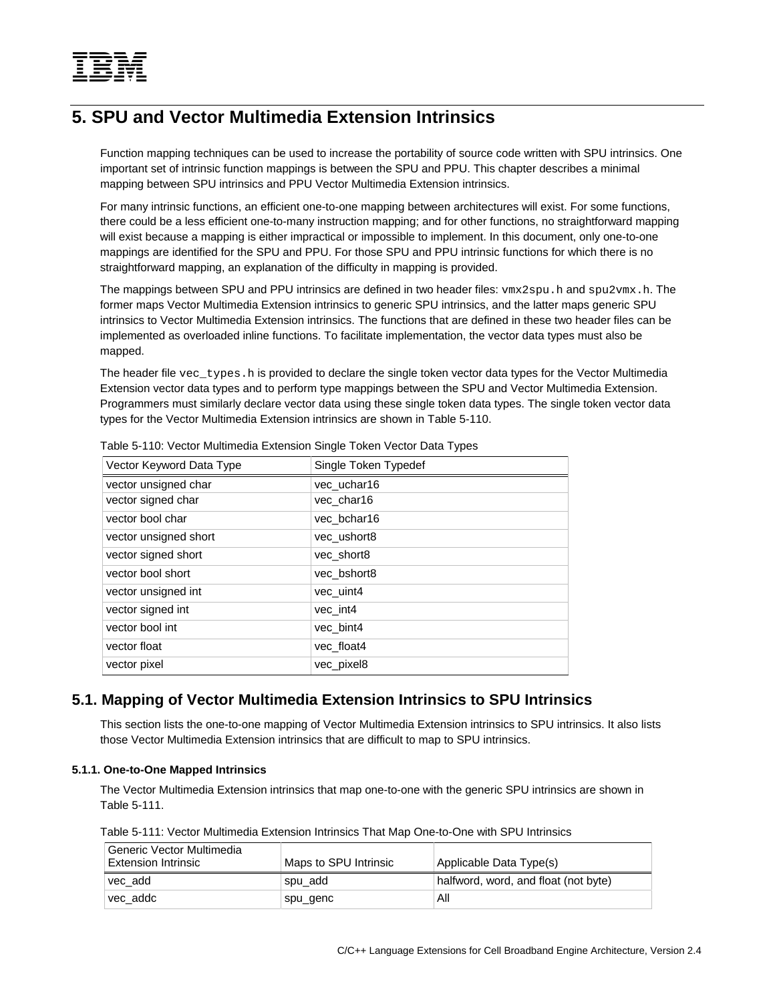

# **5. SPU and Vector Multimedia Extension Intrinsics**

Function mapping techniques can be used to increase the portability of source code written with SPU intrinsics. One important set of intrinsic function mappings is between the SPU and PPU. This chapter describes a minimal mapping between SPU intrinsics and PPU Vector Multimedia Extension intrinsics.

For many intrinsic functions, an efficient one-to-one mapping between architectures will exist. For some functions, there could be a less efficient one-to-many instruction mapping; and for other functions, no straightforward mapping will exist because a mapping is either impractical or impossible to implement. In this document, only one-to-one mappings are identified for the SPU and PPU. For those SPU and PPU intrinsic functions for which there is no straightforward mapping, an explanation of the difficulty in mapping is provided.

The mappings between SPU and PPU intrinsics are defined in two header files:  $vmx2spu$ . h and  $spu2vmx$ . h. The former maps Vector Multimedia Extension intrinsics to generic SPU intrinsics, and the latter maps generic SPU intrinsics to Vector Multimedia Extension intrinsics. The functions that are defined in these two header files can be implemented as overloaded inline functions. To facilitate implementation, the vector data types must also be mapped.

The header file vec\_types.h is provided to declare the single token vector data types for the Vector Multimedia Extension vector data types and to perform type mappings between the SPU and Vector Multimedia Extension. Programmers must similarly declare vector data using these single token data types. The single token vector data types for the Vector Multimedia Extension intrinsics are shown in Table 5-110.

| Vector Keyword Data Type | Single Token Typedef |
|--------------------------|----------------------|
| vector unsigned char     | vec uchar16          |
| vector signed char       | vec_char16           |
| vector bool char         | vec bchar16          |
| vector unsigned short    | vec ushort8          |
| vector signed short      | vec short8           |
| vector bool short        | vec bshort8          |
| vector unsigned int      | vec uint4            |
| vector signed int        | vec int4             |
| vector bool int          | vec_bint4            |
| vector float             | vec float4           |
| vector pixel             | vec_pixel8           |

Table 5-110: Vector Multimedia Extension Single Token Vector Data Types

# **5.1. Mapping of Vector Multimedia Extension Intrinsics to SPU Intrinsics**

This section lists the one-to-one mapping of Vector Multimedia Extension intrinsics to SPU intrinsics. It also lists those Vector Multimedia Extension intrinsics that are difficult to map to SPU intrinsics.

## **5.1.1. One-to-One Mapped Intrinsics**

The Vector Multimedia Extension intrinsics that map one-to-one with the generic SPU intrinsics are shown in Table 5-111.

Table 5-111: Vector Multimedia Extension Intrinsics That Map One-to-One with SPU Intrinsics

| Generic Vector Multimedia<br><b>Extension Intrinsic</b> | Maps to SPU Intrinsic | Applicable Data Type(s)              |
|---------------------------------------------------------|-----------------------|--------------------------------------|
| vec add                                                 | spu add               | halfword, word, and float (not byte) |
| vec addc                                                | spu_genc              | Αll                                  |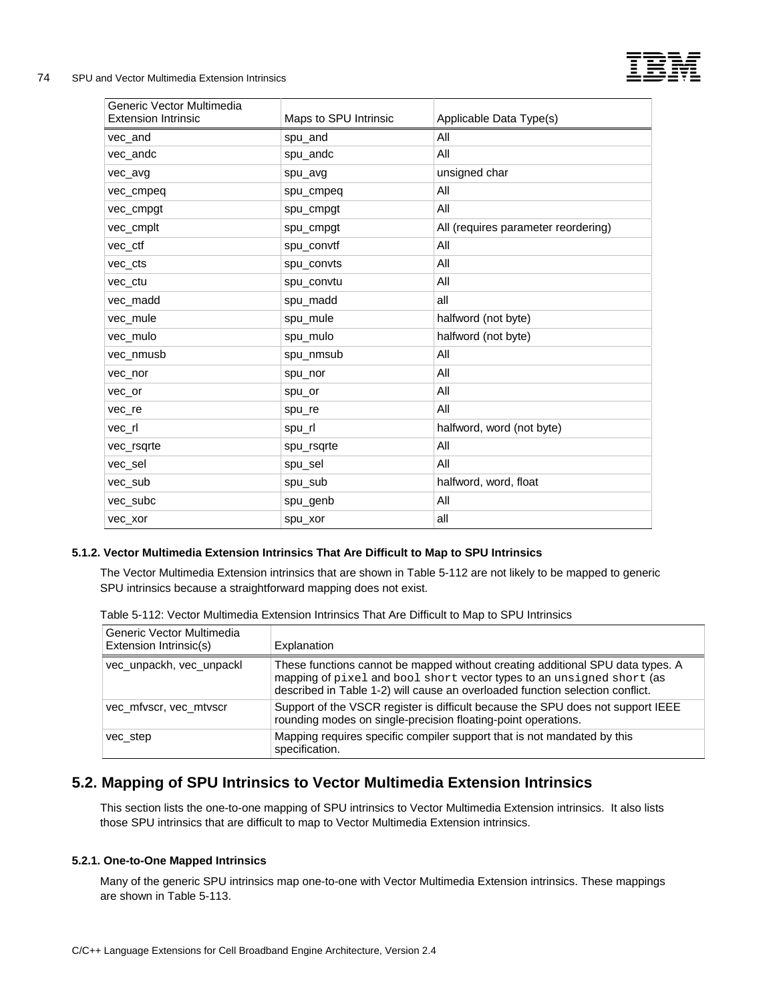# 74 SPU and Vector Multimedia Extension Intrinsics

| Generic Vector Multimedia<br><b>Extension Intrinsic</b> | Maps to SPU Intrinsic | Applicable Data Type(s)             |  |
|---------------------------------------------------------|-----------------------|-------------------------------------|--|
| vec_and                                                 | spu_and               | All                                 |  |
| vec_andc                                                | spu andc              | All                                 |  |
| vec_avg                                                 | spu_avg               | unsigned char                       |  |
| vec_cmpeq                                               | spu_cmpeq             | All                                 |  |
| vec_cmpgt                                               | spu_cmpgt             | All                                 |  |
| vec_cmplt                                               | spu_cmpgt             | All (requires parameter reordering) |  |
| vec_ctf                                                 | spu_convtf            | All                                 |  |
| vec_cts                                                 | spu_convts            | All                                 |  |
| vec ctu                                                 | spu_convtu            | All                                 |  |
| vec madd                                                | spu_madd              | all                                 |  |
| vec_mule                                                | spu_mule              | halfword (not byte)                 |  |
| vec_mulo                                                | spu_mulo              | halfword (not byte)                 |  |
| vec nmusb                                               | spu_nmsub             | All                                 |  |
| vec nor                                                 | spu_nor               | All                                 |  |
| vec or                                                  | spu_or                | All                                 |  |
| vec_re                                                  | spu re                | All                                 |  |
| vec_rl                                                  | spu_rl                | halfword, word (not byte)           |  |
| vec_rsqrte                                              | spu_rsqrte            | All                                 |  |
| vec sel                                                 | spu_sel               | All                                 |  |
| vec sub                                                 | spu_sub               | halfword, word, float               |  |
| vec_subc                                                | spu genb              | All                                 |  |
| vec_xor                                                 | spu_xor               | all                                 |  |

BM

## **5.1.2. Vector Multimedia Extension Intrinsics That Are Difficult to Map to SPU Intrinsics**

The Vector Multimedia Extension intrinsics that are shown in Table 5-112 are not likely to be mapped to generic SPU intrinsics because a straightforward mapping does not exist.

| Generic Vector Multimedia<br>Extension Intrinsic(s) | Explanation                                                                                                                                                                                                                              |
|-----------------------------------------------------|------------------------------------------------------------------------------------------------------------------------------------------------------------------------------------------------------------------------------------------|
| vec_unpackh, vec_unpackl                            | These functions cannot be mapped without creating additional SPU data types. A<br>mapping of pixel and bool short vector types to an unsigned short (as<br>described in Table 1-2) will cause an overloaded function selection conflict. |
| vec mfyscr, vec mtyscr                              | Support of the VSCR register is difficult because the SPU does not support IEEE<br>rounding modes on single-precision floating-point operations.                                                                                         |
| vec_step                                            | Mapping requires specific compiler support that is not mandated by this<br>specification.                                                                                                                                                |

Table 5-112: Vector Multimedia Extension Intrinsics That Are Difficult to Map to SPU Intrinsics

# **5.2. Mapping of SPU Intrinsics to Vector Multimedia Extension Intrinsics**

This section lists the one-to-one mapping of SPU intrinsics to Vector Multimedia Extension intrinsics. It also lists those SPU intrinsics that are difficult to map to Vector Multimedia Extension intrinsics.

## **5.2.1. One-to-One Mapped Intrinsics**

Many of the generic SPU intrinsics map one-to-one with Vector Multimedia Extension intrinsics. These mappings are shown in Table 5-113.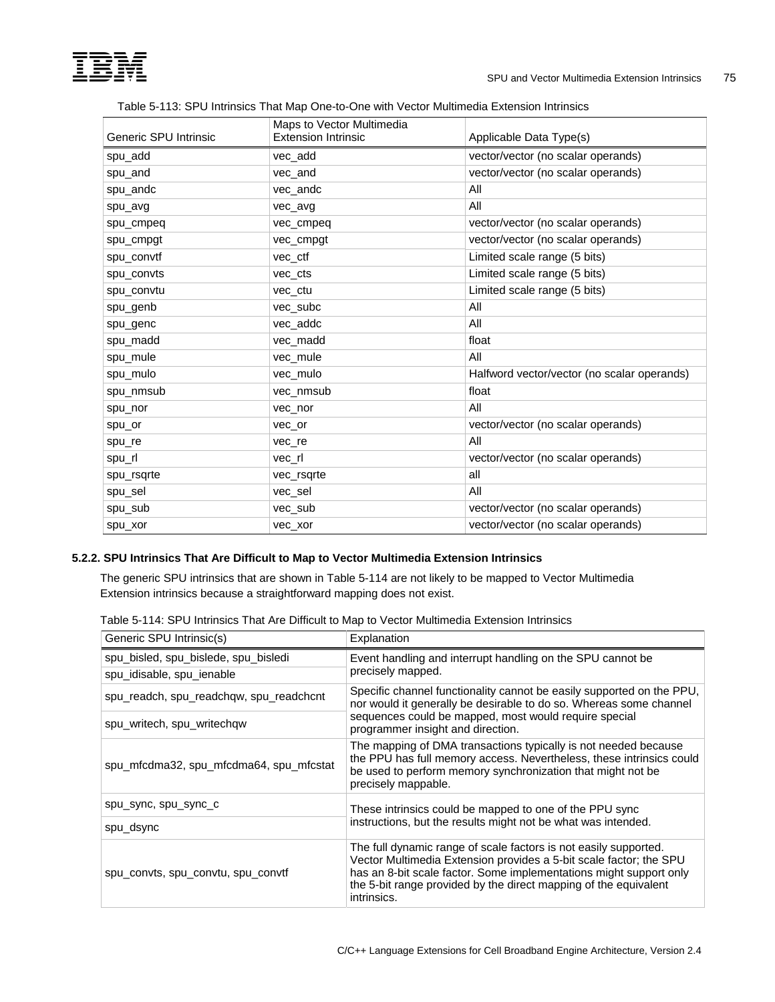

| Maps to Vector Multimedia<br><b>Extension Intrinsic</b><br>Generic SPU Intrinsic |            | Applicable Data Type(s)                     |  |
|----------------------------------------------------------------------------------|------------|---------------------------------------------|--|
| spu_add                                                                          | vec add    | vector/vector (no scalar operands)          |  |
| spu_and                                                                          | vec_and    | vector/vector (no scalar operands)          |  |
| spu_andc                                                                         | vec andc   | All                                         |  |
| spu_avg                                                                          | vec avg    | All                                         |  |
| spu_cmpeq                                                                        | vec_cmpeq  | vector/vector (no scalar operands)          |  |
| spu_cmpgt                                                                        | vec_cmpgt  | vector/vector (no scalar operands)          |  |
| spu_convtf                                                                       | vec ctf    | Limited scale range (5 bits)                |  |
| spu_convts                                                                       | vec_cts    | Limited scale range (5 bits)                |  |
| spu_convtu                                                                       | vec ctu    | Limited scale range (5 bits)                |  |
| spu genb                                                                         | vec_subc   | All                                         |  |
| spu_genc                                                                         | vec_addc   | All                                         |  |
| spu_madd                                                                         | vec_madd   | float                                       |  |
| spu_mule                                                                         | vec_mule   | All                                         |  |
| spu_mulo                                                                         | vec mulo   | Halfword vector/vector (no scalar operands) |  |
| spu_nmsub                                                                        | vec_nmsub  | float                                       |  |
| spu_nor                                                                          | vec_nor    | All                                         |  |
| spu_or                                                                           | vec or     | vector/vector (no scalar operands)          |  |
| spu_re                                                                           | vec_re     | All                                         |  |
| spu_rl                                                                           | vec_rl     | vector/vector (no scalar operands)          |  |
| spu_rsqrte                                                                       | vec_rsqrte | all                                         |  |
| spu_sel                                                                          | vec_sel    | All                                         |  |
| spu_sub                                                                          | vec_sub    | vector/vector (no scalar operands)          |  |
| spu_xor                                                                          | vec_xor    | vector/vector (no scalar operands)          |  |

# **5.2.2. SPU Intrinsics That Are Difficult to Map to Vector Multimedia Extension Intrinsics**

The generic SPU intrinsics that are shown in Table 5-114 are not likely to be mapped to Vector Multimedia Extension intrinsics because a straightforward mapping does not exist.

| Generic SPU Intrinsic(s)                | Explanation                                                                                                                                                                                                                                                                                     |  |
|-----------------------------------------|-------------------------------------------------------------------------------------------------------------------------------------------------------------------------------------------------------------------------------------------------------------------------------------------------|--|
| spu_bisled, spu_bislede, spu_bisledi    | Event handling and interrupt handling on the SPU cannot be                                                                                                                                                                                                                                      |  |
| spu_idisable, spu_ienable               | precisely mapped.                                                                                                                                                                                                                                                                               |  |
| spu_readch, spu_readchqw, spu_readchcnt | Specific channel functionality cannot be easily supported on the PPU,<br>nor would it generally be desirable to do so. Whereas some channel                                                                                                                                                     |  |
| spu_writech, spu_writechqw              | sequences could be mapped, most would require special<br>programmer insight and direction.                                                                                                                                                                                                      |  |
| spu_mfcdma32, spu_mfcdma64, spu_mfcstat | The mapping of DMA transactions typically is not needed because<br>the PPU has full memory access. Nevertheless, these intrinsics could<br>be used to perform memory synchronization that might not be<br>precisely mappable.                                                                   |  |
| spu_sync, spu_sync_c                    | These intrinsics could be mapped to one of the PPU sync                                                                                                                                                                                                                                         |  |
| spu_dsync                               | instructions, but the results might not be what was intended.                                                                                                                                                                                                                                   |  |
| spu_convts, spu_convtu, spu_convtf      | The full dynamic range of scale factors is not easily supported.<br>Vector Multimedia Extension provides a 5-bit scale factor; the SPU<br>has an 8-bit scale factor. Some implementations might support only<br>the 5-bit range provided by the direct mapping of the equivalent<br>intrinsics. |  |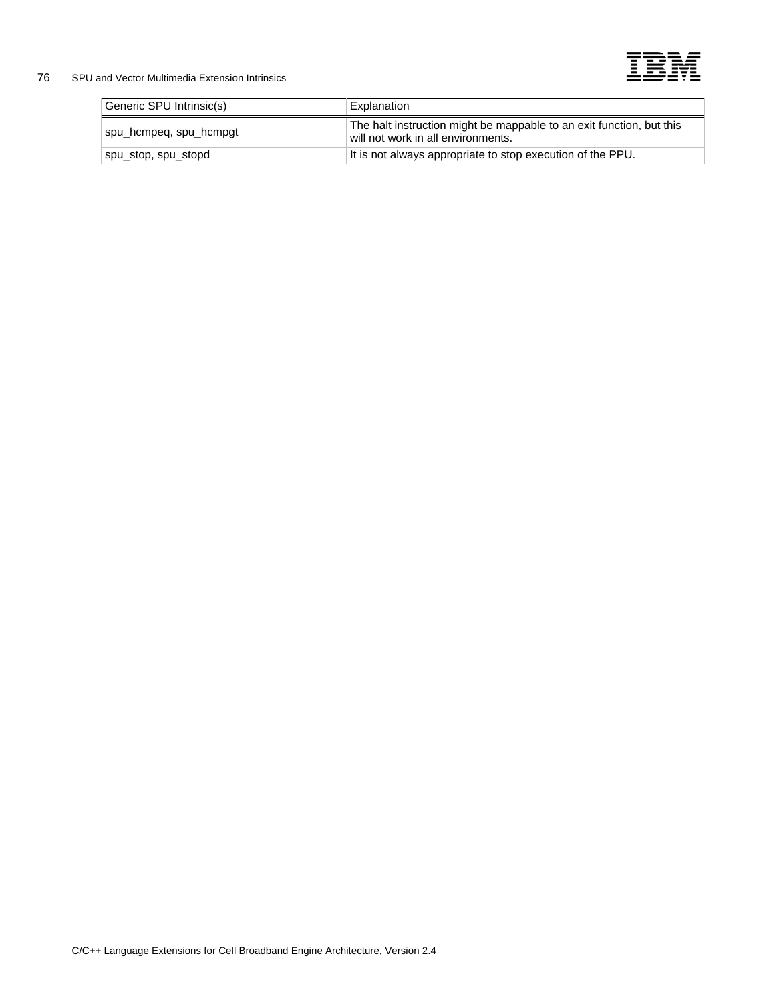# 76 SPU and Vector Multimedia Extension Intrinsics -



| Generic SPU Intrinsic(s) | Explanation                                                                                                |
|--------------------------|------------------------------------------------------------------------------------------------------------|
| spu hcmpeg, spu hcmpgt   | The halt instruction might be mappable to an exit function, but this<br>will not work in all environments. |
| spu stop, spu stopd      | It is not always appropriate to stop execution of the PPU.                                                 |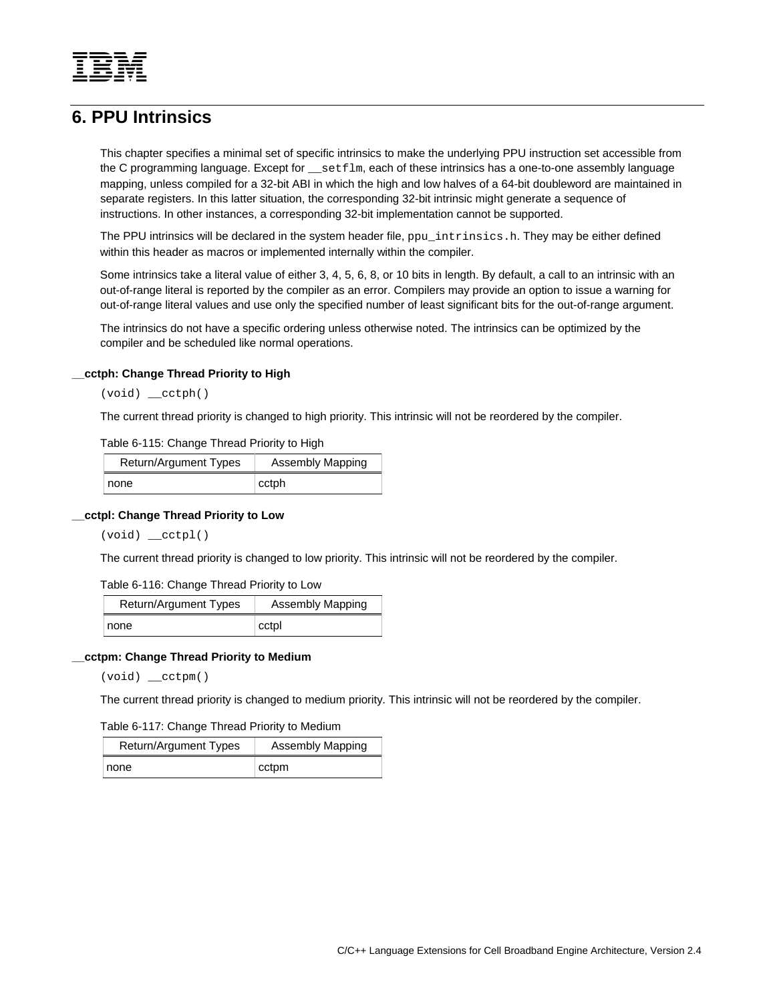

# **6. PPU Intrinsics**

This chapter specifies a minimal set of specific intrinsics to make the underlying PPU instruction set accessible from the C programming language. Except for setflm, each of these intrinsics has a one-to-one assembly language mapping, unless compiled for a 32-bit ABI in which the high and low halves of a 64-bit doubleword are maintained in separate registers. In this latter situation, the corresponding 32-bit intrinsic might generate a sequence of instructions. In other instances, a corresponding 32-bit implementation cannot be supported.

The PPU intrinsics will be declared in the system header file, ppu\_intrinsics.h. They may be either defined within this header as macros or implemented internally within the compiler.

Some intrinsics take a literal value of either 3, 4, 5, 6, 8, or 10 bits in length. By default, a call to an intrinsic with an out-of-range literal is reported by the compiler as an error. Compilers may provide an option to issue a warning for out-of-range literal values and use only the specified number of least significant bits for the out-of-range argument.

The intrinsics do not have a specific ordering unless otherwise noted. The intrinsics can be optimized by the compiler and be scheduled like normal operations.

#### **\_\_cctph: Change Thread Priority to High**

(void) \_\_cctph()

The current thread priority is changed to high priority. This intrinsic will not be reordered by the compiler.

#### Table 6-115: Change Thread Priority to High

| Return/Argument Types | Assembly Mapping |
|-----------------------|------------------|
| none                  | cctph            |

## **\_\_cctpl: Change Thread Priority to Low**

(void) \_\_cctpl()

The current thread priority is changed to low priority. This intrinsic will not be reordered by the compiler.

Table 6-116: Change Thread Priority to Low

| Return/Argument Types | Assembly Mapping |  |
|-----------------------|------------------|--|
| none                  | cctpl            |  |

## **\_\_cctpm: Change Thread Priority to Medium**

 $(void)$   $cctpm()$ 

The current thread priority is changed to medium priority. This intrinsic will not be reordered by the compiler.

Table 6-117: Change Thread Priority to Medium

| Return/Argument Types | <b>Assembly Mapping</b> |
|-----------------------|-------------------------|
| none                  | cctpm                   |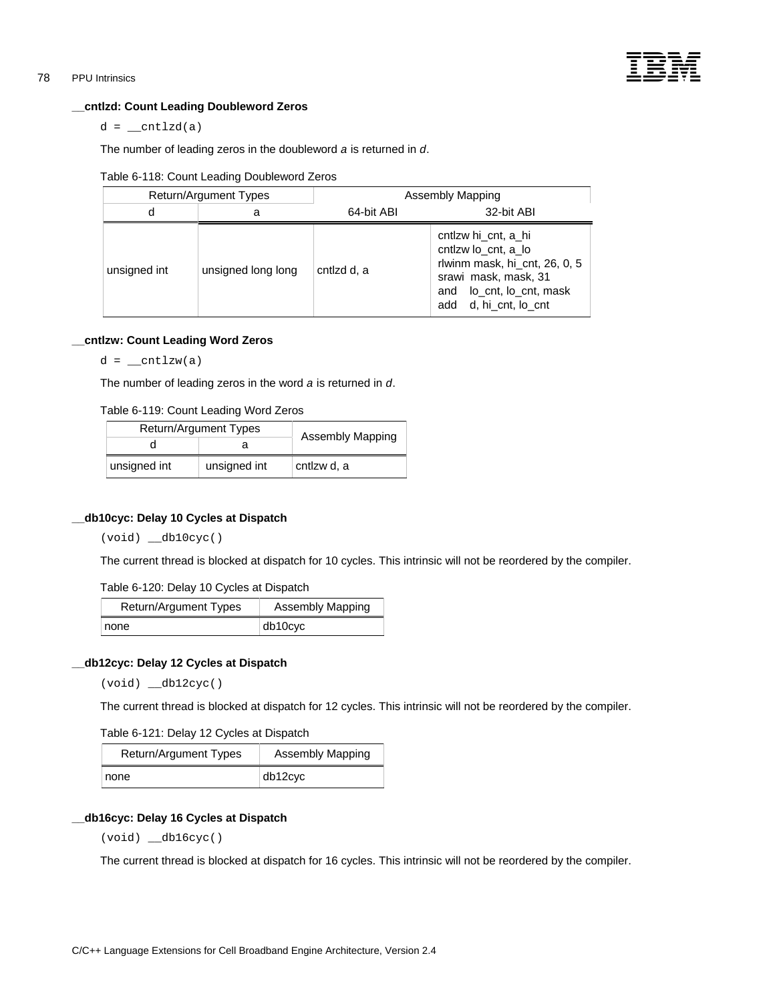# $\Gamma$  PPU Intrinsics - PPU Intrinsics - PPU Intrinsics - PPU Intrinsics - PPU Intrinsics - PPU Intrinsics - PPU Intrinsics - PPU Intrinsics - PPU Intrinsics - PPU Intrinsics - PPU Intrinsics - PPU Intrinsics - PPU Intrinsi



#### **\_\_cntlzd: Count Leading Doubleword Zeros**

 $d = \text{entld}(a)$ 

The number of leading zeros in the doubleword *a* is returned in *d*.

#### Table 6-118: Count Leading Doubleword Zeros

| Return/Argument Types |                    | <b>Assembly Mapping</b> |                                                                                                                                                                |
|-----------------------|--------------------|-------------------------|----------------------------------------------------------------------------------------------------------------------------------------------------------------|
| d                     | a                  | 64-bit ABI              | 32-bit ABI                                                                                                                                                     |
| unsigned int          | unsigned long long | cntlzd d, a             | cntlzw hi cnt, a hi<br>cntlzw lo cnt, a lo<br>rlwinm mask, hi_cnt, 26, 0, 5<br>srawi mask, mask, 31<br>lo cnt, lo cnt, mask<br>and<br>d, hi cnt, lo cnt<br>add |

#### **\_\_cntlzw: Count Leading Word Zeros**

 $d = \text{entlzw}(a)$ 

The number of leading zeros in the word *a* is returned in *d*.

Table 6-119: Count Leading Word Zeros

| Return/Argument Types | Assembly Mapping |             |
|-----------------------|------------------|-------------|
|                       |                  |             |
| unsigned int          | unsigned int     | cntlzw d, a |

## **\_\_db10cyc: Delay 10 Cycles at Dispatch**

(void) \_\_db10cyc()

The current thread is blocked at dispatch for 10 cycles. This intrinsic will not be reordered by the compiler.

Table 6-120: Delay 10 Cycles at Dispatch

| Return/Argument Types | Assembly Mapping |  |
|-----------------------|------------------|--|
| none                  | db10cyc          |  |

# **\_\_db12cyc: Delay 12 Cycles at Dispatch**

(void) \_\_db12cyc()

The current thread is blocked at dispatch for 12 cycles. This intrinsic will not be reordered by the compiler.

Table 6-121: Delay 12 Cycles at Dispatch

| Return/Argument Types | Assembly Mapping |  |
|-----------------------|------------------|--|
| none                  | db12cyc          |  |

# **\_\_db16cyc: Delay 16 Cycles at Dispatch**

(void) \_\_db16cyc()

The current thread is blocked at dispatch for 16 cycles. This intrinsic will not be reordered by the compiler.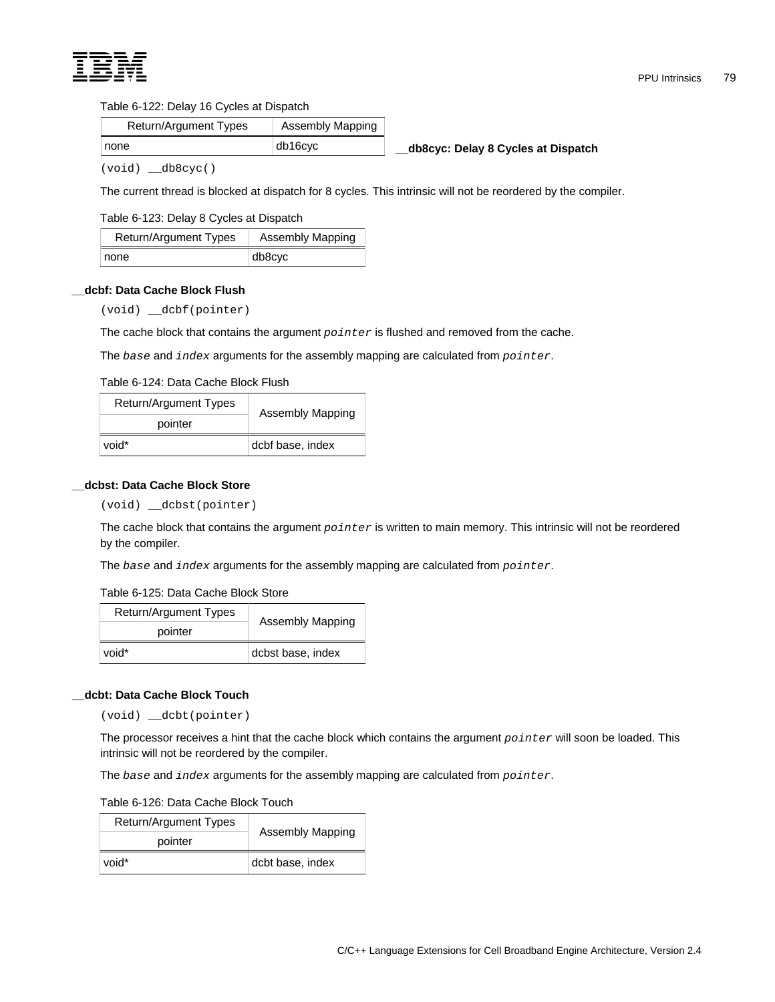

#### Table 6-122: Delay 16 Cycles at Dispatch

Return/Argument Types | Assembly Mapping

**\_\_db8cyc: Delay 8 Cycles at Dispatch** 

(void) \_\_db8cyc()

The current thread is blocked at dispatch for 8 cycles. This intrinsic will not be reordered by the compiler.

Table 6-123: Delay 8 Cycles at Dispatch

| Return/Argument Types | Assembly Mapping |  |
|-----------------------|------------------|--|
| none                  | db8cyc           |  |

## **\_\_dcbf: Data Cache Block Flush**

(void) \_\_dcbf(pointer)

The cache block that contains the argument *pointer* is flushed and removed from the cache.

The *base* and *index* arguments for the assembly mapping are calculated from *pointer*.

Table 6-124: Data Cache Block Flush

| Return/Argument Types | <b>Assembly Mapping</b> |
|-----------------------|-------------------------|
| pointer               |                         |
| void*                 | dcbf base, index        |

#### **\_\_dcbst: Data Cache Block Store**

(void) \_\_dcbst(pointer)

The cache block that contains the argument *pointer* is written to main memory. This intrinsic will not be reordered by the compiler.

The *base* and *index* arguments for the assembly mapping are calculated from *pointer*.

Table 6-125: Data Cache Block Store

| Return/Argument Types | <b>Assembly Mapping</b> |  |
|-----------------------|-------------------------|--|
| pointer               |                         |  |
| void*                 | dcbst base, index       |  |

# **\_\_dcbt: Data Cache Block Touch**

(void) \_\_dcbt(pointer)

The processor receives a hint that the cache block which contains the argument *pointer* will soon be loaded. This intrinsic will not be reordered by the compiler.

The *base* and *index* arguments for the assembly mapping are calculated from *pointer*.

| Table 6-126: Data Cache Block Touch |  |
|-------------------------------------|--|
|-------------------------------------|--|

| Return/Argument Types |                         |  |
|-----------------------|-------------------------|--|
| pointer               | <b>Assembly Mapping</b> |  |
| void*                 | dcbt base, index        |  |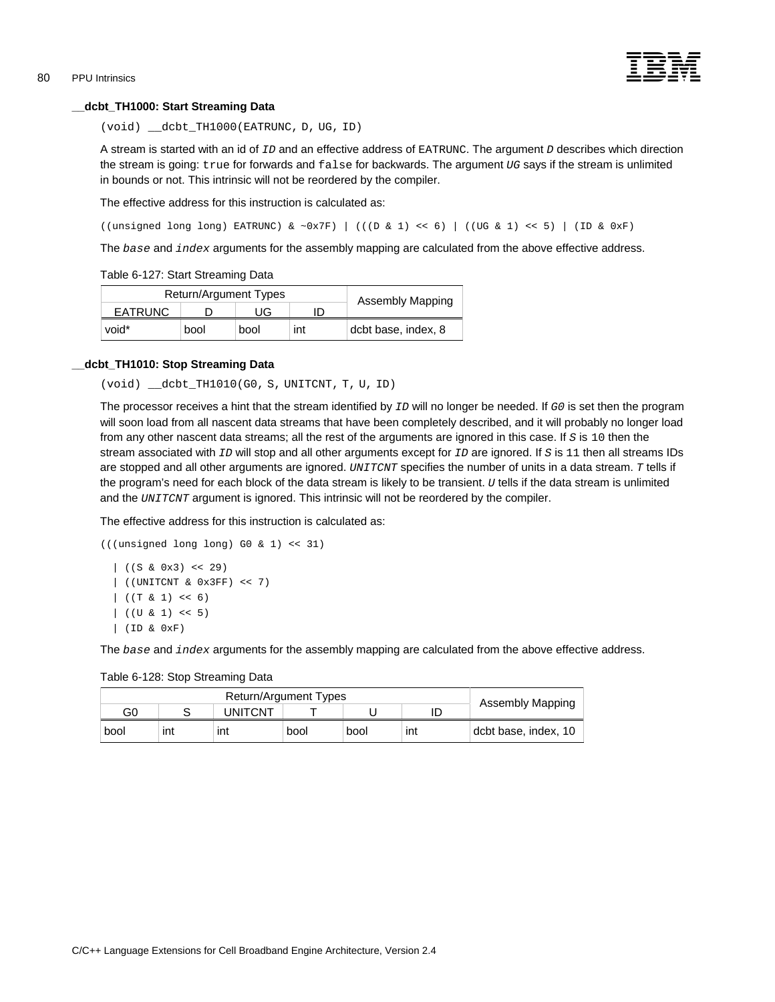# $\overline{\mathbf{E}}$ <br>80 PPU Intrinsics - Although District of the state of the state of the state of the state of the state of the state of the state of the state of the state of the state of the state of the state of the state of



#### **\_\_dcbt\_TH1000: Start Streaming Data**

(void) \_\_dcbt\_TH1000(EATRUNC, D, UG, ID)

A stream is started with an id of *ID* and an effective address of EATRUNC. The argument *D* describes which direction the stream is going: true for forwards and false for backwards. The argument *UG* says if the stream is unlimited in bounds or not. This intrinsic will not be reordered by the compiler.

The effective address for this instruction is calculated as:

 $((using need long long) EATRUNC) & ~0 \times 7F)$   $((D & 1) << 6)$   $((UG & 1) << 5)$   $(ID & 0 \times F)$ 

The *base* and *index* arguments for the assembly mapping are calculated from the above effective address.

|  |  |  | Table 6-127: Start Streaming Data |  |
|--|--|--|-----------------------------------|--|
|--|--|--|-----------------------------------|--|

| Return/Argument Types |      |      |     | Assembly Mapping    |  |
|-----------------------|------|------|-----|---------------------|--|
| <b>EATRUNC</b>        |      | 'JG- |     |                     |  |
| void*                 | bool | bool | int | dcbt base, index, 8 |  |

#### **\_\_dcbt\_TH1010: Stop Streaming Data**

(void) \_\_dcbt\_TH1010(G0, S, UNITCNT, T, U, ID)

The processor receives a hint that the stream identified by *ID* will no longer be needed. If *G0* is set then the program will soon load from all nascent data streams that have been completely described, and it will probably no longer load from any other nascent data streams; all the rest of the arguments are ignored in this case. If *S* is 10 then the stream associated with *ID* will stop and all other arguments except for *ID* are ignored. If *S* is 11 then all streams IDs are stopped and all other arguments are ignored. *UNITCNT* specifies the number of units in a data stream. *T* tells if the program's need for each block of the data stream is likely to be transient. *U* tells if the data stream is unlimited and the *UNITCNT* argument is ignored. This intrinsic will not be reordered by the compiler.

The effective address for this instruction is calculated as:

```
(((unsigned long long) G0 & 1) << 31) 
  ( ((S \& 0x3) << 29)
   | ((UNITCNT & 0x3FF) << 7) 
  |(T \& 1) \leq 6)|(U & 1) << 5)
   | (ID & 0xF)
```
The *base* and *index* arguments for the assembly mapping are calculated from the above effective address.

| Return/Argument Types |     |         |      |      |     |                      |
|-----------------------|-----|---------|------|------|-----|----------------------|
| G0                    |     | UNITCNT |      |      | ID  | Assembly Mapping     |
| bool                  | int | int     | bool | bool | int | dcbt base, index, 10 |

Table 6-128: Stop Streaming Data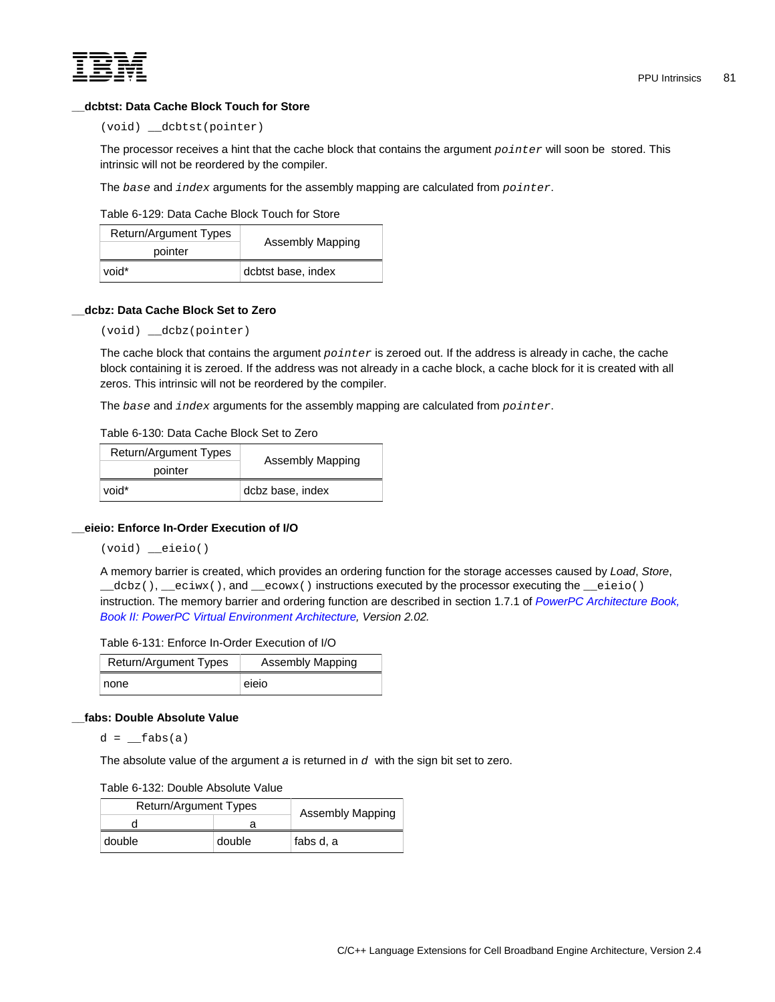

#### **\_\_dcbtst: Data Cache Block Touch for Store**

(void) \_\_dcbtst(pointer)

The processor receives a hint that the cache block that contains the argument *pointer* will soon be stored. This intrinsic will not be reordered by the compiler.

The *base* and *index* arguments for the assembly mapping are calculated from *pointer*.

#### Table 6-129: Data Cache Block Touch for Store

| Return/Argument Types |                         |  |
|-----------------------|-------------------------|--|
| pointer               | <b>Assembly Mapping</b> |  |
| void*                 | dcbtst base, index      |  |

#### **\_\_dcbz: Data Cache Block Set to Zero**

(void) \_\_dcbz(pointer)

The cache block that contains the argument *pointer* is zeroed out. If the address is already in cache, the cache block containing it is zeroed. If the address was not already in a cache block, a cache block for it is created with all zeros. This intrinsic will not be reordered by the compiler.

The *base* and *index* arguments for the assembly mapping are calculated from *pointer*.

| Return/Argument Types |                  |  |
|-----------------------|------------------|--|
| pointer               | Assembly Mapping |  |
| void*                 | dcbz base, index |  |

# **\_\_eieio: Enforce In-Order Execution of I/O**

(void) \_\_eieio()

A memory barrier is created, which provides an ordering function for the storage accesses caused by *Load*, *Store*,  $\text{\_dcbz}()$ ,  $\text{\_eciwx}()$ , and  $\text{\_ecowx}()$  instructions executed by the processor executing the  $\text{\_eieio()}$ instruction. The memory barrier and ordering function are described in section 1.7.1 of *PowerPC Architecture Book, Book II: PowerPC Virtual Environment Architecture, Version 2.02.* 

|  | Table 6-131: Enforce In-Order Execution of I/O |
|--|------------------------------------------------|
|  |                                                |

| Return/Argument Types | Assembly Mapping |
|-----------------------|------------------|
| none                  | eieio            |

#### **\_\_fabs: Double Absolute Value**

 $d = \_$ fabs(a)

The absolute value of the argument *a* is returned in *d* with the sign bit set to zero.

| Table 6-132: Double Absolute Value |
|------------------------------------|
|------------------------------------|

| Return/Argument Types |        | <b>Assembly Mapping</b> |
|-----------------------|--------|-------------------------|
|                       |        |                         |
| double                | double | fabs d, a               |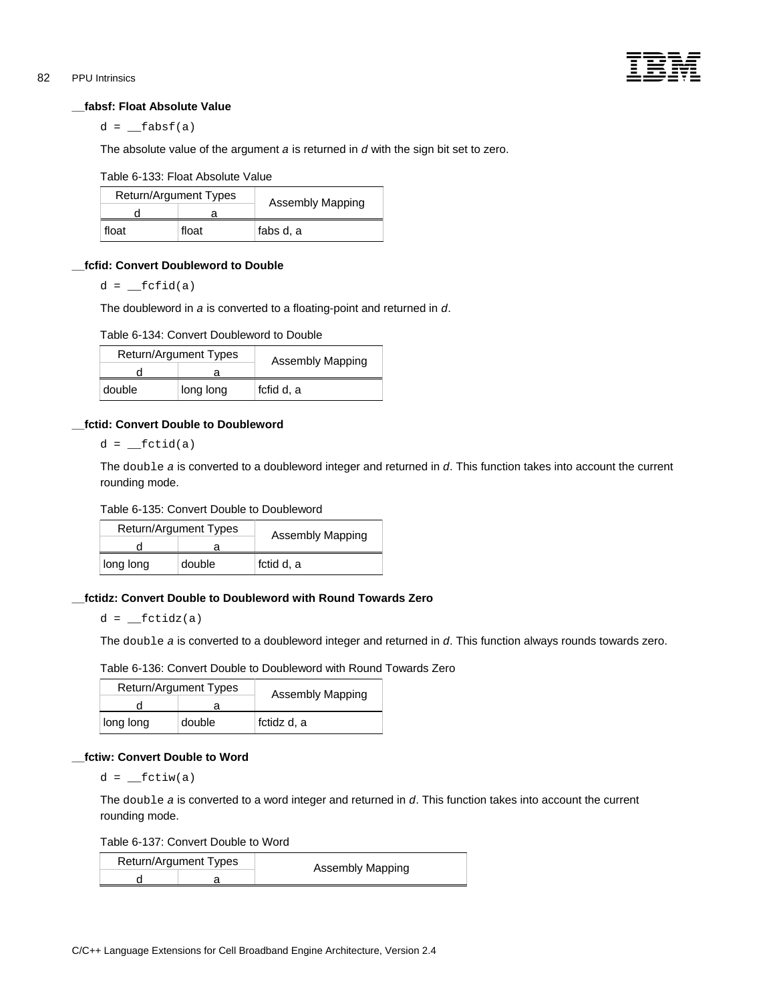# $\overline{\mathbf{B}}$ <br>82 PPU Intrinsics - Although District of the state of the state of the state of the state of the state of the state of the state of the state of the state of the state of the state of the state of the state of



#### **\_\_fabsf: Float Absolute Value**

 $d = \_$ fabs $f(a)$ 

The absolute value of the argument *a* is returned in *d* with the sign bit set to zero.

#### Table 6-133: Float Absolute Value

| Return/Argument Types |       | <b>Assembly Mapping</b> |
|-----------------------|-------|-------------------------|
|                       | а     |                         |
| float                 | float | fabs d, a               |

# **\_\_fcfid: Convert Doubleword to Double**

 $d = \text{fcfid}(a)$ 

The doubleword in *a* is converted to a floating-point and returned in *d*.

Table 6-134: Convert Doubleword to Double

| Return/Argument Types |           | Assembly Mapping |
|-----------------------|-----------|------------------|
|                       |           |                  |
| double                | long long | fcfid d, a       |

# **\_\_fctid: Convert Double to Doubleword**

 $d = \text{fctid}(a)$ 

The double *a* is converted to a doubleword integer and returned in *d*. This function takes into account the current rounding mode.

Table 6-135: Convert Double to Doubleword

| Return/Argument Types |        | Assembly Mapping |
|-----------------------|--------|------------------|
|                       |        |                  |
| long long             | double | fctid d, a       |

# **\_\_fctidz: Convert Double to Doubleword with Round Towards Zero**

$$
d = \underline{\quad} fctidz(a)
$$

The double *a* is converted to a doubleword integer and returned in *d*. This function always rounds towards zero.

Table 6-136: Convert Double to Doubleword with Round Towards Zero

| Return/Argument Types |        | <b>Assembly Mapping</b> |
|-----------------------|--------|-------------------------|
|                       |        |                         |
| long long             | double | fctidz d, a             |

#### **\_\_fctiw: Convert Double to Word**

 $d = \text{fctiw}(a)$ 

The double *a* is converted to a word integer and returned in *d*. This function takes into account the current rounding mode.

#### Table 6-137: Convert Double to Word

| Return/Argument Types |  | Assembly Mapping |
|-----------------------|--|------------------|
|                       |  |                  |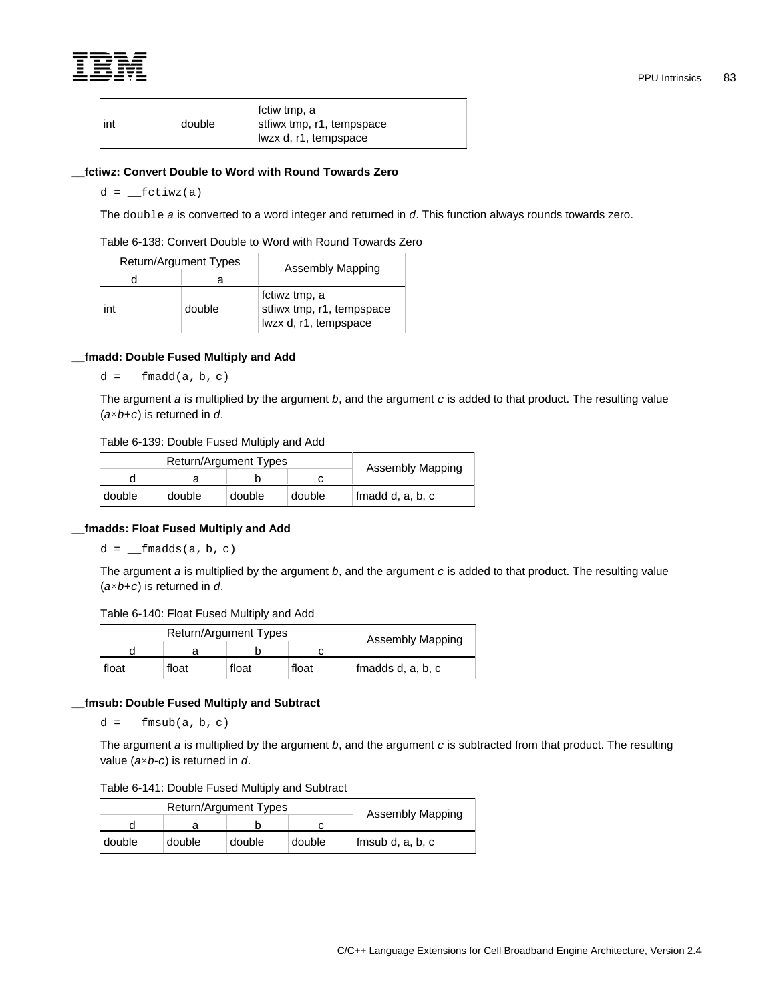

| int | double | fctiw tmp, a<br>stfiwx tmp, r1, tempspace |
|-----|--------|-------------------------------------------|
|     |        | lwzx d, r1, tempspace                     |

#### **\_\_fctiwz: Convert Double to Word with Round Towards Zero**

 $d = \text{fctivz}(a)$ 

The double *a* is converted to a word integer and returned in *d*. This function always rounds towards zero.

Table 6-138: Convert Double to Word with Round Towards Zero

| Return/Argument Types |        | <b>Assembly Mapping</b>                                             |  |
|-----------------------|--------|---------------------------------------------------------------------|--|
| а                     |        |                                                                     |  |
| int                   | double | fctiwz tmp, a<br>stfiwx tmp, r1, tempspace<br>lwzx d, r1, tempspace |  |

#### **\_\_fmadd: Double Fused Multiply and Add**

 $d = \underline{\text{fmadd}}(a, b, c)$ 

The argument *a* is multiplied by the argument *b*, and the argument *c* is added to that product. The resulting value (*a*×*b*+*c*) is returned in *d*.

#### Table 6-139: Double Fused Multiply and Add

|        | Return/Argument Types | <b>Assembly Mapping</b> |        |                  |
|--------|-----------------------|-------------------------|--------|------------------|
|        |                       |                         |        |                  |
| double | double                | double                  | double | fmadd d, a, b, c |

# **\_\_fmadds: Float Fused Multiply and Add**

 $d = \underline{\text{fmads}}(a, b, c)$ 

The argument  $a$  is multiplied by the argument  $b$ , and the argument  $c$  is added to that product. The resulting value (*a*×*b*+*c*) is returned in *d*.

Table 6-140: Float Fused Multiply and Add

|       | Return/Argument Types | <b>Assembly Mapping</b> |       |                   |
|-------|-----------------------|-------------------------|-------|-------------------|
|       |                       |                         |       |                   |
| float | float                 | float                   | float | fmadds d, a, b, c |

# **\_\_fmsub: Double Fused Multiply and Subtract**

 $d = \underline{\quad} \text{fmsub}(a, b, c)$ 

The argument  $a$  is multiplied by the argument  $b$ , and the argument  $c$  is subtracted from that product. The resulting value (*a*×*b*-*c*) is returned in *d*.

| Table 6-141: Double Fused Multiply and Subtract |  |  |
|-------------------------------------------------|--|--|
|-------------------------------------------------|--|--|

|        | Return/Argument Types | <b>Assembly Mapping</b> |        |                  |
|--------|-----------------------|-------------------------|--------|------------------|
|        |                       |                         |        |                  |
| double | double                | double                  | double | fmsub d, a, b, c |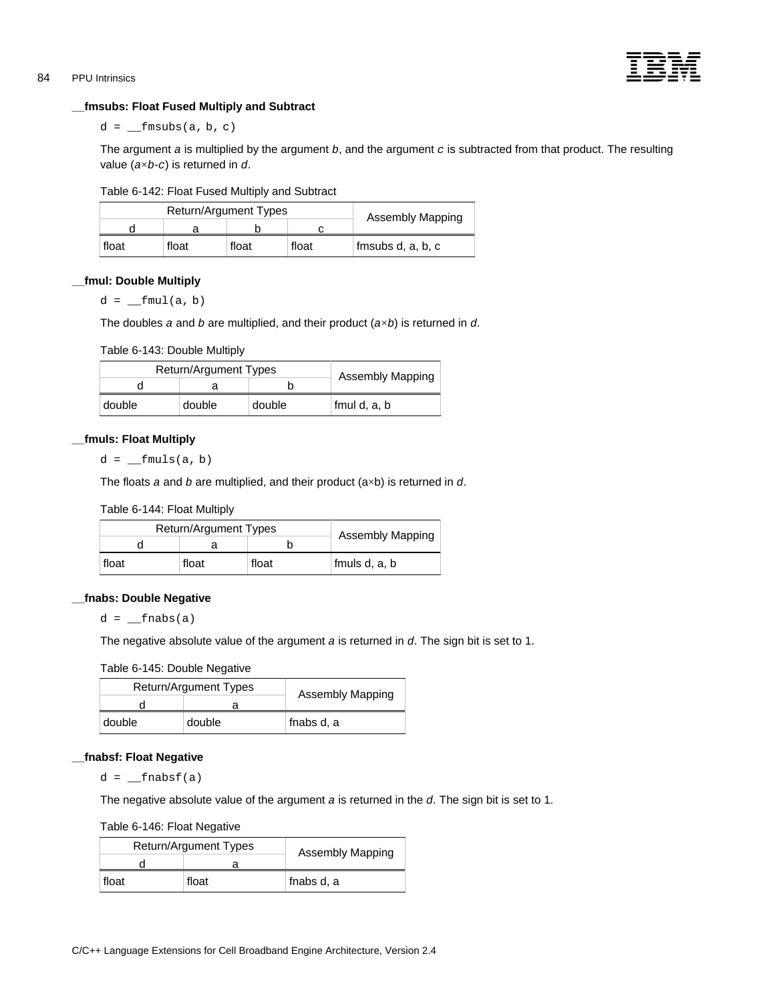

# $\overline{\mathbf{B}}$  PPU Intrinsics - PPU Intrinsics - PPU Intrinsics - PPU Intrinsics - PPU Intrinsics - PPU Intrinsics - PPU Intrinsics - PPU Intrinsics - PPU Intrinsics - PPU Intrinsics - PPU Intrinsics - PPU Intrinsics - PPU I

#### **\_\_fmsubs: Float Fused Multiply and Subtract**

 $d = \text{Imsubs}(a, b, c)$ 

The argument  $a$  is multiplied by the argument  $b$ , and the argument  $c$  is subtracted from that product. The resulting value (*a*×*b*-*c*) is returned in *d*.

Table 6-142: Float Fused Multiply and Subtract

|       | Return/Argument Types | Assembly Mapping |       |                   |
|-------|-----------------------|------------------|-------|-------------------|
|       |                       |                  |       |                   |
| float | float                 | float            | float | fmsubs d, a, b, c |

#### **\_\_fmul: Double Multiply**

 $d = \text{fmul}(a, b)$ 

The doubles *a* and *b* are multiplied, and their product (*a*×*b*) is returned in *d*.

| Return/Argument Types | Assembly Mapping |        |              |
|-----------------------|------------------|--------|--------------|
|                       |                  |        |              |
| double                | double           | double | fmul d, a, b |

### **\_\_fmuls: Float Multiply**

 $d = \underline{\quad}$ fmuls(a, b)

The floats *a* and *b* are multiplied, and their product (a×b) is returned in *d*.

Table 6-144: Float Multiply

| Return/Argument Types | Assembly Mapping |       |               |
|-----------------------|------------------|-------|---------------|
|                       |                  |       |               |
| float                 | float            | float | fmuls d, a, b |

# **\_\_fnabs: Double Negative**

 $d = \underline{\quad}$ fnabs(a)

The negative absolute value of the argument *a* is returned in *d*. The sign bit is set to 1.

Table 6-145: Double Negative

|        | Return/Argument Types | <b>Assembly Mapping</b> |
|--------|-----------------------|-------------------------|
|        |                       |                         |
| double | double                | fnabs d, a              |

#### **\_\_fnabsf: Float Negative**

 $d = \_$ fnabsf(a)

The negative absolute value of the argument *a* is returned in the *d*. The sign bit is set to 1.

Table 6-146: Float Negative

|       | Return/Argument Types | <b>Assembly Mapping</b> |
|-------|-----------------------|-------------------------|
|       |                       |                         |
| float | float                 | fnabs d, a              |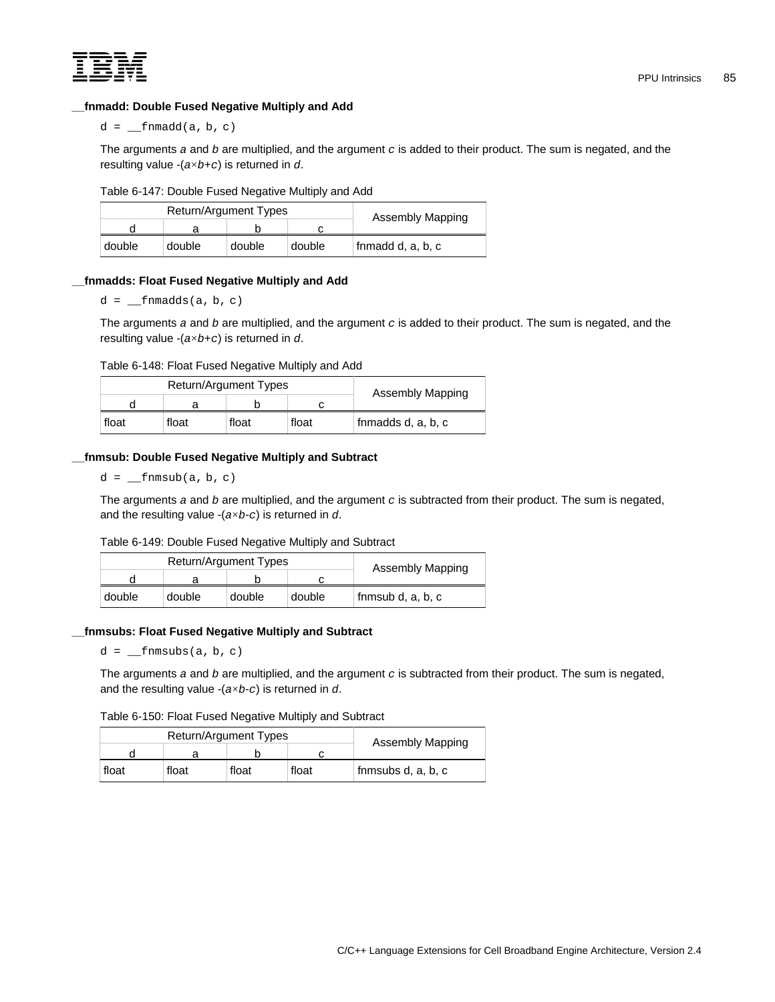



#### **\_\_fnmadd: Double Fused Negative Multiply and Add**

 $d = \underline{\text{frm} \text{and}}(a, b, c)$ 

The arguments *a* and *b* are multiplied, and the argument *c* is added to their product. The sum is negated, and the resulting value -(*a*×*b*+*c*) is returned in *d*.

|  |  | Table 6-147: Double Fused Negative Multiply and Add |
|--|--|-----------------------------------------------------|
|--|--|-----------------------------------------------------|

|        | Return/Argument Types | Assembly Mapping |        |                   |
|--------|-----------------------|------------------|--------|-------------------|
|        |                       |                  |        |                   |
| double | double                | double           | double | fnmadd d, a, b, c |

## **\_\_fnmadds: Float Fused Negative Multiply and Add**

```
d = _fnmadds(a, b, c)
```
The arguments *a* and *b* are multiplied, and the argument *c* is added to their product. The sum is negated, and the resulting value -(*a*×*b*+*c*) is returned in *d*.

Table 6-148: Float Fused Negative Multiply and Add

|       | Return/Argument Types | <b>Assembly Mapping</b> |       |                    |  |
|-------|-----------------------|-------------------------|-------|--------------------|--|
|       |                       |                         |       |                    |  |
| float | float                 | float                   | float | fnmadds d, a, b, c |  |

#### **\_\_fnmsub: Double Fused Negative Multiply and Subtract**

 $d = \underline{\quad}$ fnmsub(a, b, c)

The arguments *a* and *b* are multiplied, and the argument *c* is subtracted from their product. The sum is negated, and the resulting value -(*a*×*b*-*c*) is returned in *d*.

# Table 6-149: Double Fused Negative Multiply and Subtract

|        | Return/Argument Types | Assembly Mapping |        |                   |  |
|--------|-----------------------|------------------|--------|-------------------|--|
|        |                       |                  |        |                   |  |
| double | double                | double           | double | fnmsub d, a, b, c |  |

#### **\_\_fnmsubs: Float Fused Negative Multiply and Subtract**

```
d = \underline{\text{fnmsubs}}(a, b, c)
```
The arguments *a* and *b* are multiplied, and the argument *c* is subtracted from their product. The sum is negated, and the resulting value -(*a*×*b*-*c*) is returned in *d*.

Table 6-150: Float Fused Negative Multiply and Subtract

| <b>Return/Argument Types</b> |       |       |       | Assembly Mapping    |  |
|------------------------------|-------|-------|-------|---------------------|--|
|                              |       |       |       |                     |  |
| float                        | float | float | float | ⊧fnmsubs d, a, b, c |  |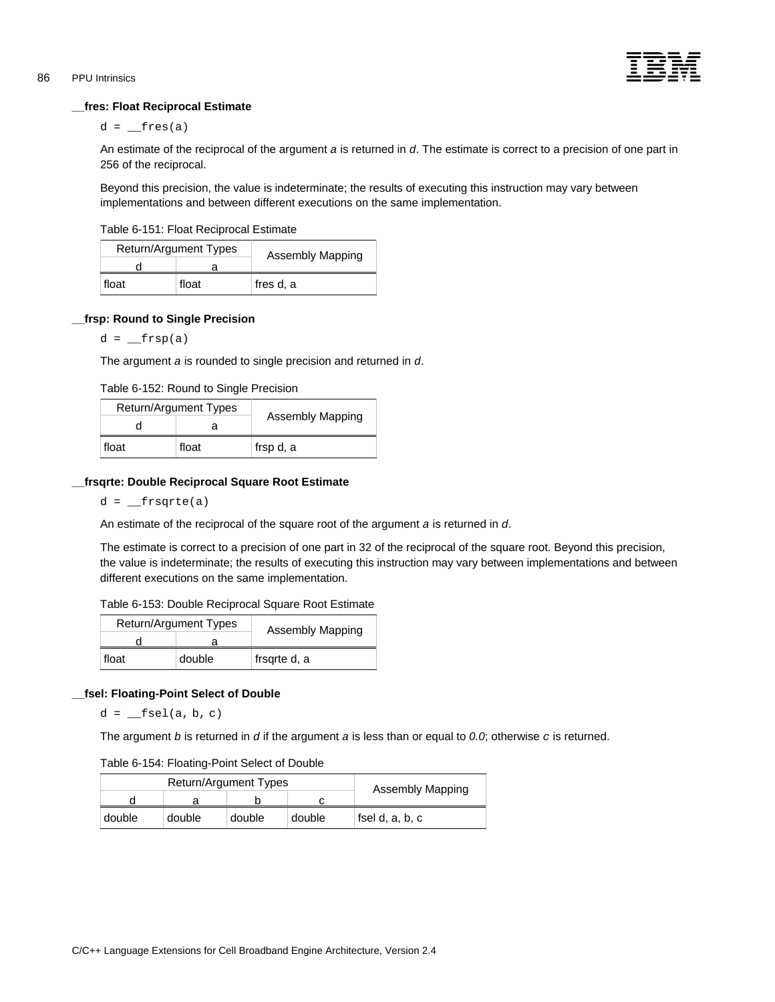# $\overline{\mathbf{B}}$  PPU Intrinsics - PPU Intrinsics - PPU Intrinsics - PPU Intrinsics - PPU Intrinsics - PPU Intrinsics - P $\overline{\mathbf{B}}$



#### **\_\_fres: Float Reciprocal Estimate**

# $d = \text{_fres}(a)$

An estimate of the reciprocal of the argument *a* is returned in *d*. The estimate is correct to a precision of one part in 256 of the reciprocal.

Beyond this precision, the value is indeterminate; the results of executing this instruction may vary between implementations and between different executions on the same implementation.

Table 6-151: Float Reciprocal Estimate

|       | Return/Argument Types | <b>Assembly Mapping</b> |
|-------|-----------------------|-------------------------|
|       |                       |                         |
| float | float                 | fres d, a               |

#### **\_\_frsp: Round to Single Precision**

 $d = \text{Trsp}(a)$ 

The argument *a* is rounded to single precision and returned in *d*.

Table 6-152: Round to Single Precision

| Return/Argument Types |       |                         |
|-----------------------|-------|-------------------------|
|                       | а     | <b>Assembly Mapping</b> |
| float                 | float | frsp d, a               |

# **\_\_frsqrte: Double Reciprocal Square Root Estimate**

# $d = \text{frsqrte}(a)$

An estimate of the reciprocal of the square root of the argument *a* is returned in *d*.

The estimate is correct to a precision of one part in 32 of the reciprocal of the square root. Beyond this precision, the value is indeterminate; the results of executing this instruction may vary between implementations and between different executions on the same implementation.

#### Table 6-153: Double Reciprocal Square Root Estimate

| Return/Argument Types |        | <b>Assembly Mapping</b> |
|-----------------------|--------|-------------------------|
|                       |        |                         |
| float                 | double | frsgrte d, a            |

#### **\_\_fsel: Floating-Point Select of Double**

 $d = \text{fsel}(a, b, c)$ 

The argument *b* is returned in *d* if the argument *a* is less than or equal to *0.0*; otherwise *c* is returned.

Table 6-154: Floating-Point Select of Double

|        | Return/Argument Types | Assembly Mapping |        |                 |  |
|--------|-----------------------|------------------|--------|-----------------|--|
|        |                       |                  |        |                 |  |
| double | double                | double           | double | fsel d, a, b, c |  |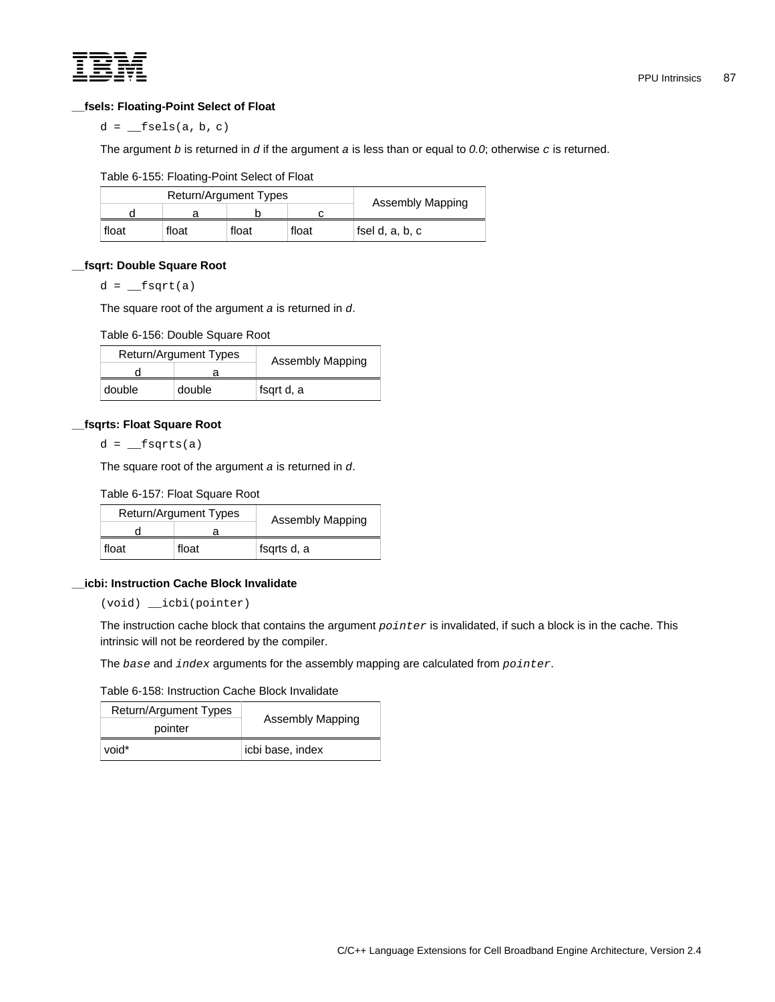

#### **\_\_fsels: Floating-Point Select of Float**

 $d = \text{fsels}(a, b, c)$ 

The argument *b* is returned in *d* if the argument *a* is less than or equal to *0.0*; otherwise *c* is returned.

Table 6-155: Floating-Point Select of Float

|       | Return/Argument Types | <b>Assembly Mapping</b> |       |                  |  |
|-------|-----------------------|-------------------------|-------|------------------|--|
|       |                       |                         |       |                  |  |
| float | float                 | float                   | float | ⊧fsel d, a, b, c |  |

# **\_\_fsqrt: Double Square Root**

 $d = \text{fsqrt}(a)$ 

The square root of the argument *a* is returned in *d*.

# Table 6-156: Double Square Root

|        | Return/Argument Types | <b>Assembly Mapping</b> |
|--------|-----------------------|-------------------------|
|        |                       |                         |
| double | double                | fsqrt d, a              |

# **\_\_fsqrts: Float Square Root**

 $d = \_fsqrt{sqrt}(a)$ 

The square root of the argument *a* is returned in *d*.

### Table 6-157: Float Square Root

|       | Return/Argument Types | <b>Assembly Mapping</b> |
|-------|-----------------------|-------------------------|
|       |                       |                         |
| float | float                 | fsqrts d, a             |

#### **\_\_icbi: Instruction Cache Block Invalidate**

(void) \_\_icbi(pointer)

The instruction cache block that contains the argument *pointer* is invalidated, if such a block is in the cache. This intrinsic will not be reordered by the compiler.

The *base* and *index* arguments for the assembly mapping are calculated from *pointer*.

Table 6-158: Instruction Cache Block Invalidate

| Return/Argument Types | <b>Assembly Mapping</b> |  |
|-----------------------|-------------------------|--|
| pointer               |                         |  |
| void*                 | icbi base, index        |  |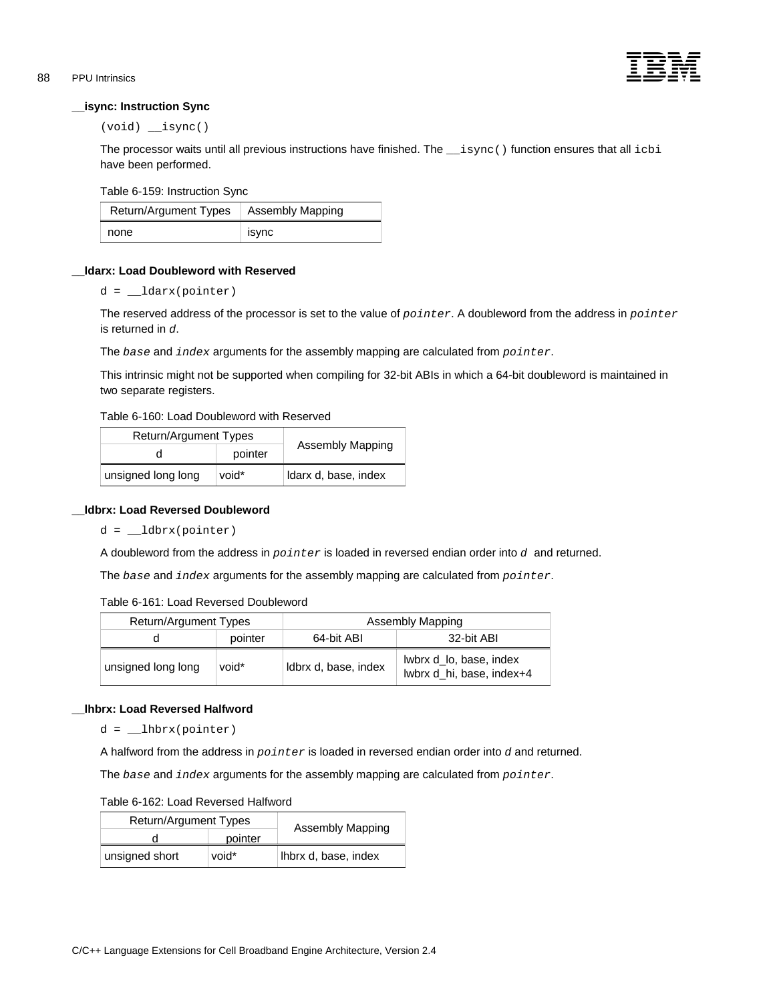



#### **\_\_isync: Instruction Sync**

(void) \_\_isync()

The processor waits until all previous instructions have finished. The \_\_isync() function ensures that all icbi have been performed.

Table 6-159: Instruction Sync

| Return/Argument Types | Assembly Mapping |
|-----------------------|------------------|
| none                  | isync            |

# **\_\_ldarx: Load Doubleword with Reserved**

d = \_\_ldarx(pointer)

The reserved address of the processor is set to the value of *pointer*. A doubleword from the address in *pointer* is returned in *d*.

The *base* and *index* arguments for the assembly mapping are calculated from *pointer*.

This intrinsic might not be supported when compiling for 32-bit ABIs in which a 64-bit doubleword is maintained in two separate registers.

#### Table 6-160: Load Doubleword with Reserved

| Return/Argument Types |         |                         |
|-----------------------|---------|-------------------------|
|                       | pointer | <b>Assembly Mapping</b> |
| unsigned long long    | void*   | Idarx d, base, index    |

#### **\_\_ldbrx: Load Reversed Doubleword**

 $d = \_ldbrx(pointer)$ 

A doubleword from the address in *pointer* is loaded in reversed endian order into *d* and returned.

The *base* and *index* arguments for the assembly mapping are calculated from *pointer*.

Table 6-161: Load Reversed Doubleword

| Return/Argument Types |         |                      | Assembly Mapping                                     |
|-----------------------|---------|----------------------|------------------------------------------------------|
|                       | pointer | 64-bit ABI           | 32-bit ABI                                           |
| unsigned long long    | void*   | Idbrx d, base, index | lwbrx d lo, base, index<br>lwbrx d_hi, base, index+4 |

## **\_\_lhbrx: Load Reversed Halfword**

 $d = \_$ lhbrx(pointer)

A halfword from the address in *pointer* is loaded in reversed endian order into *d* and returned.

The *base* and *index* arguments for the assembly mapping are calculated from *pointer*.

| Table 6-162: Load Reversed Halfword |  |
|-------------------------------------|--|
|-------------------------------------|--|

| Return/Argument Types |         | <b>Assembly Mapping</b> |
|-----------------------|---------|-------------------------|
|                       | pointer |                         |
| unsigned short        | void*   | Ihbrx d, base, index    |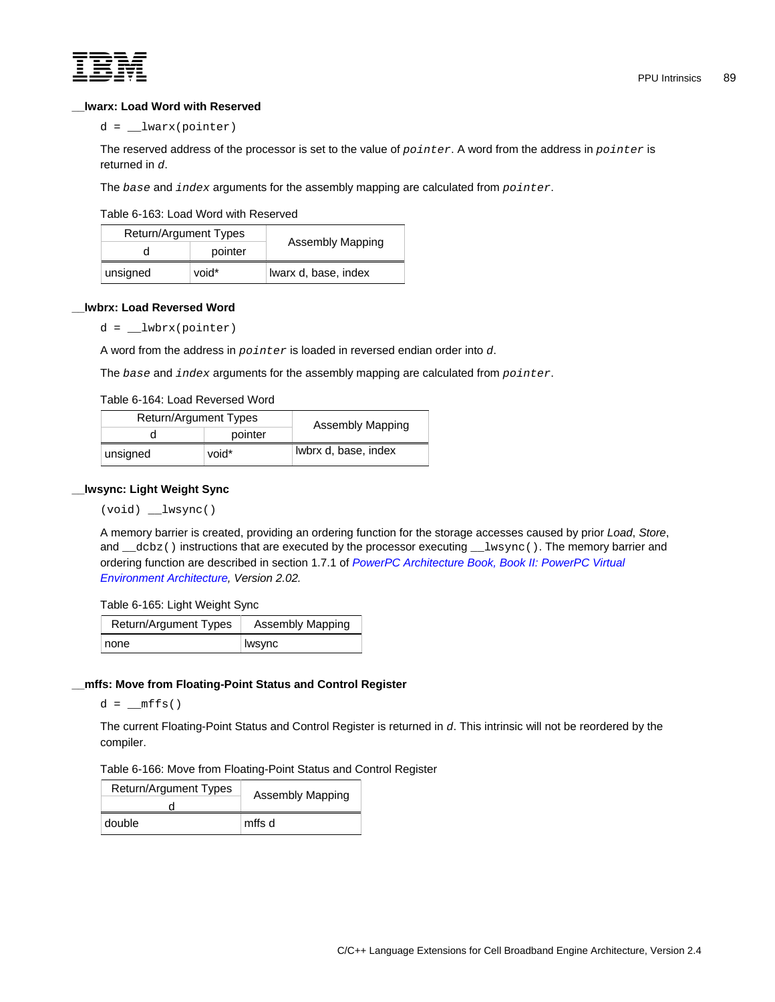

### **\_\_lwarx: Load Word with Reserved**

 $d = \text{lawarx(pointer)}$ 

The reserved address of the processor is set to the value of *pointer*. A word from the address in *pointer* is returned in *d*.

The *base* and *index* arguments for the assembly mapping are calculated from *pointer*.

Table 6-163: Load Word with Reserved

| Return/Argument Types |       | <b>Assembly Mapping</b> |
|-----------------------|-------|-------------------------|
| pointer               |       |                         |
| unsigned              | void* | Iwarx d, base, index    |

### **\_\_lwbrx: Load Reversed Word**

 $d = \_$ lwbrx(pointer)

A word from the address in *pointer* is loaded in reversed endian order into *d*.

The *base* and *index* arguments for the assembly mapping are calculated from *pointer*.

| Table 6-164: Load Reversed Word |  |
|---------------------------------|--|
|---------------------------------|--|

| Return/Argument Types |         | Assembly Mapping     |
|-----------------------|---------|----------------------|
|                       | pointer |                      |
| unsigned              | void*   | lwbrx d, base, index |

### **\_\_lwsync: Light Weight Sync**

(void) \_\_lwsync()

A memory barrier is created, providing an ordering function for the storage accesses caused by prior *Load*, *Store*, and  $\_\text{dcdz}$ () instructions that are executed by the processor executing  $\_\text{lwsync}$ (). The memory barrier and ordering function are described in section 1.7.1 of *PowerPC Architecture Book, Book II: PowerPC Virtual Environment Architecture, Version 2.02.* 

Table 6-165: Light Weight Sync

| Return/Argument Types | Assembly Mapping |  |
|-----------------------|------------------|--|
| none                  | lwsync           |  |

### **\_\_mffs: Move from Floating-Point Status and Control Register**

 $d = \inf f s()$ 

The current Floating-Point Status and Control Register is returned in *d*. This intrinsic will not be reordered by the compiler.

Table 6-166: Move from Floating-Point Status and Control Register

| Return/Argument Types | Assembly Mapping |  |
|-----------------------|------------------|--|
|                       |                  |  |
| double                | mffs d           |  |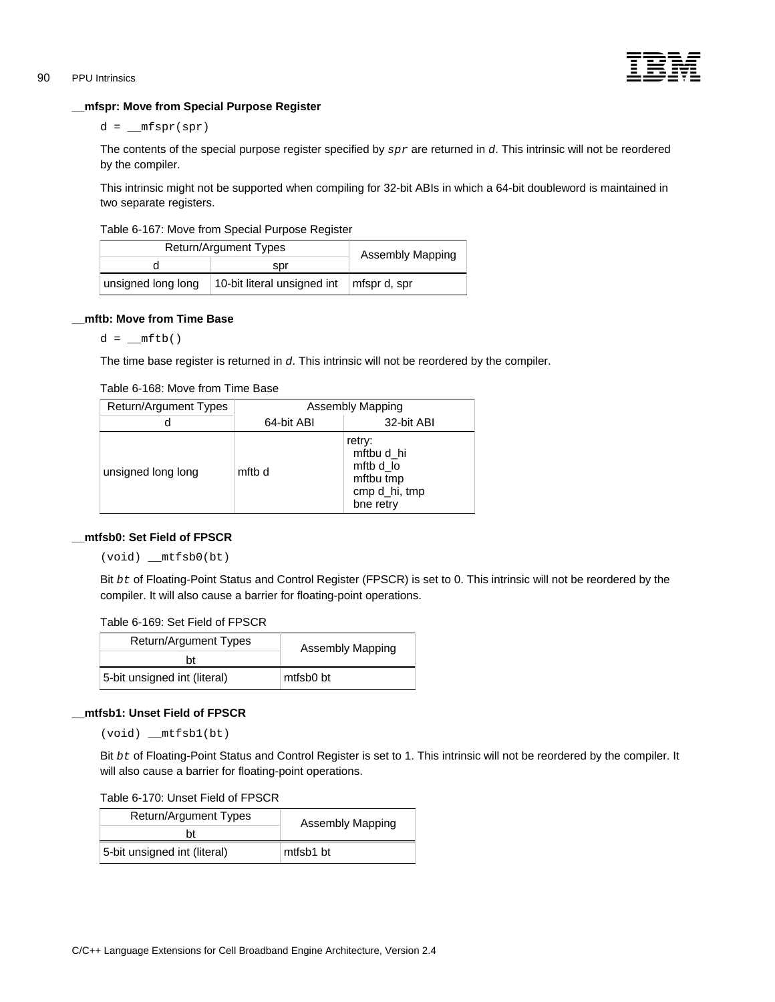

### **\_\_mfspr: Move from Special Purpose Register**

### $d = \text{mfspr(spr)}$

The contents of the special purpose register specified by *spr* are returned in *d*. This intrinsic will not be reordered by the compiler.

This intrinsic might not be supported when compiling for 32-bit ABIs in which a 64-bit doubleword is maintained in two separate registers.

### Table 6-167: Move from Special Purpose Register

| Return/Argument Types |                             | <b>Assembly Mapping</b> |
|-----------------------|-----------------------------|-------------------------|
|                       | spr                         |                         |
| unsigned long long    | 10-bit literal unsigned int | mfspr d, spr            |

### **\_\_mftb: Move from Time Base**

 $d = \text{mftb}()$ 

The time base register is returned in *d*. This intrinsic will not be reordered by the compiler.

Table 6-168: Move from Time Base

| Return/Argument Types | Assembly Mapping |                                                                              |
|-----------------------|------------------|------------------------------------------------------------------------------|
|                       | 64-bit ABI       | 32-bit ABI                                                                   |
| unsigned long long    | mftb d           | retry:<br>mftbu d hi<br>mftb d lo<br>mftbu tmp<br>cmp d_hi, tmp<br>bne retry |

### **\_\_mtfsb0: Set Field of FPSCR**

(void) \_\_mtfsb0(bt)

Bit *bt* of Floating-Point Status and Control Register (FPSCR) is set to 0. This intrinsic will not be reordered by the compiler. It will also cause a barrier for floating-point operations.

### Table 6-169: Set Field of FPSCR

| Return/Argument Types        | <b>Assembly Mapping</b> |  |
|------------------------------|-------------------------|--|
| bt                           |                         |  |
| 5-bit unsigned int (literal) | mtfsb0 bt               |  |

### **\_\_mtfsb1: Unset Field of FPSCR**

(void) \_\_mtfsb1(bt)

Bit *bt* of Floating-Point Status and Control Register is set to 1. This intrinsic will not be reordered by the compiler. It will also cause a barrier for floating-point operations.

### Table 6-170: Unset Field of FPSCR

| Return/Argument Types        | <b>Assembly Mapping</b> |  |
|------------------------------|-------------------------|--|
| bt                           |                         |  |
| 5-bit unsigned int (literal) | mtfsb1 bt               |  |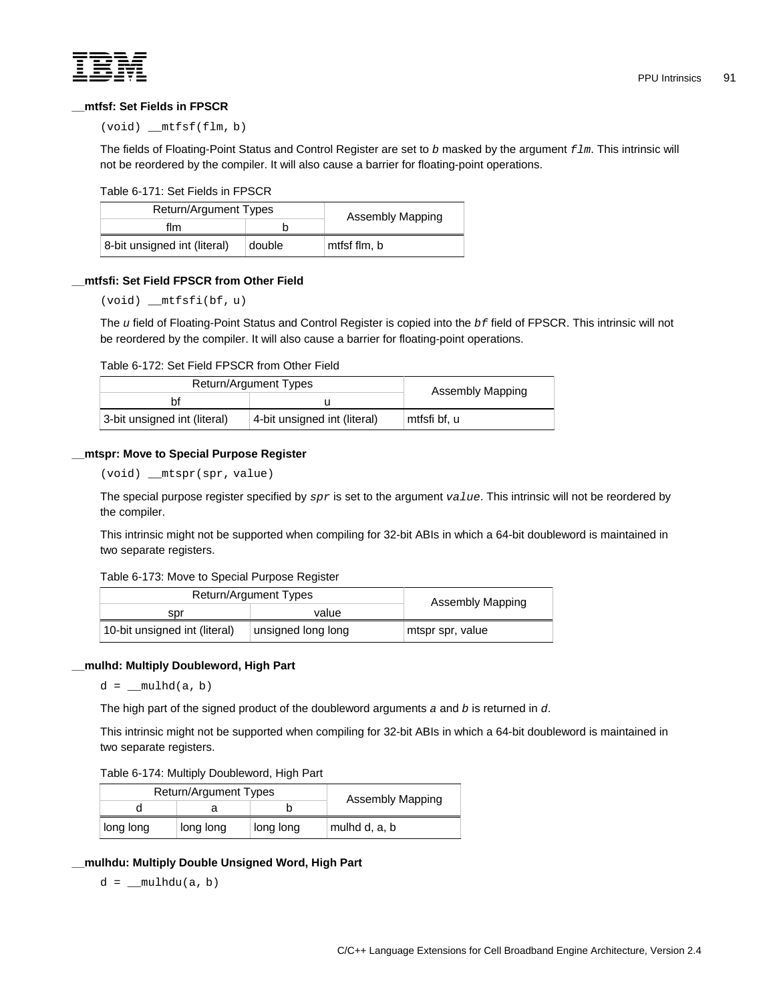

### **\_\_mtfsf: Set Fields in FPSCR**

(void) \_\_mtfsf(flm, b)

The fields of Floating-Point Status and Control Register are set to *b* masked by the argument *flm*. This intrinsic will not be reordered by the compiler. It will also cause a barrier for floating-point operations.

### Table 6-171: Set Fields in FPSCR

| Return/Argument Types        |        | <b>Assembly Mapping</b> |
|------------------------------|--------|-------------------------|
| flm                          |        |                         |
| 8-bit unsigned int (literal) | double | mtfsf flm. b            |

### **\_\_mtfsfi: Set Field FPSCR from Other Field**

 $(void)$   $mtfsfi(bf, u)$ 

The *u* field of Floating-Point Status and Control Register is copied into the *bf* field of FPSCR. This intrinsic will not be reordered by the compiler. It will also cause a barrier for floating-point operations.

Table 6-172: Set Field FPSCR from Other Field

| Return/Argument Types        |                              | Assembly Mapping |
|------------------------------|------------------------------|------------------|
| bi                           |                              |                  |
| 3-bit unsigned int (literal) | 4-bit unsigned int (literal) | mtfsfi bf, u     |

### **\_\_mtspr: Move to Special Purpose Register**

(void) \_\_mtspr(spr, value)

The special purpose register specified by *spr* is set to the argument *value*. This intrinsic will not be reordered by the compiler.

This intrinsic might not be supported when compiling for 32-bit ABIs in which a 64-bit doubleword is maintained in two separate registers.

Table 6-173: Move to Special Purpose Register

| Return/Argument Types         |                    | Assembly Mapping |  |
|-------------------------------|--------------------|------------------|--|
| spr                           | value              |                  |  |
| 10-bit unsigned int (literal) | unsigned long long | mtspr spr, value |  |

### **\_\_mulhd: Multiply Doubleword, High Part**

 $d = \text{multd}(a, b)$ 

The high part of the signed product of the doubleword arguments *a* and *b* is returned in *d*.

This intrinsic might not be supported when compiling for 32-bit ABIs in which a 64-bit doubleword is maintained in two separate registers.

### Table 6-174: Multiply Doubleword, High Part

|           | Return/Argument Types | <b>Assembly Mapping</b> |               |
|-----------|-----------------------|-------------------------|---------------|
|           |                       |                         |               |
| long long | long long             | long long               | mulhd d, a, b |

### **\_\_mulhdu: Multiply Double Unsigned Word, High Part**

 $d = \text{multdu}(a, b)$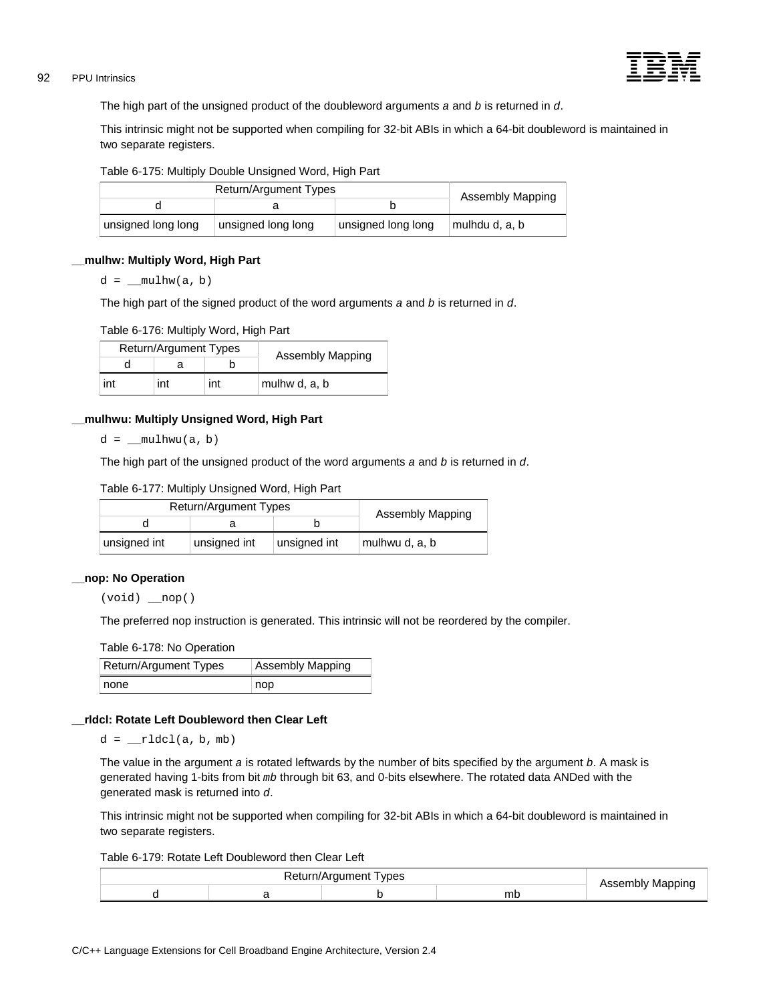



The high part of the unsigned product of the doubleword arguments *a* and *b* is returned in *d*.

This intrinsic might not be supported when compiling for 32-bit ABIs in which a 64-bit doubleword is maintained in two separate registers.

### Table 6-175: Multiply Double Unsigned Word, High Part

| Return/Argument Types | Assembly Mapping   |                    |                  |
|-----------------------|--------------------|--------------------|------------------|
|                       |                    |                    |                  |
| unsigned long long    | unsigned long long | unsigned long long | l mulhdu d, a, b |

### **\_\_mulhw: Multiply Word, High Part**

 $d = \text{multiply}(a, b)$ 

The high part of the signed product of the word arguments *a* and *b* is returned in *d*.

### Table 6-176: Multiply Word, High Part

| Return/Argument Types |     |     | <b>Assembly Mapping</b> |  |
|-----------------------|-----|-----|-------------------------|--|
|                       |     |     |                         |  |
| int                   | int | int | mulhw d, a, b           |  |

### **\_\_mulhwu: Multiply Unsigned Word, High Part**

 $d = \text{multwu}(a, b)$ 

The high part of the unsigned product of the word arguments *a* and *b* is returned in *d*.

### Table 6-177: Multiply Unsigned Word, High Part

| Return/Argument Types | Assembly Mapping |              |                |
|-----------------------|------------------|--------------|----------------|
|                       |                  |              |                |
| unsigned int          | unsigned int     | unsigned int | mulhwu d, a, b |

### **\_\_nop: No Operation**

(void) \_\_nop()

The preferred nop instruction is generated. This intrinsic will not be reordered by the compiler.

### Table 6-178: No Operation

| Return/Argument Types | <b>Assembly Mapping</b> |
|-----------------------|-------------------------|
| none                  | nop                     |

### **\_\_rldcl: Rotate Left Doubleword then Clear Left**

 $d = \underline{\hspace{2cm}} \text{rldcl}(a, b, mb)$ 

The value in the argument *a* is rotated leftwards by the number of bits specified by the argument *b*. A mask is generated having 1-bits from bit *mb* through bit 63, and 0-bits elsewhere. The rotated data ANDed with the generated mask is returned into *d*.

This intrinsic might not be supported when compiling for 32-bit ABIs in which a 64-bit doubleword is maintained in two separate registers.

Table 6-179: Rotate Left Doubleword then Clear Left

|  | Mapping<br>ssembly " |  |  |  |
|--|----------------------|--|--|--|
|  | mt                   |  |  |  |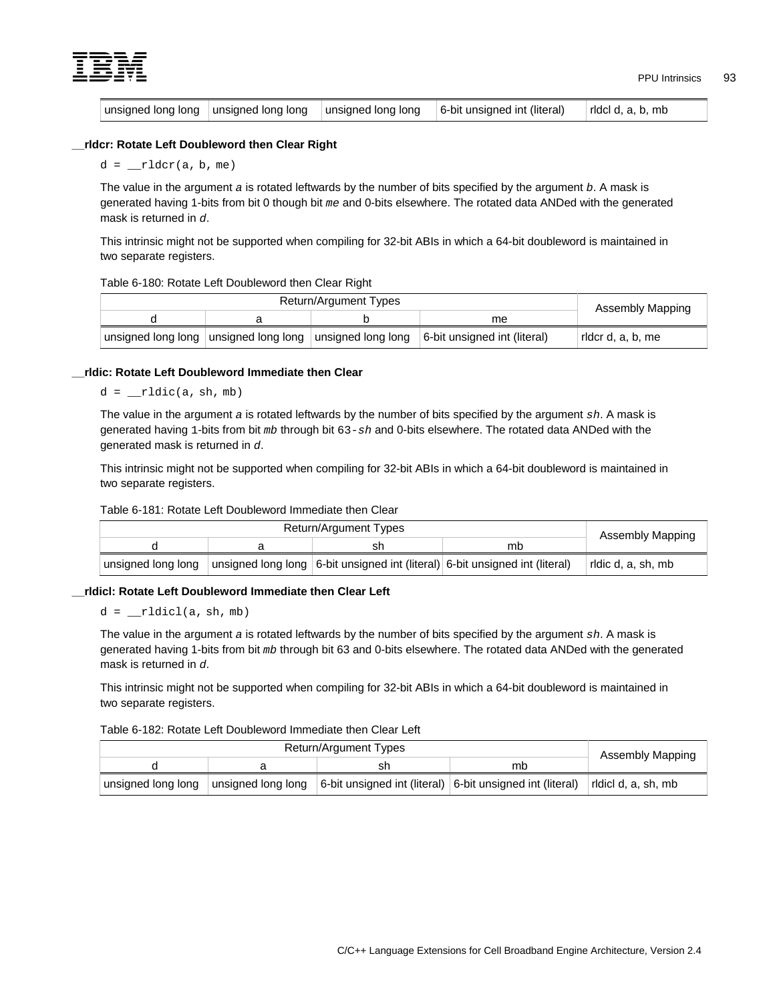

| unsigned long long unsigned long long unsigned long long | 6-bit unsigned int (literal) | ridci d, a, b, mb |
|----------------------------------------------------------|------------------------------|-------------------|
|                                                          |                              |                   |

### **\_\_rldcr: Rotate Left Doubleword then Clear Right**

 $d = \underline{\hspace{2cm}} rldcr(a, b, me)$ 

The value in the argument *a* is rotated leftwards by the number of bits specified by the argument *b*. A mask is generated having 1-bits from bit 0 though bit *me* and 0-bits elsewhere. The rotated data ANDed with the generated mask is returned in *d*.

This intrinsic might not be supported when compiling for 32-bit ABIs in which a 64-bit doubleword is maintained in two separate registers.

#### Table 6-180: Rotate Left Doubleword then Clear Right

| Return/Argument Types |  |  |                                                                                       | Assembly Mapping  |
|-----------------------|--|--|---------------------------------------------------------------------------------------|-------------------|
| me                    |  |  |                                                                                       |                   |
|                       |  |  | unsigned long long unsigned long long unsigned long long 6-bit unsigned int (literal) | rldcr d, a, b, me |

#### **\_\_rldic: Rotate Left Doubleword Immediate then Clear**

 $d = \underline{\hspace{2cm}} rldic(a, sh, mb)$ 

The value in the argument *a* is rotated leftwards by the number of bits specified by the argument *sh*. A mask is generated having 1-bits from bit *mb* through bit 63-*sh* and 0-bits elsewhere. The rotated data ANDed with the generated mask is returned in *d*.

This intrinsic might not be supported when compiling for 32-bit ABIs in which a 64-bit doubleword is maintained in two separate registers.

Table 6-181: Rotate Left Doubleword Immediate then Clear

| Return/Argument Types |          |  |                                                                              | Assembly Mapping   |
|-----------------------|----------|--|------------------------------------------------------------------------------|--------------------|
|                       | mb<br>sh |  |                                                                              |                    |
| unsigned long long    |          |  | unsigned long long 6-bit unsigned int (literal) 6-bit unsigned int (literal) | rldic d, a, sh, mb |

### **\_\_rldicl: Rotate Left Doubleword Immediate then Clear Left**

 $d = \underline{\hspace{2cm}} \text{rldicl}(a, sh, mb)$ 

The value in the argument *a* is rotated leftwards by the number of bits specified by the argument *sh*. A mask is generated having 1-bits from bit *mb* through bit 63 and 0-bits elsewhere. The rotated data ANDed with the generated mask is returned in *d*.

This intrinsic might not be supported when compiling for 32-bit ABIs in which a 64-bit doubleword is maintained in two separate registers.

Table 6-182: Rotate Left Doubleword Immediate then Clear Left

| Return/Argument Types |                    |  |                                                           | <b>Assembly Mapping</b> |
|-----------------------|--------------------|--|-----------------------------------------------------------|-------------------------|
|                       | mb                 |  |                                                           |                         |
| unsigned long long    | unsigned long long |  | 6-bit unsigned int (literal) 6-bit unsigned int (literal) | ridici d, a, sh, mb     |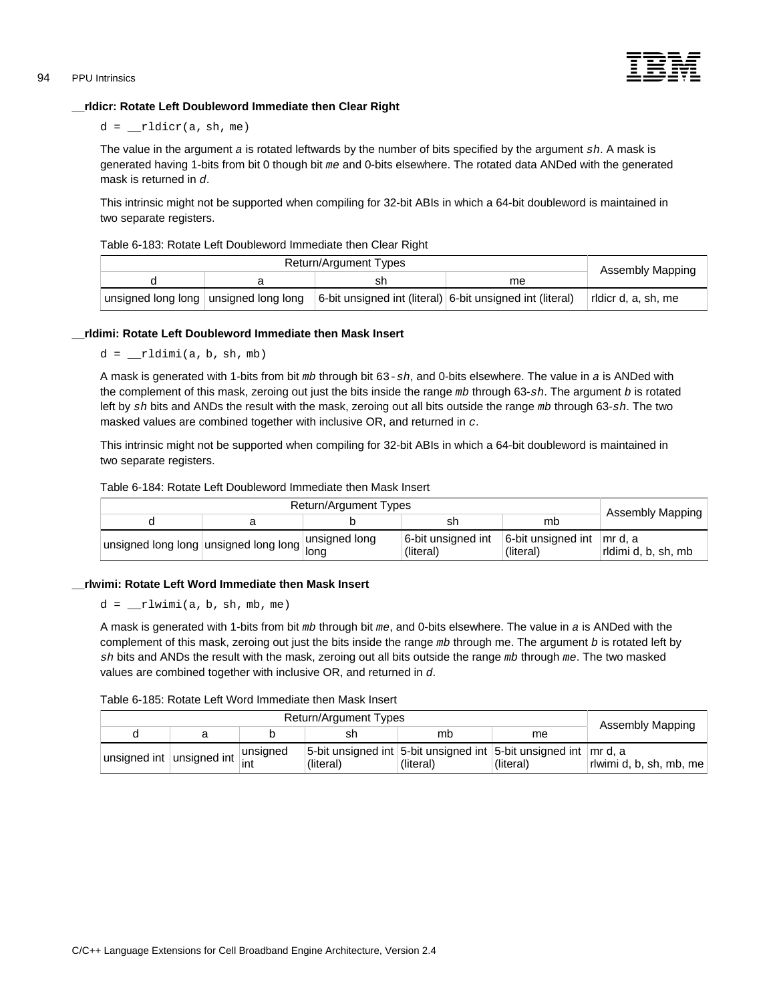

### **\_\_rldicr: Rotate Left Doubleword Immediate then Clear Right**

 $d = \underline{\quad}$ rldicr(a, sh, me)

The value in the argument *a* is rotated leftwards by the number of bits specified by the argument *sh*. A mask is generated having 1-bits from bit 0 though bit *me* and 0-bits elsewhere. The rotated data ANDed with the generated mask is returned in *d*.

This intrinsic might not be supported when compiling for 32-bit ABIs in which a 64-bit doubleword is maintained in two separate registers.

Table 6-183: Rotate Left Doubleword Immediate then Clear Right

| Return/Argument Types |                                       |  |                                                           | Assembly Mapping    |
|-----------------------|---------------------------------------|--|-----------------------------------------------------------|---------------------|
|                       |                                       |  |                                                           |                     |
|                       | unsigned long long unsigned long long |  | 6-bit unsigned int (literal) 6-bit unsigned int (literal) | rldicr d, a, sh, me |

### **\_\_rldimi: Rotate Left Doubleword Immediate then Mask Insert**

 $d =$   $rldimi(a, b, sh, mb)$ 

A mask is generated with 1-bits from bit *mb* through bit 63-*sh*, and 0-bits elsewhere. The value in *a* is ANDed with the complement of this mask, zeroing out just the bits inside the range *mb* through 63-*sh*. The argument *b* is rotated left by *sh* bits and ANDs the result with the mask, zeroing out all bits outside the range *mb* through 63-*sh*. The two masked values are combined together with inclusive OR, and returned in *c*.

This intrinsic might not be supported when compiling for 32-bit ABIs in which a 64-bit doubleword is maintained in two separate registers.

### Table 6-184: Rotate Left Doubleword Immediate then Mask Insert

|                                                | Assembly Mapping |               |                                 |                                 |                               |
|------------------------------------------------|------------------|---------------|---------------------------------|---------------------------------|-------------------------------|
|                                                |                  |               |                                 |                                 |                               |
| ansigned long long unsigned long long unsigned |                  | unsigned long | 6-bit unsigned int<br>(literal) | 6-bit unsigned int<br>(literal) | ⊺mrd.a<br>rldimi d, b, sh, mb |

### **\_\_rlwimi: Rotate Left Word Immediate then Mask Insert**

 $d = \underline{\hspace{2cm}} r1$ wimi(a, b, sh, mb, me)

A mask is generated with 1-bits from bit *mb* through bit *me*, and 0-bits elsewhere. The value in *a* is ANDed with the complement of this mask, zeroing out just the bits inside the range *mb* through me. The argument *b* is rotated left by *sh* bits and ANDs the result with the mask, zeroing out all bits outside the range *mb* through *me*. The two masked values are combined together with inclusive OR, and returned in *d*.

Table 6-185: Rotate Left Word Immediate then Mask Insert

| Return/Argument Types                   |  |     |           |           |                                                                               | Assembly Mapping        |  |
|-----------------------------------------|--|-----|-----------|-----------|-------------------------------------------------------------------------------|-------------------------|--|
|                                         |  |     |           | mb        | me                                                                            |                         |  |
| sunsigned int   unsigned int   unsigned |  | int | (literal) | (literal) | 5-bit unsigned int 5-bit unsigned int 5-bit unsigned int mr d, a<br>(literal) | rlwimi d, b, sh, mb, me |  |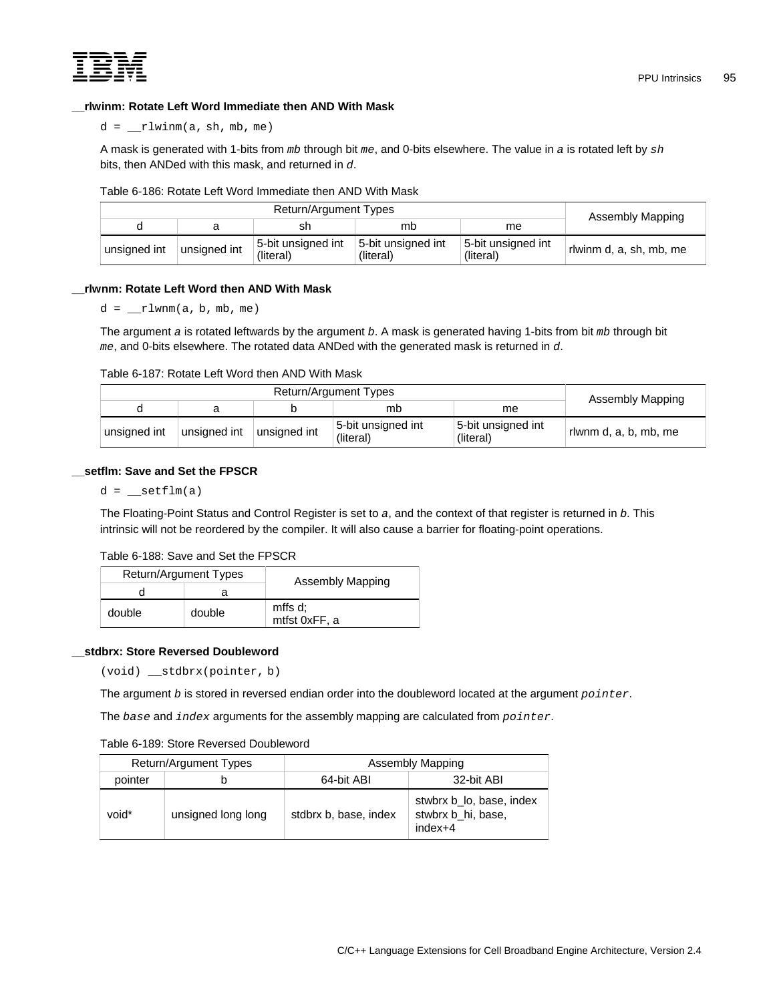

### **\_\_rlwinm: Rotate Left Word Immediate then AND With Mask**

 $d = \underline{\hspace{2cm}} r1$ winm $(a, sh, mb, me)$ 

A mask is generated with 1-bits from *mb* through bit *me*, and 0-bits elsewhere. The value in *a* is rotated left by *sh* bits, then ANDed with this mask, and returned in *d*.

### Table 6-186: Rotate Left Word Immediate then AND With Mask

|              | Assembly Mapping |                                 |                                 |                                 |                         |
|--------------|------------------|---------------------------------|---------------------------------|---------------------------------|-------------------------|
|              |                  | sr                              | mb                              | me                              |                         |
| unsigned int | unsigned int     | 5-bit unsigned int<br>(literal) | 5-bit unsigned int<br>(literal) | 5-bit unsigned int<br>(literal) | rlwinm d, a, sh, mb, me |

### **\_\_rlwnm: Rotate Left Word then AND With Mask**

 $d = \underline{\quad} r1$ wnm $(a, b, mb, me)$ 

The argument *a* is rotated leftwards by the argument *b*. A mask is generated having 1-bits from bit *mb* through bit *me*, and 0-bits elsewhere. The rotated data ANDed with the generated mask is returned in *d*.

### Table 6-187: Rotate Left Word then AND With Mask

|              | Assembly Mapping |              |                                 |                                 |                       |  |
|--------------|------------------|--------------|---------------------------------|---------------------------------|-----------------------|--|
|              |                  |              | mb                              | me                              |                       |  |
| unsigned int | unsianed int     | unsigned int | 5-bit unsigned int<br>(literal) | 5-bit unsigned int<br>(literal) | rlwnm d, a, b, mb, me |  |

### **\_\_setflm: Save and Set the FPSCR**

### $d = \text{setflm}(a)$

The Floating-Point Status and Control Register is set to *a*, and the context of that register is returned in *b*. This intrinsic will not be reordered by the compiler. It will also cause a barrier for floating-point operations.

### Table 6-188: Save and Set the FPSCR

| Return/Argument Types |        | <b>Assembly Mapping</b>  |
|-----------------------|--------|--------------------------|
|                       |        |                          |
| double                | double | mffs d:<br>mtfst 0xFF, a |

### **\_\_stdbrx: Store Reversed Doubleword**

(void) \_\_stdbrx(pointer, b)

The argument *b* is stored in reversed endian order into the doubleword located at the argument *pointer*.

The *base* and *index* arguments for the assembly mapping are calculated from *pointer*.

Table 6-189: Store Reversed Doubleword

| Return/Argument Types |                    | Assembly Mapping      |                                                             |  |
|-----------------------|--------------------|-----------------------|-------------------------------------------------------------|--|
| pointer               |                    | 64-bit ABI            | 32-bit ABI                                                  |  |
| void*                 | unsigned long long | stdbrx b, base, index | stwbrx b_lo, base, index<br>stwbrx b hi, base,<br>$index+4$ |  |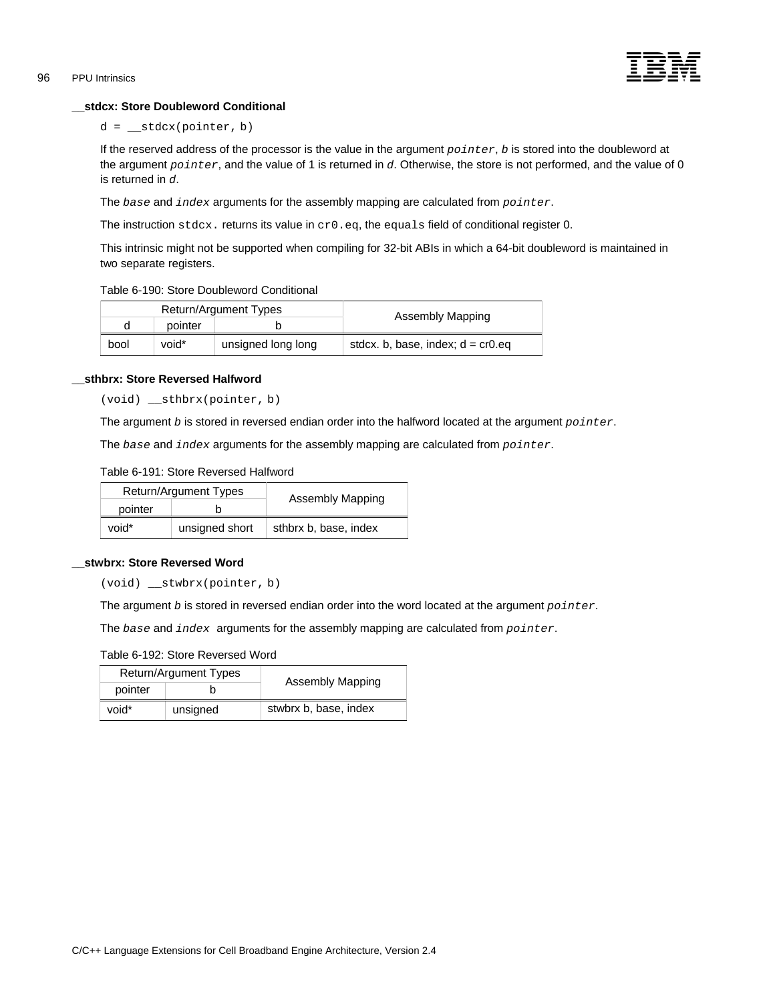# $\Gamma$  PPU Intrinsics - PPU Intrinsics - PPU Intrinsics - PPU Intrinsics - PPU Intrinsics - PPU Intrinsics - PPU Intrinsics - PPU Intrinsics - PPU Intrinsics - PPU Intrinsics - PPU Intrinsics - PPU Intrinsics - PPU Intrinsi



### **\_\_stdcx: Store Doubleword Conditional**

 $d =$  \_\_stdcx(pointer, b)

If the reserved address of the processor is the value in the argument *pointer*, *b* is stored into the doubleword at the argument *pointer*, and the value of 1 is returned in *d*. Otherwise, the store is not performed, and the value of 0 is returned in *d*.

The *base* and *index* arguments for the assembly mapping are calculated from *pointer*.

The instruction  $stdcx$ . returns its value in  $cr0.eq$ , the equals field of conditional register 0.

This intrinsic might not be supported when compiling for 32-bit ABIs in which a 64-bit doubleword is maintained in two separate registers.

### Table 6-190: Store Doubleword Conditional

| Return/Argument Types |         |                    | Assembly Mapping                     |  |
|-----------------------|---------|--------------------|--------------------------------------|--|
|                       | pointer |                    |                                      |  |
| bool                  | void*   | unsigned long long | stdcx. b, base, index; $d = cr0.$ eq |  |

### **\_\_sthbrx: Store Reversed Halfword**

(void) \_\_sthbrx(pointer, b)

The argument *b* is stored in reversed endian order into the halfword located at the argument *pointer*.

The *base* and *index* arguments for the assembly mapping are calculated from *pointer*.

### Table 6-191: Store Reversed Halfword

|         | Return/Argument Types | <b>Assembly Mapping</b> |  |
|---------|-----------------------|-------------------------|--|
| pointer |                       |                         |  |
| void*   | unsigned short        | sthbrx b, base, index   |  |

### **\_\_stwbrx: Store Reversed Word**

(void) \_\_stwbrx(pointer, b)

The argument *b* is stored in reversed endian order into the word located at the argument *pointer*.

The *base* and *index* arguments for the assembly mapping are calculated from *pointer*.

### Table 6-192: Store Reversed Word

|         | Return/Argument Types | <b>Assembly Mapping</b> |
|---------|-----------------------|-------------------------|
| pointer |                       |                         |
| void*   | unsigned              | stwbrx b, base, index   |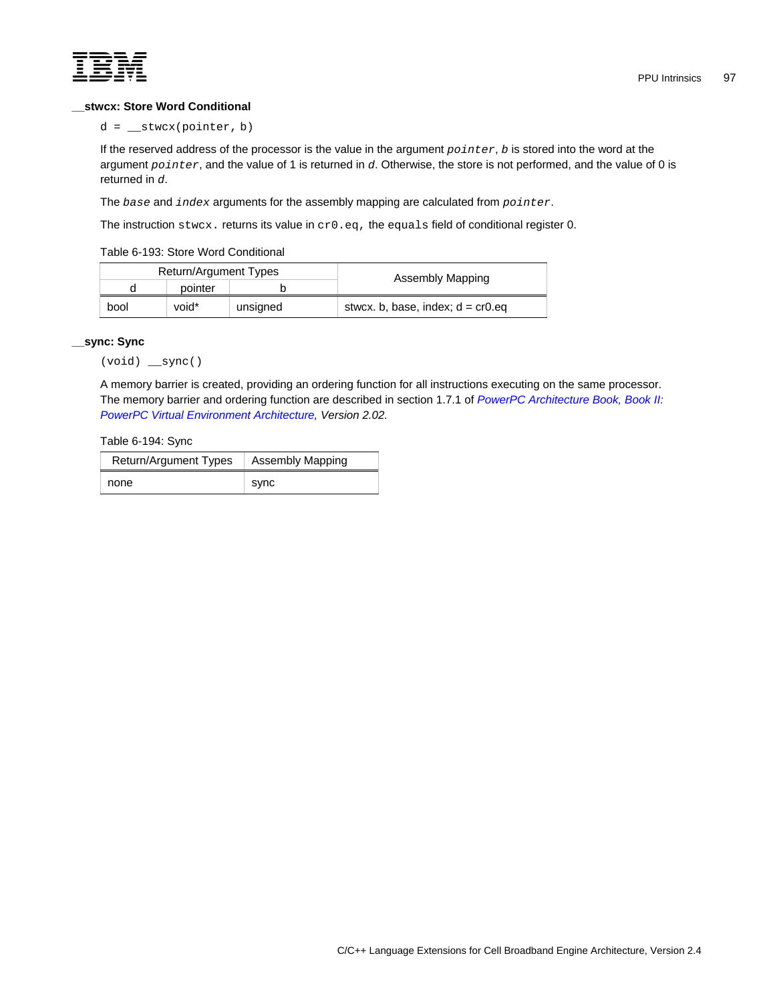

### **\_\_stwcx: Store Word Conditional**

 $d =$  \_\_stwcx(pointer, b)

If the reserved address of the processor is the value in the argument *pointer*, *b* is stored into the word at the argument *pointer*, and the value of 1 is returned in *d*. Otherwise, the store is not performed, and the value of 0 is returned in *d*.

The *base* and *index* arguments for the assembly mapping are calculated from *pointer*.

The instruction  $stwcx$ . returns its value in  $cr0.$  eq, the equals field of conditional register 0.

### Table 6-193: Store Word Conditional

| Return/Argument Types |         |          | Assembly Mapping                     |  |
|-----------------------|---------|----------|--------------------------------------|--|
|                       | pointer |          |                                      |  |
| bool                  | void*   | unsigned | stwcx. b, base, index; $d = cr0.$ eq |  |

### **\_\_sync: Sync**

(void) \_\_sync()

A memory barrier is created, providing an ordering function for all instructions executing on the same processor. The memory barrier and ordering function are described in section 1.7.1 of *PowerPC Architecture Book, Book II: PowerPC Virtual Environment Architecture, Version 2.02.* 

### Table 6-194: Sync

| Return/Argument Types | Assembly Mapping |
|-----------------------|------------------|
| none                  | sync             |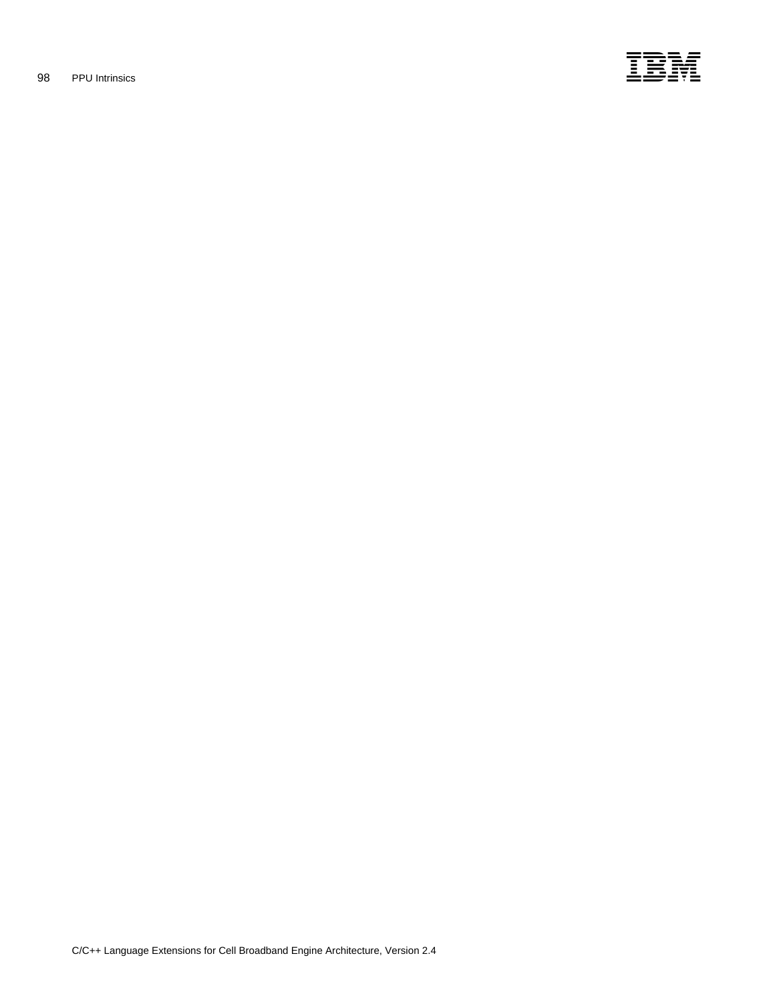$\Gamma$  PPU Intrinsics - PPU Intrinsics - PPU Intrinsics - PPU Intrinsics - PPU Intrinsics - PPU Intrinsics - PPU Intrinsics - PPU Intrinsics - PPU Intrinsics - PPU Intrinsics - PPU Intrinsics - PPU Intrinsics - PPU Intrinsi

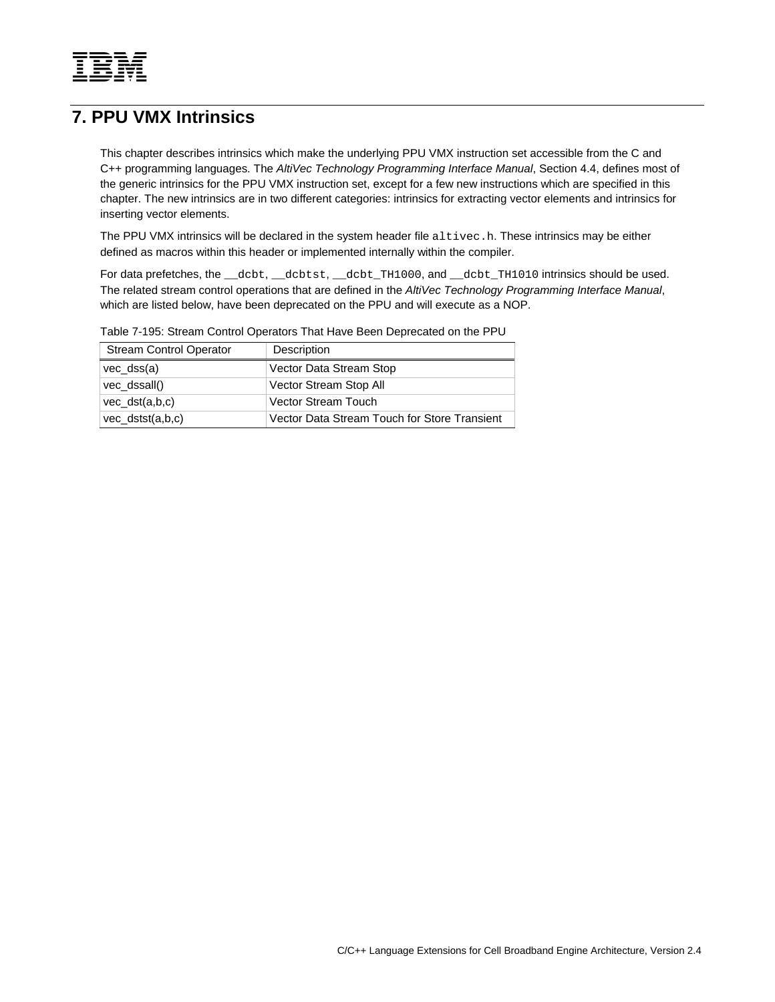

# **7. PPU VMX Intrinsics**

This chapter describes intrinsics which make the underlying PPU VMX instruction set accessible from the C and C++ programming languages. The *AltiVec Technology Programming Interface Manual*, Section 4.4, defines most of the generic intrinsics for the PPU VMX instruction set, except for a few new instructions which are specified in this chapter. The new intrinsics are in two different categories: intrinsics for extracting vector elements and intrinsics for inserting vector elements.

The PPU VMX intrinsics will be declared in the system header file altivec.h. These intrinsics may be either defined as macros within this header or implemented internally within the compiler.

For data prefetches, the \_\_dcbt, \_\_dcbtst, \_\_dcbt\_TH1000, and \_\_dcbt\_TH1010 intrinsics should be used. The related stream control operations that are defined in the *AltiVec Technology Programming Interface Manual*, which are listed below, have been deprecated on the PPU and will execute as a NOP.

| <b>Stream Control Operator</b> | Description                                  |
|--------------------------------|----------------------------------------------|
| $vec$ dss $(a)$                | Vector Data Stream Stop                      |
| vec dssall()                   | Vector Stream Stop All                       |
| $vec\_dst(a,b,c)$              | <b>Vector Stream Touch</b>                   |
| vec $dstst(a,b,c)$             | Vector Data Stream Touch for Store Transient |

Table 7-195: Stream Control Operators That Have Been Deprecated on the PPU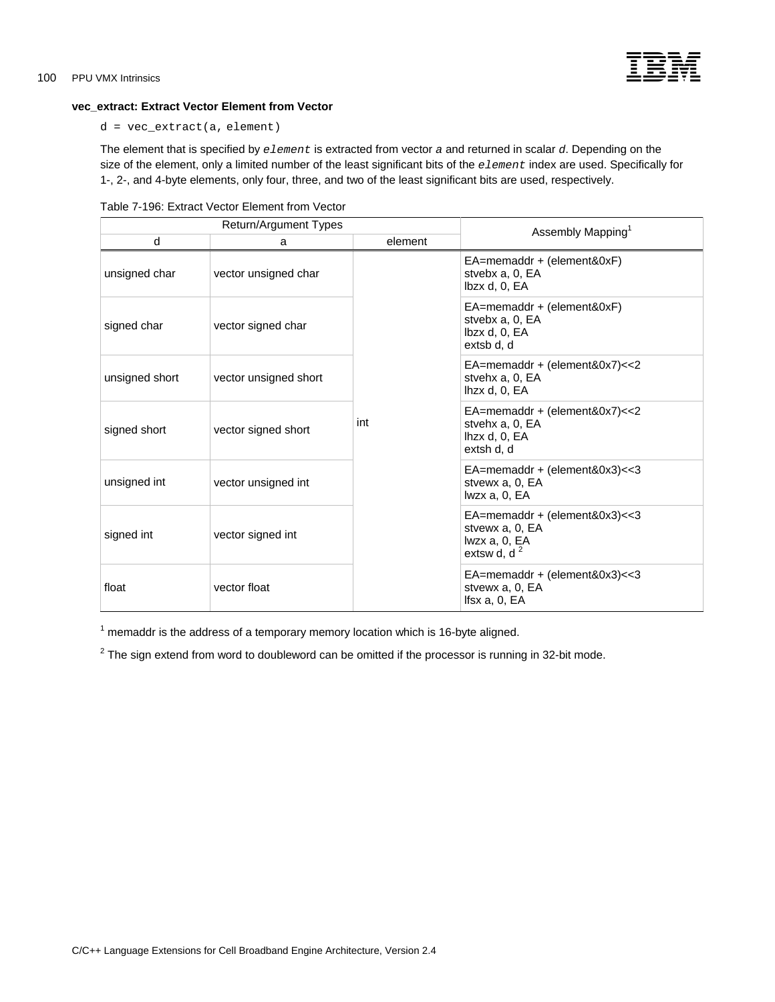

### **vec\_extract: Extract Vector Element from Vector**

d = vec\_extract(a, element)

The element that is specified by *element* is extracted from vector *a* and returned in scalar *d*. Depending on the size of the element, only a limited number of the least significant bits of the *element* index are used. Specifically for 1-, 2-, and 4-byte elements, only four, three, and two of the least significant bits are used, respectively.

| Table 7-196: Extract Vector Element from Vector |  |  |
|-------------------------------------------------|--|--|
|-------------------------------------------------|--|--|

| Return/Argument Types |                       |         | Assembly Mapping <sup>1</sup>                                                            |
|-----------------------|-----------------------|---------|------------------------------------------------------------------------------------------|
| d                     | a                     | element |                                                                                          |
| unsigned char         | vector unsigned char  |         | $E$ A=memaddr + (element&0xF)<br>stvebx a, 0, EA<br>Ibzx d, 0, EA                        |
| signed char           | vector signed char    |         | EA=memaddr + (element&0xF)<br>stvebx a, 0, EA<br>lbzx d, 0, EA<br>extsb d, d             |
| unsigned short        | vector unsigned short |         | EA=memaddr + (element&0x7)<<2<br>stvehx a, 0, EA<br>lhzx d, 0, EA                        |
| signed short          | vector signed short   | int     | EA=memaddr + (element&0x7)<<2<br>stvehx a, 0, EA<br>lhzx d, 0, EA<br>extsh d, d          |
| unsigned int          | vector unsigned int   |         | $EA = m$ emaddr + (element&0x3)<<3<br>stvewx a, 0, EA<br>lwzx a, 0, EA                   |
| signed int            | vector signed int     |         | $EA = m$ emaddr + (element&0x3)<<3<br>stvewx a, 0, EA<br>lwzx a, 0, EA<br>extsw d, d $2$ |
| float                 | vector float          |         | $EA = m$ emaddr + (element&0x3)<<3<br>stvewx a, 0, EA<br>Ifsx a, 0, EA                   |

 $1$  memaddr is the address of a temporary memory location which is 16-byte aligned.

 $2$  The sign extend from word to doubleword can be omitted if the processor is running in 32-bit mode.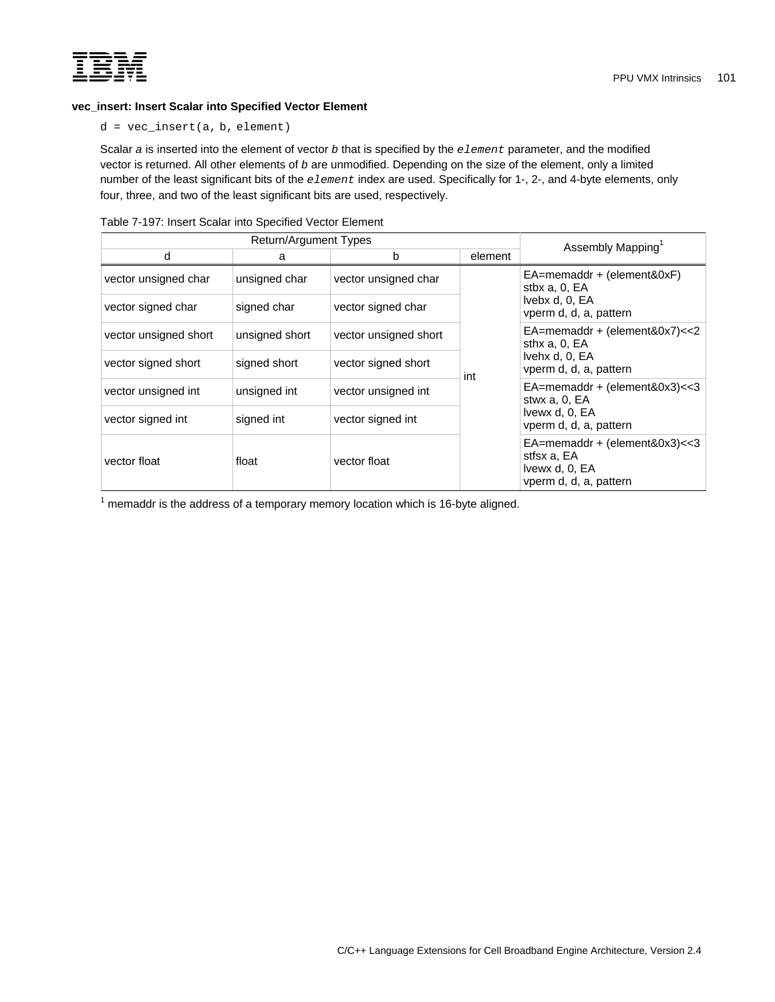

### **vec\_insert: Insert Scalar into Specified Vector Element**

 $d = vec_insect(a, b, element)$ 

Scalar *a* is inserted into the element of vector *b* that is specified by the *element* parameter, and the modified vector is returned. All other elements of *b* are unmodified. Depending on the size of the element, only a limited number of the least significant bits of the *element* index are used. Specifically for 1-, 2-, and 4-byte elements, only four, three, and two of the least significant bits are used, respectively.

| Return/Argument Types |                |                       |     | Assembly Mapping <sup>1</sup>                                                                 |
|-----------------------|----------------|-----------------------|-----|-----------------------------------------------------------------------------------------------|
| d                     | a              | element<br>b          |     |                                                                                               |
| vector unsigned char  | unsigned char  | vector unsigned char  |     | $E$ A=memaddr + (element&0xF)<br>stbx a, 0, EA                                                |
| vector signed char    | signed char    | vector signed char    |     | Ivebx d, 0, EA<br>vperm d, d, a, pattern                                                      |
| vector unsigned short | unsigned short | vector unsigned short |     | EA=memaddr + (element&0x7)<<2<br>sthx a, 0, EA                                                |
| vector signed short   | signed short   | vector signed short   | int | Ivehx d, 0, EA<br>vperm d, d, a, pattern                                                      |
| vector unsigned int   | unsigned int   | vector unsigned int   |     | $EA = m$ emaddr + (element&0x3)<<3<br>stwx a, 0, EA                                           |
| vector signed int     | signed int     | vector signed int     |     | Ivewx d, 0, EA<br>vperm d, d, a, pattern                                                      |
| vector float          | float          | vector float          |     | $EA = m$ emaddr + (element&0x3)<<3<br>stfsx a, EA<br>Ivewx d, 0, EA<br>vperm d, d, a, pattern |

Table 7-197: Insert Scalar into Specified Vector Element

 $1$  memaddr is the address of a temporary memory location which is 16-byte aligned.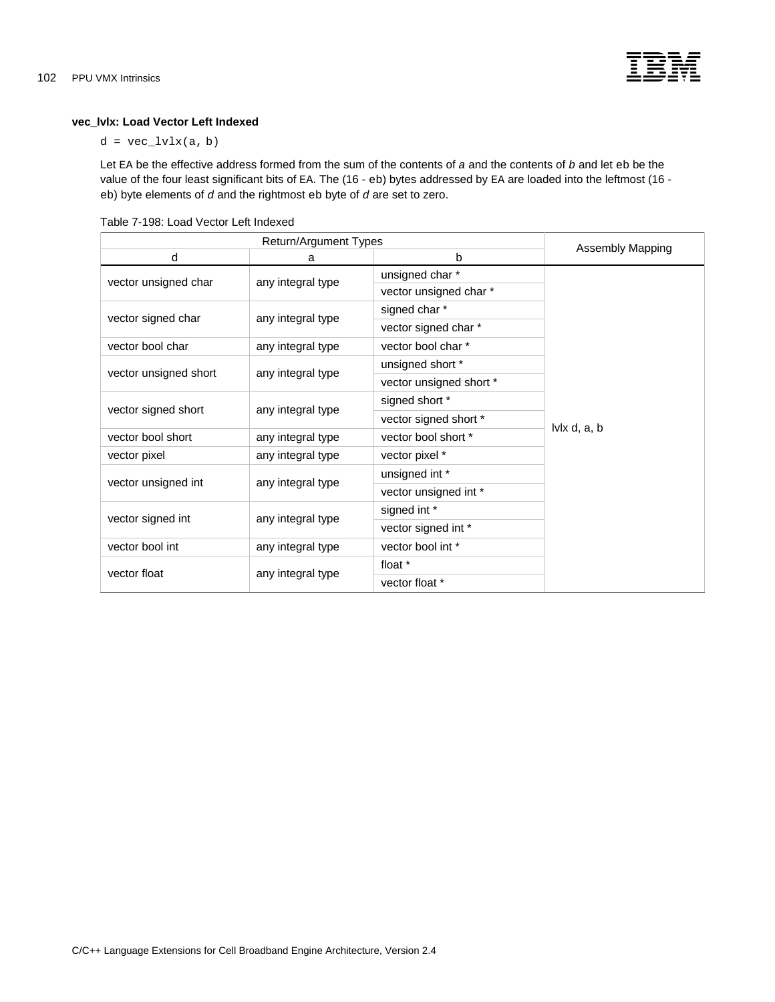

### **vec\_lvlx: Load Vector Left Indexed**

### $d = vec_lvlx(a, b)$

Let EA be the effective address formed from the sum of the contents of *a* and the contents of *b* and let eb be the value of the four least significant bits of EA. The (16 - eb) bytes addressed by EA are loaded into the leftmost (16 eb) byte elements of *d* and the rightmost eb byte of *d* are set to zero.

|  | Table 7-198: Load Vector Left Indexed |
|--|---------------------------------------|
|--|---------------------------------------|

| Return/Argument Types |                   |                         | <b>Assembly Mapping</b> |
|-----------------------|-------------------|-------------------------|-------------------------|
| d                     | а                 | b                       |                         |
| vector unsigned char  | any integral type | unsigned char*          |                         |
|                       |                   | vector unsigned char*   |                         |
| vector signed char    | any integral type | signed char*            |                         |
|                       |                   | vector signed char*     |                         |
| vector bool char      | any integral type | vector bool char *      |                         |
|                       | any integral type | unsigned short *        |                         |
| vector unsigned short |                   | vector unsigned short * |                         |
| vector signed short   |                   | signed short *          |                         |
|                       | any integral type | vector signed short *   | Ivix d, a, b            |
| vector bool short     | any integral type | vector bool short *     |                         |
| vector pixel          | any integral type | vector pixel *          |                         |
| vector unsigned int   | any integral type | unsigned int *          |                         |
|                       |                   | vector unsigned int *   |                         |
| vector signed int     |                   | signed int *            |                         |
|                       | any integral type | vector signed int *     |                         |
| vector bool int       | any integral type | vector bool int *       |                         |
| vector float          |                   | float *                 |                         |
|                       | any integral type | vector float *          |                         |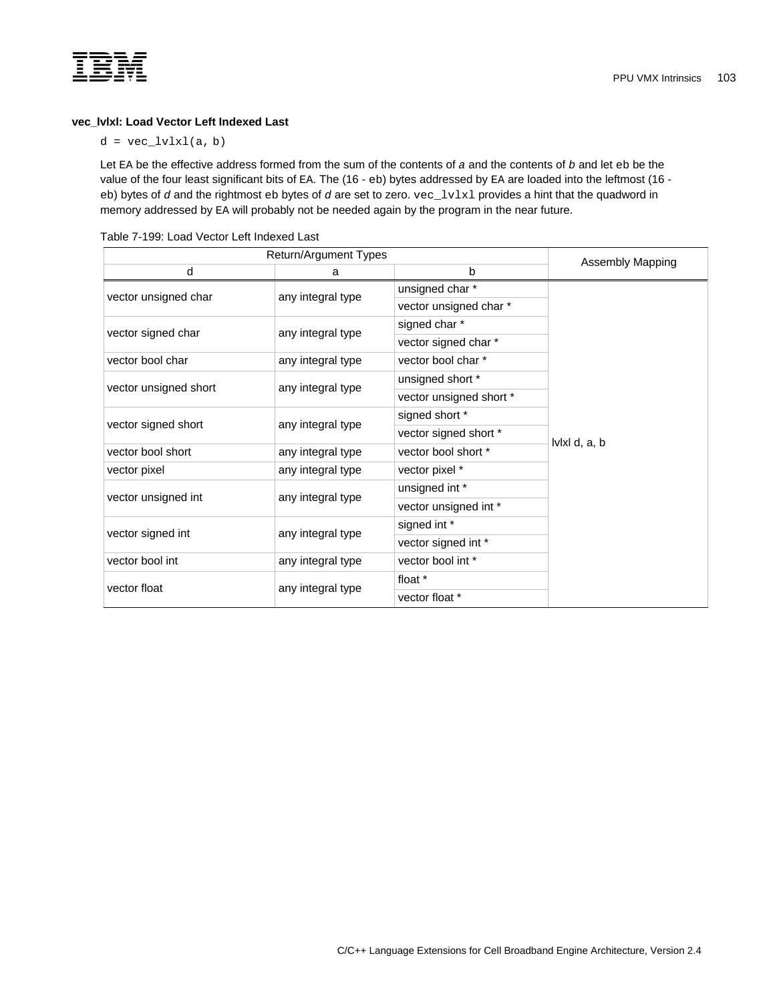

### **vec\_lvlxl: Load Vector Left Indexed Last**

### $d = vec_lvlxl(a, b)$

Let EA be the effective address formed from the sum of the contents of *a* and the contents of *b* and let eb be the value of the four least significant bits of EA. The (16 - eb) bytes addressed by EA are loaded into the leftmost (16 eb) bytes of *d* and the rightmost eb bytes of *d* are set to zero. vec\_lvlxl provides a hint that the quadword in memory addressed by EA will probably not be needed again by the program in the near future.

| Table 7-199: Load Vector Left Indexed Last |  |  |
|--------------------------------------------|--|--|
|--------------------------------------------|--|--|

| Return/Argument Types |                   |                         |                  |
|-----------------------|-------------------|-------------------------|------------------|
| d                     | a                 | b                       | Assembly Mapping |
| vector unsigned char  | any integral type | unsigned char*          |                  |
|                       |                   | vector unsigned char *  |                  |
| vector signed char    | any integral type | signed char*            |                  |
|                       |                   | vector signed char*     |                  |
| vector bool char      | any integral type | vector bool char *      |                  |
| vector unsigned short | any integral type | unsigned short *        | Ivixi d, a, b    |
|                       |                   | vector unsigned short * |                  |
|                       | any integral type | signed short *          |                  |
| vector signed short   |                   | vector signed short *   |                  |
| vector bool short     | any integral type | vector bool short *     |                  |
| vector pixel          | any integral type | vector pixel *          |                  |
|                       | any integral type | unsigned int *          |                  |
| vector unsigned int   |                   | vector unsigned int *   |                  |
| vector signed int     | any integral type | signed int *            |                  |
|                       |                   | vector signed int *     |                  |
| vector bool int       | any integral type | vector bool int *       |                  |
| vector float          | any integral type | float *                 |                  |
|                       |                   | vector float *          |                  |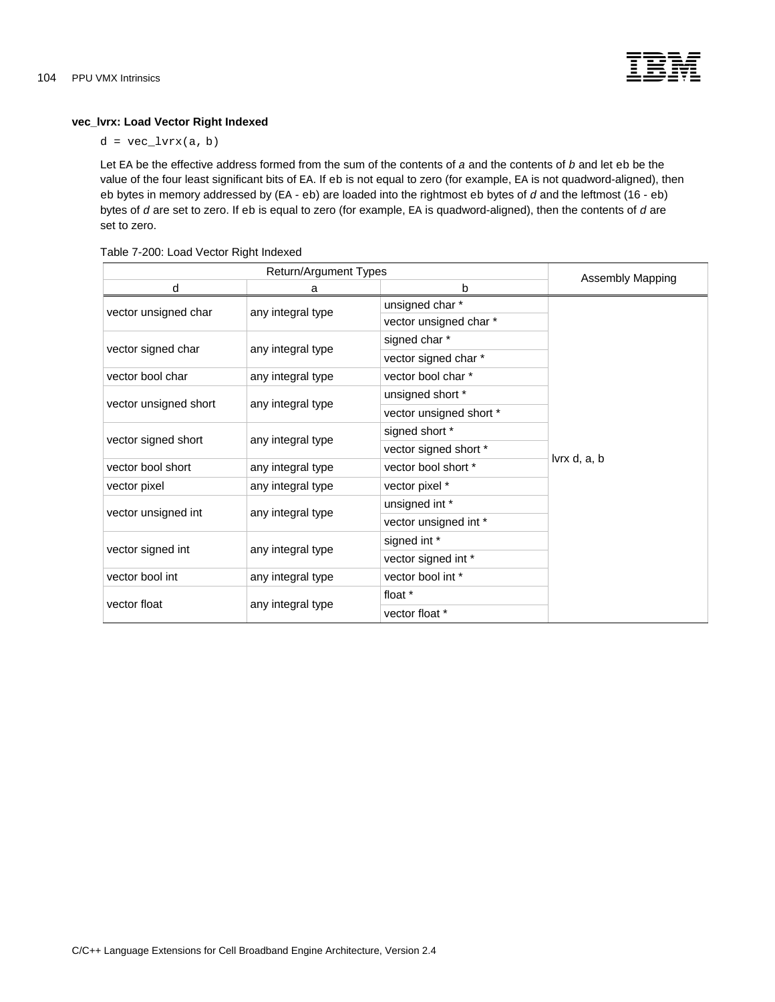

### **vec\_lvrx: Load Vector Right Indexed**

### $d = vec_lvrx(a, b)$

Let EA be the effective address formed from the sum of the contents of *a* and the contents of *b* and let eb be the value of the four least significant bits of EA. If eb is not equal to zero (for example, EA is not quadword-aligned), then eb bytes in memory addressed by (EA - eb) are loaded into the rightmost eb bytes of *d* and the leftmost (16 - eb) bytes of *d* are set to zero. If eb is equal to zero (for example, EA is quadword-aligned), then the contents of *d* are set to zero.

| Return/Argument Types |                   |                         | Assembly Mapping |
|-----------------------|-------------------|-------------------------|------------------|
| d                     | а                 | b                       |                  |
| vector unsigned char  | any integral type | unsigned char*          |                  |
|                       |                   | vector unsigned char *  |                  |
| vector signed char    | any integral type | signed char*            |                  |
|                       |                   | vector signed char*     |                  |
| vector bool char      | any integral type | vector bool char *      |                  |
|                       |                   | unsigned short *        |                  |
| vector unsigned short | any integral type | vector unsigned short * | lvrx d, a, b     |
|                       | any integral type | signed short *          |                  |
| vector signed short   |                   | vector signed short *   |                  |
| vector bool short     | any integral type | vector bool short *     |                  |
| vector pixel          | any integral type | vector pixel *          |                  |
| vector unsigned int   | any integral type | unsigned int *          |                  |
|                       |                   | vector unsigned int *   |                  |
|                       | any integral type | signed int *            |                  |
| vector signed int     |                   | vector signed int *     |                  |
| vector bool int       | any integral type | vector bool int *       |                  |
| vector float          |                   | float *                 |                  |
|                       | any integral type | vector float *          |                  |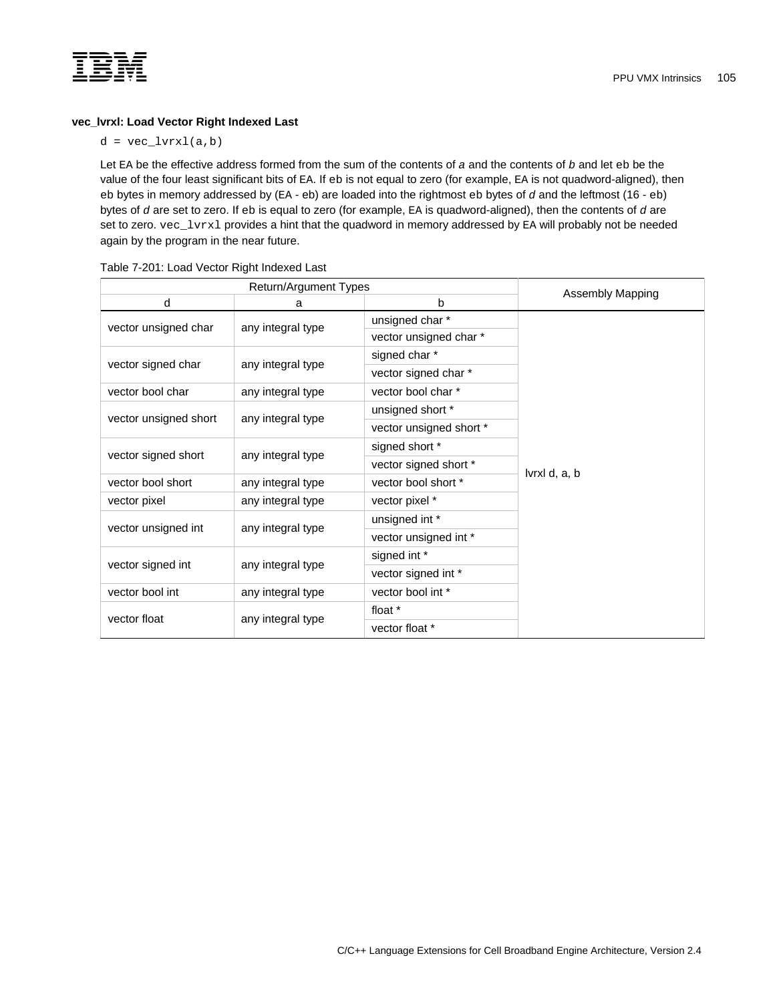

### **vec\_lvrxl: Load Vector Right Indexed Last**

### $d = vec_lvrxl(a,b)$

Let EA be the effective address formed from the sum of the contents of *a* and the contents of *b* and let eb be the value of the four least significant bits of EA. If eb is not equal to zero (for example, EA is not quadword-aligned), then eb bytes in memory addressed by (EA - eb) are loaded into the rightmost eb bytes of *d* and the leftmost (16 - eb) bytes of *d* are set to zero. If eb is equal to zero (for example, EA is quadword-aligned), then the contents of *d* are set to zero. vec\_lvrxl provides a hint that the quadword in memory addressed by EA will probably not be needed again by the program in the near future.

| Return/Argument Types |                   |                         | <b>Assembly Mapping</b> |
|-----------------------|-------------------|-------------------------|-------------------------|
| d                     | a                 | b                       |                         |
| vector unsigned char  | any integral type | unsigned char *         |                         |
|                       |                   | vector unsigned char *  |                         |
| vector signed char    | any integral type | signed char*            |                         |
|                       |                   | vector signed char*     |                         |
| vector bool char      | any integral type | vector bool char*       |                         |
| vector unsigned short |                   | unsigned short *        |                         |
|                       | any integral type | vector unsigned short * |                         |
| vector signed short   | any integral type | signed short *          |                         |
|                       |                   | vector signed short *   | Ivrxl d, a, b           |
| vector bool short     | any integral type | vector bool short *     |                         |
| vector pixel          | any integral type | vector pixel *          |                         |
| vector unsigned int   | any integral type | unsigned int *          |                         |
|                       |                   | vector unsigned int *   |                         |
| vector signed int     | any integral type | signed int *            |                         |
|                       |                   | vector signed int *     |                         |
| vector bool int       | any integral type | vector bool int *       |                         |
| vector float          |                   | float *                 |                         |
|                       | any integral type | vector float *          |                         |

#### Table 7-201: Load Vector Right Indexed Last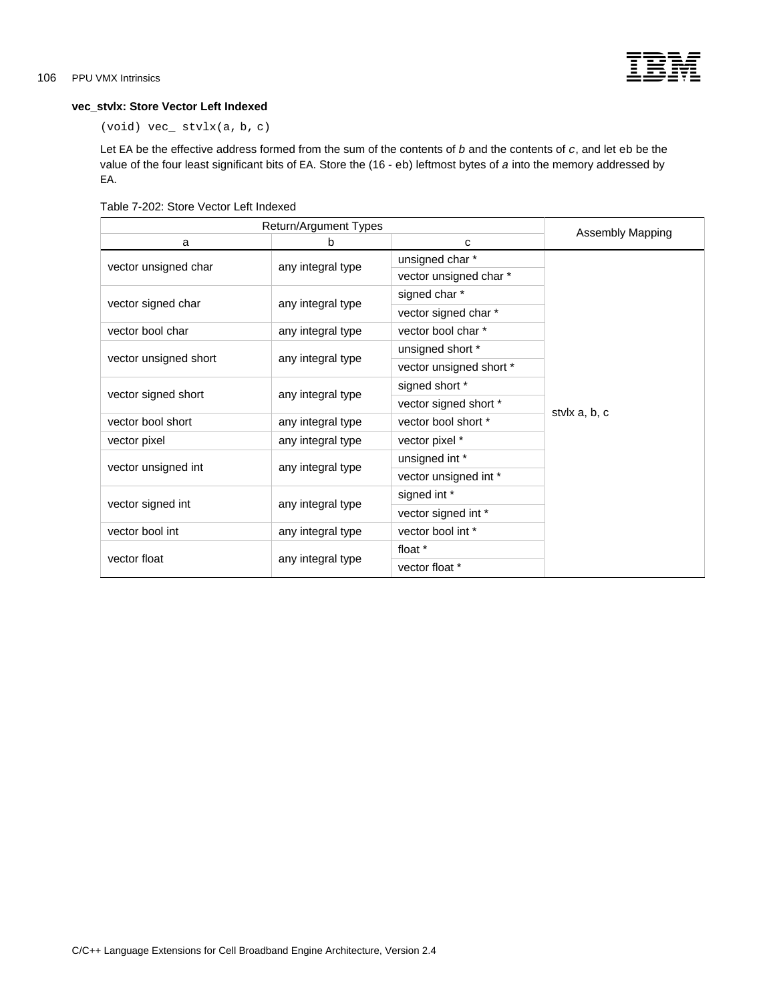

### **vec\_stvlx: Store Vector Left Indexed**

(void) vec\_ stvlx(a, b, c)

Let EA be the effective address formed from the sum of the contents of *b* and the contents of *c*, and let eb be the value of the four least significant bits of EA. Store the (16 - eb) leftmost bytes of *a* into the memory addressed by EA.

| Table 7-202: Store Vector Left Indexed |
|----------------------------------------|
|----------------------------------------|

| Return/Argument Types |                   |                         | Assembly Mapping |
|-----------------------|-------------------|-------------------------|------------------|
| a                     | b                 | C                       |                  |
| vector unsigned char  | any integral type | unsigned char *         |                  |
|                       |                   | vector unsigned char *  |                  |
| vector signed char    | any integral type | signed char*            |                  |
|                       |                   | vector signed char*     |                  |
| vector bool char      | any integral type | vector bool char*       |                  |
|                       |                   | unsigned short *        |                  |
| vector unsigned short | any integral type | vector unsigned short * | stylx a, b, c    |
|                       | any integral type | signed short *          |                  |
| vector signed short   |                   | vector signed short *   |                  |
| vector bool short     | any integral type | vector bool short *     |                  |
| vector pixel          | any integral type | vector pixel *          |                  |
| vector unsigned int   |                   | unsigned int *          |                  |
|                       | any integral type | vector unsigned int *   |                  |
| vector signed int     | any integral type | signed int *            |                  |
|                       |                   | vector signed int *     |                  |
| vector bool int       | any integral type | vector bool int *       |                  |
| vector float          |                   | float *                 |                  |
|                       | any integral type | vector float *          |                  |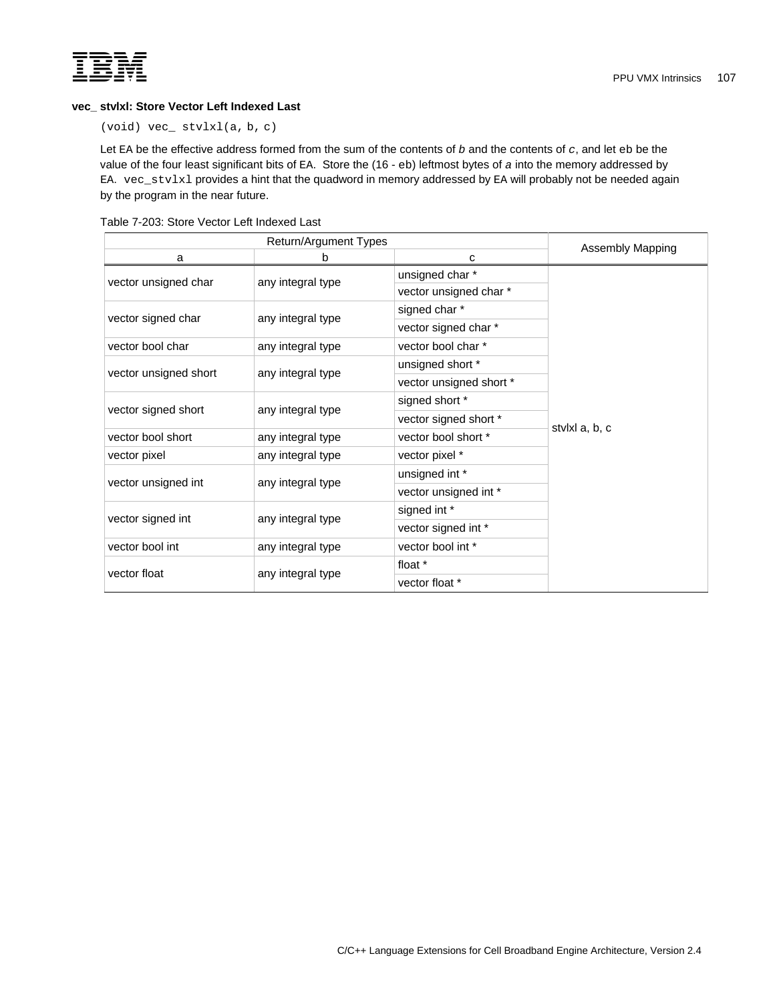

### **vec\_ stvlxl: Store Vector Left Indexed Last**

(void) vec\_ stvlxl(a, b, c)

Let EA be the effective address formed from the sum of the contents of *b* and the contents of *c*, and let eb be the value of the four least significant bits of EA. Store the (16 - eb) leftmost bytes of *a* into the memory addressed by EA. vec\_stvlxl provides a hint that the quadword in memory addressed by EA will probably not be needed again by the program in the near future.

Table 7-203: Store Vector Left Indexed Last

| Return/Argument Types |                   |                         |                  |
|-----------------------|-------------------|-------------------------|------------------|
| a                     | b                 | С                       | Assembly Mapping |
| vector unsigned char  | any integral type | unsigned char *         |                  |
|                       |                   | vector unsigned char *  |                  |
| vector signed char    | any integral type | signed char*            |                  |
|                       |                   | vector signed char*     |                  |
| vector bool char      | any integral type | vector bool char*       |                  |
|                       |                   | unsigned short *        |                  |
| vector unsigned short | any integral type | vector unsigned short * | stvixi a, b, c   |
|                       |                   | signed short *          |                  |
| vector signed short   | any integral type | vector signed short *   |                  |
| vector bool short     | any integral type | vector bool short *     |                  |
| vector pixel          | any integral type | vector pixel *          |                  |
|                       |                   | unsigned int *          |                  |
| vector unsigned int   | any integral type | vector unsigned int *   |                  |
|                       | any integral type | signed int *            |                  |
| vector signed int     |                   | vector signed int *     |                  |
| vector bool int       | any integral type | vector bool int *       |                  |
|                       |                   | float *                 |                  |
| vector float          | any integral type | vector float *          |                  |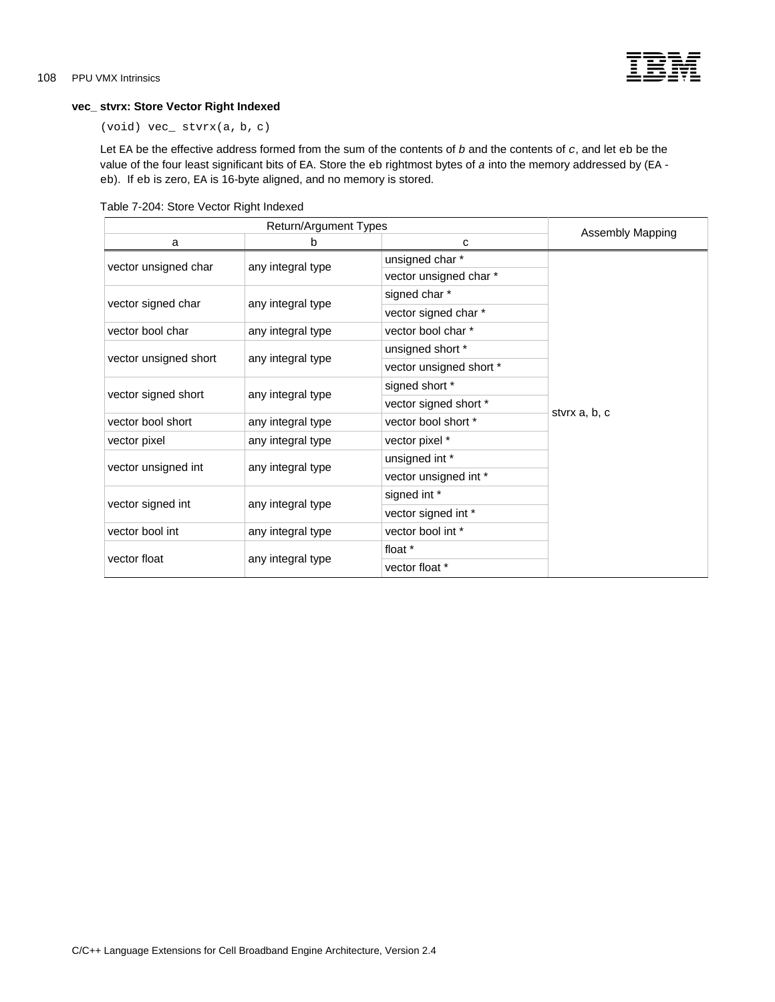

### **vec\_ stvrx: Store Vector Right Indexed**

(void) vec\_ stvrx(a, b, c)

Let EA be the effective address formed from the sum of the contents of *b* and the contents of *c*, and let eb be the value of the four least significant bits of EA. Store the eb rightmost bytes of *a* into the memory addressed by (EA eb). If eb is zero, EA is 16-byte aligned, and no memory is stored.

| Table 7-204: Store Vector Right Indexed |  |  |
|-----------------------------------------|--|--|
|                                         |  |  |

| Return/Argument Types |                   |                         | Assembly Mapping |
|-----------------------|-------------------|-------------------------|------------------|
| a                     | b<br>С            |                         |                  |
| vector unsigned char  | any integral type | unsigned char *         |                  |
|                       |                   | vector unsigned char *  |                  |
| vector signed char    |                   | signed char*            |                  |
|                       | any integral type | vector signed char*     |                  |
| vector bool char      | any integral type | vector bool char*       |                  |
|                       |                   | unsigned short *        |                  |
| vector unsigned short | any integral type | vector unsigned short * |                  |
|                       | any integral type | signed short *          | stvrx a, b, c    |
| vector signed short   |                   | vector signed short *   |                  |
| vector bool short     | any integral type | vector bool short *     |                  |
| vector pixel          | any integral type | vector pixel *          |                  |
|                       | any integral type | unsigned int *          |                  |
| vector unsigned int   |                   | vector unsigned int *   |                  |
| vector signed int     | any integral type | signed int *            |                  |
|                       |                   | vector signed int *     |                  |
| vector bool int       | any integral type | vector bool int *       |                  |
| vector float          |                   | float *                 |                  |
|                       | any integral type | vector float *          |                  |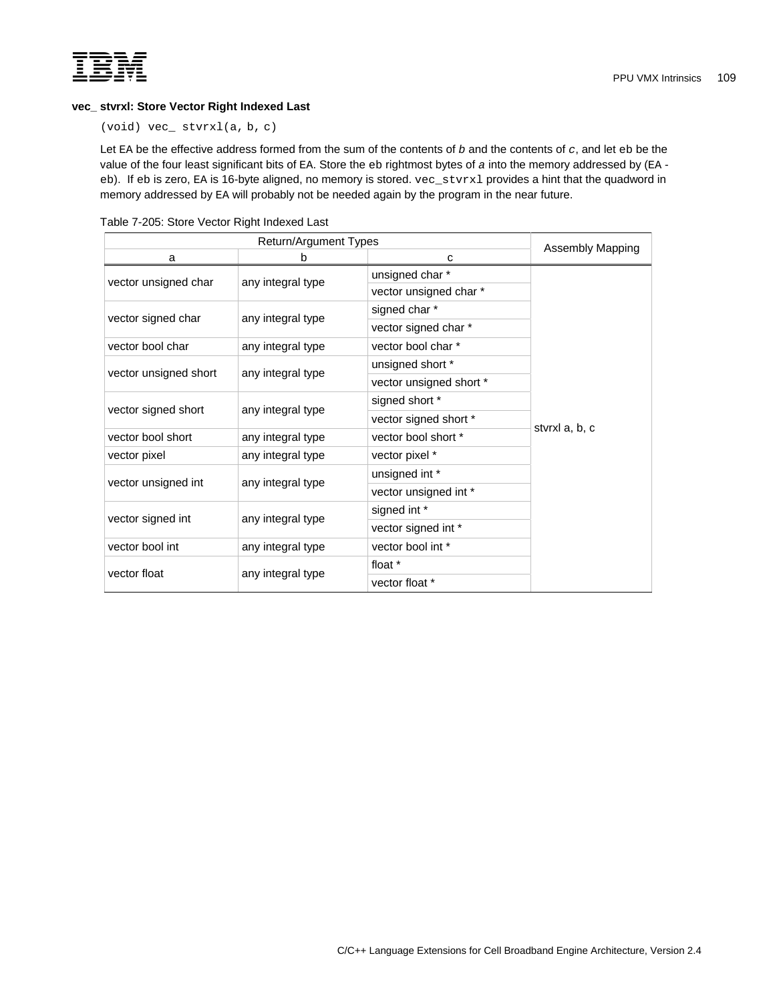

### **vec\_ stvrxl: Store Vector Right Indexed Last**

(void) vec\_ stvrxl(a, b, c)

Let EA be the effective address formed from the sum of the contents of *b* and the contents of *c*, and let eb be the value of the four least significant bits of EA. Store the eb rightmost bytes of *a* into the memory addressed by (EA eb). If eb is zero, EA is 16-byte aligned, no memory is stored. vec\_stvrxl provides a hint that the quadword in memory addressed by EA will probably not be needed again by the program in the near future.

| Return/Argument Types |                   |                         | Assembly Mapping |  |
|-----------------------|-------------------|-------------------------|------------------|--|
| a                     | b<br>C            |                         |                  |  |
| vector unsigned char  | any integral type | unsigned char *         |                  |  |
|                       |                   | vector unsigned char *  |                  |  |
| vector signed char    | any integral type | signed char*            |                  |  |
|                       |                   | vector signed char *    |                  |  |
| vector bool char      | any integral type | vector bool char*       |                  |  |
|                       | any integral type | unsigned short *        |                  |  |
| vector unsigned short |                   | vector unsigned short * |                  |  |
|                       | any integral type | signed short *          | stvrxl a, b, c   |  |
| vector signed short   |                   | vector signed short *   |                  |  |
| vector bool short     | any integral type | vector bool short *     |                  |  |
| vector pixel          | any integral type | vector pixel *          |                  |  |
| vector unsigned int   | any integral type | unsigned int *          |                  |  |
|                       |                   | vector unsigned int *   |                  |  |
| vector signed int     | any integral type | signed int *            |                  |  |
|                       |                   | vector signed int *     |                  |  |
| vector bool int       | any integral type | vector bool int *       |                  |  |
| vector float          | any integral type | float *                 |                  |  |
|                       |                   | vector float *          |                  |  |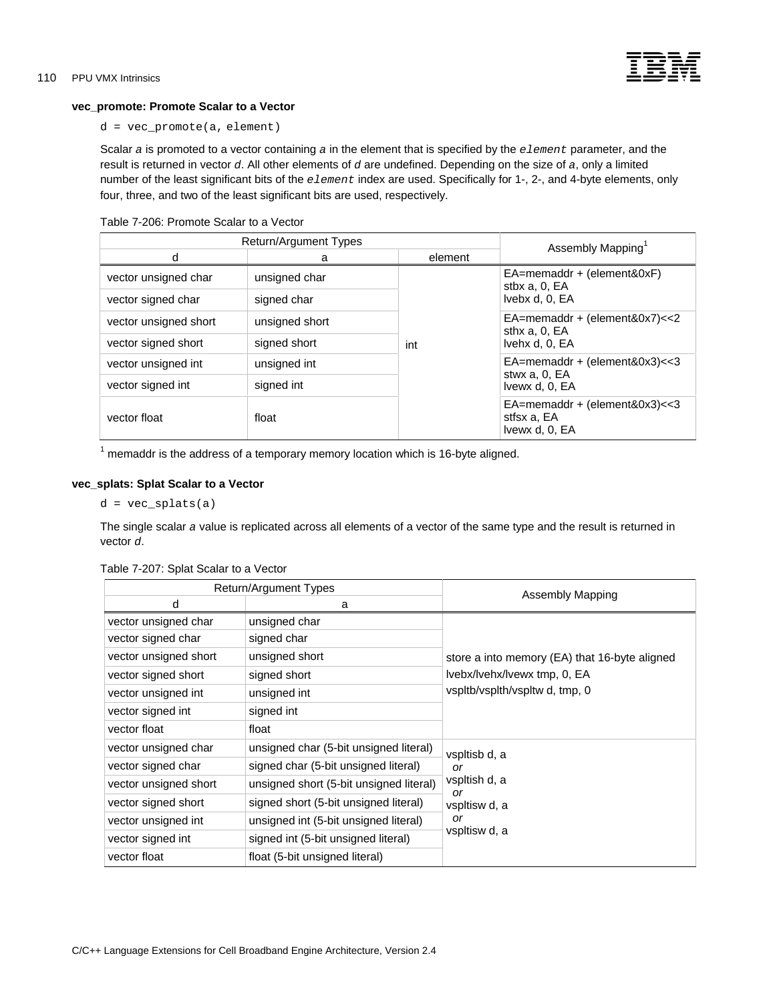

### **vec\_promote: Promote Scalar to a Vector**

d = vec\_promote(a, element)

Scalar *a* is promoted to a vector containing *a* in the element that is specified by the *element* parameter, and the result is returned in vector *d*. All other elements of *d* are undefined. Depending on the size of *a*, only a limited number of the least significant bits of the *element* index are used. Specifically for 1-, 2-, and 4-byte elements, only four, three, and two of the least significant bits are used, respectively.

|  | Table 7-206: Promote Scalar to a Vector |  |  |
|--|-----------------------------------------|--|--|
|  |                                         |  |  |

| Return/Argument Types |                     |  | Assembly Mapping <sup>1</sup>                                                     |
|-----------------------|---------------------|--|-----------------------------------------------------------------------------------|
| U                     | element<br>a        |  |                                                                                   |
| vector unsigned char  | unsigned char       |  | $E$ A=memaddr + (element&0xF)<br>stbx a, 0, EA                                    |
| vector signed char    | signed char         |  | Ivebx d, 0, EA                                                                    |
| vector unsigned short | unsigned short      |  | EA=memaddr + (element&0x7)<<2<br>sthx a. 0. EA                                    |
| vector signed short   | signed short<br>int |  | Ivehx d, 0, EA                                                                    |
| vector unsigned int   | unsigned int        |  | $EA = m$ emaddr + (element $&0 \times 3$ ) < < 3<br>stwx a, 0, EA                 |
| vector signed int     | signed int          |  | Ivewx d, 0, EA                                                                    |
| vector float          | float               |  | $EA = m$ emaddr + (element $&0 \times 3$ ) < < 3<br>stfsx a, EA<br>Ivewx d, 0, EA |

 $1$  memaddr is the address of a temporary memory location which is 16-byte aligned.

### **vec\_splats: Splat Scalar to a Vector**

 $d = vec_splats(a)$ 

The single scalar *a* value is replicated across all elements of a vector of the same type and the result is returned in vector *d*.

| Return/Argument Types |                                         | Assembly Mapping                              |  |
|-----------------------|-----------------------------------------|-----------------------------------------------|--|
| d                     | a                                       |                                               |  |
| vector unsigned char  | unsigned char                           |                                               |  |
| vector signed char    | signed char                             |                                               |  |
| vector unsigned short | unsigned short                          | store a into memory (EA) that 16-byte aligned |  |
| vector signed short   | signed short                            | Ivebx/Ivehx/Ivewx tmp, 0, EA                  |  |
| vector unsigned int   | unsigned int                            | vspltb/vsplth/vspltw d, tmp, 0                |  |
| vector signed int     | signed int                              |                                               |  |
| vector float          | float                                   |                                               |  |
| vector unsigned char  | unsigned char (5-bit unsigned literal)  | vspltisb d, a                                 |  |
| vector signed char    | signed char (5-bit unsigned literal)    | or                                            |  |
| vector unsigned short | unsigned short (5-bit unsigned literal) | vspltish d, a<br>or                           |  |
| vector signed short   | signed short (5-bit unsigned literal)   | vspltisw d, a                                 |  |
| vector unsigned int   | unsigned int (5-bit unsigned literal)   | or                                            |  |
| vector signed int     | signed int (5-bit unsigned literal)     | vspltisw d, a                                 |  |
| vector float          | float (5-bit unsigned literal)          |                                               |  |

Table 7-207: Splat Scalar to a Vector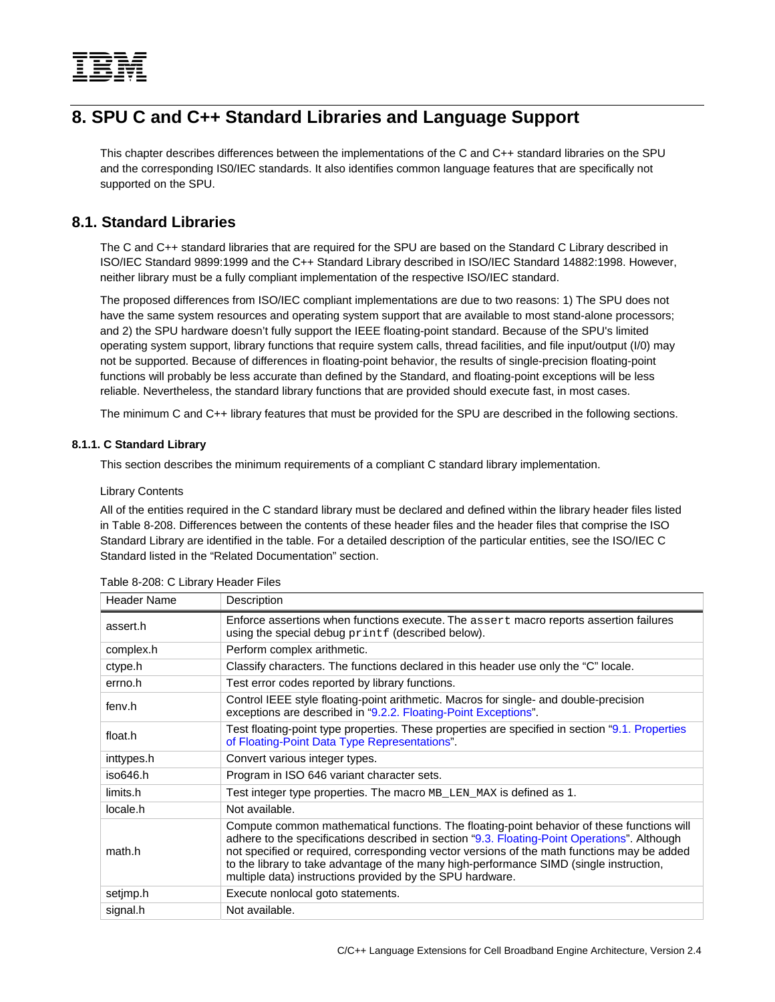

# **8. SPU C and C++ Standard Libraries and Language Support**

This chapter describes differences between the implementations of the C and C++ standard libraries on the SPU and the corresponding IS0/IEC standards. It also identifies common language features that are specifically not supported on the SPU.

### **8.1. Standard Libraries**

The C and C++ standard libraries that are required for the SPU are based on the Standard C Library described in ISO/IEC Standard 9899:1999 and the C++ Standard Library described in ISO/IEC Standard 14882:1998. However, neither library must be a fully compliant implementation of the respective ISO/IEC standard.

The proposed differences from ISO/IEC compliant implementations are due to two reasons: 1) The SPU does not have the same system resources and operating system support that are available to most stand-alone processors; and 2) the SPU hardware doesn't fully support the IEEE floating-point standard. Because of the SPU's limited operating system support, library functions that require system calls, thread facilities, and file input/output (I/0) may not be supported. Because of differences in floating-point behavior, the results of single-precision floating-point functions will probably be less accurate than defined by the Standard, and floating-point exceptions will be less reliable. Nevertheless, the standard library functions that are provided should execute fast, in most cases.

The minimum C and C++ library features that must be provided for the SPU are described in the following sections.

### **8.1.1. C Standard Library**

This section describes the minimum requirements of a compliant C standard library implementation.

### Library Contents

All of the entities required in the C standard library must be declared and defined within the library header files listed in Table 8-208. Differences between the contents of these header files and the header files that comprise the ISO Standard Library are identified in the table. For a detailed description of the particular entities, see the ISO/IEC C Standard listed in the "Related Documentation" section.

| Header Name | Description                                                                                                                                                                                                                                                                                                                                                                                                                                       |
|-------------|---------------------------------------------------------------------------------------------------------------------------------------------------------------------------------------------------------------------------------------------------------------------------------------------------------------------------------------------------------------------------------------------------------------------------------------------------|
| assert.h    | Enforce assertions when functions execute. The assert macro reports assertion failures<br>using the special debug printf (described below).                                                                                                                                                                                                                                                                                                       |
| complex.h   | Perform complex arithmetic.                                                                                                                                                                                                                                                                                                                                                                                                                       |
| ctype.h     | Classify characters. The functions declared in this header use only the "C" locale.                                                                                                                                                                                                                                                                                                                                                               |
| errno.h     | Test error codes reported by library functions.                                                                                                                                                                                                                                                                                                                                                                                                   |
| fenv.h      | Control IEEE style floating-point arithmetic. Macros for single- and double-precision<br>exceptions are described in "9.2.2. Floating-Point Exceptions".                                                                                                                                                                                                                                                                                          |
| float.h     | Test floating-point type properties. These properties are specified in section "9.1. Properties<br>of Floating-Point Data Type Representations".                                                                                                                                                                                                                                                                                                  |
| inttypes.h  | Convert various integer types.                                                                                                                                                                                                                                                                                                                                                                                                                    |
| iso646.h    | Program in ISO 646 variant character sets.                                                                                                                                                                                                                                                                                                                                                                                                        |
| limits.h    | Test integer type properties. The macro MB_LEN_MAX is defined as 1.                                                                                                                                                                                                                                                                                                                                                                               |
| locale.h    | Not available.                                                                                                                                                                                                                                                                                                                                                                                                                                    |
| math.h      | Compute common mathematical functions. The floating-point behavior of these functions will<br>adhere to the specifications described in section "9.3. Floating-Point Operations". Although<br>not specified or required, corresponding vector versions of the math functions may be added<br>to the library to take advantage of the many high-performance SIMD (single instruction,<br>multiple data) instructions provided by the SPU hardware. |
| setjmp.h    | Execute nonlocal goto statements.                                                                                                                                                                                                                                                                                                                                                                                                                 |
| signal.h    | Not available.                                                                                                                                                                                                                                                                                                                                                                                                                                    |

|  |  | Table 8-208: C Library Header Files |
|--|--|-------------------------------------|
|--|--|-------------------------------------|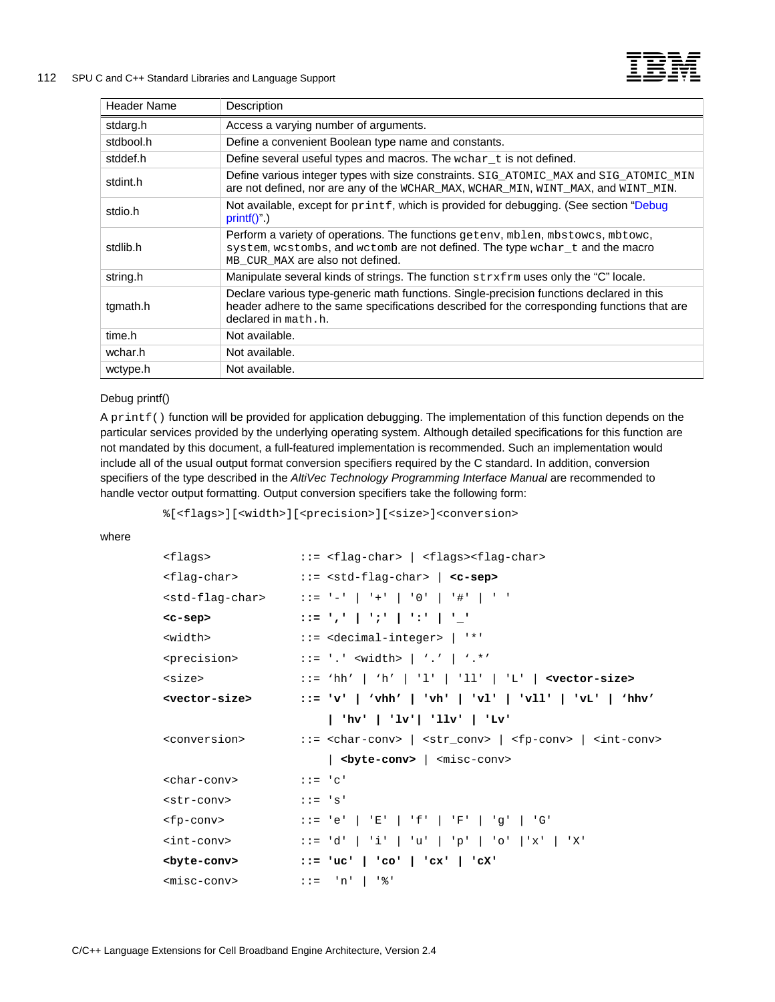### 112 SPU C and C++ Standard Libraries and Language Support



| <b>Header Name</b> | Description                                                                                                                                                                                                    |
|--------------------|----------------------------------------------------------------------------------------------------------------------------------------------------------------------------------------------------------------|
| stdarg.h           | Access a varying number of arguments.                                                                                                                                                                          |
| stdbool.h          | Define a convenient Boolean type name and constants.                                                                                                                                                           |
| stddef.h           | Define several useful types and macros. The wchar_t is not defined.                                                                                                                                            |
| stdint.h           | Define various integer types with size constraints. SIG_ATOMIC_MAX and SIG_ATOMIC_MIN<br>are not defined, nor are any of the WCHAR_MAX, WCHAR_MIN, WINT_MAX, and WINT_MIN.                                     |
| stdio.h            | Not available, except for printf, which is provided for debugging. (See section "Debug"<br>$print()$ ".)                                                                                                       |
| stdlib.h           | Perform a variety of operations. The functions geteny, mblen, mbstowes, mbtowe,<br>system, westombs, and wetomb are not defined. The type wehar $t$ and the macro<br>MB CUR MAX are also not defined.          |
| string.h           | Manipulate several kinds of strings. The function strxfrm uses only the "C" locale.                                                                                                                            |
| tgmath.h           | Declare various type-generic math functions. Single-precision functions declared in this<br>header adhere to the same specifications described for the corresponding functions that are<br>declared in math.h. |
| time.h             | Not available.                                                                                                                                                                                                 |
| wchar.h            | Not available.                                                                                                                                                                                                 |
| wctype.h           | Not available.                                                                                                                                                                                                 |

### Debug printf()

A printf() function will be provided for application debugging. The implementation of this function depends on the particular services provided by the underlying operating system. Although detailed specifications for this function are not mandated by this document, a full-featured implementation is recommended. Such an implementation would include all of the usual output format conversion specifiers required by the C standard. In addition, conversion specifiers of the type described in the *AltiVec Technology Programming Interface Manual* are recommended to handle vector output formatting. Output conversion specifiers take the following form:

### %[<flags>][<width>][<precision>][<size>]<conversion>

where

| <flags></flags>                 |            | $::=$ <flag-char> <math> </math> <flags><flag-char></flag-char></flags></flag-char>                                                        |
|---------------------------------|------------|--------------------------------------------------------------------------------------------------------------------------------------------|
| <flag-char></flag-char>         |            | $::=$ <std-flag-char> <math> </math> <c-sep></c-sep></std-flag-char>                                                                       |
| <std-flag-char></std-flag-char> |            | ::= '-'   '+'   '0'   '#'   ' '                                                                                                            |
| <c-sep></c-sep>                 |            | ::= ','   ';'   ':'   '_'                                                                                                                  |
| <width></width>                 |            | ::= <decimal-integer>   '*'</decimal-integer>                                                                                              |
| <precision></precision>         |            | $::=$ '.' <width>   '.'   '.*'</width>                                                                                                     |
| <size></size>                   |            | $::=$ 'hh'   'h'   'l'   'll'   'L'   <vector-size></vector-size>                                                                          |
| <vector-size></vector-size>     |            | ::= 'v'   'vhh'   'vh'   'vl'   'vll'   'vL'   'hhv'                                                                                       |
|                                 |            | 'hv'   'lv'  'llv'   'Lv'                                                                                                                  |
| <conversion></conversion>       |            | $::=$ <char-conv> <math> </math> <str_conv> <math> </math> <fp-conv> <math> </math> <int-conv></int-conv></fp-conv></str_conv></char-conv> |
|                                 |            | $\vert$<br><br><br><br><br><br><misc-conv></misc-conv>                                                                                     |
| <char-conv></char-conv>         | $: := 'C'$ |                                                                                                                                            |
| <str-conv></str-conv>           | $: := 's'$ |                                                                                                                                            |
| <fp-conv></fp-conv>             |            | ::= 'e'   'E'   'f'   'F'   'g'   'G'                                                                                                      |
| <int-conv></int-conv>           |            | ::= 'd'   'i'   'u'   'p'   'o'  'x'   'X'                                                                                                 |
| <br>byte-conv>                  |            | ::= 'uc'   'co'   'cx'   'cX'                                                                                                              |
| $missc-conv$                    |            | $: := 'n'   '$                                                                                                                             |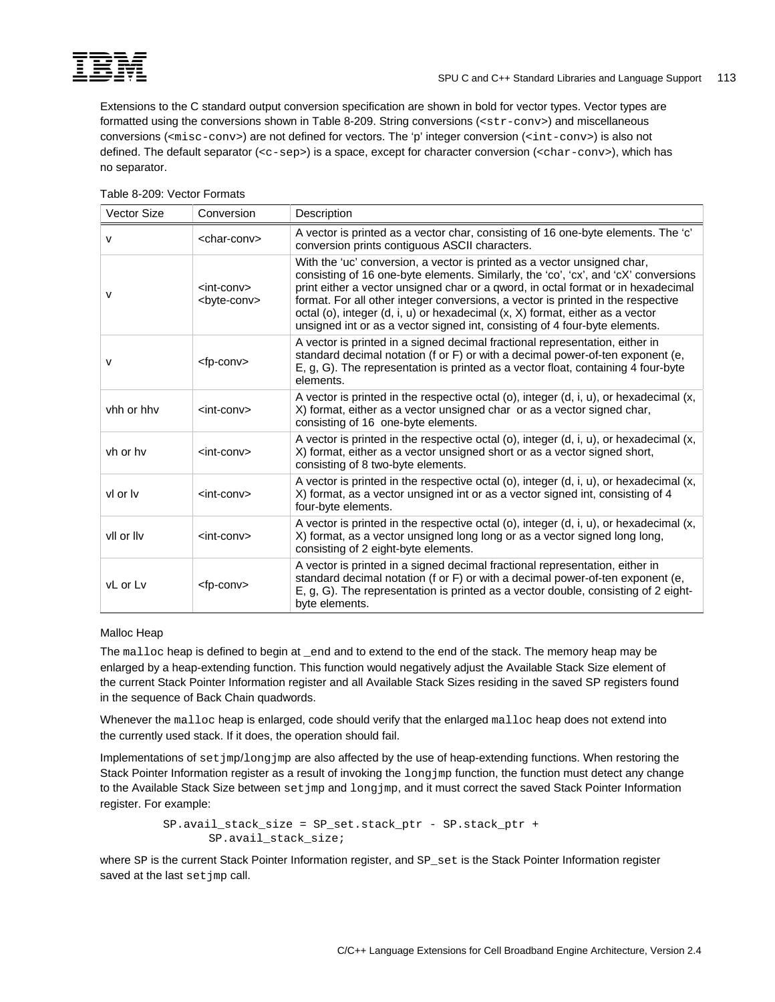

Extensions to the C standard output conversion specification are shown in bold for vector types. Vector types are formatted using the conversions shown in Table 8-209. String conversions (<str-conv>) and miscellaneous conversions ( $\langle \text{miss-conv}\rangle$ ) are not defined for vectors. The 'p' integer conversion ( $\langle \text{int-conv}\rangle$ ) is also not defined. The default separator (<c-sep>) is a space, except for character conversion (<char-conv>), which has no separator.

|  | Table 8-209: Vector Formats |
|--|-----------------------------|
|--|-----------------------------|

| <b>Vector Size</b> | Conversion                                        | Description                                                                                                                                                                                                                                                                                                                                                                                                                                                                                              |
|--------------------|---------------------------------------------------|----------------------------------------------------------------------------------------------------------------------------------------------------------------------------------------------------------------------------------------------------------------------------------------------------------------------------------------------------------------------------------------------------------------------------------------------------------------------------------------------------------|
| v                  | <char-conv></char-conv>                           | A vector is printed as a vector char, consisting of 16 one-byte elements. The 'c'<br>conversion prints contiguous ASCII characters.                                                                                                                                                                                                                                                                                                                                                                      |
| v                  | <int-conv><br/><bvte-conv></bvte-conv></int-conv> | With the 'uc' conversion, a vector is printed as a vector unsigned char,<br>consisting of 16 one-byte elements. Similarly, the 'co', 'cx', and 'cX' conversions<br>print either a vector unsigned char or a qword, in octal format or in hexadecimal<br>format. For all other integer conversions, a vector is printed in the respective<br>octal (o), integer (d, i, u) or hexadecimal (x, X) format, either as a vector<br>unsigned int or as a vector signed int, consisting of 4 four-byte elements. |
| v                  | <fp-conv></fp-conv>                               | A vector is printed in a signed decimal fractional representation, either in<br>standard decimal notation (f or F) or with a decimal power-of-ten exponent (e,<br>E, g, G). The representation is printed as a vector float, containing 4 four-byte<br>elements.                                                                                                                                                                                                                                         |
| vhh or hhv         | <int-conv></int-conv>                             | A vector is printed in the respective octal (o), integer (d, i, u), or hexadecimal (x,<br>X) format, either as a vector unsigned char or as a vector signed char,<br>consisting of 16 one-byte elements.                                                                                                                                                                                                                                                                                                 |
| vh or hv           | <int-conv></int-conv>                             | A vector is printed in the respective octal (o), integer $(d, i, u)$ , or hexadecimal $(x,$<br>X) format, either as a vector unsigned short or as a vector signed short,<br>consisting of 8 two-byte elements.                                                                                                                                                                                                                                                                                           |
| vl or lv           | <int-conv></int-conv>                             | A vector is printed in the respective octal (o), integer (d, i, u), or hexadecimal (x,<br>X) format, as a vector unsigned int or as a vector signed int, consisting of 4<br>four-byte elements.                                                                                                                                                                                                                                                                                                          |
| vil or liv         | <int-conv></int-conv>                             | A vector is printed in the respective octal (o), integer (d, i, u), or hexadecimal (x,<br>X) format, as a vector unsigned long long or as a vector signed long long,<br>consisting of 2 eight-byte elements.                                                                                                                                                                                                                                                                                             |
| vL or Lv           | <fp-conv></fp-conv>                               | A vector is printed in a signed decimal fractional representation, either in<br>standard decimal notation (f or F) or with a decimal power-of-ten exponent (e,<br>E, g, G). The representation is printed as a vector double, consisting of 2 eight-<br>byte elements.                                                                                                                                                                                                                                   |

### Malloc Heap

The malloc heap is defined to begin at \_end and to extend to the end of the stack. The memory heap may be enlarged by a heap-extending function. This function would negatively adjust the Available Stack Size element of the current Stack Pointer Information register and all Available Stack Sizes residing in the saved SP registers found in the sequence of Back Chain quadwords.

Whenever the malloc heap is enlarged, code should verify that the enlarged malloc heap does not extend into the currently used stack. If it does, the operation should fail.

Implementations of setjmp/longjmp are also affected by the use of heap-extending functions. When restoring the Stack Pointer Information register as a result of invoking the longjmp function, the function must detect any change to the Available Stack Size between set jmp and long jmp, and it must correct the saved Stack Pointer Information register. For example:

> SP.avail\_stack\_size = SP\_set.stack\_ptr - SP.stack\_ptr + SP.avail\_stack\_size;

where SP is the current Stack Pointer Information register, and SP\_set is the Stack Pointer Information register saved at the last set jmp call.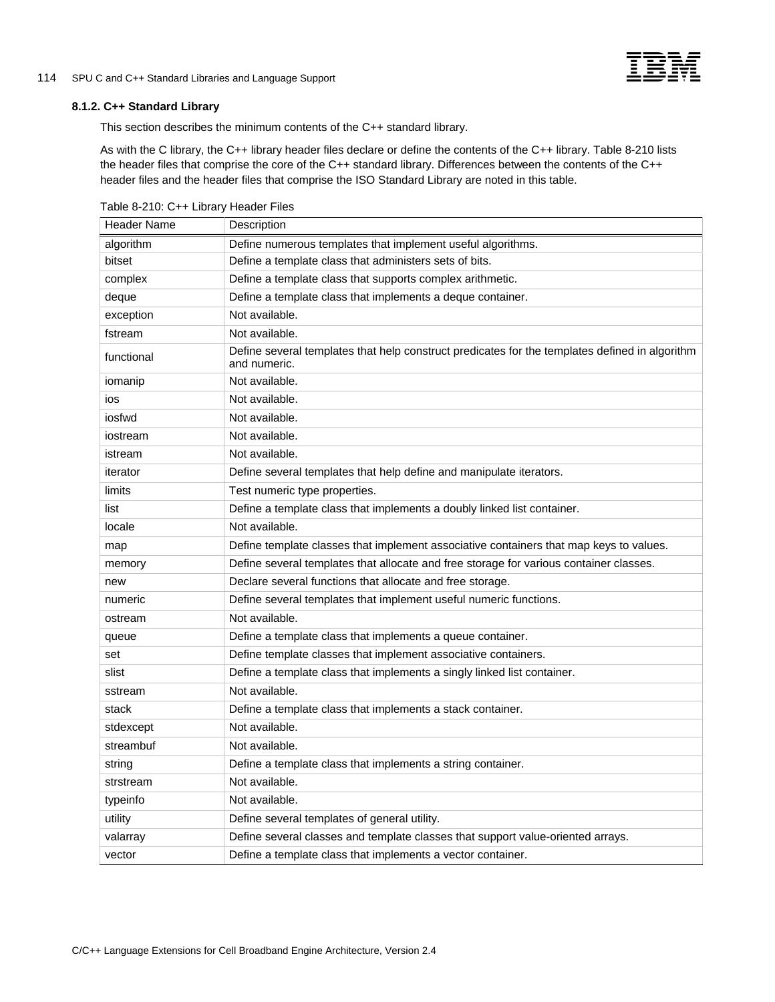### 114 SPU C and C++ Standard Libraries and Language Support



### **8.1.2. C++ Standard Library**

This section describes the minimum contents of the C++ standard library.

As with the C library, the C++ library header files declare or define the contents of the C++ library. Table 8-210 lists the header files that comprise the core of the C++ standard library. Differences between the contents of the C++ header files and the header files that comprise the ISO Standard Library are noted in this table.

| Table 8-210: C++ Library Header Files |  |  |  |  |
|---------------------------------------|--|--|--|--|
|---------------------------------------|--|--|--|--|

| <b>Header Name</b> | Description                                                                                                    |
|--------------------|----------------------------------------------------------------------------------------------------------------|
| algorithm          | Define numerous templates that implement useful algorithms.                                                    |
| bitset             | Define a template class that administers sets of bits.                                                         |
| complex            | Define a template class that supports complex arithmetic.                                                      |
| deque              | Define a template class that implements a deque container.                                                     |
| exception          | Not available.                                                                                                 |
| fstream            | Not available.                                                                                                 |
| functional         | Define several templates that help construct predicates for the templates defined in algorithm<br>and numeric. |
| iomanip            | Not available.                                                                                                 |
| ios                | Not available.                                                                                                 |
| iosfwd             | Not available.                                                                                                 |
| iostream           | Not available.                                                                                                 |
| istream            | Not available.                                                                                                 |
| iterator           | Define several templates that help define and manipulate iterators.                                            |
| limits             | Test numeric type properties.                                                                                  |
| list               | Define a template class that implements a doubly linked list container.                                        |
| locale             | Not available.                                                                                                 |
| map                | Define template classes that implement associative containers that map keys to values.                         |
| memory             | Define several templates that allocate and free storage for various container classes.                         |
| new                | Declare several functions that allocate and free storage.                                                      |
| numeric            | Define several templates that implement useful numeric functions.                                              |
| ostream            | Not available.                                                                                                 |
| queue              | Define a template class that implements a queue container.                                                     |
| set                | Define template classes that implement associative containers.                                                 |
| slist              | Define a template class that implements a singly linked list container.                                        |
| sstream            | Not available.                                                                                                 |
| stack              | Define a template class that implements a stack container.                                                     |
| stdexcept          | Not available.                                                                                                 |
| streambuf          | Not available.                                                                                                 |
| string             | Define a template class that implements a string container.                                                    |
| strstream          | Not available.                                                                                                 |
| typeinfo           | Not available.                                                                                                 |
| utility            | Define several templates of general utility.                                                                   |
| valarray           | Define several classes and template classes that support value-oriented arrays.                                |
| vector             | Define a template class that implements a vector container.                                                    |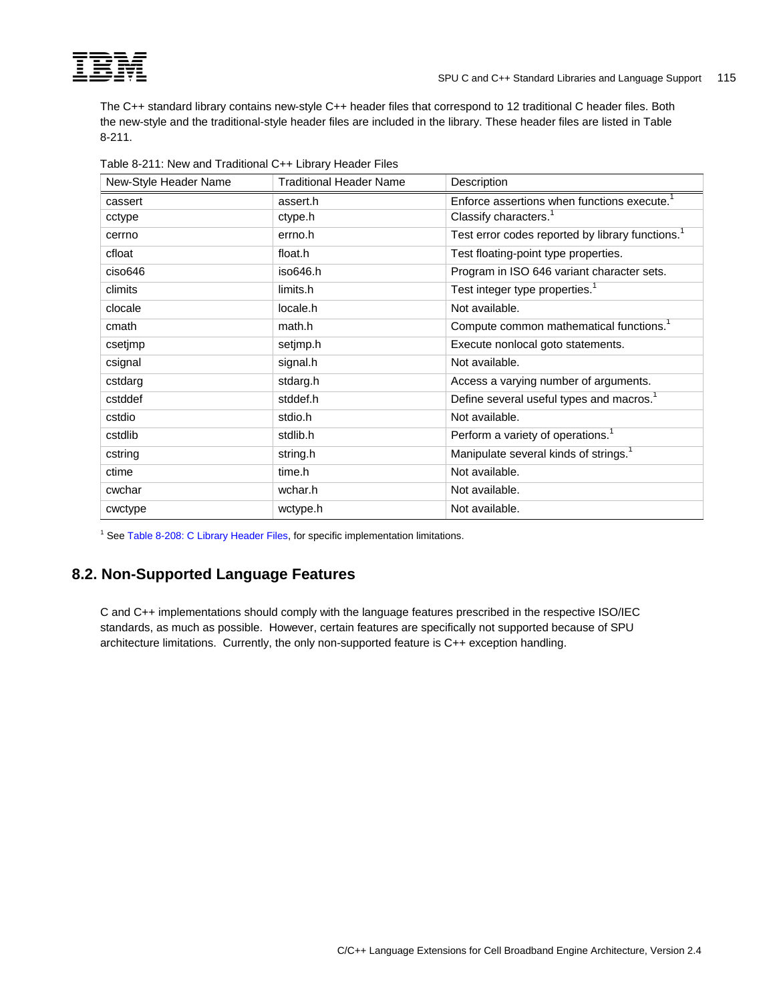

The C++ standard library contains new-style C++ header files that correspond to 12 traditional C header files. Both the new-style and the traditional-style header files are included in the library. These header files are listed in Table 8-211.

| New-Style Header Name | Traditional Header Name | Description                                                  |
|-----------------------|-------------------------|--------------------------------------------------------------|
| cassert               | assert.h                | Enforce assertions when functions execute.                   |
| cctype                | ctype.h                 | Classify characters.                                         |
| cerrno                | errno.h                 | Test error codes reported by library functions. <sup>1</sup> |
| cfloat                | float.h                 | Test floating-point type properties.                         |
| ciso646               | iso646.h                | Program in ISO 646 variant character sets.                   |
| climits               | limits.h                | Test integer type properties. <sup>1</sup>                   |
| clocale               | locale.h                | Not available.                                               |
| cmath                 | math.h                  | Compute common mathematical functions. <sup>1</sup>          |
| csetjmp               | setjmp.h                | Execute nonlocal goto statements.                            |
| csignal               | signal.h                | Not available.                                               |
| cstdarg               | stdarg.h                | Access a varying number of arguments.                        |
| cstddef               | stddef.h                | Define several useful types and macros. <sup>1</sup>         |
| cstdio                | stdio.h                 | Not available.                                               |
| cstdlib               | stdlib.h                | Perform a variety of operations. <sup>1</sup>                |
| cstring               | string.h                | Manipulate several kinds of strings. <sup>1</sup>            |
| ctime                 | time.h                  | Not available.                                               |
| cwchar                | wchar.h                 | Not available.                                               |
| cwctype               | wctype.h                | Not available.                                               |

| Table 8-211: New and Traditional C++ Library Header Files |  |  |
|-----------------------------------------------------------|--|--|
|-----------------------------------------------------------|--|--|

<sup>1</sup> See Table 8-208: C Library Header Files, for specific implementation limitations.

# **8.2. Non-Supported Language Features**

C and C++ implementations should comply with the language features prescribed in the respective ISO/IEC standards, as much as possible. However, certain features are specifically not supported because of SPU architecture limitations. Currently, the only non-supported feature is C++ exception handling.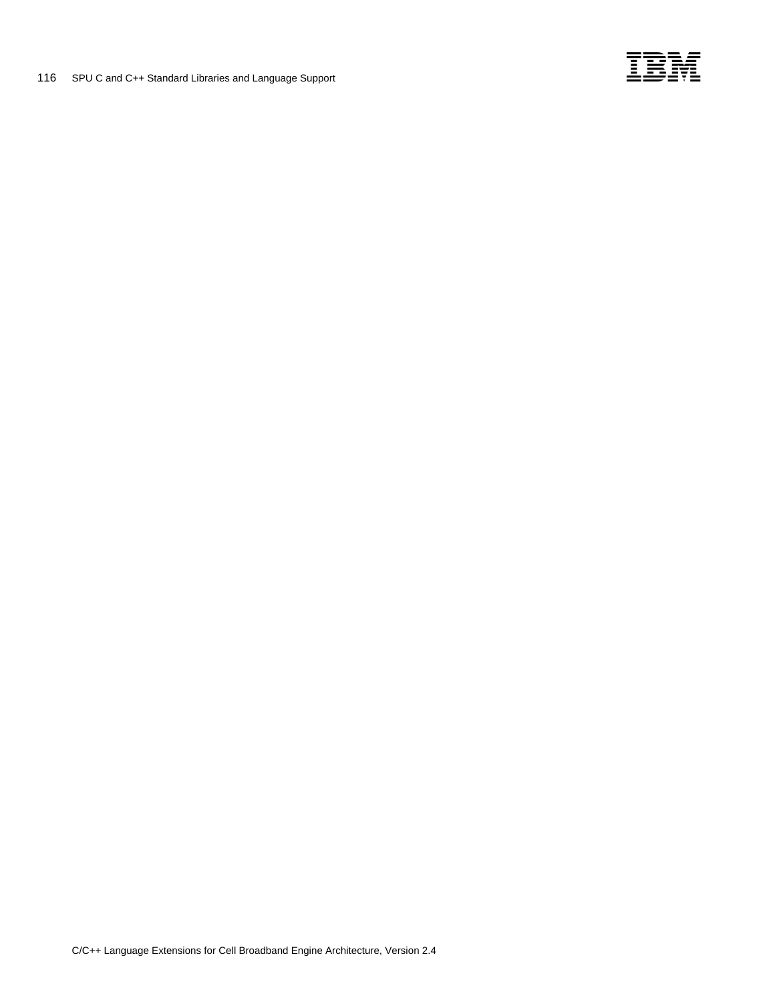116 SPU C and C++ Standard Libraries and Language Support -

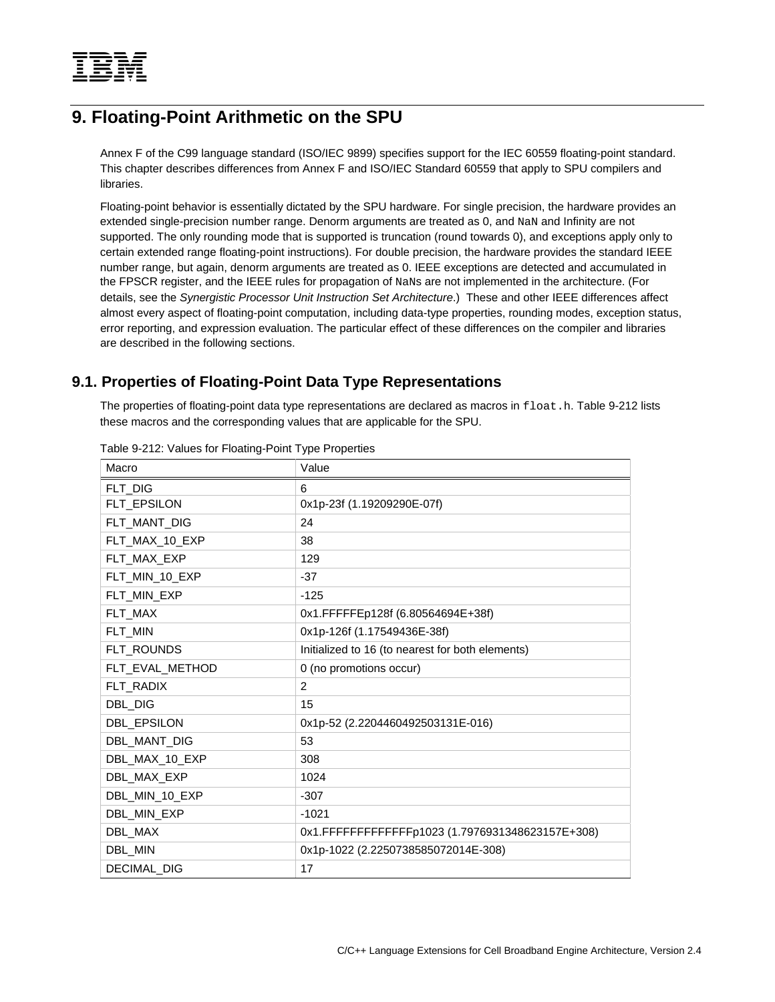

# **9. Floating-Point Arithmetic on the SPU**

Annex F of the C99 language standard (ISO/IEC 9899) specifies support for the IEC 60559 floating-point standard. This chapter describes differences from Annex F and ISO/IEC Standard 60559 that apply to SPU compilers and libraries.

Floating-point behavior is essentially dictated by the SPU hardware. For single precision, the hardware provides an extended single-precision number range. Denorm arguments are treated as 0, and NaN and Infinity are not supported. The only rounding mode that is supported is truncation (round towards 0), and exceptions apply only to certain extended range floating-point instructions). For double precision, the hardware provides the standard IEEE number range, but again, denorm arguments are treated as 0. IEEE exceptions are detected and accumulated in the FPSCR register, and the IEEE rules for propagation of NaNs are not implemented in the architecture. (For details, see the *Synergistic Processor Unit Instruction Set Architecture*.) These and other IEEE differences affect almost every aspect of floating-point computation, including data-type properties, rounding modes, exception status, error reporting, and expression evaluation. The particular effect of these differences on the compiler and libraries are described in the following sections.

## **9.1. Properties of Floating-Point Data Type Representations**

The properties of floating-point data type representations are declared as macros in float.h. Table 9-212 lists these macros and the corresponding values that are applicable for the SPU.

| Macro           | Value                                             |
|-----------------|---------------------------------------------------|
| FLT_DIG         | 6                                                 |
| FLT_EPSILON     | 0x1p-23f (1.19209290E-07f)                        |
| FLT_MANT_DIG    | 24                                                |
| FLT_MAX_10_EXP  | 38                                                |
| FLT MAX EXP     | 129                                               |
| FLT_MIN_10_EXP  | $-37$                                             |
| FLT_MIN_EXP     | $-125$                                            |
| FLT_MAX         | 0x1.FFFFFEp128f (6.80564694E+38f)                 |
| FLT_MIN         | 0x1p-126f (1.17549436E-38f)                       |
| FLT_ROUNDS      | Initialized to 16 (to nearest for both elements)  |
| FLT_EVAL_METHOD | 0 (no promotions occur)                           |
| FLT_RADIX       | $\overline{2}$                                    |
| DBL_DIG         | 15                                                |
| DBL_EPSILON     | 0x1p-52 (2.2204460492503131E-016)                 |
| DBL_MANT_DIG    | 53                                                |
| DBL_MAX_10_EXP  | 308                                               |
| DBL MAX EXP     | 1024                                              |
| DBL_MIN_10_EXP  | $-307$                                            |
| DBL_MIN_EXP     | $-1021$                                           |
| DBL_MAX         | 0x1.FFFFFFFFFFFFFFp1023 (1.7976931348623157E+308) |
| DBL_MIN         | 0x1p-1022 (2.2250738585072014E-308)               |
| DECIMAL_DIG     | 17                                                |

Table 9-212: Values for Floating-Point Type Properties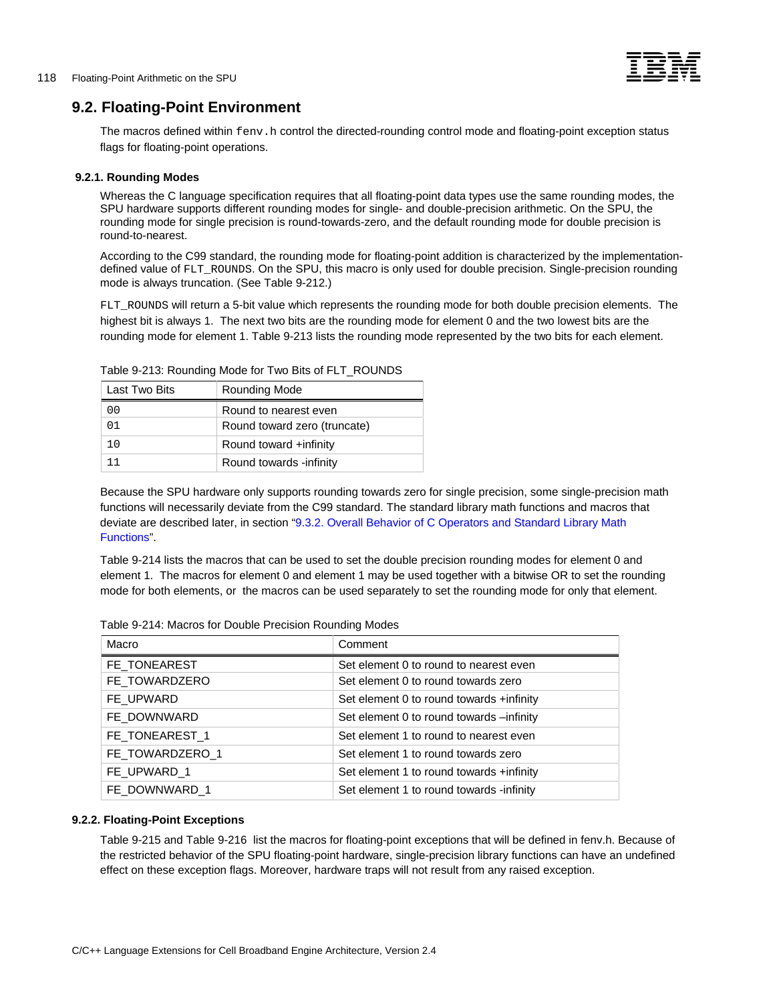

## **9.2. Floating-Point Environment**

The macros defined within fenv.h control the directed-rounding control mode and floating-point exception status flags for floating-point operations.

### **9.2.1. Rounding Modes**

Whereas the C language specification requires that all floating-point data types use the same rounding modes, the SPU hardware supports different rounding modes for single- and double-precision arithmetic. On the SPU, the rounding mode for single precision is round-towards-zero, and the default rounding mode for double precision is round-to-nearest.

According to the C99 standard, the rounding mode for floating-point addition is characterized by the implementationdefined value of FLT\_ROUNDS. On the SPU, this macro is only used for double precision. Single-precision rounding mode is always truncation. (See Table 9-212.)

FLT\_ROUNDS will return a 5-bit value which represents the rounding mode for both double precision elements. The highest bit is always 1. The next two bits are the rounding mode for element 0 and the two lowest bits are the rounding mode for element 1. Table 9-213 lists the rounding mode represented by the two bits for each element.

| Last Two Bits | Rounding Mode                |
|---------------|------------------------------|
| 00            | Round to nearest even        |
| 01            | Round toward zero (truncate) |
| 10            | Round toward +infinity       |
|               | Round towards -infinity      |

Table 9-213: Rounding Mode for Two Bits of FLT\_ROUNDS

Because the SPU hardware only supports rounding towards zero for single precision, some single-precision math functions will necessarily deviate from the C99 standard. The standard library math functions and macros that deviate are described later, in section "9.3.2. Overall Behavior of C Operators and Standard Library Math Functions".

Table 9-214 lists the macros that can be used to set the double precision rounding modes for element 0 and element 1. The macros for element 0 and element 1 may be used together with a bitwise OR to set the rounding mode for both elements, or the macros can be used separately to set the rounding mode for only that element.

| Macro           | Comment                                  |
|-----------------|------------------------------------------|
| FE TONEAREST    | Set element 0 to round to nearest even   |
| FE TOWARDZERO   | Set element 0 to round towards zero      |
| FE UPWARD       | Set element 0 to round towards +infinity |
| FE DOWNWARD     | Set element 0 to round towards -infinity |
| FE TONEAREST 1  | Set element 1 to round to nearest even   |
| FE TOWARDZERO 1 | Set element 1 to round towards zero      |
| FE UPWARD 1     | Set element 1 to round towards +infinity |
| FE DOWNWARD 1   | Set element 1 to round towards -infinity |

Table 9-214: Macros for Double Precision Rounding Modes

### **9.2.2. Floating-Point Exceptions**

Table 9-215 and Table 9-216 list the macros for floating-point exceptions that will be defined in fenv.h. Because of the restricted behavior of the SPU floating-point hardware, single-precision library functions can have an undefined effect on these exception flags. Moreover, hardware traps will not result from any raised exception.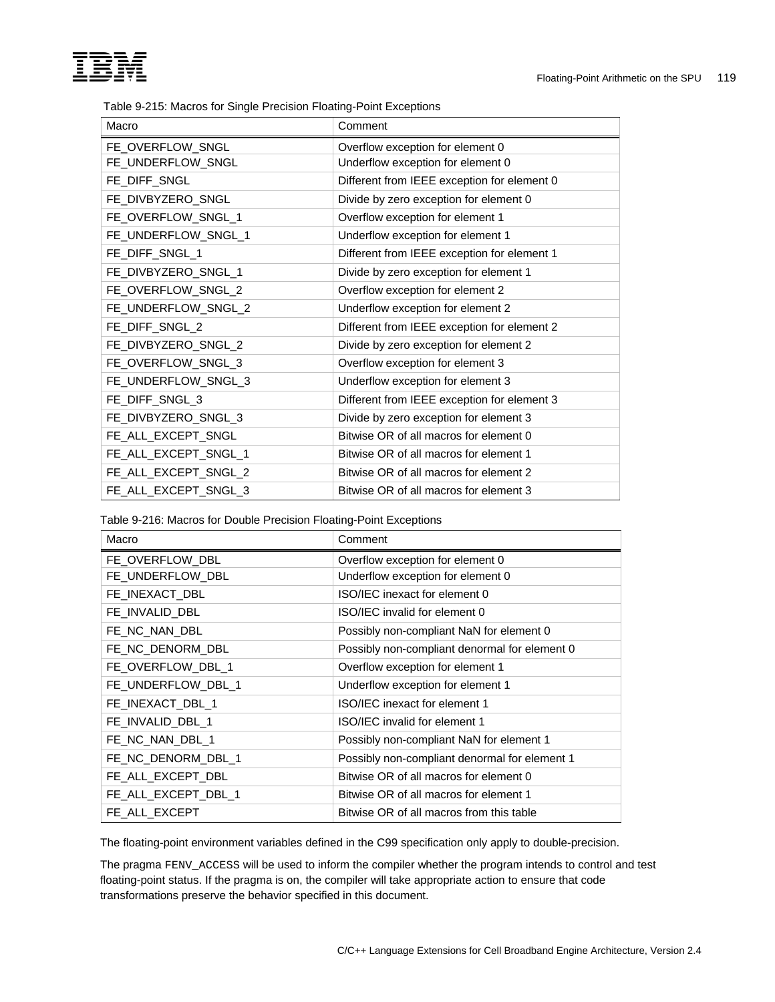

Table 9-215: Macros for Single Precision Floating-Point Exceptions

| Macro                | Comment                                     |
|----------------------|---------------------------------------------|
| FE_OVERFLOW_SNGL     | Overflow exception for element 0            |
| FE_UNDERFLOW_SNGL    | Underflow exception for element 0           |
| FE_DIFF_SNGL         | Different from IEEE exception for element 0 |
| FE_DIVBYZERO_SNGL    | Divide by zero exception for element 0      |
| FE_OVERFLOW_SNGL_1   | Overflow exception for element 1            |
| FE_UNDERFLOW_SNGL_1  | Underflow exception for element 1           |
| FE_DIFF_SNGL_1       | Different from IEEE exception for element 1 |
| FE_DIVBYZERO_SNGL_1  | Divide by zero exception for element 1      |
| FE_OVERFLOW_SNGL_2   | Overflow exception for element 2            |
| FE_UNDERFLOW_SNGL_2  | Underflow exception for element 2           |
| FE_DIFF_SNGL_2       | Different from IEEE exception for element 2 |
| FE_DIVBYZERO_SNGL_2  | Divide by zero exception for element 2      |
| FE_OVERFLOW_SNGL_3   | Overflow exception for element 3            |
| FE_UNDERFLOW_SNGL_3  | Underflow exception for element 3           |
| FE_DIFF_SNGL_3       | Different from IEEE exception for element 3 |
| FE_DIVBYZERO_SNGL_3  | Divide by zero exception for element 3      |
| FE_ALL_EXCEPT_SNGL   | Bitwise OR of all macros for element 0      |
| FE_ALL_EXCEPT_SNGL_1 | Bitwise OR of all macros for element 1      |
| FE_ALL_EXCEPT_SNGL_2 | Bitwise OR of all macros for element 2      |
| FE_ALL_EXCEPT_SNGL_3 | Bitwise OR of all macros for element 3      |

Table 9-216: Macros for Double Precision Floating-Point Exceptions

| Macro               | Comment                                       |
|---------------------|-----------------------------------------------|
| FE OVERFLOW DBL     | Overflow exception for element 0              |
| FE UNDERFLOW DBL    | Underflow exception for element 0             |
| FE INEXACT DBL      | ISO/IEC inexact for element 0                 |
| FE INVALID DBL      | ISO/IEC invalid for element 0                 |
| FE_NC_NAN_DBL       | Possibly non-compliant NaN for element 0      |
| FE NC DENORM DBL    | Possibly non-compliant denormal for element 0 |
| FE_OVERFLOW_DBL_1   | Overflow exception for element 1              |
| FE UNDERFLOW DBL 1  | Underflow exception for element 1             |
| FE_INEXACT_DBL_1    | <b>ISO/IEC</b> inexact for element 1          |
| FE INVALID DBL 1    | <b>ISO/IEC</b> invalid for element 1          |
| FE NC NAN DBL 1     | Possibly non-compliant NaN for element 1      |
| FE NC DENORM DBL 1  | Possibly non-compliant denormal for element 1 |
| FE ALL EXCEPT DBL   | Bitwise OR of all macros for element 0        |
| FE ALL EXCEPT DBL 1 | Bitwise OR of all macros for element 1        |
| FE ALL EXCEPT       | Bitwise OR of all macros from this table      |

The floating-point environment variables defined in the C99 specification only apply to double-precision.

The pragma FENV\_ACCESS will be used to inform the compiler whether the program intends to control and test floating-point status. If the pragma is on, the compiler will take appropriate action to ensure that code transformations preserve the behavior specified in this document.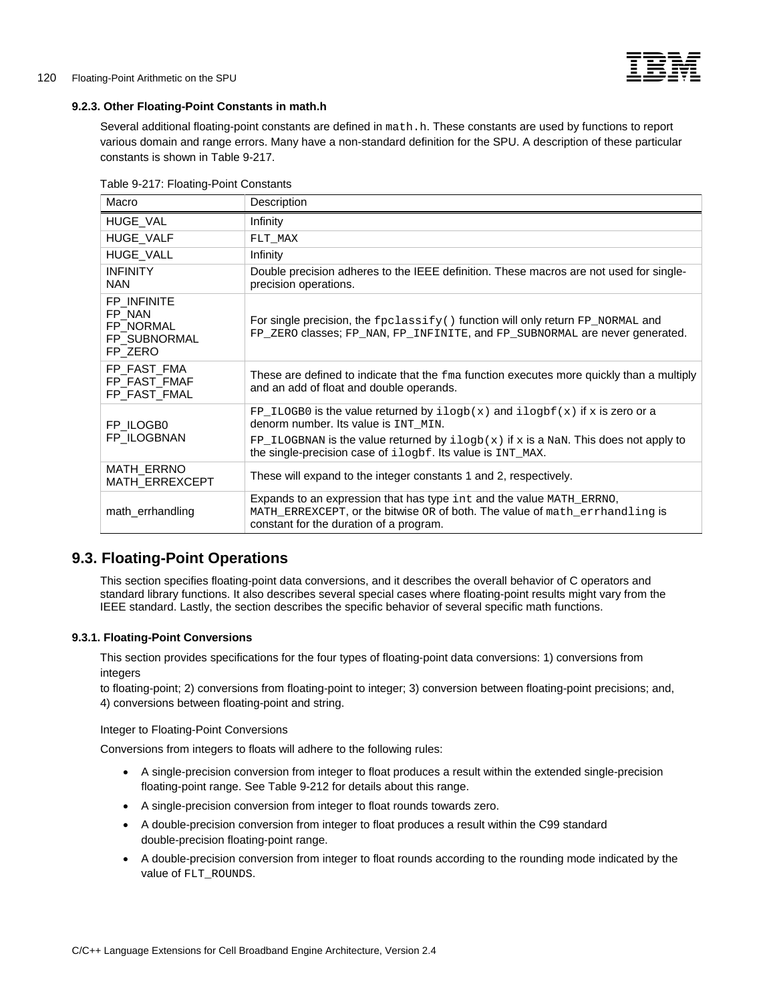

### **9.2.3. Other Floating-Point Constants in math.h**

Several additional floating-point constants are defined in math.h. These constants are used by functions to report various domain and range errors. Many have a non-standard definition for the SPU. A description of these particular constants is shown in Table 9-217.

| Macro                                                         | Description                                                                                                                                                                                    |
|---------------------------------------------------------------|------------------------------------------------------------------------------------------------------------------------------------------------------------------------------------------------|
| HUGE_VAL                                                      | Infinity                                                                                                                                                                                       |
| HUGE_VALF                                                     | FLT MAX                                                                                                                                                                                        |
| HUGE VALL                                                     | Infinity                                                                                                                                                                                       |
| <b>INFINITY</b><br><b>NAN</b>                                 | Double precision adheres to the IEEE definition. These macros are not used for single-<br>precision operations.                                                                                |
| FP INFINITE<br>FP NAN<br>FP NORMAL<br>FP SUBNORMAL<br>FP ZERO | For single precision, the $f_{\text{pclassify}}($ ) function will only return $FP$ NORMAL and<br>FP ZERO classes; FP NAN, FP INFINITE, and FP SUBNORMAL are never generated.                   |
| FP FAST FMA<br>FP FAST FMAF<br>FP_FAST_FMAL                   | These are defined to indicate that the fma function executes more quickly than a multiply<br>and an add of float and double operands.                                                          |
| FP ILOGB0                                                     | $FP\_ILOGBO$ is the value returned by $ilogb(x)$ and $ilogbf(x)$ if x is zero or a<br>denorm number. Its value is INT MIN.                                                                     |
| FP ILOGBNAN                                                   | $FP\_ILOGBNAN$ is the value returned by $ilogb(x)$ if x is a NaN. This does not apply to<br>the single-precision case of ilogbf. Its value is INT_MAX.                                         |
| <b>MATH ERRNO</b><br><b>MATH ERREXCEPT</b>                    | These will expand to the integer constants 1 and 2, respectively.                                                                                                                              |
| math_errhandling                                              | Expands to an expression that has type int and the value MATH_ERRNO,<br>MATH_ERREXCEPT, or the bitwise OR of both. The value of math_errhandling is<br>constant for the duration of a program. |

Table 9-217: Floating-Point Constants

### **9.3. Floating-Point Operations**

This section specifies floating-point data conversions, and it describes the overall behavior of C operators and standard library functions. It also describes several special cases where floating-point results might vary from the IEEE standard. Lastly, the section describes the specific behavior of several specific math functions.

### **9.3.1. Floating-Point Conversions**

This section provides specifications for the four types of floating-point data conversions: 1) conversions from integers

to floating-point; 2) conversions from floating-point to integer; 3) conversion between floating-point precisions; and, 4) conversions between floating-point and string.

Integer to Floating-Point Conversions

Conversions from integers to floats will adhere to the following rules:

- A single-precision conversion from integer to float produces a result within the extended single-precision floating-point range. See Table 9-212 for details about this range.
- A single-precision conversion from integer to float rounds towards zero.
- A double-precision conversion from integer to float produces a result within the C99 standard double-precision floating-point range.
- A double-precision conversion from integer to float rounds according to the rounding mode indicated by the value of FLT\_ROUNDS.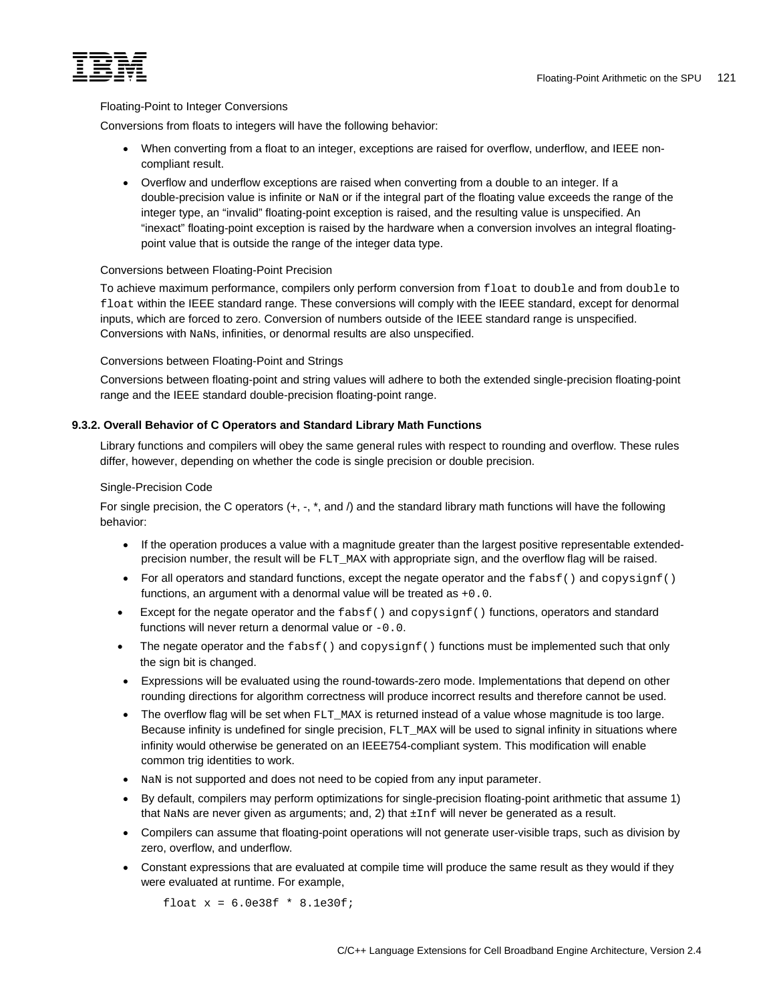

### Floating-Point to Integer Conversions

Conversions from floats to integers will have the following behavior:

- When converting from a float to an integer, exceptions are raised for overflow, underflow, and IEEE noncompliant result.
- Overflow and underflow exceptions are raised when converting from a double to an integer. If a double-precision value is infinite or NaN or if the integral part of the floating value exceeds the range of the integer type, an "invalid" floating-point exception is raised, and the resulting value is unspecified. An "inexact" floating-point exception is raised by the hardware when a conversion involves an integral floatingpoint value that is outside the range of the integer data type.

### Conversions between Floating-Point Precision

To achieve maximum performance, compilers only perform conversion from float to double and from double to float within the IEEE standard range. These conversions will comply with the IEEE standard, except for denormal inputs, which are forced to zero. Conversion of numbers outside of the IEEE standard range is unspecified. Conversions with NaNs, infinities, or denormal results are also unspecified.

### Conversions between Floating-Point and Strings

Conversions between floating-point and string values will adhere to both the extended single-precision floating-point range and the IEEE standard double-precision floating-point range.

### **9.3.2. Overall Behavior of C Operators and Standard Library Math Functions**

Library functions and compilers will obey the same general rules with respect to rounding and overflow. These rules differ, however, depending on whether the code is single precision or double precision.

### Single-Precision Code

For single precision, the C operators (+, -, \*, and /) and the standard library math functions will have the following behavior:

- If the operation produces a value with a magnitude greater than the largest positive representable extendedprecision number, the result will be FLT\_MAX with appropriate sign, and the overflow flag will be raised.
- For all operators and standard functions, except the negate operator and the  $f = f \cdot f$  and  $g = f \cdot f$ functions, an argument with a denormal value will be treated as  $+0.0$ .
- Except for the negate operator and the fabsf() and copysignf() functions, operators and standard functions will never return a denormal value or -0.0.
- The negate operator and the fabsf() and copysignf() functions must be implemented such that only the sign bit is changed.
- Expressions will be evaluated using the round-towards-zero mode. Implementations that depend on other rounding directions for algorithm correctness will produce incorrect results and therefore cannot be used.
- The overflow flag will be set when FLT\_MAX is returned instead of a value whose magnitude is too large. Because infinity is undefined for single precision, FLT\_MAX will be used to signal infinity in situations where infinity would otherwise be generated on an IEEE754-compliant system. This modification will enable common trig identities to work.
- NaN is not supported and does not need to be copied from any input parameter.
- By default, compilers may perform optimizations for single-precision floating-point arithmetic that assume 1) that NaNs are never given as arguments; and, 2) that  $\pm$ Inf will never be generated as a result.
- Compilers can assume that floating-point operations will not generate user-visible traps, such as division by zero, overflow, and underflow.
- Constant expressions that are evaluated at compile time will produce the same result as they would if they were evaluated at runtime. For example,

float  $x = 6.0e38f * 8.1e30f$ ;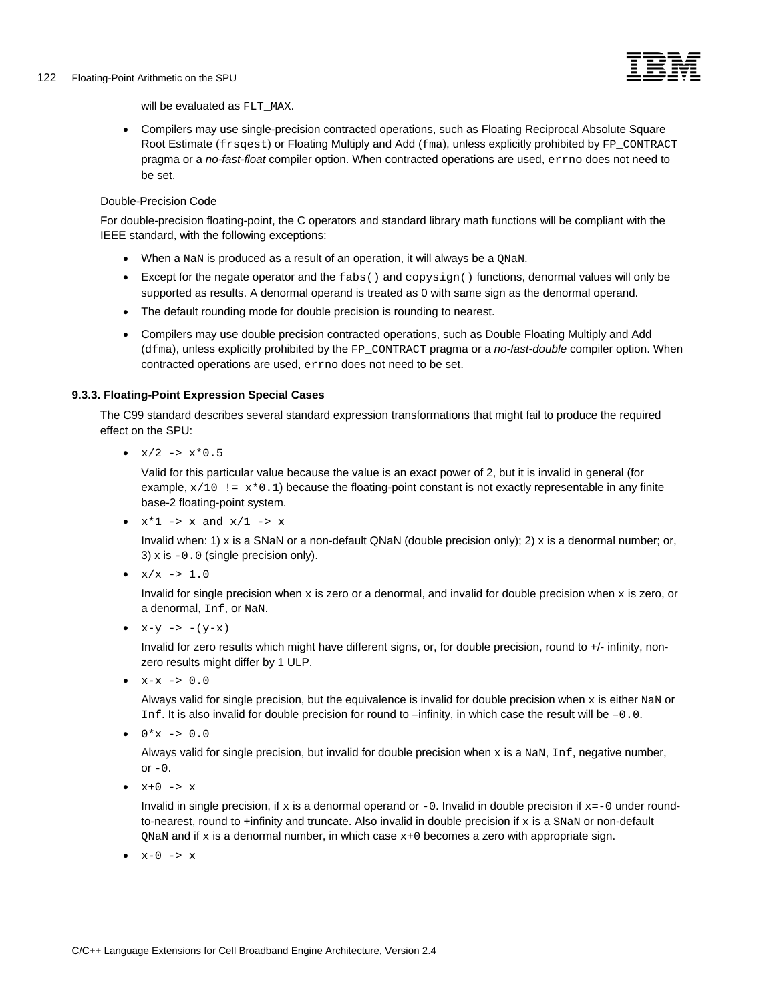

will be evaluated as FLT\_MAX.

• Compilers may use single-precision contracted operations, such as Floating Reciprocal Absolute Square Root Estimate (frsqest) or Floating Multiply and Add (fma), unless explicitly prohibited by FP\_CONTRACT pragma or a *no-fast-float* compiler option. When contracted operations are used, errno does not need to be set.

### Double-Precision Code

For double-precision floating-point, the C operators and standard library math functions will be compliant with the IEEE standard, with the following exceptions:

- When a NaN is produced as a result of an operation, it will always be a QNaN.
- Except for the negate operator and the  $fabs()$  and  $copysign()$  functions, denormal values will only be supported as results. A denormal operand is treated as 0 with same sign as the denormal operand.
- The default rounding mode for double precision is rounding to nearest.
- Compilers may use double precision contracted operations, such as Double Floating Multiply and Add (dfma), unless explicitly prohibited by the FP\_CONTRACT pragma or a *no-fast-double* compiler option. When contracted operations are used, errno does not need to be set.

### **9.3.3. Floating-Point Expression Special Cases**

The C99 standard describes several standard expression transformations that might fail to produce the required effect on the SPU:

•  $x/2 \rightarrow x*0.5$ 

Valid for this particular value because the value is an exact power of 2, but it is invalid in general (for example,  $x/10$  !=  $x*0.1$ ) because the floating-point constant is not exactly representable in any finite base-2 floating-point system.

•  $x*1 \rightarrow x$  and  $x/1 \rightarrow x$ 

Invalid when: 1) x is a SNaN or a non-default QNaN (double precision only); 2) x is a denormal number; or, 3)  $x$  is  $-0.0$  (single precision only).

•  $x/x \to 1.0$ 

Invalid for single precision when  $x$  is zero or a denormal, and invalid for double precision when  $x$  is zero, or a denormal, Inf, or NaN.

•  $x-y \rightarrow -(y-x)$ 

Invalid for zero results which might have different signs, or, for double precision, round to +/- infinity, nonzero results might differ by 1 ULP.

•  $x-x \to 0.0$ 

Always valid for single precision, but the equivalence is invalid for double precision when  $x$  is either NaN or Inf. It is also invalid for double precision for round to –infinity, in which case the result will be  $-0.0$ .

 $0^* \times -20.0$ 

Always valid for single precision, but invalid for double precision when  $x$  is a NaN, Inf, negative number,  $or -0$ 

 $\bullet$   $x+0 \rightarrow x$ 

Invalid in single precision, if x is a denormal operand or  $-0$ . Invalid in double precision if  $x=-0$  under roundto-nearest, round to +infinity and truncate. Also invalid in double precision if  $x$  is a SNaN or non-default  $QNAN$  and if x is a denormal number, in which case  $x+0$  becomes a zero with appropriate sign.

•  $x-0 \rightarrow x$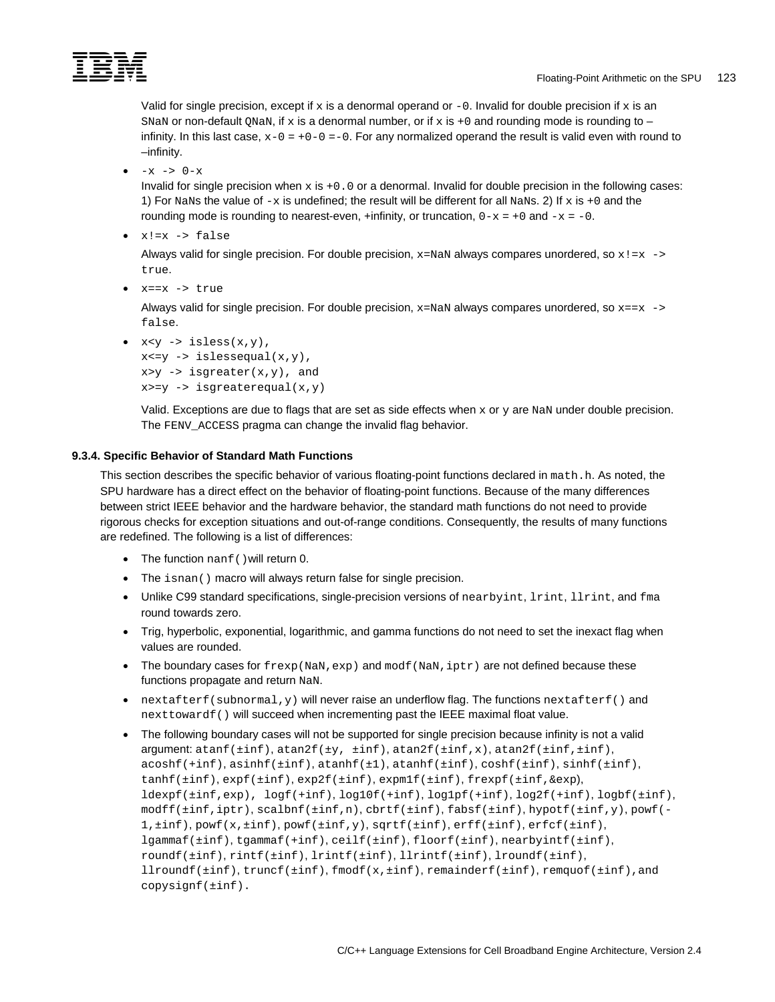

Valid for single precision, except if  $x$  is a denormal operand or -0. Invalid for double precision if  $x$  is an SNaN or non-default QNaN, if x is a denormal number, or if x is  $+0$  and rounding mode is rounding to – infinity. In this last case,  $x-0 = +0-0 = -0$ . For any normalized operand the result is valid even with round to –infinity.

 $\bullet$  -x -> 0-x

Invalid for single precision when  $x$  is  $+0.0$  or a denormal. Invalid for double precision in the following cases: 1) For NaNs the value of  $-x$  is undefined; the result will be different for all NaNs. 2) If  $x$  is +0 and the rounding mode is rounding to nearest-even, +infinity, or truncation,  $0-x = +0$  and  $-x = -0$ .

• x!=x -> false

Always valid for single precision. For double precision,  $x=NAN$  always compares unordered, so  $x!=x \rightarrow$ true.

•  $x == x -> true$ 

Always valid for single precision. For double precision,  $x=NaN$  always compares unordered, so  $x=x \rightarrow$ false.

•  $x < y \rightarrow isless(x,y)$ ,

```
x \le y \Rightarrow islessequal(x, y),
x>y \rightarrow isgreater(x,y), and
x \rightarrow y \rightarrow isqreatest equal(x,y)
```
Valid. Exceptions are due to flags that are set as side effects when  $x$  or  $y$  are NaN under double precision. The FENV\_ACCESS pragma can change the invalid flag behavior.

### **9.3.4. Specific Behavior of Standard Math Functions**

This section describes the specific behavior of various floating-point functions declared in math.h. As noted, the SPU hardware has a direct effect on the behavior of floating-point functions. Because of the many differences between strict IEEE behavior and the hardware behavior, the standard math functions do not need to provide rigorous checks for exception situations and out-of-range conditions. Consequently, the results of many functions are redefined. The following is a list of differences:

- The function  $nant()$  will return 0.
- The isnan() macro will always return false for single precision.
- Unlike C99 standard specifications, single-precision versions of nearbyint, lrint, llrint, and fma round towards zero.
- Trig, hyperbolic, exponential, logarithmic, and gamma functions do not need to set the inexact flag when values are rounded.
- The boundary cases for  $f_{\text{resp}}(NaN,exp)$  and  $modf(NaN,iptr)$  are not defined because these functions propagate and return NaN.
- nextafterf(subnormal,  $y$ ) will never raise an underflow flag. The functions  $nextafterf()$  and nexttowardf() will succeed when incrementing past the IEEE maximal float value.
- The following boundary cases will not be supported for single precision because infinity is not a valid argument:  $atanf(t)$ ,  $atan2f(t)$ ,  $\pm inf$ ,  $atan2f(t)$ ,  $atan2f(t)$ ,  $atan2f(t)$ ,  $atan2f(t)$ ,  $\pm inf$ , acoshf(+inf), asinhf(±inf), atanhf(±1), atanhf(±inf), coshf(±inf), sinhf(±inf), tanhf(±inf), expf(±inf), exp2f(±inf), expm1f(±inf), frexpf(±inf,&exp), ldexpf(±inf,exp), logf(+inf), log10f(+inf), log1pf(+inf), log2f(+inf), logbf(±inf), modff(±inf,iptr), scalbnf(±inf,n), cbrtf(±inf), fabsf(±inf), hypotf(±inf,y), powf(- 1,±inf), powf(x,±inf), powf(±inf,y), sqrtf(±inf), erff(±inf), erfcf(±inf), lgammaf(±inf), tgammaf(+inf), ceilf(±inf), floorf(±inf), nearbyintf(±inf), roundf(±inf), rintf(±inf), lrintf(±inf), llrintf(±inf), lroundf(±inf), llroundf(±inf), truncf(±inf), fmodf(x,±inf), remainderf(±inf), remquof(±inf),and copysignf(±inf).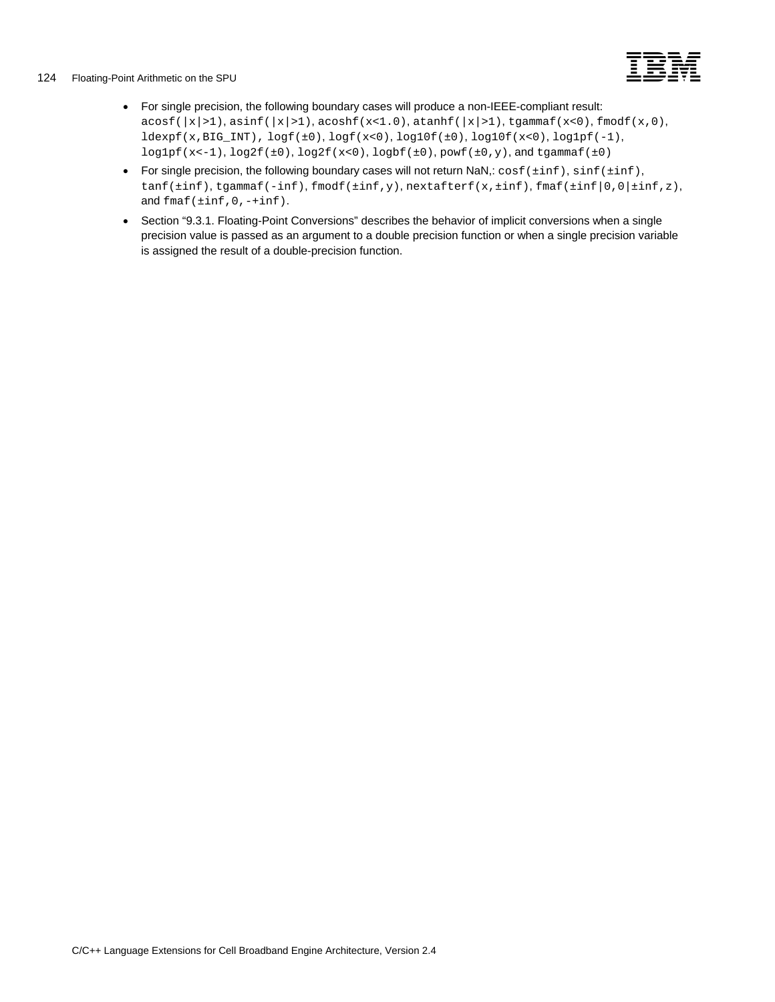

- For single precision, the following boundary cases will produce a non-IEEE-compliant result:  $\texttt{acost}(\vert x\vert >1), \texttt{asinf}(\vert x\vert >1), \texttt{acostf}(x<1.0), \texttt{atanhf}(\vert x\vert >1), \texttt{tgamma}(x<0), \texttt{fmodf}(x,0),$  $ldegree(x,BIG_INT)$ ,  $logf(t0)$ ,  $logf(x<0)$ ,  $log10f(t0)$ ,  $log10f(x<0)$ ,  $log10f(-1)$ ,  $log1pf(x<-1)$ ,  $log2f(t0)$ ,  $log2f(x<0)$ ,  $logbf(t0)$ ,  $powf(t0,y)$ , and  $tgamma(t0)$
- For single precision, the following boundary cases will not return NaN,:  $\cosh(\pm \inf)$ , sinf( $\pm \inf$ ), tanf( $\text{tinf}$ ), tgammaf(-inf), fmodf( $\text{tinf}$ , $\gamma$ ), nextafterf(x, $\text{tinf}$ ), fmaf( $\text{tinf}$ |0,0| $\text{tinf}$ ,z), and  $f$ maf( $\pm$ inf,0,- $\pm$ inf).
- Section "9.3.1. Floating-Point Conversions" describes the behavior of implicit conversions when a single precision value is passed as an argument to a double precision function or when a single precision variable is assigned the result of a double-precision function.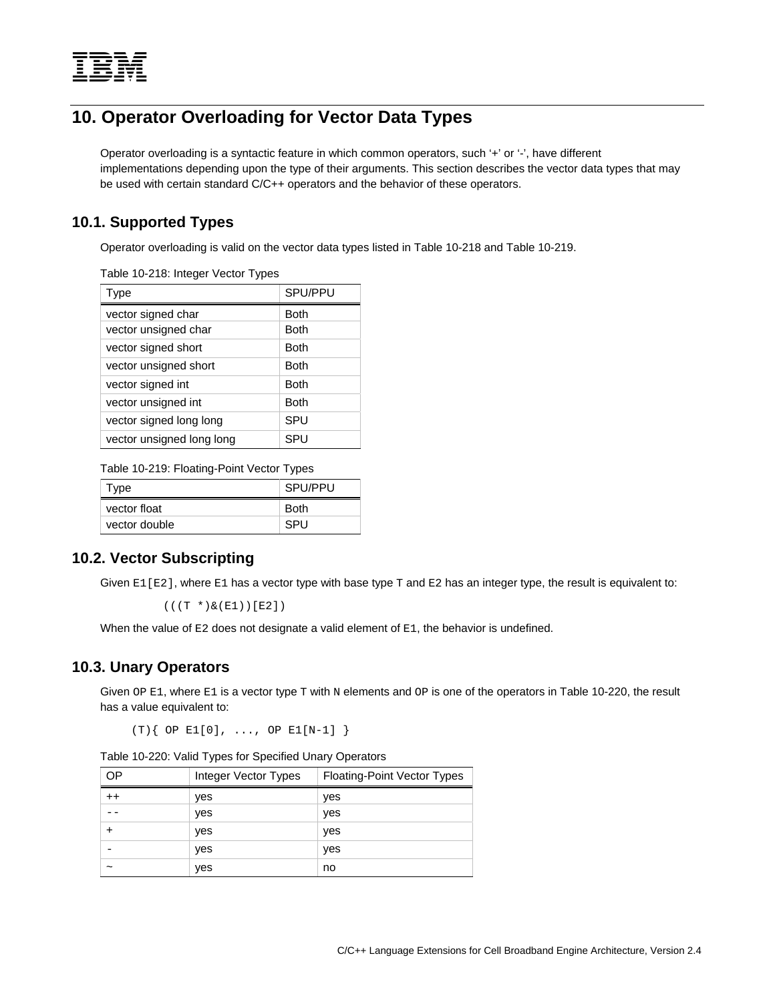

# **10. Operator Overloading for Vector Data Types**

Operator overloading is a syntactic feature in which common operators, such '+' or '-', have different implementations depending upon the type of their arguments. This section describes the vector data types that may be used with certain standard C/C++ operators and the behavior of these operators.

## **10.1. Supported Types**

Operator overloading is valid on the vector data types listed in Table 10-218 and Table 10-219.

Table 10-218: Integer Vector Types

| Type                      | SPU/PPU     |
|---------------------------|-------------|
| vector signed char        | <b>Both</b> |
| vector unsigned char      | Both        |
| vector signed short       | Both        |
| vector unsigned short     | Both        |
| vector signed int         | Both        |
| vector unsigned int       | Both        |
| vector signed long long   | SPU         |
| vector unsigned long long | SPU         |

Table 10-219: Floating-Point Vector Types

| Type          | SPU/PPU     |
|---------------|-------------|
| vector float  | <b>Both</b> |
| vector double | SPU         |

#### **10.2. Vector Subscripting**

Given  $E1[E2]$ , where  $E1$  has a vector type with base type T and  $E2$  has an integer type, the result is equivalent to:

```
(( (T * ) & (E1) ) [E2])
```
When the value of  $E2$  does not designate a valid element of  $E1$ , the behavior is undefined.

#### **10.3. Unary Operators**

Given OP  $E1$ , where  $E1$  is a vector type  $T$  with N elements and OP is one of the operators in Table 10-220, the result has a value equivalent to:

 $(T) {$  OP E1[0], ..., OP E1[N-1] }

| Table 10-220: Valid Types for Specified Unary Operators |  |  |  |
|---------------------------------------------------------|--|--|--|
|---------------------------------------------------------|--|--|--|

| DР         | Integer Vector Types | <b>Floating-Point Vector Types</b> |
|------------|----------------------|------------------------------------|
| $++$       | yes                  | yes                                |
|            | yes                  | yes                                |
|            | yes                  | yes                                |
|            | yes                  | yes                                |
| $\tilde{}$ | yes                  | no                                 |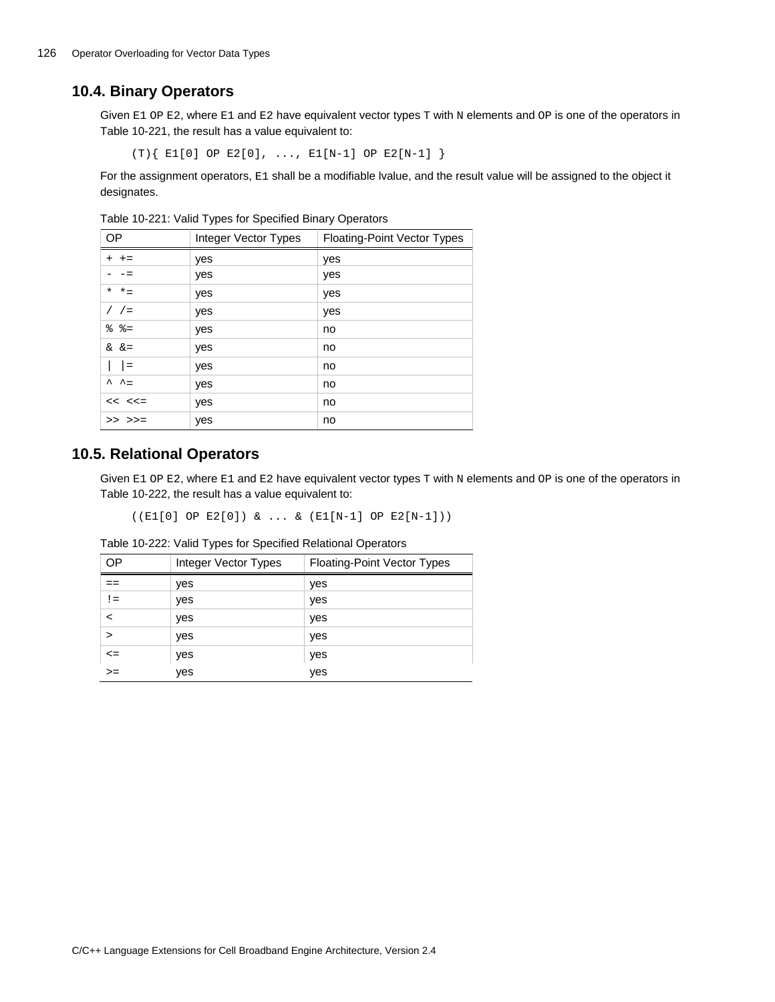## **10.4. Binary Operators**

Given  $E1$  OP  $E2$ , where  $E1$  and  $E2$  have equivalent vector types T with N elements and OP is one of the operators in Table 10-221, the result has a value equivalent to:

 $(T) { E1[0] OP E2[0], ..., E1[N-1] OP E2[N-1] }$ 

For the assignment operators, E1 shall be a modifiable lvalue, and the result value will be assigned to the object it designates.

| <b>OP</b>                     | Integer Vector Types | Floating-Point Vector Types |
|-------------------------------|----------------------|-----------------------------|
| $+ + =$                       | yes                  | yes                         |
| $=$                           | yes                  | yes                         |
| $*$ $*$ $=$                   | yes                  | yes                         |
| $/$ /=                        | yes                  | yes                         |
| $\frac{8}{6}$ $\frac{8}{6}$ = | yes                  | no                          |
| $\&\&=$                       | yes                  | no                          |
| $=$                           | yes                  | no                          |
| $\lambda \lambda_{\pm}$       | yes                  | no                          |
| $<< < < =$                    | yes                  | no                          |
| $>>$ >>=                      | yes                  | no                          |

Table 10-221: Valid Types for Specified Binary Operators

#### **10.5. Relational Operators**

Given E1 OP E2, where E1 and E2 have equivalent vector types T with N elements and OP is one of the operators in Table 10-222, the result has a value equivalent to:

((E1[0] OP E2[0]) & ... & (E1[N-1] OP E2[N-1]))

Table 10-222: Valid Types for Specified Relational Operators

| <b>OP</b>  | Integer Vector Types | <b>Floating-Point Vector Types</b> |
|------------|----------------------|------------------------------------|
| ==         | yes                  | yes                                |
| $!=$       | yes                  | yes                                |
| ≺          | yes                  | yes                                |
| >          | yes                  | yes                                |
| $\leq$ $=$ | yes                  | yes                                |
| $>=$       | yes                  | yes                                |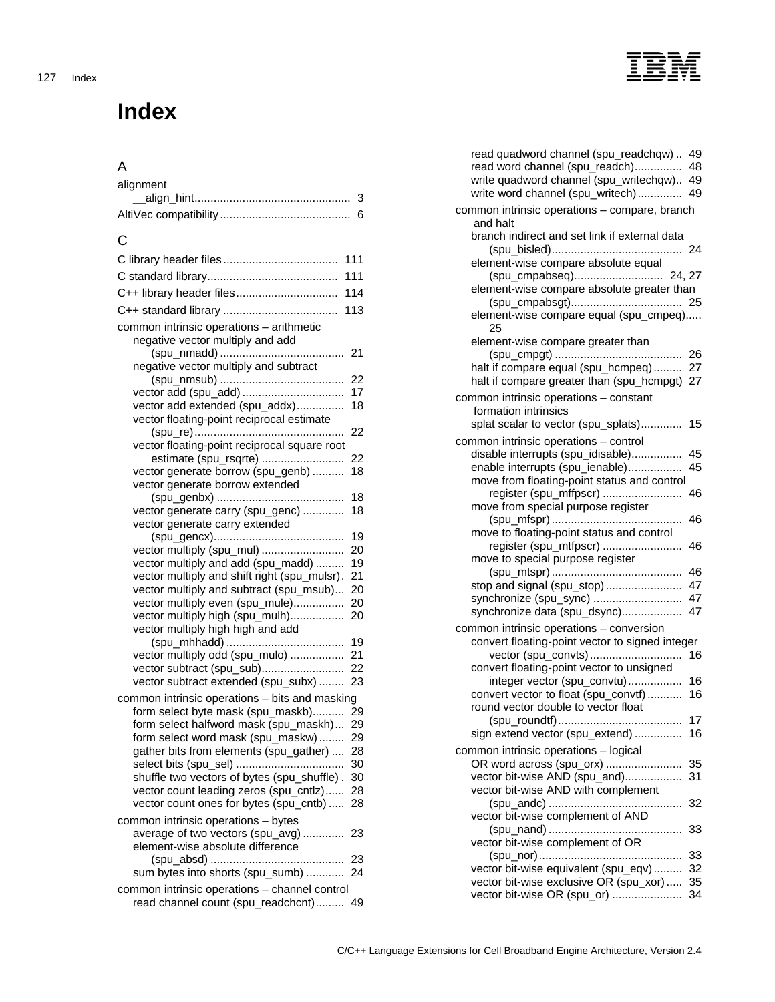

# **Index**

## A

| alignment |  |
|-----------|--|
|           |  |
|           |  |

## C

|                                                                    | 111 |
|--------------------------------------------------------------------|-----|
|                                                                    | 111 |
| C++ library header files                                           | 114 |
|                                                                    | 113 |
| common intrinsic operations - arithmetic                           |     |
| negative vector multiply and add                                   |     |
|                                                                    | 21  |
| negative vector multiply and subtract                              |     |
|                                                                    | 22  |
| vector add (spu_add)                                               | 17  |
| vector add extended (spu_addx)                                     | 18  |
| vector floating-point reciprocal estimate                          |     |
|                                                                    | 22  |
| vector floating-point reciprocal square root                       |     |
| estimate (spu_rsqrte)                                              | 22  |
| vector generate borrow (spu_genb)                                  | 18  |
| vector generate borrow extended                                    |     |
|                                                                    | 18  |
| vector generate carry (spu_genc)<br>vector generate carry extended | 18  |
|                                                                    | 19  |
| vector multiply (spu_mul)                                          | 20  |
| vector multiply and add (spu_madd)                                 | 19  |
| vector multiply and shift right (spu_mulsr).                       | 21  |
| vector multiply and subtract (spu_msub)                            | 20  |
| vector multiply even (spu_mule)                                    | 20  |
| vector multiply high (spu_mulh)                                    | 20  |
| vector multiply high high and add                                  |     |
|                                                                    | 19  |
| vector multiply odd (spu_mulo)                                     | 21  |
| vector subtract (spu_sub)                                          | 22  |
| vector subtract extended (spu_subx)                                | 23  |
| common intrinsic operations - bits and masking                     |     |
| form select byte mask (spu_maskb)                                  | 29  |
| form select halfword mask (spu_maskh)                              | 29  |
| form select word mask (spu_maskw)                                  | 29  |
| gather bits from elements (spu_gather)                             | 28  |
|                                                                    | 30  |
| shuffle two vectors of bytes (spu_shuffle).                        | 30  |
| vector count leading zeros (spu_cntlz)                             | 28  |
| vector count ones for bytes (spu_cntb)                             | 28  |
| common intrinsic operations - bytes                                |     |
| average of two vectors (spu_avg)                                   | 23  |
| element-wise absolute difference                                   |     |
|                                                                    | 23  |
| sum bytes into shorts (spu_sumb)                                   | 24  |
| common intrinsic operations - channel control                      |     |
| read channel count (spu_readchcnt)                                 | 49  |

| read quadword channel (spu_readchqw)<br>read word channel (spu_readch)<br>write quadword channel (spu_writechqw)<br>write word channel (spu_writech) | 49<br>48<br>49<br>49 |
|------------------------------------------------------------------------------------------------------------------------------------------------------|----------------------|
| common intrinsic operations - compare, branch                                                                                                        |                      |
| and halt<br>branch indirect and set link if external data<br>element-wise compare absolute equal                                                     | 24                   |
|                                                                                                                                                      |                      |
| element-wise compare absolute greater than                                                                                                           |                      |
|                                                                                                                                                      | 25                   |
| element-wise compare equal (spu_cmpeq)<br>25                                                                                                         |                      |
| element-wise compare greater than                                                                                                                    |                      |
|                                                                                                                                                      | 26                   |
| halt if compare equal (spu_hcmpeq)                                                                                                                   | 27                   |
| halt if compare greater than (spu_hcmpgt)                                                                                                            | 27                   |
| common intrinsic operations - constant<br>formation intrinsics                                                                                       |                      |
| splat scalar to vector (spu_splats)                                                                                                                  | 15                   |
| common intrinsic operations - control                                                                                                                |                      |
| disable interrupts (spu_idisable)                                                                                                                    | 45                   |
| enable interrupts (spu_ienable)                                                                                                                      | 45                   |
| move from floating-point status and control                                                                                                          |                      |
| register (spu_mffpscr)                                                                                                                               | 46                   |
| move from special purpose register                                                                                                                   |                      |
|                                                                                                                                                      | 46                   |
| move to floating-point status and control                                                                                                            |                      |
| register (spu_mtfpscr)                                                                                                                               | 46                   |
| move to special purpose register                                                                                                                     | 46                   |
| stop and signal (spu_stop)                                                                                                                           | 47                   |
| synchronize (spu_sync)                                                                                                                               | 47                   |
| synchronize data (spu_dsync)                                                                                                                         | 47                   |
|                                                                                                                                                      |                      |
| common intrinsic operations - conversion                                                                                                             |                      |
| convert floating-point vector to signed integer                                                                                                      | 16                   |
| vector (spu_convts)<br>.<br>convert floating-point vector to unsigned                                                                                |                      |
| integer vector (spu_convtu)                                                                                                                          | 16                   |
| convert vector to float (spu_convtf)                                                                                                                 | 16                   |
| round vector double to vector float                                                                                                                  |                      |
|                                                                                                                                                      | 17                   |
| sign extend vector (spu_extend)                                                                                                                      | 16                   |
| common intrinsic operations - logical                                                                                                                |                      |
| OR word across (spu_orx)                                                                                                                             | 35                   |
| vector bit-wise AND (spu_and)                                                                                                                        | 31                   |
| vector bit-wise AND with complement                                                                                                                  |                      |
|                                                                                                                                                      | 32                   |
| vector bit-wise complement of AND                                                                                                                    |                      |
|                                                                                                                                                      | 33                   |
| vector bit-wise complement of OR                                                                                                                     |                      |
|                                                                                                                                                      | 33                   |
| vector bit-wise equivalent (spu_eqv)                                                                                                                 | 32                   |
| vector bit-wise exclusive OR (spu_xor)                                                                                                               | 35                   |
| vector bit-wise OR (spu_or)                                                                                                                          | 34                   |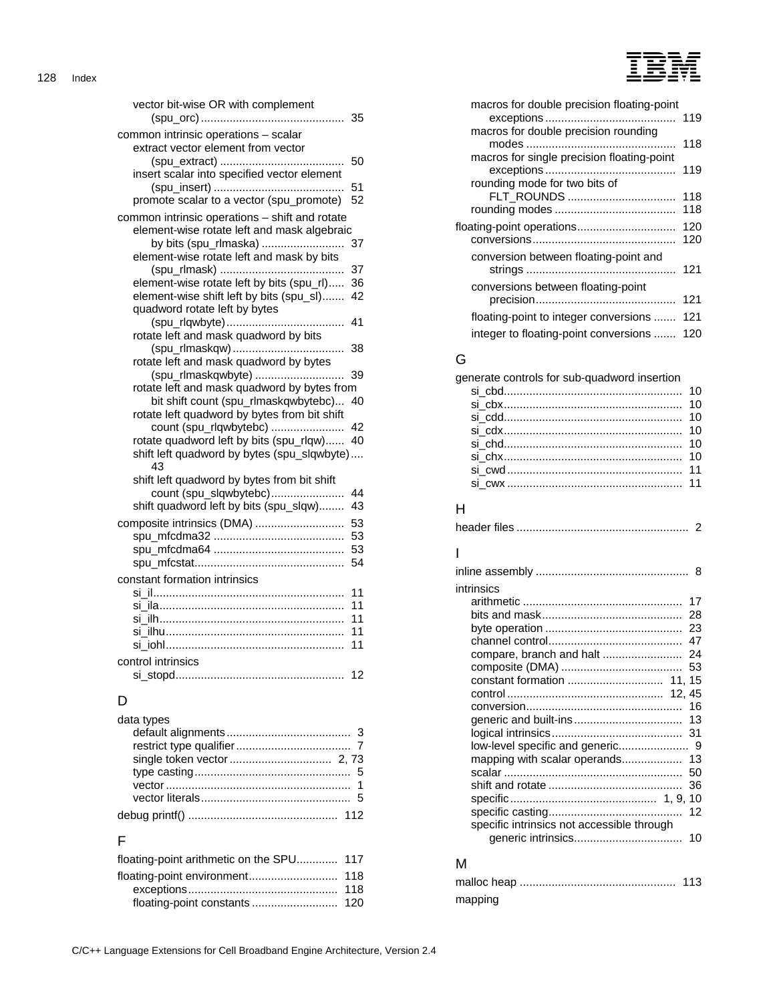

| vector bit-wise OR with complement                                                                                     |          |
|------------------------------------------------------------------------------------------------------------------------|----------|
| common intrinsic operations - scalar<br>extract vector element from vector                                             |          |
| insert scalar into specified vector element                                                                            | 50       |
| promote scalar to a vector (spu_promote)                                                                               | 51<br>52 |
| common intrinsic operations - shift and rotate<br>element-wise rotate left and mask algebraic<br>by bits (spu_rlmaska) | 37       |
| element-wise rotate left and mask by bits                                                                              | 37       |
| element-wise rotate left by bits (spu_rl)                                                                              | 36       |
| element-wise shift left by bits (spu_sl)                                                                               | 42       |
| quadword rotate left by bytes                                                                                          |          |
| rotate left and mask quadword by bits                                                                                  | 41       |
|                                                                                                                        | 38       |
| rotate left and mask quadword by bytes                                                                                 |          |
| (spu_rlmaskqwbyte)                                                                                                     | 39       |
| rotate left and mask quadword by bytes from                                                                            |          |
| bit shift count (spu_rlmaskqwbytebc)                                                                                   | 40       |
| rotate left quadword by bytes from bit shift<br>count (spu_rlqwbytebc)                                                 | 42       |
| rotate quadword left by bits (spu_rlqw)                                                                                | 40       |
| shift left quadword by bytes (spu_slqwbyte)                                                                            |          |
| 43<br>shift left quadword by bytes from bit shift                                                                      |          |
| count (spu_slqwbytebc)                                                                                                 | 44       |
| shift quadword left by bits (spu_slqw)                                                                                 | 43       |
| composite intrinsics (DMA)                                                                                             | 53       |
|                                                                                                                        | 53       |
|                                                                                                                        | 53       |
|                                                                                                                        | 54       |
| constant formation intrinsics                                                                                          |          |
|                                                                                                                        | 11       |
|                                                                                                                        | 11       |
|                                                                                                                        | 11       |
|                                                                                                                        | 11       |
|                                                                                                                        | 11       |
| control intrinsics                                                                                                     | 12       |
|                                                                                                                        |          |

## D

| data types |  |
|------------|--|
|            |  |
|            |  |
|            |  |
|            |  |
|            |  |
|            |  |
|            |  |

#### F

| floating-point arithmetic on the SPU 117 |  |
|------------------------------------------|--|
|                                          |  |
|                                          |  |
|                                          |  |
|                                          |  |

| macros for double precision floating-point |     |
|--------------------------------------------|-----|
|                                            | 119 |
| macros for double precision rounding       |     |
|                                            | 118 |
| macros for single precision floating-point |     |
|                                            | 119 |
| rounding mode for two bits of              |     |
| FLT ROUNDS                                 | 118 |
|                                            | 118 |
| floating-point operations                  | 120 |
|                                            | 120 |
| conversion between floating-point and      |     |
|                                            | 121 |
| conversions between floating-point         |     |
|                                            | 121 |
| floating-point to integer conversions      | 121 |
| integer to floating-point conversions      | 120 |

#### G

#### generate controls for sub-quadword insertion

## H

|--|--|--|

## I

| intrinsics                                 |    |
|--------------------------------------------|----|
|                                            | 17 |
|                                            | 28 |
|                                            | 23 |
|                                            | 47 |
| compare, branch and halt                   | 24 |
|                                            | 53 |
|                                            |    |
|                                            |    |
|                                            | 16 |
|                                            | 13 |
|                                            |    |
|                                            |    |
| mapping with scalar operands               | 13 |
|                                            | 50 |
|                                            | 36 |
|                                            |    |
|                                            | 12 |
| specific intrinsics not accessible through |    |
|                                            | 10 |
|                                            |    |

## M

| mapping |  |
|---------|--|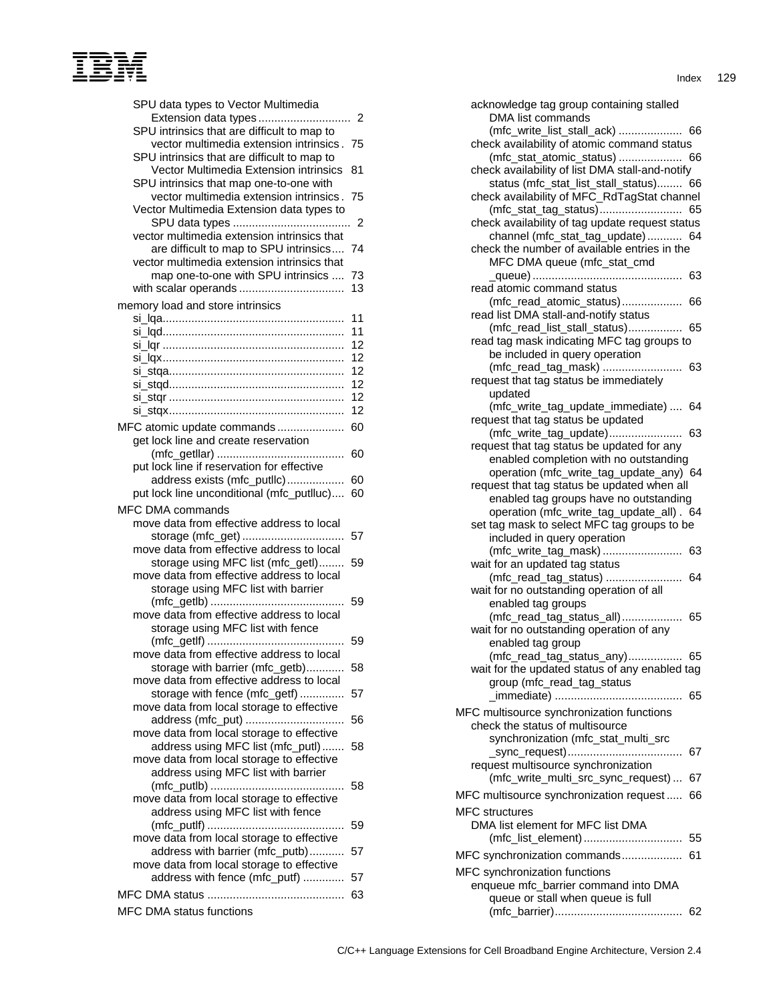

| SPU data types to Vector Multimedia                                                    |          |
|----------------------------------------------------------------------------------------|----------|
| Extension data types<br>.                                                              | 2        |
| SPU intrinsics that are difficult to map to                                            |          |
| vector multimedia extension intrinsics.<br>SPU intrinsics that are difficult to map to | 75       |
| Vector Multimedia Extension intrinsics                                                 | 81       |
| SPU intrinsics that map one-to-one with                                                |          |
| vector multimedia extension intrinsics.                                                | 75       |
| Vector Multimedia Extension data types to                                              |          |
| vector multimedia extension intrinsics that                                            | 2        |
| are difficult to map to SPU intrinsics                                                 | 74       |
| vector multimedia extension intrinsics that                                            |          |
| map one-to-one with SPU intrinsics                                                     | 73       |
| with scalar operands                                                                   | 13       |
| memory load and store intrinsics                                                       |          |
|                                                                                        | 11       |
|                                                                                        | 11<br>12 |
|                                                                                        | 12       |
|                                                                                        | 12       |
|                                                                                        | 12       |
|                                                                                        | 12       |
|                                                                                        | 12       |
| MFC atomic update commands                                                             | 60       |
| get lock line and create reservation                                                   |          |
| put lock line if reservation for effective                                             | 60       |
| address exists (mfc_putllc)                                                            | 60       |
| put lock line unconditional (mfc_putlluc)                                              | 60       |
| <b>MFC DMA commands</b>                                                                |          |
| move data from effective address to local                                              |          |
| storage (mfc_get)                                                                      | 57       |
| move data from effective address to local                                              |          |
| storage using MFC list (mfc_getl)<br>move data from effective address to local         | 59       |
| storage using MFC list with barrier                                                    |          |
|                                                                                        | 59       |
| move data from effective address to local                                              |          |
| storage using MFC list with fence                                                      |          |
| move data from effective address to local                                              | 59       |
| storage with barrier (mfc_getb)                                                        | 58       |
| move data from effective address to local                                              |          |
| storage with fence (mfc_getf)                                                          | 57       |
| move data from local storage to effective                                              |          |
| address (mfc_put)                                                                      | 56       |
| move data from local storage to effective<br>address using MFC list (mfc_putl)         | 58       |
| move data from local storage to effective                                              |          |
| address using MFC list with barrier                                                    |          |
|                                                                                        | 58       |
| move data from local storage to effective                                              |          |
| address using MFC list with fence                                                      |          |
| move data from local storage to effective                                              | 59       |
| address with barrier (mfc_putb)                                                        | 57       |
| move data from local storage to effective                                              |          |
| address with fence (mfc_putf)                                                          | 57       |
|                                                                                        | 63       |
| MFC DMA status functions                                                               |          |

| acknowledge tag group containing stalled<br>DMA list commands |
|---------------------------------------------------------------|
| (mfc_write_list_stall_ack)  66                                |
| check availability of atomic command status                   |
| (mfc_stat_atomic_status)<br>66                                |
| check availability of list DMA stall-and-notify               |
| status (mfc_stat_list_stall_status)<br>66                     |
| check availability of MFC_RdTagStat channel                   |
| (mfc_stat_tag_status)<br>65                                   |
| check availability of tag update request status               |
| channel (mfc_stat_tag_update) 64                              |
| check the number of available entries in the                  |
| MFC DMA queue (mfc_stat_cmd                                   |
| 63<br>read atomic command status                              |
| (mfc_read_atomic_status)<br>66                                |
| read list DMA stall-and-notify status                         |
| (mfc_read_list_stall_status) 65                               |
| read tag mask indicating MFC tag groups to                    |
| be included in query operation                                |
| (mfc_read_tag_mask)<br>63                                     |
| request that tag status be immediately                        |
| updated                                                       |
| (mfc_write_tag_update_immediate)<br>64                        |
| request that tag status be updated                            |
| (mfc_write_tag_update) 63                                     |
| request that tag status be updated for any                    |
| enabled completion with no outstanding                        |
| operation (mfc_write_tag_update_any) 64                       |
| request that tag status be updated when all                   |
| enabled tag groups have no outstanding                        |
| operation (mfc_write_tag_update_all). 64                      |
| set tag mask to select MFC tag groups to be                   |
| included in query operation<br>(mfc_write_tag_mask)<br>63     |
| wait for an updated tag status                                |
| (mfc_read_tag_status)<br>64                                   |
| wait for no outstanding operation of all                      |
| enabled tag groups                                            |
| (mfc_read_tag_status_all)<br>65                               |
| wait for no outstanding operation of any                      |
| enabled tag group                                             |
| (mfc_read_tag_status_any) 65                                  |
| wait for the updated status of any enabled tag                |
| group (mfc_read_tag_status                                    |
| 65                                                            |
| MFC multisource synchronization functions                     |
| check the status of multisource                               |
| synchronization (mfc_stat_multi_src                           |
| 67                                                            |
| request multisource synchronization                           |
| (mfc_write_multi_src_sync_request)<br>67                      |
| MFC multisource synchronization request<br>66                 |
| <b>MFC</b> structures                                         |
| DMA list element for MFC list DMA                             |
| (mfc_list_element)<br>55                                      |
| MFC synchronization commands<br>61                            |
| MFC synchronization functions                                 |
| enqueue mfc_barrier command into DMA                          |
| queue or stall when queue is full                             |
|                                                               |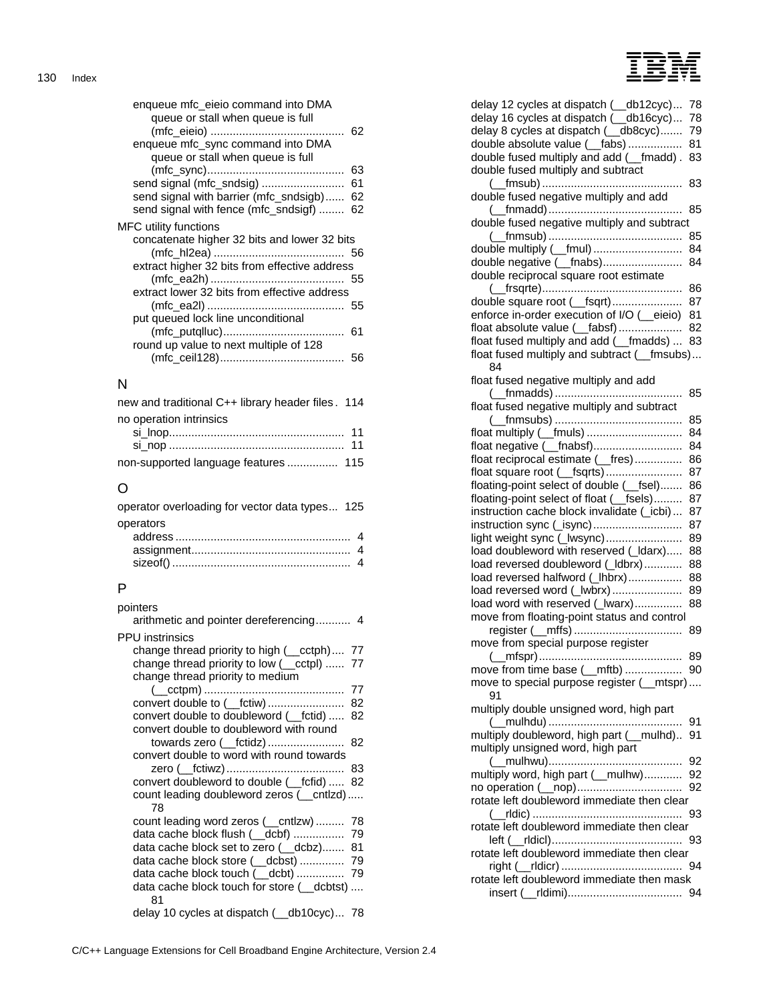| enqueue mfc eieio command into DMA            |    |
|-----------------------------------------------|----|
| queue or stall when queue is full             |    |
|                                               | 62 |
| enqueue mfc_sync command into DMA             |    |
| queue or stall when queue is full             |    |
|                                               | 63 |
| send signal (mfc_sndsig)                      | 61 |
| send signal with barrier (mfc_sndsigb)        | 62 |
| send signal with fence (mfc_sndsigf)          | 62 |
| MFC utility functions                         |    |
| concatenate higher 32 bits and lower 32 bits  |    |
|                                               |    |
| extract higher 32 bits from effective address |    |
|                                               |    |
| extract lower 32 bits from effective address  |    |
|                                               |    |
| put queued lock line unconditional            |    |
|                                               | 61 |
| round up value to next multiple of 128        |    |
|                                               |    |
|                                               |    |

## N

| new and traditional C++ library header files. 114 |  |
|---------------------------------------------------|--|
| no operation intrinsics                           |  |
|                                                   |  |
|                                                   |  |
|                                                   |  |

#### O

| operator overloading for vector data types 125 |
|------------------------------------------------|
|                                                |
|                                                |
|                                                |
|                                                |

## P

| pointers                                                                 |    |
|--------------------------------------------------------------------------|----|
| arithmetic and pointer dereferencing 4                                   |    |
| PPU instrinsics                                                          |    |
| change thread priority to high ( __ cctph)                               | 77 |
| change thread priority to low ( __ cctpl)                                | 77 |
| change thread priority to medium                                         |    |
|                                                                          | 77 |
| convert double to (_fctiw)                                               | 82 |
| convert double to doubleword ( __ fctid)                                 | 82 |
| convert double to doubleword with round                                  |    |
| towards zero ( __fctidz)                                                 | 82 |
| convert double to word with round towards                                |    |
|                                                                          | 83 |
| convert doubleword to double (first convert doubleword to double (first) | 82 |
| count leading doubleword zeros ( __ cntlzd)<br>78                        |    |
|                                                                          | 78 |
| data cache block flush (__dcbf)                                          | 79 |
| data cache block set to zero (_dcbz)                                     | 81 |
| data cache block store ( __dcbst)                                        | 79 |
| data cache block touch (dcbt)                                            | 79 |
| data cache block touch for store ( __dcbtst)<br>81                       |    |
| delay 10 cycles at dispatch (__db10cyc) 78                               |    |



| delay 12 cycles at dispatch (__db12cyc)                                 | 78       |
|-------------------------------------------------------------------------|----------|
| delay 16 cycles at dispatch (_db16cyc)                                  | 78       |
| delay 8 cycles at dispatch (__db8cyc)                                   | 79       |
| double absolute value (_fabs)                                           | 81       |
| double fused multiply and add (_fmadd).                                 | 83       |
| double fused multiply and subtract                                      |          |
|                                                                         | 83       |
| double fused negative multiply and add                                  | 85       |
| double fused negative multiply and subtract                             |          |
|                                                                         | 85       |
|                                                                         | 84       |
| double negative (__fnabs)                                               | 84       |
| double reciprocal square root estimate                                  |          |
|                                                                         | 86       |
| double square root (__fsqrt)                                            | 87       |
| enforce in-order execution of I/O (eieio)                               | 81       |
| float absolute value (_fabsf)                                           | 82       |
| float fused multiply and add (_fmadds)                                  | 83       |
| float fused multiply and subtract (_fmsubs)                             |          |
| 84                                                                      |          |
| float fused negative multiply and add                                   |          |
| .                                                                       | 85       |
| float fused negative multiply and subtract                              |          |
|                                                                         | 85       |
| float multiply (__fmuls)                                                | 84       |
| float negative (__fnabsf)                                               | 84       |
| float reciprocal estimate (fres)                                        | 86<br>87 |
| float square root (__fsqrts)<br>floating-point select of double (_fsel) | 86       |
| floating-point select of float (_fsels)                                 | 87       |
| instruction cache block invalidate (_icbi)                              | 87       |
| instruction sync (_isync)                                               | 87       |
| light weight sync (_lwsync)                                             | 89       |
| load doubleword with reserved (_ldarx)                                  | 88       |
| load reversed doubleword (_ldbrx)                                       | 88       |
| load reversed halfword (_lhbrx)                                         | 88       |
| load reversed word (_lwbrx)                                             | 89       |
| load word with reserved (_lwarx)                                        | 88       |
| move from floating-point status and control                             |          |
|                                                                         | 89       |
| move from special purpose register                                      |          |
|                                                                         | 89       |
| move from time base (__mftb)  90                                        |          |
| move to special purpose register (_mtspr)                               |          |
| 91                                                                      |          |
| multiply double unsigned word, high part                                |          |
| multiply doubleword, high part (_mulhd)                                 | 91<br>91 |
| multiply unsigned word, high part                                       |          |
|                                                                         | 92       |
| multiply word, high part (_mulhw)                                       | 92       |
| no operation (__nop)                                                    | 92       |
| rotate left doubleword immediate then clear                             |          |
|                                                                         | 93       |
| rotate left doubleword immediate then clear                             |          |
|                                                                         | 93       |
| rotate left doubleword immediate then clear                             |          |
|                                                                         | 94       |
|                                                                         |          |
| rotate left doubleword immediate then mask                              | 94       |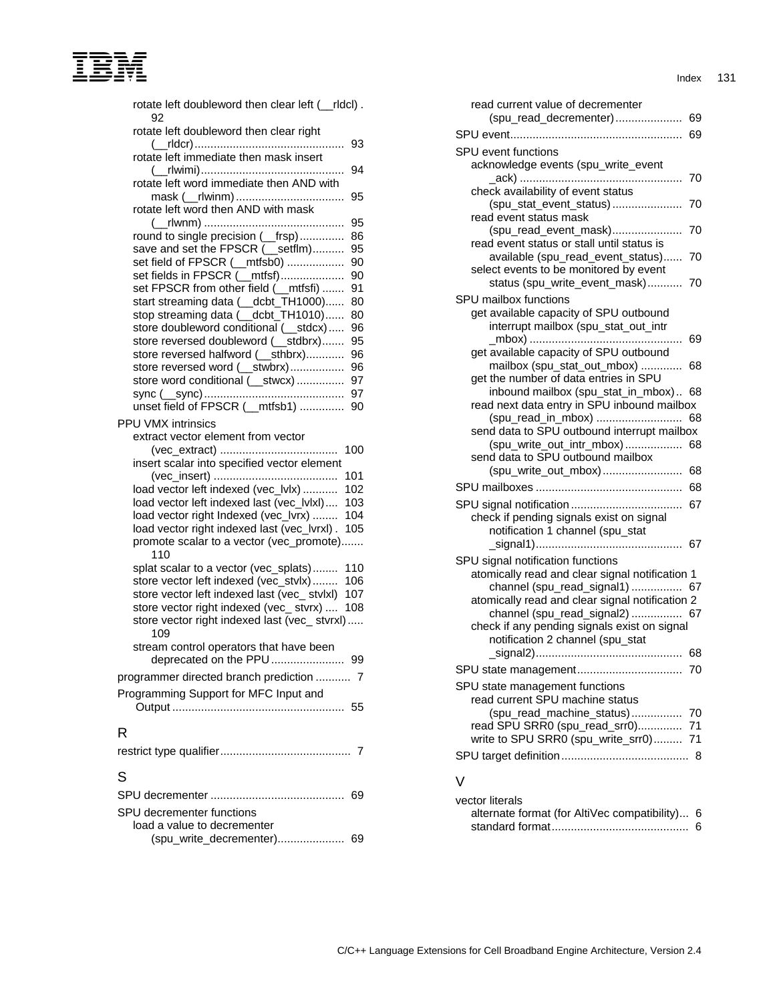

| rotate left doubleword then clear left (__rldcl).<br>92                                        |
|------------------------------------------------------------------------------------------------|
| rotate left doubleword then clear right                                                        |
| 93                                                                                             |
| rotate left immediate then mask insert<br>94                                                   |
| rotate left word immediate then AND with                                                       |
| mask (__rlwinm)<br>95<br>rotate left word then AND with mask                                   |
| 95                                                                                             |
| round to single precision (frsp)<br>save and set the FPSCR (setflm)<br>86                      |
| 95                                                                                             |
| set field of FPSCR (__mtfsb0)<br>90                                                            |
| set fields in FPSCR (__mtfsf)<br>90<br>91                                                      |
| set FPSCR from other field (_mtfsfi)<br>start streaming data (_dcbt_TH1000)<br>80              |
| stop streaming data ( __ dcbt_TH1010)<br>80                                                    |
| store doubleword conditional (__stdcx)<br>96                                                   |
| store reversed doubleword (__stdbrx)<br>95                                                     |
| store reversed halfword (__sthbrx)<br>96                                                       |
| store reversed word (__stwbrx)<br>96                                                           |
| store word conditional (__stwcx)<br>97                                                         |
| 97                                                                                             |
| unset field of FPSCR (__mtfsb1)<br>90                                                          |
| <b>PPU VMX intrinsics</b>                                                                      |
| extract vector element from vector                                                             |
| 100                                                                                            |
| insert scalar into specified vector element                                                    |
| 101                                                                                            |
| load vector left indexed (vec_lvlx)<br>102<br>load vector left indexed last (vec_lvlxl)<br>103 |
| load vector right Indexed (vec_lvrx)<br>104                                                    |
| load vector right indexed last (vec_lvrxl).<br>105                                             |
| promote scalar to a vector (vec_promote)                                                       |
| 110                                                                                            |
| splat scalar to a vector (vec_splats)<br>110                                                   |
| store vector left indexed (vec_stvlx)<br>106                                                   |
| store vector left indexed last (vec_stvlxl)<br>107                                             |
| store vector right indexed (vec_stvrx)<br>108                                                  |
| store vector right indexed last (vec_ stvrxl)                                                  |
| 109                                                                                            |
| stream control operators that have been<br>deprecated on the PPU<br>99                         |
|                                                                                                |
| programmer directed branch prediction  7                                                       |
| Programming Support for MFC Input and<br>55                                                    |
|                                                                                                |
| R                                                                                              |
|                                                                                                |
| S                                                                                              |
| 69                                                                                             |
| SPU decrementer functions                                                                      |
| load a value to decrementer                                                                    |
| (spu_write_decrementer)<br>69                                                                  |

| read current value of decrementer                                                 |          |
|-----------------------------------------------------------------------------------|----------|
| (spu_read_decrementer)                                                            | 69       |
|                                                                                   | 69       |
| <b>SPU</b> event functions                                                        |          |
| acknowledge events (spu_write_event                                               | 70       |
| check availability of event status                                                |          |
| (spu_stat_event_status)                                                           | 70       |
| read event status mask                                                            |          |
| (spu_read_event_mask)                                                             | 70       |
| read event status or stall until status is<br>available (spu_read_event_status)   | 70       |
| select events to be monitored by event                                            |          |
| status (spu_write_event_mask)                                                     | 70       |
| SPU mailbox functions                                                             |          |
| get available capacity of SPU outbound                                            |          |
| interrupt mailbox (spu_stat_out_intr                                              |          |
|                                                                                   | 69       |
| get available capacity of SPU outbound<br>mailbox (spu_stat_out_mbox)             | 68       |
| get the number of data entries in SPU                                             |          |
| inbound mailbox (spu_stat_in_mbox)                                                | 68       |
| read next data entry in SPU inbound mailbox                                       |          |
| (spu_read_in_mbox)                                                                | 68       |
| send data to SPU outbound interrupt mailbox<br>(spu_write_out_intr_mbox)          | 68       |
| send data to SPU outbound mailbox                                                 |          |
| (spu_write_out_mbox)                                                              | 68       |
|                                                                                   | 68       |
|                                                                                   | 67       |
| check if pending signals exist on signal                                          |          |
| notification 1 channel (spu_stat                                                  |          |
|                                                                                   | 67       |
| SPU signal notification functions                                                 |          |
| atomically read and clear signal notification 1<br>channel (spu_read_signal1)  67 |          |
| atomically read and clear signal notification 2                                   |          |
| channel (spu_read_signal2)  67                                                    |          |
| check if any pending signals exist on signal                                      |          |
| notification 2 channel (spu_stat                                                  |          |
|                                                                                   | 68       |
|                                                                                   | 70       |
| SPU state management functions                                                    |          |
| read current SPU machine status                                                   |          |
| (spu_read_machine_status)<br>read SPU SRR0 (spu_read_srr0)                        | 70<br>71 |
| write to SPU SRR0 (spu_write_srr0)                                                | 71       |

## V

| vector literals                                |  |
|------------------------------------------------|--|
| alternate format (for AltiVec compatibility) 6 |  |
|                                                |  |

SPU target definition........................................ 8